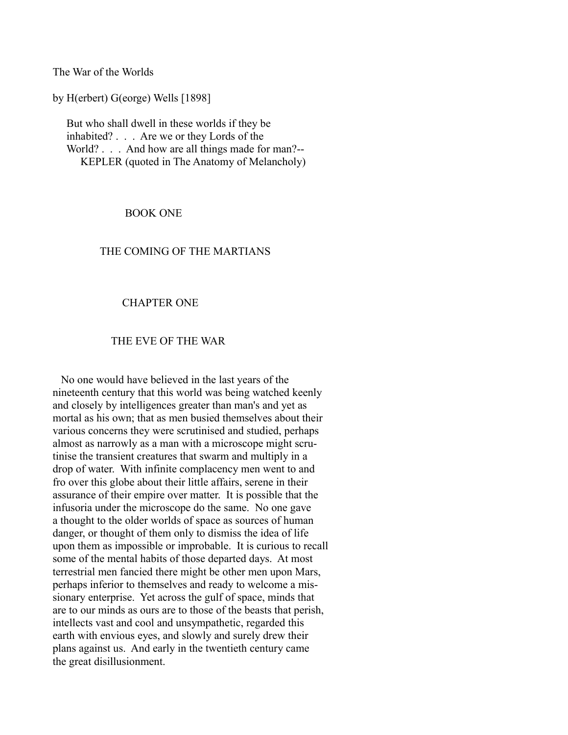The War of the Worlds

by H(erbert) G(eorge) Wells [1898]

 But who shall dwell in these worlds if they be inhabited? . . . Are we or they Lords of the World? . . . And how are all things made for man?--KEPLER (quoted in The Anatomy of Melancholy)

#### BOOK ONE

### THE COMING OF THE MARTIANS

#### CHAPTER ONE

#### THE EVE OF THE WAR

 No one would have believed in the last years of the nineteenth century that this world was being watched keenly and closely by intelligences greater than man's and yet as mortal as his own; that as men busied themselves about their various concerns they were scrutinised and studied, perhaps almost as narrowly as a man with a microscope might scrutinise the transient creatures that swarm and multiply in a drop of water. With infinite complacency men went to and fro over this globe about their little affairs, serene in their assurance of their empire over matter. It is possible that the infusoria under the microscope do the same. No one gave a thought to the older worlds of space as sources of human danger, or thought of them only to dismiss the idea of life upon them as impossible or improbable. It is curious to recall some of the mental habits of those departed days. At most terrestrial men fancied there might be other men upon Mars, perhaps inferior to themselves and ready to welcome a missionary enterprise. Yet across the gulf of space, minds that are to our minds as ours are to those of the beasts that perish, intellects vast and cool and unsympathetic, regarded this earth with envious eyes, and slowly and surely drew their plans against us. And early in the twentieth century came the great disillusionment.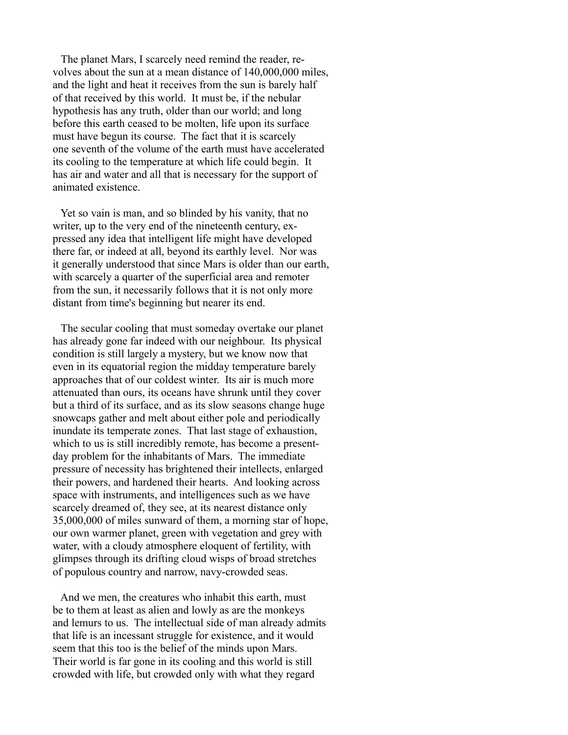The planet Mars, I scarcely need remind the reader, revolves about the sun at a mean distance of 140,000,000 miles, and the light and heat it receives from the sun is barely half of that received by this world. It must be, if the nebular hypothesis has any truth, older than our world; and long before this earth ceased to be molten, life upon its surface must have begun its course. The fact that it is scarcely one seventh of the volume of the earth must have accelerated its cooling to the temperature at which life could begin. It has air and water and all that is necessary for the support of animated existence.

 Yet so vain is man, and so blinded by his vanity, that no writer, up to the very end of the nineteenth century, expressed any idea that intelligent life might have developed there far, or indeed at all, beyond its earthly level. Nor was it generally understood that since Mars is older than our earth, with scarcely a quarter of the superficial area and remoter from the sun, it necessarily follows that it is not only more distant from time's beginning but nearer its end.

 The secular cooling that must someday overtake our planet has already gone far indeed with our neighbour. Its physical condition is still largely a mystery, but we know now that even in its equatorial region the midday temperature barely approaches that of our coldest winter. Its air is much more attenuated than ours, its oceans have shrunk until they cover but a third of its surface, and as its slow seasons change huge snowcaps gather and melt about either pole and periodically inundate its temperate zones. That last stage of exhaustion, which to us is still incredibly remote, has become a presentday problem for the inhabitants of Mars. The immediate pressure of necessity has brightened their intellects, enlarged their powers, and hardened their hearts. And looking across space with instruments, and intelligences such as we have scarcely dreamed of, they see, at its nearest distance only 35,000,000 of miles sunward of them, a morning star of hope, our own warmer planet, green with vegetation and grey with water, with a cloudy atmosphere eloquent of fertility, with glimpses through its drifting cloud wisps of broad stretches of populous country and narrow, navy-crowded seas.

 And we men, the creatures who inhabit this earth, must be to them at least as alien and lowly as are the monkeys and lemurs to us. The intellectual side of man already admits that life is an incessant struggle for existence, and it would seem that this too is the belief of the minds upon Mars. Their world is far gone in its cooling and this world is still crowded with life, but crowded only with what they regard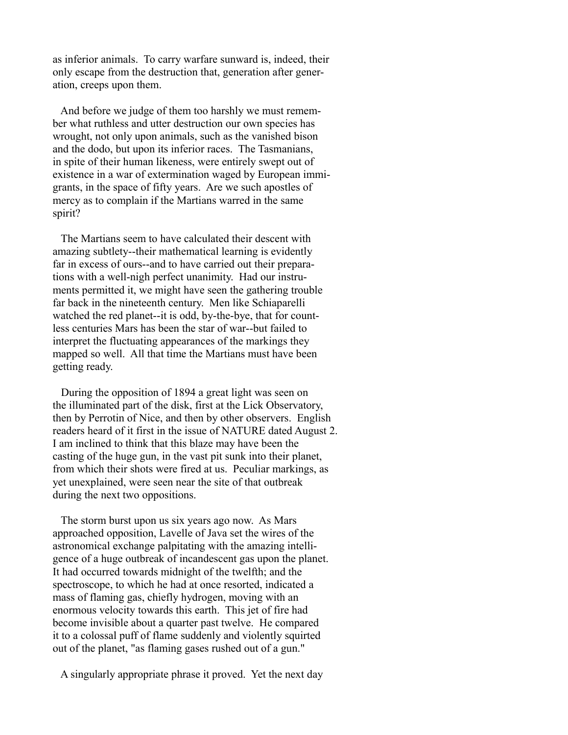as inferior animals. To carry warfare sunward is, indeed, their only escape from the destruction that, generation after generation, creeps upon them.

 And before we judge of them too harshly we must remember what ruthless and utter destruction our own species has wrought, not only upon animals, such as the vanished bison and the dodo, but upon its inferior races. The Tasmanians, in spite of their human likeness, were entirely swept out of existence in a war of extermination waged by European immigrants, in the space of fifty years. Are we such apostles of mercy as to complain if the Martians warred in the same spirit?

 The Martians seem to have calculated their descent with amazing subtlety--their mathematical learning is evidently far in excess of ours--and to have carried out their preparations with a well-nigh perfect unanimity. Had our instruments permitted it, we might have seen the gathering trouble far back in the nineteenth century. Men like Schiaparelli watched the red planet--it is odd, by-the-bye, that for countless centuries Mars has been the star of war--but failed to interpret the fluctuating appearances of the markings they mapped so well. All that time the Martians must have been getting ready.

 During the opposition of 1894 a great light was seen on the illuminated part of the disk, first at the Lick Observatory, then by Perrotin of Nice, and then by other observers. English readers heard of it first in the issue of NATURE dated August 2. I am inclined to think that this blaze may have been the casting of the huge gun, in the vast pit sunk into their planet, from which their shots were fired at us. Peculiar markings, as yet unexplained, were seen near the site of that outbreak during the next two oppositions.

 The storm burst upon us six years ago now. As Mars approached opposition, Lavelle of Java set the wires of the astronomical exchange palpitating with the amazing intelligence of a huge outbreak of incandescent gas upon the planet. It had occurred towards midnight of the twelfth; and the spectroscope, to which he had at once resorted, indicated a mass of flaming gas, chiefly hydrogen, moving with an enormous velocity towards this earth. This jet of fire had become invisible about a quarter past twelve. He compared it to a colossal puff of flame suddenly and violently squirted out of the planet, "as flaming gases rushed out of a gun."

A singularly appropriate phrase it proved. Yet the next day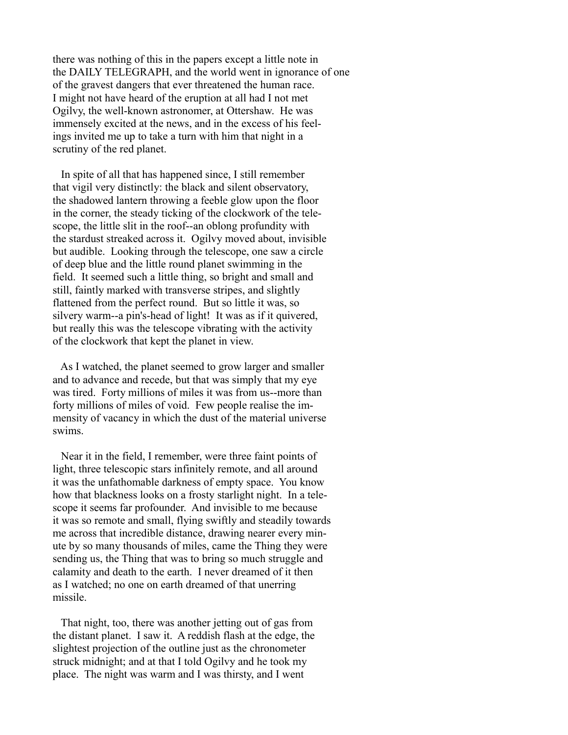there was nothing of this in the papers except a little note in the DAILY TELEGRAPH, and the world went in ignorance of one of the gravest dangers that ever threatened the human race. I might not have heard of the eruption at all had I not met Ogilvy, the well-known astronomer, at Ottershaw. He was immensely excited at the news, and in the excess of his feelings invited me up to take a turn with him that night in a scrutiny of the red planet.

 In spite of all that has happened since, I still remember that vigil very distinctly: the black and silent observatory, the shadowed lantern throwing a feeble glow upon the floor in the corner, the steady ticking of the clockwork of the telescope, the little slit in the roof--an oblong profundity with the stardust streaked across it. Ogilvy moved about, invisible but audible. Looking through the telescope, one saw a circle of deep blue and the little round planet swimming in the field. It seemed such a little thing, so bright and small and still, faintly marked with transverse stripes, and slightly flattened from the perfect round. But so little it was, so silvery warm--a pin's-head of light! It was as if it quivered, but really this was the telescope vibrating with the activity of the clockwork that kept the planet in view.

 As I watched, the planet seemed to grow larger and smaller and to advance and recede, but that was simply that my eye was tired. Forty millions of miles it was from us--more than forty millions of miles of void. Few people realise the immensity of vacancy in which the dust of the material universe swims.

 Near it in the field, I remember, were three faint points of light, three telescopic stars infinitely remote, and all around it was the unfathomable darkness of empty space. You know how that blackness looks on a frosty starlight night. In a telescope it seems far profounder. And invisible to me because it was so remote and small, flying swiftly and steadily towards me across that incredible distance, drawing nearer every minute by so many thousands of miles, came the Thing they were sending us, the Thing that was to bring so much struggle and calamity and death to the earth. I never dreamed of it then as I watched; no one on earth dreamed of that unerring missile.

 That night, too, there was another jetting out of gas from the distant planet. I saw it. A reddish flash at the edge, the slightest projection of the outline just as the chronometer struck midnight; and at that I told Ogilvy and he took my place. The night was warm and I was thirsty, and I went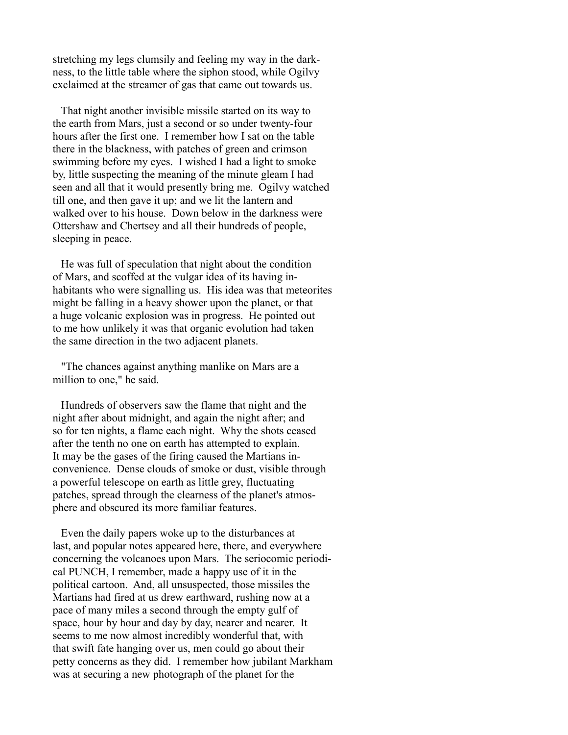stretching my legs clumsily and feeling my way in the darkness, to the little table where the siphon stood, while Ogilvy exclaimed at the streamer of gas that came out towards us.

 That night another invisible missile started on its way to the earth from Mars, just a second or so under twenty-four hours after the first one. I remember how I sat on the table there in the blackness, with patches of green and crimson swimming before my eyes. I wished I had a light to smoke by, little suspecting the meaning of the minute gleam I had seen and all that it would presently bring me. Ogilvy watched till one, and then gave it up; and we lit the lantern and walked over to his house. Down below in the darkness were Ottershaw and Chertsey and all their hundreds of people, sleeping in peace.

 He was full of speculation that night about the condition of Mars, and scoffed at the vulgar idea of its having inhabitants who were signalling us. His idea was that meteorites might be falling in a heavy shower upon the planet, or that a huge volcanic explosion was in progress. He pointed out to me how unlikely it was that organic evolution had taken the same direction in the two adjacent planets.

 "The chances against anything manlike on Mars are a million to one," he said.

 Hundreds of observers saw the flame that night and the night after about midnight, and again the night after; and so for ten nights, a flame each night. Why the shots ceased after the tenth no one on earth has attempted to explain. It may be the gases of the firing caused the Martians inconvenience. Dense clouds of smoke or dust, visible through a powerful telescope on earth as little grey, fluctuating patches, spread through the clearness of the planet's atmosphere and obscured its more familiar features.

 Even the daily papers woke up to the disturbances at last, and popular notes appeared here, there, and everywhere concerning the volcanoes upon Mars. The seriocomic periodical PUNCH, I remember, made a happy use of it in the political cartoon. And, all unsuspected, those missiles the Martians had fired at us drew earthward, rushing now at a pace of many miles a second through the empty gulf of space, hour by hour and day by day, nearer and nearer. It seems to me now almost incredibly wonderful that, with that swift fate hanging over us, men could go about their petty concerns as they did. I remember how jubilant Markham was at securing a new photograph of the planet for the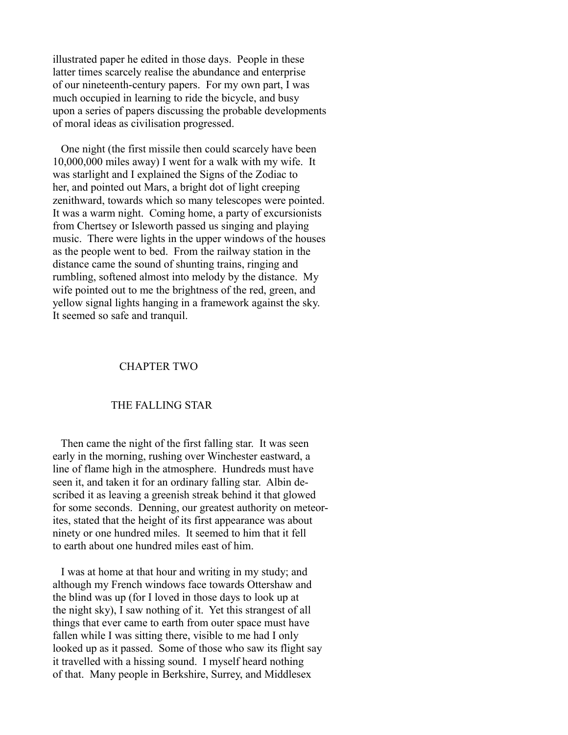illustrated paper he edited in those days. People in these latter times scarcely realise the abundance and enterprise of our nineteenth-century papers. For my own part, I was much occupied in learning to ride the bicycle, and busy upon a series of papers discussing the probable developments of moral ideas as civilisation progressed.

 One night (the first missile then could scarcely have been 10,000,000 miles away) I went for a walk with my wife. It was starlight and I explained the Signs of the Zodiac to her, and pointed out Mars, a bright dot of light creeping zenithward, towards which so many telescopes were pointed. It was a warm night. Coming home, a party of excursionists from Chertsey or Isleworth passed us singing and playing music. There were lights in the upper windows of the houses as the people went to bed. From the railway station in the distance came the sound of shunting trains, ringing and rumbling, softened almost into melody by the distance. My wife pointed out to me the brightness of the red, green, and yellow signal lights hanging in a framework against the sky. It seemed so safe and tranquil.

### CHAPTER TWO

### THE FALLING STAR

 Then came the night of the first falling star. It was seen early in the morning, rushing over Winchester eastward, a line of flame high in the atmosphere. Hundreds must have seen it, and taken it for an ordinary falling star. Albin described it as leaving a greenish streak behind it that glowed for some seconds. Denning, our greatest authority on meteorites, stated that the height of its first appearance was about ninety or one hundred miles. It seemed to him that it fell to earth about one hundred miles east of him.

 I was at home at that hour and writing in my study; and although my French windows face towards Ottershaw and the blind was up (for I loved in those days to look up at the night sky), I saw nothing of it. Yet this strangest of all things that ever came to earth from outer space must have fallen while I was sitting there, visible to me had I only looked up as it passed. Some of those who saw its flight say it travelled with a hissing sound. I myself heard nothing of that. Many people in Berkshire, Surrey, and Middlesex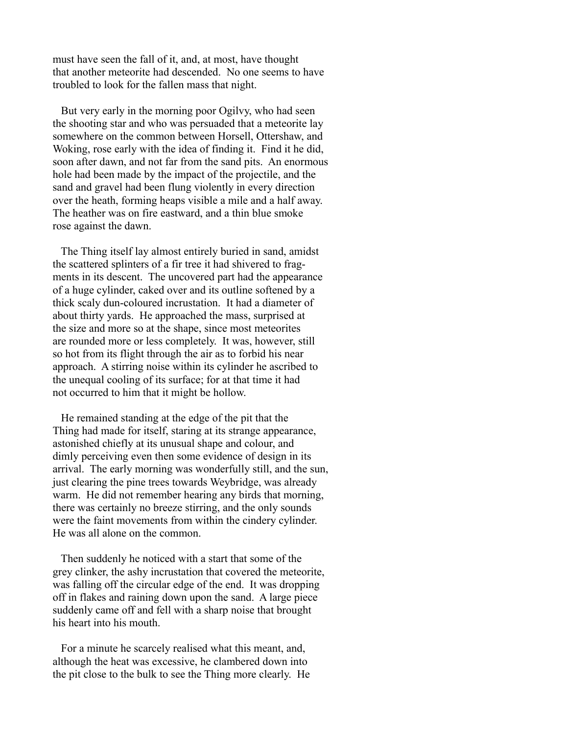must have seen the fall of it, and, at most, have thought that another meteorite had descended. No one seems to have troubled to look for the fallen mass that night.

 But very early in the morning poor Ogilvy, who had seen the shooting star and who was persuaded that a meteorite lay somewhere on the common between Horsell, Ottershaw, and Woking, rose early with the idea of finding it. Find it he did, soon after dawn, and not far from the sand pits. An enormous hole had been made by the impact of the projectile, and the sand and gravel had been flung violently in every direction over the heath, forming heaps visible a mile and a half away. The heather was on fire eastward, and a thin blue smoke rose against the dawn.

 The Thing itself lay almost entirely buried in sand, amidst the scattered splinters of a fir tree it had shivered to fragments in its descent. The uncovered part had the appearance of a huge cylinder, caked over and its outline softened by a thick scaly dun-coloured incrustation. It had a diameter of about thirty yards. He approached the mass, surprised at the size and more so at the shape, since most meteorites are rounded more or less completely. It was, however, still so hot from its flight through the air as to forbid his near approach. A stirring noise within its cylinder he ascribed to the unequal cooling of its surface; for at that time it had not occurred to him that it might be hollow.

 He remained standing at the edge of the pit that the Thing had made for itself, staring at its strange appearance, astonished chiefly at its unusual shape and colour, and dimly perceiving even then some evidence of design in its arrival. The early morning was wonderfully still, and the sun, just clearing the pine trees towards Weybridge, was already warm. He did not remember hearing any birds that morning, there was certainly no breeze stirring, and the only sounds were the faint movements from within the cindery cylinder. He was all alone on the common.

 Then suddenly he noticed with a start that some of the grey clinker, the ashy incrustation that covered the meteorite, was falling off the circular edge of the end. It was dropping off in flakes and raining down upon the sand. A large piece suddenly came off and fell with a sharp noise that brought his heart into his mouth.

 For a minute he scarcely realised what this meant, and, although the heat was excessive, he clambered down into the pit close to the bulk to see the Thing more clearly. He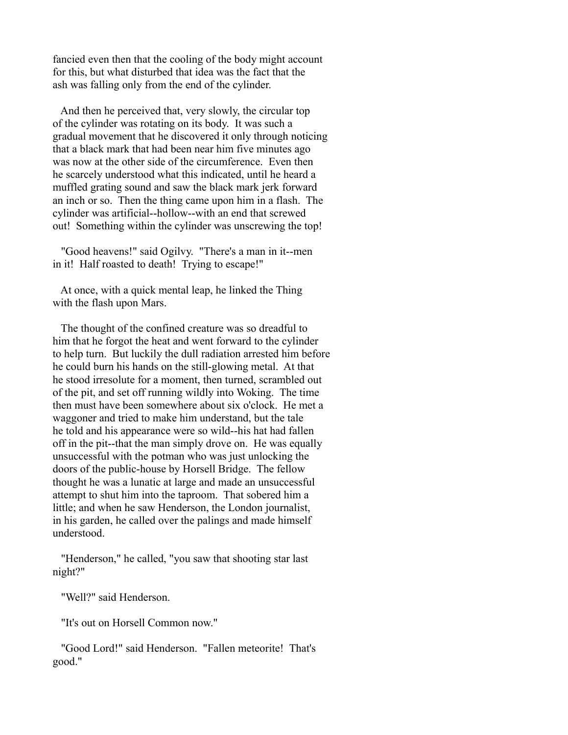fancied even then that the cooling of the body might account for this, but what disturbed that idea was the fact that the ash was falling only from the end of the cylinder.

 And then he perceived that, very slowly, the circular top of the cylinder was rotating on its body. It was such a gradual movement that he discovered it only through noticing that a black mark that had been near him five minutes ago was now at the other side of the circumference. Even then he scarcely understood what this indicated, until he heard a muffled grating sound and saw the black mark jerk forward an inch or so. Then the thing came upon him in a flash. The cylinder was artificial--hollow--with an end that screwed out! Something within the cylinder was unscrewing the top!

 "Good heavens!" said Ogilvy. "There's a man in it--men in it! Half roasted to death! Trying to escape!"

 At once, with a quick mental leap, he linked the Thing with the flash upon Mars.

 The thought of the confined creature was so dreadful to him that he forgot the heat and went forward to the cylinder to help turn. But luckily the dull radiation arrested him before he could burn his hands on the still-glowing metal. At that he stood irresolute for a moment, then turned, scrambled out of the pit, and set off running wildly into Woking. The time then must have been somewhere about six o'clock. He met a waggoner and tried to make him understand, but the tale he told and his appearance were so wild--his hat had fallen off in the pit--that the man simply drove on. He was equally unsuccessful with the potman who was just unlocking the doors of the public-house by Horsell Bridge. The fellow thought he was a lunatic at large and made an unsuccessful attempt to shut him into the taproom. That sobered him a little; and when he saw Henderson, the London journalist, in his garden, he called over the palings and made himself understood.

 "Henderson," he called, "you saw that shooting star last night?"

"Well?" said Henderson.

"It's out on Horsell Common now."

 "Good Lord!" said Henderson. "Fallen meteorite! That's good."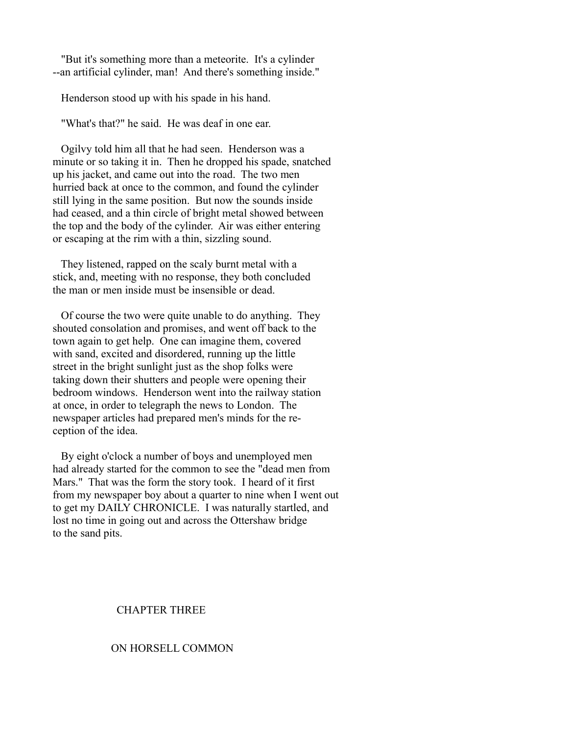"But it's something more than a meteorite. It's a cylinder --an artificial cylinder, man! And there's something inside."

Henderson stood up with his spade in his hand.

"What's that?" he said. He was deaf in one ear.

 Ogilvy told him all that he had seen. Henderson was a minute or so taking it in. Then he dropped his spade, snatched up his jacket, and came out into the road. The two men hurried back at once to the common, and found the cylinder still lying in the same position. But now the sounds inside had ceased, and a thin circle of bright metal showed between the top and the body of the cylinder. Air was either entering or escaping at the rim with a thin, sizzling sound.

 They listened, rapped on the scaly burnt metal with a stick, and, meeting with no response, they both concluded the man or men inside must be insensible or dead.

 Of course the two were quite unable to do anything. They shouted consolation and promises, and went off back to the town again to get help. One can imagine them, covered with sand, excited and disordered, running up the little street in the bright sunlight just as the shop folks were taking down their shutters and people were opening their bedroom windows. Henderson went into the railway station at once, in order to telegraph the news to London. The newspaper articles had prepared men's minds for the reception of the idea.

 By eight o'clock a number of boys and unemployed men had already started for the common to see the "dead men from Mars." That was the form the story took. I heard of it first from my newspaper boy about a quarter to nine when I went out to get my DAILY CHRONICLE. I was naturally startled, and lost no time in going out and across the Ottershaw bridge to the sand pits.

### CHAPTER THREE

# ON HORSELL COMMON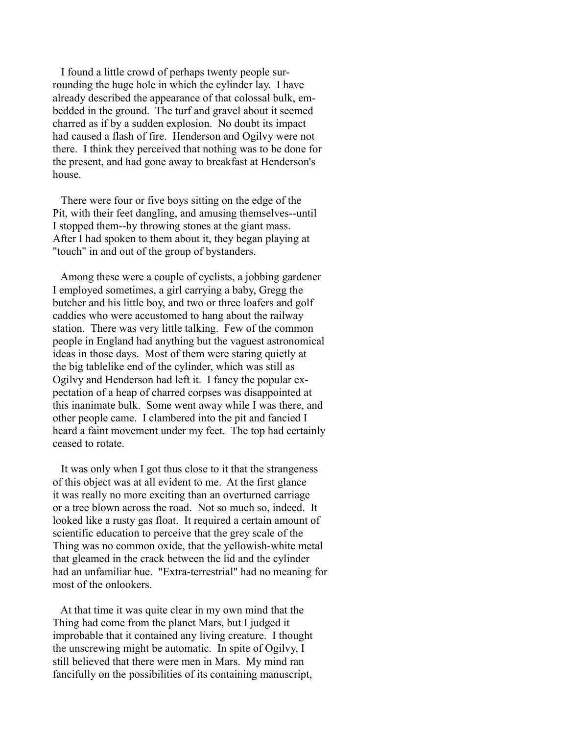I found a little crowd of perhaps twenty people surrounding the huge hole in which the cylinder lay. I have already described the appearance of that colossal bulk, embedded in the ground. The turf and gravel about it seemed charred as if by a sudden explosion. No doubt its impact had caused a flash of fire. Henderson and Ogilvy were not there. I think they perceived that nothing was to be done for the present, and had gone away to breakfast at Henderson's house.

 There were four or five boys sitting on the edge of the Pit, with their feet dangling, and amusing themselves--until I stopped them--by throwing stones at the giant mass. After I had spoken to them about it, they began playing at "touch" in and out of the group of bystanders.

 Among these were a couple of cyclists, a jobbing gardener I employed sometimes, a girl carrying a baby, Gregg the butcher and his little boy, and two or three loafers and golf caddies who were accustomed to hang about the railway station. There was very little talking. Few of the common people in England had anything but the vaguest astronomical ideas in those days. Most of them were staring quietly at the big tablelike end of the cylinder, which was still as Ogilvy and Henderson had left it. I fancy the popular expectation of a heap of charred corpses was disappointed at this inanimate bulk. Some went away while I was there, and other people came. I clambered into the pit and fancied I heard a faint movement under my feet. The top had certainly ceased to rotate.

 It was only when I got thus close to it that the strangeness of this object was at all evident to me. At the first glance it was really no more exciting than an overturned carriage or a tree blown across the road. Not so much so, indeed. It looked like a rusty gas float. It required a certain amount of scientific education to perceive that the grey scale of the Thing was no common oxide, that the yellowish-white metal that gleamed in the crack between the lid and the cylinder had an unfamiliar hue. "Extra-terrestrial" had no meaning for most of the onlookers.

 At that time it was quite clear in my own mind that the Thing had come from the planet Mars, but I judged it improbable that it contained any living creature. I thought the unscrewing might be automatic. In spite of Ogilvy, I still believed that there were men in Mars. My mind ran fancifully on the possibilities of its containing manuscript,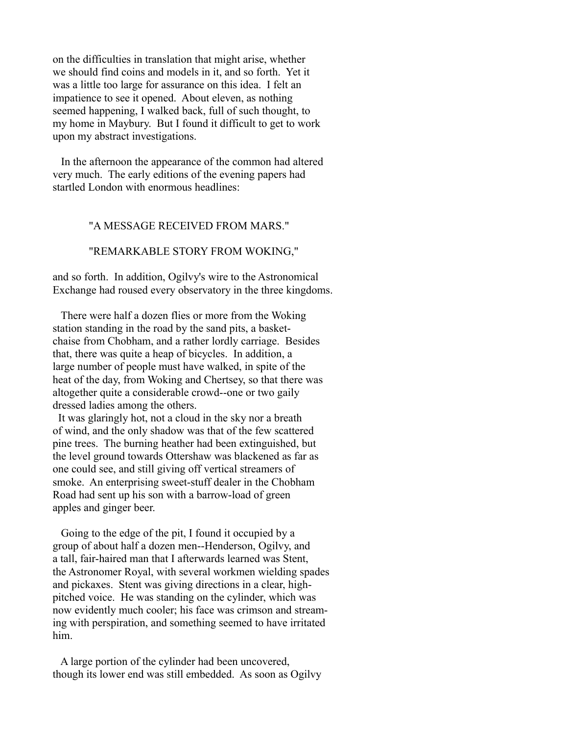on the difficulties in translation that might arise, whether we should find coins and models in it, and so forth. Yet it was a little too large for assurance on this idea. I felt an impatience to see it opened. About eleven, as nothing seemed happening, I walked back, full of such thought, to my home in Maybury. But I found it difficult to get to work upon my abstract investigations.

 In the afternoon the appearance of the common had altered very much. The early editions of the evening papers had startled London with enormous headlines:

#### "A MESSAGE RECEIVED FROM MARS."

# "REMARKABLE STORY FROM WOKING,"

and so forth. In addition, Ogilvy's wire to the Astronomical Exchange had roused every observatory in the three kingdoms.

 There were half a dozen flies or more from the Woking station standing in the road by the sand pits, a basketchaise from Chobham, and a rather lordly carriage. Besides that, there was quite a heap of bicycles. In addition, a large number of people must have walked, in spite of the heat of the day, from Woking and Chertsey, so that there was altogether quite a considerable crowd--one or two gaily dressed ladies among the others.

 It was glaringly hot, not a cloud in the sky nor a breath of wind, and the only shadow was that of the few scattered pine trees. The burning heather had been extinguished, but the level ground towards Ottershaw was blackened as far as one could see, and still giving off vertical streamers of smoke. An enterprising sweet-stuff dealer in the Chobham Road had sent up his son with a barrow-load of green apples and ginger beer.

 Going to the edge of the pit, I found it occupied by a group of about half a dozen men--Henderson, Ogilvy, and a tall, fair-haired man that I afterwards learned was Stent, the Astronomer Royal, with several workmen wielding spades and pickaxes. Stent was giving directions in a clear, highpitched voice. He was standing on the cylinder, which was now evidently much cooler; his face was crimson and streaming with perspiration, and something seemed to have irritated him.

 A large portion of the cylinder had been uncovered, though its lower end was still embedded. As soon as Ogilvy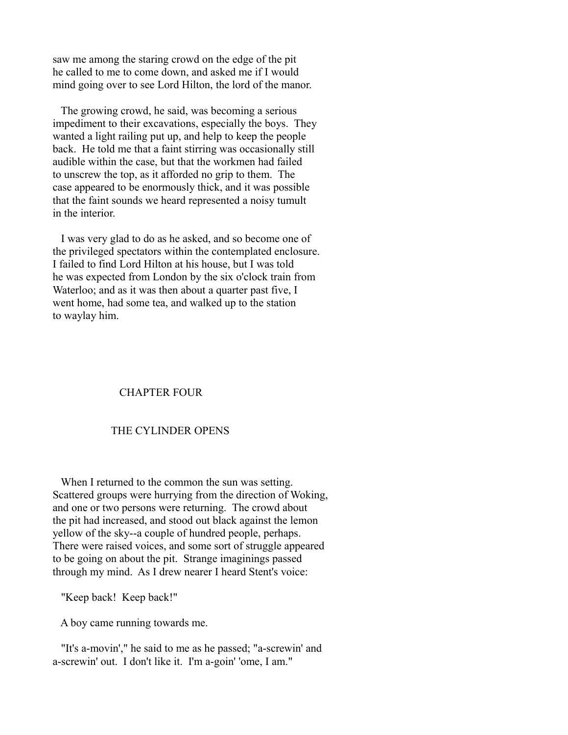saw me among the staring crowd on the edge of the pit he called to me to come down, and asked me if I would mind going over to see Lord Hilton, the lord of the manor.

 The growing crowd, he said, was becoming a serious impediment to their excavations, especially the boys. They wanted a light railing put up, and help to keep the people back. He told me that a faint stirring was occasionally still audible within the case, but that the workmen had failed to unscrew the top, as it afforded no grip to them. The case appeared to be enormously thick, and it was possible that the faint sounds we heard represented a noisy tumult in the interior.

 I was very glad to do as he asked, and so become one of the privileged spectators within the contemplated enclosure. I failed to find Lord Hilton at his house, but I was told he was expected from London by the six o'clock train from Waterloo; and as it was then about a quarter past five, I went home, had some tea, and walked up to the station to waylay him.

## CHAPTER FOUR

# THE CYLINDER OPENS

 When I returned to the common the sun was setting. Scattered groups were hurrying from the direction of Woking, and one or two persons were returning. The crowd about the pit had increased, and stood out black against the lemon yellow of the sky--a couple of hundred people, perhaps. There were raised voices, and some sort of struggle appeared to be going on about the pit. Strange imaginings passed through my mind. As I drew nearer I heard Stent's voice:

"Keep back! Keep back!"

A boy came running towards me.

 "It's a-movin'," he said to me as he passed; "a-screwin' and a-screwin' out. I don't like it. I'm a-goin' 'ome, I am."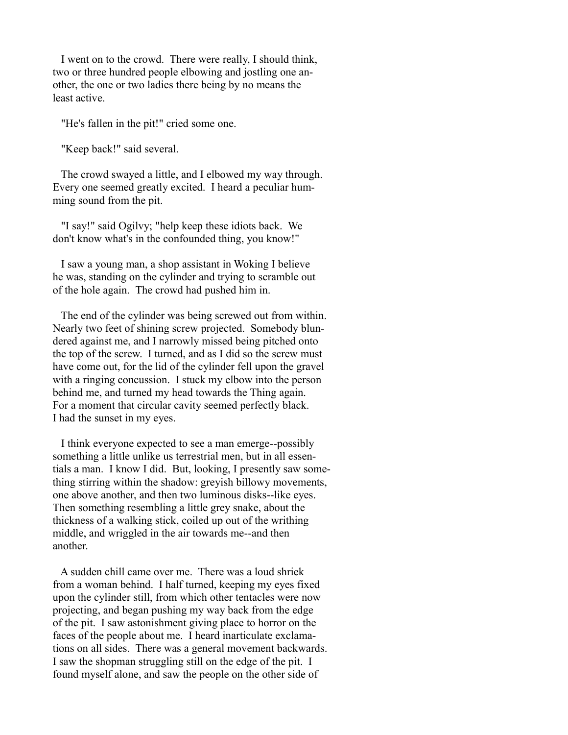I went on to the crowd. There were really, I should think, two or three hundred people elbowing and jostling one another, the one or two ladies there being by no means the least active.

"He's fallen in the pit!" cried some one.

"Keep back!" said several.

 The crowd swayed a little, and I elbowed my way through. Every one seemed greatly excited. I heard a peculiar humming sound from the pit.

 "I say!" said Ogilvy; "help keep these idiots back. We don't know what's in the confounded thing, you know!"

 I saw a young man, a shop assistant in Woking I believe he was, standing on the cylinder and trying to scramble out of the hole again. The crowd had pushed him in.

 The end of the cylinder was being screwed out from within. Nearly two feet of shining screw projected. Somebody blundered against me, and I narrowly missed being pitched onto the top of the screw. I turned, and as I did so the screw must have come out, for the lid of the cylinder fell upon the gravel with a ringing concussion. I stuck my elbow into the person behind me, and turned my head towards the Thing again. For a moment that circular cavity seemed perfectly black. I had the sunset in my eyes.

 I think everyone expected to see a man emerge--possibly something a little unlike us terrestrial men, but in all essentials a man. I know I did. But, looking, I presently saw something stirring within the shadow: greyish billowy movements, one above another, and then two luminous disks--like eyes. Then something resembling a little grey snake, about the thickness of a walking stick, coiled up out of the writhing middle, and wriggled in the air towards me--and then another.

 A sudden chill came over me. There was a loud shriek from a woman behind. I half turned, keeping my eyes fixed upon the cylinder still, from which other tentacles were now projecting, and began pushing my way back from the edge of the pit. I saw astonishment giving place to horror on the faces of the people about me. I heard inarticulate exclamations on all sides. There was a general movement backwards. I saw the shopman struggling still on the edge of the pit. I found myself alone, and saw the people on the other side of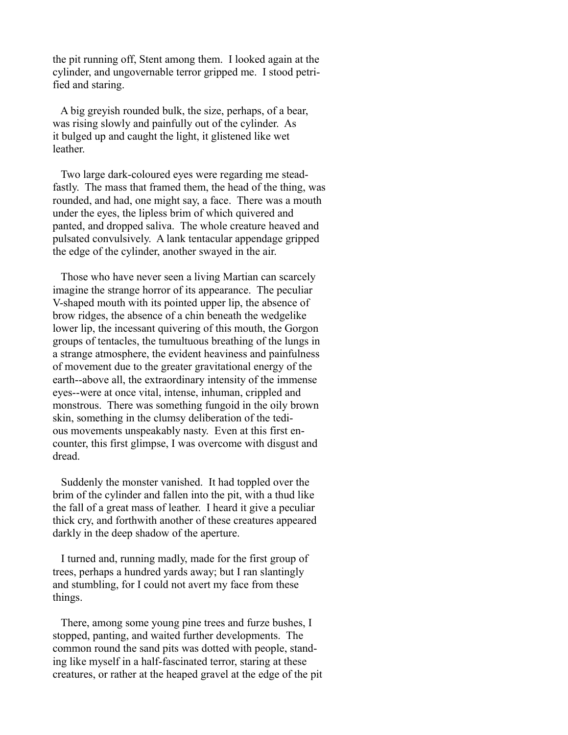the pit running off, Stent among them. I looked again at the cylinder, and ungovernable terror gripped me. I stood petrified and staring.

 A big greyish rounded bulk, the size, perhaps, of a bear, was rising slowly and painfully out of the cylinder. As it bulged up and caught the light, it glistened like wet leather.

 Two large dark-coloured eyes were regarding me steadfastly. The mass that framed them, the head of the thing, was rounded, and had, one might say, a face. There was a mouth under the eyes, the lipless brim of which quivered and panted, and dropped saliva. The whole creature heaved and pulsated convulsively. A lank tentacular appendage gripped the edge of the cylinder, another swayed in the air.

 Those who have never seen a living Martian can scarcely imagine the strange horror of its appearance. The peculiar V-shaped mouth with its pointed upper lip, the absence of brow ridges, the absence of a chin beneath the wedgelike lower lip, the incessant quivering of this mouth, the Gorgon groups of tentacles, the tumultuous breathing of the lungs in a strange atmosphere, the evident heaviness and painfulness of movement due to the greater gravitational energy of the earth--above all, the extraordinary intensity of the immense eyes--were at once vital, intense, inhuman, crippled and monstrous. There was something fungoid in the oily brown skin, something in the clumsy deliberation of the tedious movements unspeakably nasty. Even at this first encounter, this first glimpse, I was overcome with disgust and dread.

 Suddenly the monster vanished. It had toppled over the brim of the cylinder and fallen into the pit, with a thud like the fall of a great mass of leather. I heard it give a peculiar thick cry, and forthwith another of these creatures appeared darkly in the deep shadow of the aperture.

 I turned and, running madly, made for the first group of trees, perhaps a hundred yards away; but I ran slantingly and stumbling, for I could not avert my face from these things.

 There, among some young pine trees and furze bushes, I stopped, panting, and waited further developments. The common round the sand pits was dotted with people, standing like myself in a half-fascinated terror, staring at these creatures, or rather at the heaped gravel at the edge of the pit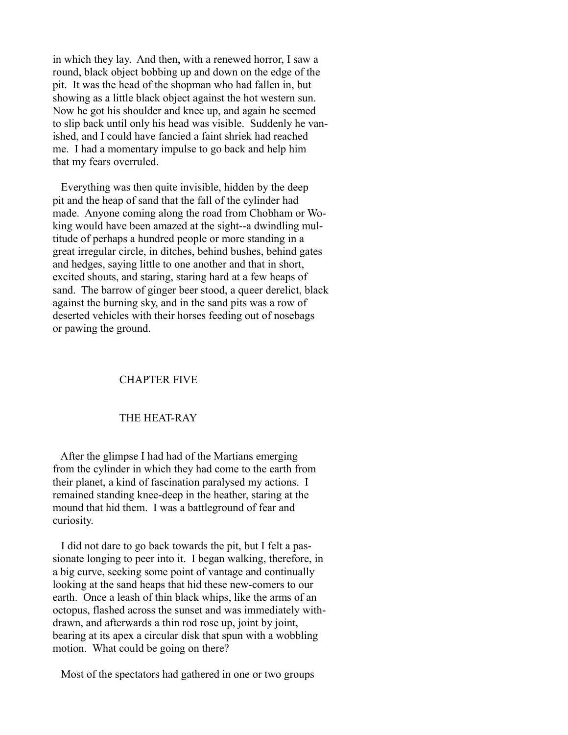in which they lay. And then, with a renewed horror, I saw a round, black object bobbing up and down on the edge of the pit. It was the head of the shopman who had fallen in, but showing as a little black object against the hot western sun. Now he got his shoulder and knee up, and again he seemed to slip back until only his head was visible. Suddenly he vanished, and I could have fancied a faint shriek had reached me. I had a momentary impulse to go back and help him that my fears overruled.

 Everything was then quite invisible, hidden by the deep pit and the heap of sand that the fall of the cylinder had made. Anyone coming along the road from Chobham or Woking would have been amazed at the sight--a dwindling multitude of perhaps a hundred people or more standing in a great irregular circle, in ditches, behind bushes, behind gates and hedges, saying little to one another and that in short, excited shouts, and staring, staring hard at a few heaps of sand. The barrow of ginger beer stood, a queer derelict, black against the burning sky, and in the sand pits was a row of deserted vehicles with their horses feeding out of nosebags or pawing the ground.

# CHAPTER FIVE

# THE HEAT-RAY

 After the glimpse I had had of the Martians emerging from the cylinder in which they had come to the earth from their planet, a kind of fascination paralysed my actions. I remained standing knee-deep in the heather, staring at the mound that hid them. I was a battleground of fear and curiosity.

 I did not dare to go back towards the pit, but I felt a passionate longing to peer into it. I began walking, therefore, in a big curve, seeking some point of vantage and continually looking at the sand heaps that hid these new-comers to our earth. Once a leash of thin black whips, like the arms of an octopus, flashed across the sunset and was immediately withdrawn, and afterwards a thin rod rose up, joint by joint, bearing at its apex a circular disk that spun with a wobbling motion. What could be going on there?

Most of the spectators had gathered in one or two groups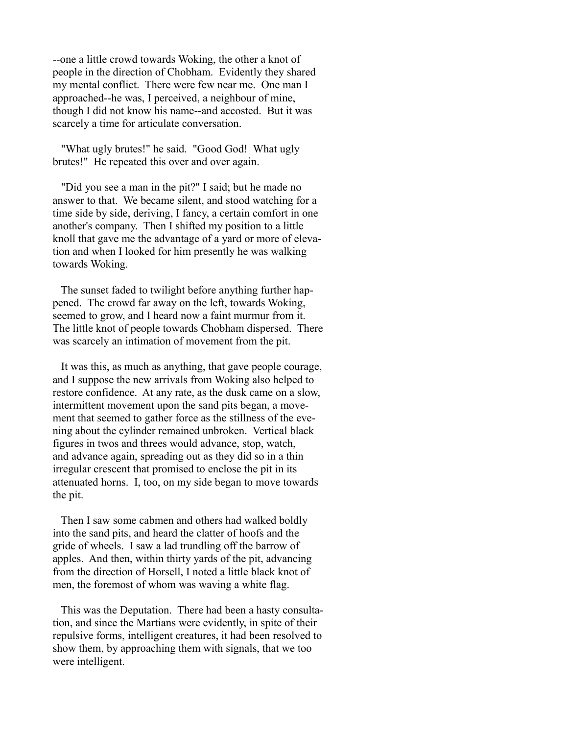--one a little crowd towards Woking, the other a knot of people in the direction of Chobham. Evidently they shared my mental conflict. There were few near me. One man I approached--he was, I perceived, a neighbour of mine, though I did not know his name--and accosted. But it was scarcely a time for articulate conversation.

 "What ugly brutes!" he said. "Good God! What ugly brutes!" He repeated this over and over again.

 "Did you see a man in the pit?" I said; but he made no answer to that. We became silent, and stood watching for a time side by side, deriving, I fancy, a certain comfort in one another's company. Then I shifted my position to a little knoll that gave me the advantage of a yard or more of elevation and when I looked for him presently he was walking towards Woking.

 The sunset faded to twilight before anything further happened. The crowd far away on the left, towards Woking, seemed to grow, and I heard now a faint murmur from it. The little knot of people towards Chobham dispersed. There was scarcely an intimation of movement from the pit.

 It was this, as much as anything, that gave people courage, and I suppose the new arrivals from Woking also helped to restore confidence. At any rate, as the dusk came on a slow, intermittent movement upon the sand pits began, a movement that seemed to gather force as the stillness of the evening about the cylinder remained unbroken. Vertical black figures in twos and threes would advance, stop, watch, and advance again, spreading out as they did so in a thin irregular crescent that promised to enclose the pit in its attenuated horns. I, too, on my side began to move towards the pit.

 Then I saw some cabmen and others had walked boldly into the sand pits, and heard the clatter of hoofs and the gride of wheels. I saw a lad trundling off the barrow of apples. And then, within thirty yards of the pit, advancing from the direction of Horsell, I noted a little black knot of men, the foremost of whom was waving a white flag.

 This was the Deputation. There had been a hasty consultation, and since the Martians were evidently, in spite of their repulsive forms, intelligent creatures, it had been resolved to show them, by approaching them with signals, that we too were intelligent.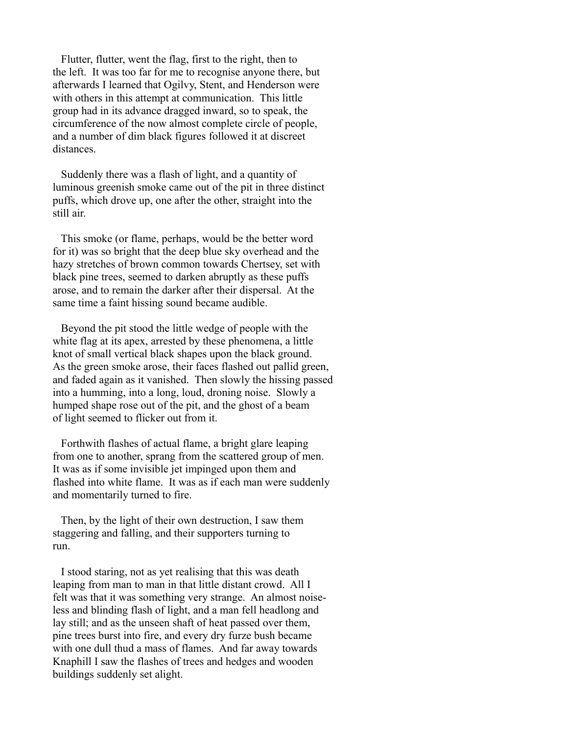Flutter, flutter, went the flag, first to the right, then to the left. It was too far for me to recognise anyone there, but afterwards I learned that Ogilvy, Stent, and Henderson were with others in this attempt at communication. This little group had in its advance dragged inward, so to speak, the circumference of the now almost complete circle of people, and a number of dim black figures followed it at discreet distances.

 Suddenly there was a flash of light, and a quantity of luminous greenish smoke came out of the pit in three distinct puffs, which drove up, one after the other, straight into the still air.

 This smoke (or flame, perhaps, would be the better word for it) was so bright that the deep blue sky overhead and the hazy stretches of brown common towards Chertsey, set with black pine trees, seemed to darken abruptly as these puffs arose, and to remain the darker after their dispersal. At the same time a faint hissing sound became audible.

 Beyond the pit stood the little wedge of people with the white flag at its apex, arrested by these phenomena, a little knot of small vertical black shapes upon the black ground. As the green smoke arose, their faces flashed out pallid green, and faded again as it vanished. Then slowly the hissing passed into a humming, into a long, loud, droning noise. Slowly a humped shape rose out of the pit, and the ghost of a beam of light seemed to flicker out from it.

 Forthwith flashes of actual flame, a bright glare leaping from one to another, sprang from the scattered group of men. It was as if some invisible jet impinged upon them and flashed into white flame. It was as if each man were suddenly and momentarily turned to fire.

 Then, by the light of their own destruction, I saw them staggering and falling, and their supporters turning to run.

 I stood staring, not as yet realising that this was death leaping from man to man in that little distant crowd. All I felt was that it was something very strange. An almost noiseless and blinding flash of light, and a man fell headlong and lay still; and as the unseen shaft of heat passed over them, pine trees burst into fire, and every dry furze bush became with one dull thud a mass of flames. And far away towards Knaphill I saw the flashes of trees and hedges and wooden buildings suddenly set alight.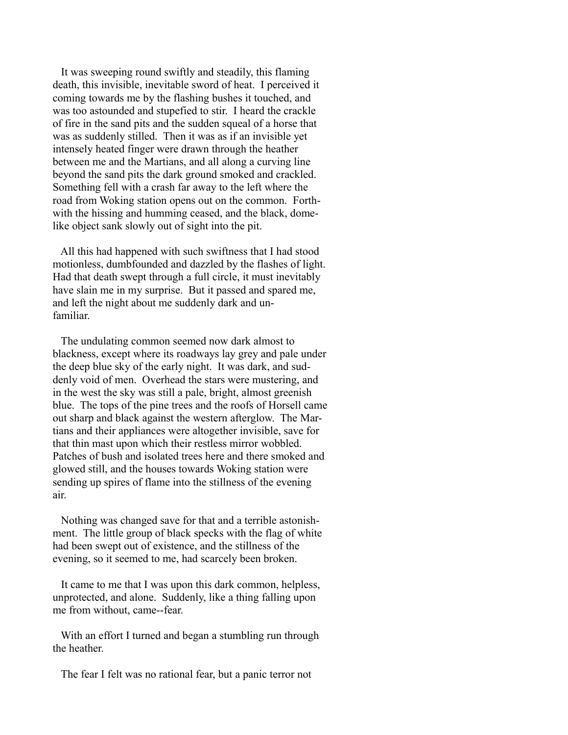It was sweeping round swiftly and steadily, this flaming death, this invisible, inevitable sword of heat. I perceived it coming towards me by the flashing bushes it touched, and was too astounded and stupefied to stir. I heard the crackle of fire in the sand pits and the sudden squeal of a horse that was as suddenly stilled. Then it was as if an invisible yet intensely heated finger were drawn through the heather between me and the Martians, and all along a curving line beyond the sand pits the dark ground smoked and crackled. Something fell with a crash far away to the left where the road from Woking station opens out on the common. Forthwith the hissing and humming ceased, and the black, domelike object sank slowly out of sight into the pit.

 All this had happened with such swiftness that I had stood motionless, dumbfounded and dazzled by the flashes of light. Had that death swept through a full circle, it must inevitably have slain me in my surprise. But it passed and spared me, and left the night about me suddenly dark and unfamiliar.

 The undulating common seemed now dark almost to blackness, except where its roadways lay grey and pale under the deep blue sky of the early night. It was dark, and suddenly void of men. Overhead the stars were mustering, and in the west the sky was still a pale, bright, almost greenish blue. The tops of the pine trees and the roofs of Horsell came out sharp and black against the western afterglow. The Martians and their appliances were altogether invisible, save for that thin mast upon which their restless mirror wobbled. Patches of bush and isolated trees here and there smoked and glowed still, and the houses towards Woking station were sending up spires of flame into the stillness of the evening air.

 Nothing was changed save for that and a terrible astonishment. The little group of black specks with the flag of white had been swept out of existence, and the stillness of the evening, so it seemed to me, had scarcely been broken.

 It came to me that I was upon this dark common, helpless, unprotected, and alone. Suddenly, like a thing falling upon me from without, came--fear.

 With an effort I turned and began a stumbling run through the heather.

The fear I felt was no rational fear, but a panic terror not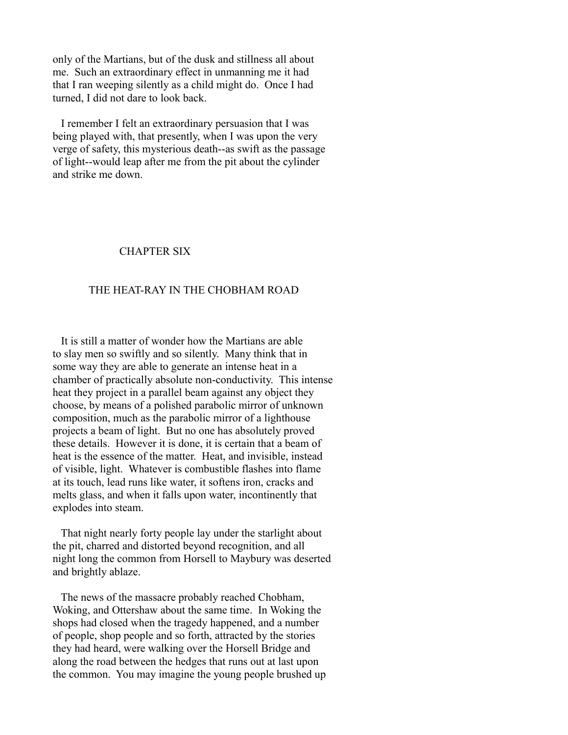only of the Martians, but of the dusk and stillness all about me. Such an extraordinary effect in unmanning me it had that I ran weeping silently as a child might do. Once I had turned, I did not dare to look back.

 I remember I felt an extraordinary persuasion that I was being played with, that presently, when I was upon the very verge of safety, this mysterious death--as swift as the passage of light--would leap after me from the pit about the cylinder and strike me down.

# CHAPTER SIX

# THE HEAT-RAY IN THE CHOBHAM ROAD

 It is still a matter of wonder how the Martians are able to slay men so swiftly and so silently. Many think that in some way they are able to generate an intense heat in a chamber of practically absolute non-conductivity. This intense heat they project in a parallel beam against any object they choose, by means of a polished parabolic mirror of unknown composition, much as the parabolic mirror of a lighthouse projects a beam of light. But no one has absolutely proved these details. However it is done, it is certain that a beam of heat is the essence of the matter. Heat, and invisible, instead of visible, light. Whatever is combustible flashes into flame at its touch, lead runs like water, it softens iron, cracks and melts glass, and when it falls upon water, incontinently that explodes into steam.

 That night nearly forty people lay under the starlight about the pit, charred and distorted beyond recognition, and all night long the common from Horsell to Maybury was deserted and brightly ablaze.

 The news of the massacre probably reached Chobham, Woking, and Ottershaw about the same time. In Woking the shops had closed when the tragedy happened, and a number of people, shop people and so forth, attracted by the stories they had heard, were walking over the Horsell Bridge and along the road between the hedges that runs out at last upon the common. You may imagine the young people brushed up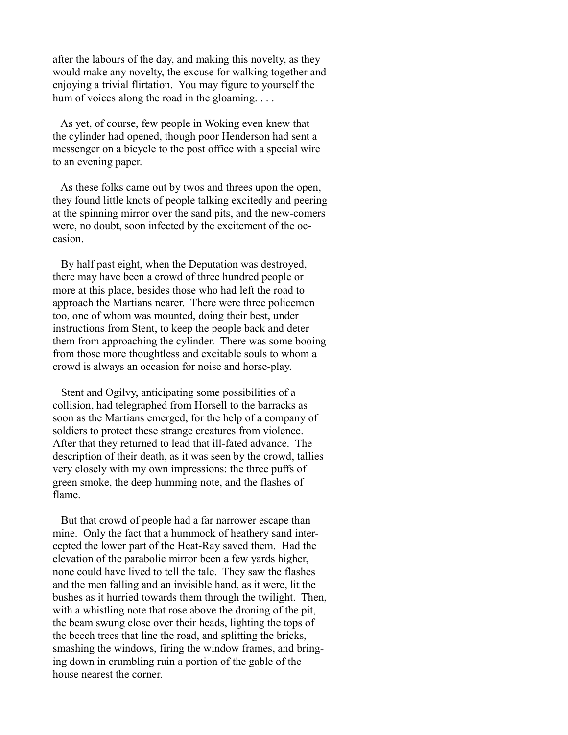after the labours of the day, and making this novelty, as they would make any novelty, the excuse for walking together and enjoying a trivial flirtation. You may figure to yourself the hum of voices along the road in the gloaming....

 As yet, of course, few people in Woking even knew that the cylinder had opened, though poor Henderson had sent a messenger on a bicycle to the post office with a special wire to an evening paper.

 As these folks came out by twos and threes upon the open, they found little knots of people talking excitedly and peering at the spinning mirror over the sand pits, and the new-comers were, no doubt, soon infected by the excitement of the occasion.

 By half past eight, when the Deputation was destroyed, there may have been a crowd of three hundred people or more at this place, besides those who had left the road to approach the Martians nearer. There were three policemen too, one of whom was mounted, doing their best, under instructions from Stent, to keep the people back and deter them from approaching the cylinder. There was some booing from those more thoughtless and excitable souls to whom a crowd is always an occasion for noise and horse-play.

 Stent and Ogilvy, anticipating some possibilities of a collision, had telegraphed from Horsell to the barracks as soon as the Martians emerged, for the help of a company of soldiers to protect these strange creatures from violence. After that they returned to lead that ill-fated advance. The description of their death, as it was seen by the crowd, tallies very closely with my own impressions: the three puffs of green smoke, the deep humming note, and the flashes of flame.

 But that crowd of people had a far narrower escape than mine. Only the fact that a hummock of heathery sand intercepted the lower part of the Heat-Ray saved them. Had the elevation of the parabolic mirror been a few yards higher, none could have lived to tell the tale. They saw the flashes and the men falling and an invisible hand, as it were, lit the bushes as it hurried towards them through the twilight. Then, with a whistling note that rose above the droning of the pit, the beam swung close over their heads, lighting the tops of the beech trees that line the road, and splitting the bricks, smashing the windows, firing the window frames, and bringing down in crumbling ruin a portion of the gable of the house nearest the corner.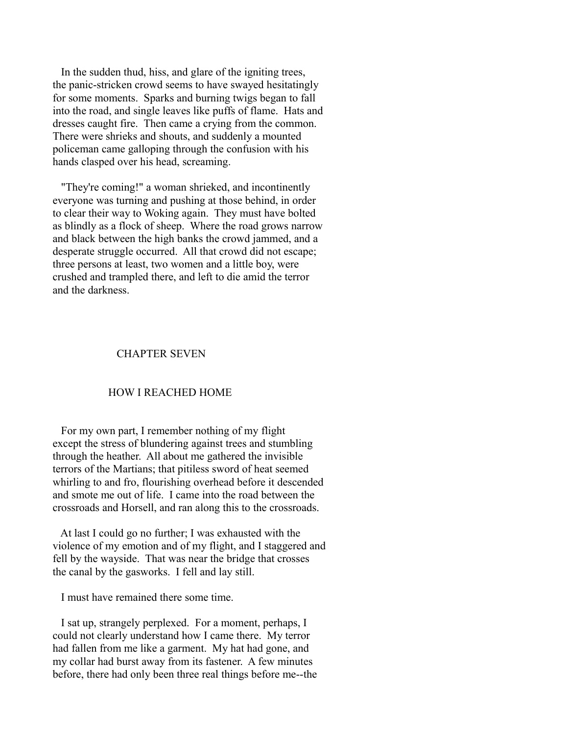In the sudden thud, hiss, and glare of the igniting trees, the panic-stricken crowd seems to have swayed hesitatingly for some moments. Sparks and burning twigs began to fall into the road, and single leaves like puffs of flame. Hats and dresses caught fire. Then came a crying from the common. There were shrieks and shouts, and suddenly a mounted policeman came galloping through the confusion with his hands clasped over his head, screaming.

 "They're coming!" a woman shrieked, and incontinently everyone was turning and pushing at those behind, in order to clear their way to Woking again. They must have bolted as blindly as a flock of sheep. Where the road grows narrow and black between the high banks the crowd jammed, and a desperate struggle occurred. All that crowd did not escape; three persons at least, two women and a little boy, were crushed and trampled there, and left to die amid the terror and the darkness.

### CHAPTER SEVEN

### HOW I REACHED HOME

 For my own part, I remember nothing of my flight except the stress of blundering against trees and stumbling through the heather. All about me gathered the invisible terrors of the Martians; that pitiless sword of heat seemed whirling to and fro, flourishing overhead before it descended and smote me out of life. I came into the road between the crossroads and Horsell, and ran along this to the crossroads.

 At last I could go no further; I was exhausted with the violence of my emotion and of my flight, and I staggered and fell by the wayside. That was near the bridge that crosses the canal by the gasworks. I fell and lay still.

I must have remained there some time.

 I sat up, strangely perplexed. For a moment, perhaps, I could not clearly understand how I came there. My terror had fallen from me like a garment. My hat had gone, and my collar had burst away from its fastener. A few minutes before, there had only been three real things before me--the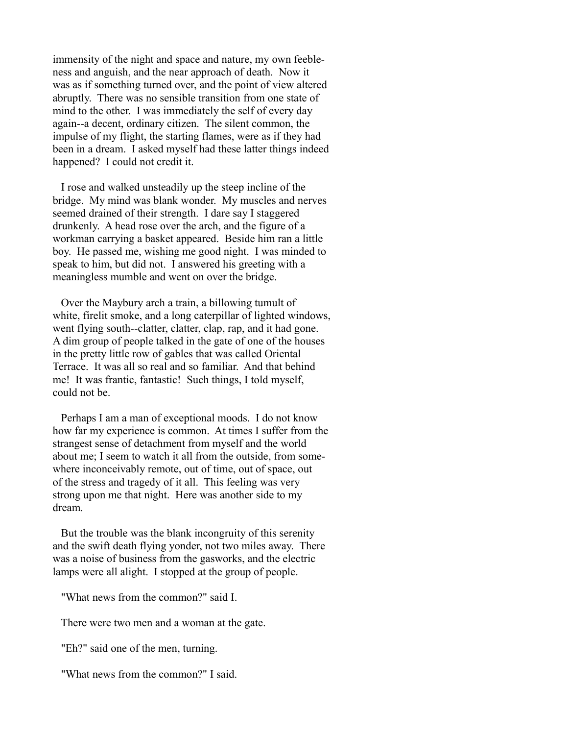immensity of the night and space and nature, my own feebleness and anguish, and the near approach of death. Now it was as if something turned over, and the point of view altered abruptly. There was no sensible transition from one state of mind to the other. I was immediately the self of every day again--a decent, ordinary citizen. The silent common, the impulse of my flight, the starting flames, were as if they had been in a dream. I asked myself had these latter things indeed happened? I could not credit it.

 I rose and walked unsteadily up the steep incline of the bridge. My mind was blank wonder. My muscles and nerves seemed drained of their strength. I dare say I staggered drunkenly. A head rose over the arch, and the figure of a workman carrying a basket appeared. Beside him ran a little boy. He passed me, wishing me good night. I was minded to speak to him, but did not. I answered his greeting with a meaningless mumble and went on over the bridge.

 Over the Maybury arch a train, a billowing tumult of white, firelit smoke, and a long caterpillar of lighted windows, went flying south--clatter, clatter, clap, rap, and it had gone. A dim group of people talked in the gate of one of the houses in the pretty little row of gables that was called Oriental Terrace. It was all so real and so familiar. And that behind me! It was frantic, fantastic! Such things, I told myself, could not be.

 Perhaps I am a man of exceptional moods. I do not know how far my experience is common. At times I suffer from the strangest sense of detachment from myself and the world about me; I seem to watch it all from the outside, from somewhere inconceivably remote, out of time, out of space, out of the stress and tragedy of it all. This feeling was very strong upon me that night. Here was another side to my dream.

 But the trouble was the blank incongruity of this serenity and the swift death flying yonder, not two miles away. There was a noise of business from the gasworks, and the electric lamps were all alight. I stopped at the group of people.

"What news from the common?" said I.

There were two men and a woman at the gate.

"Eh?" said one of the men, turning.

"What news from the common?" I said.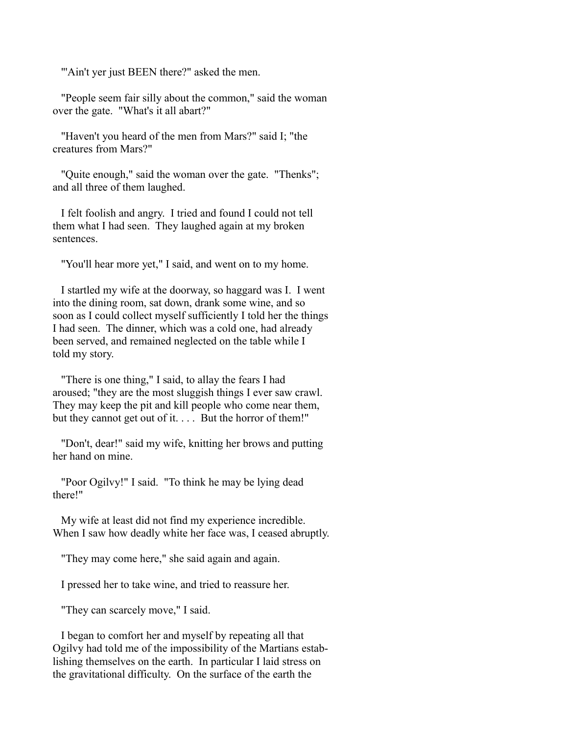"'Ain't yer just BEEN there?" asked the men.

 "People seem fair silly about the common," said the woman over the gate. "What's it all abart?"

 "Haven't you heard of the men from Mars?" said I; "the creatures from Mars?"

 "Quite enough," said the woman over the gate. "Thenks"; and all three of them laughed.

 I felt foolish and angry. I tried and found I could not tell them what I had seen. They laughed again at my broken sentences.

"You'll hear more yet," I said, and went on to my home.

 I startled my wife at the doorway, so haggard was I. I went into the dining room, sat down, drank some wine, and so soon as I could collect myself sufficiently I told her the things I had seen. The dinner, which was a cold one, had already been served, and remained neglected on the table while I told my story.

 "There is one thing," I said, to allay the fears I had aroused; "they are the most sluggish things I ever saw crawl. They may keep the pit and kill people who come near them, but they cannot get out of it. . . . But the horror of them!"

 "Don't, dear!" said my wife, knitting her brows and putting her hand on mine.

 "Poor Ogilvy!" I said. "To think he may be lying dead there!"

 My wife at least did not find my experience incredible. When I saw how deadly white her face was, I ceased abruptly.

"They may come here," she said again and again.

I pressed her to take wine, and tried to reassure her.

"They can scarcely move," I said.

 I began to comfort her and myself by repeating all that Ogilvy had told me of the impossibility of the Martians establishing themselves on the earth. In particular I laid stress on the gravitational difficulty. On the surface of the earth the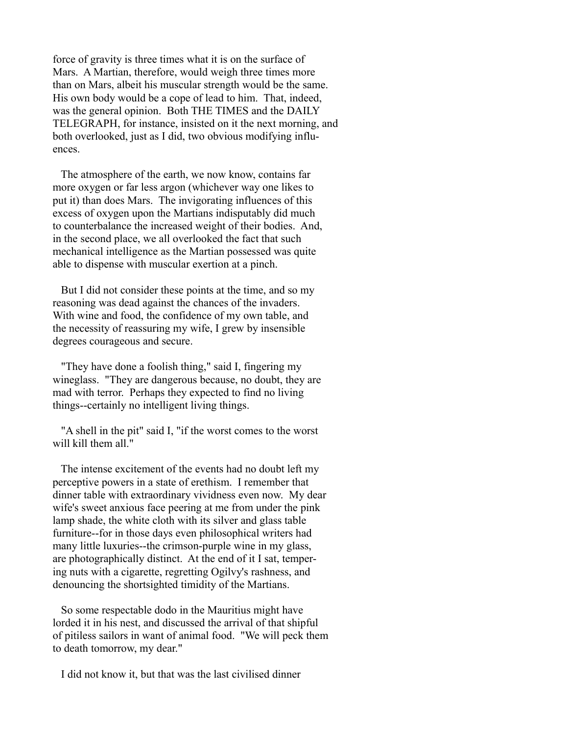force of gravity is three times what it is on the surface of Mars. A Martian, therefore, would weigh three times more than on Mars, albeit his muscular strength would be the same. His own body would be a cope of lead to him. That, indeed, was the general opinion. Both THE TIMES and the DAILY TELEGRAPH, for instance, insisted on it the next morning, and both overlooked, just as I did, two obvious modifying influences.

 The atmosphere of the earth, we now know, contains far more oxygen or far less argon (whichever way one likes to put it) than does Mars. The invigorating influences of this excess of oxygen upon the Martians indisputably did much to counterbalance the increased weight of their bodies. And, in the second place, we all overlooked the fact that such mechanical intelligence as the Martian possessed was quite able to dispense with muscular exertion at a pinch.

 But I did not consider these points at the time, and so my reasoning was dead against the chances of the invaders. With wine and food, the confidence of my own table, and the necessity of reassuring my wife, I grew by insensible degrees courageous and secure.

 "They have done a foolish thing," said I, fingering my wineglass. "They are dangerous because, no doubt, they are mad with terror. Perhaps they expected to find no living things--certainly no intelligent living things.

 "A shell in the pit" said I, "if the worst comes to the worst will kill them all."

 The intense excitement of the events had no doubt left my perceptive powers in a state of erethism. I remember that dinner table with extraordinary vividness even now. My dear wife's sweet anxious face peering at me from under the pink lamp shade, the white cloth with its silver and glass table furniture--for in those days even philosophical writers had many little luxuries--the crimson-purple wine in my glass, are photographically distinct. At the end of it I sat, tempering nuts with a cigarette, regretting Ogilvy's rashness, and denouncing the shortsighted timidity of the Martians.

 So some respectable dodo in the Mauritius might have lorded it in his nest, and discussed the arrival of that shipful of pitiless sailors in want of animal food. "We will peck them to death tomorrow, my dear."

I did not know it, but that was the last civilised dinner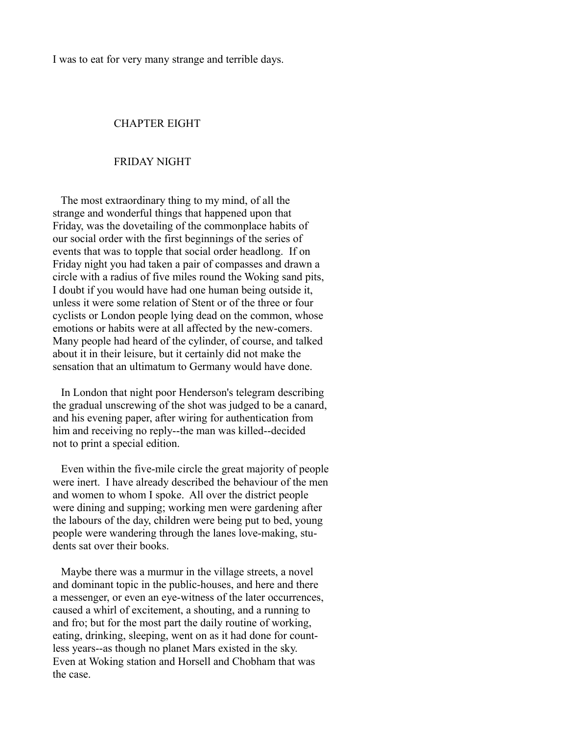I was to eat for very many strange and terrible days.

# CHAPTER EIGHT

#### FRIDAY NIGHT

 The most extraordinary thing to my mind, of all the strange and wonderful things that happened upon that Friday, was the dovetailing of the commonplace habits of our social order with the first beginnings of the series of events that was to topple that social order headlong. If on Friday night you had taken a pair of compasses and drawn a circle with a radius of five miles round the Woking sand pits, I doubt if you would have had one human being outside it, unless it were some relation of Stent or of the three or four cyclists or London people lying dead on the common, whose emotions or habits were at all affected by the new-comers. Many people had heard of the cylinder, of course, and talked about it in their leisure, but it certainly did not make the sensation that an ultimatum to Germany would have done.

 In London that night poor Henderson's telegram describing the gradual unscrewing of the shot was judged to be a canard, and his evening paper, after wiring for authentication from him and receiving no reply--the man was killed--decided not to print a special edition.

 Even within the five-mile circle the great majority of people were inert. I have already described the behaviour of the men and women to whom I spoke. All over the district people were dining and supping; working men were gardening after the labours of the day, children were being put to bed, young people were wandering through the lanes love-making, students sat over their books.

 Maybe there was a murmur in the village streets, a novel and dominant topic in the public-houses, and here and there a messenger, or even an eye-witness of the later occurrences, caused a whirl of excitement, a shouting, and a running to and fro; but for the most part the daily routine of working, eating, drinking, sleeping, went on as it had done for countless years--as though no planet Mars existed in the sky. Even at Woking station and Horsell and Chobham that was the case.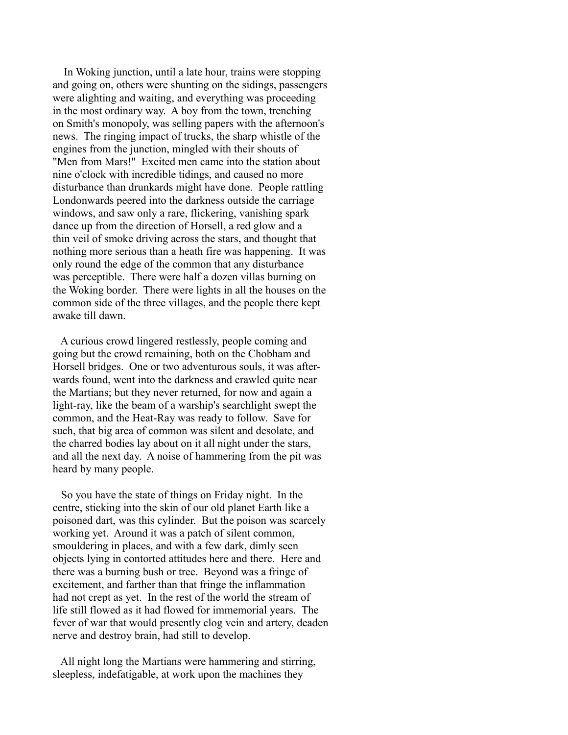In Woking junction, until a late hour, trains were stopping and going on, others were shunting on the sidings, passengers were alighting and waiting, and everything was proceeding in the most ordinary way. A boy from the town, trenching on Smith's monopoly, was selling papers with the afternoon's news. The ringing impact of trucks, the sharp whistle of the engines from the junction, mingled with their shouts of "Men from Mars!" Excited men came into the station about nine o'clock with incredible tidings, and caused no more disturbance than drunkards might have done. People rattling Londonwards peered into the darkness outside the carriage windows, and saw only a rare, flickering, vanishing spark dance up from the direction of Horsell, a red glow and a thin veil of smoke driving across the stars, and thought that nothing more serious than a heath fire was happening. It was only round the edge of the common that any disturbance was perceptible. There were half a dozen villas burning on the Woking border. There were lights in all the houses on the common side of the three villages, and the people there kept awake till dawn.

 A curious crowd lingered restlessly, people coming and going but the crowd remaining, both on the Chobham and Horsell bridges. One or two adventurous souls, it was afterwards found, went into the darkness and crawled quite near the Martians; but they never returned, for now and again a light-ray, like the beam of a warship's searchlight swept the common, and the Heat-Ray was ready to follow. Save for such, that big area of common was silent and desolate, and the charred bodies lay about on it all night under the stars, and all the next day. A noise of hammering from the pit was heard by many people.

 So you have the state of things on Friday night. In the centre, sticking into the skin of our old planet Earth like a poisoned dart, was this cylinder. But the poison was scarcely working yet. Around it was a patch of silent common, smouldering in places, and with a few dark, dimly seen objects lying in contorted attitudes here and there. Here and there was a burning bush or tree. Beyond was a fringe of excitement, and farther than that fringe the inflammation had not crept as yet. In the rest of the world the stream of life still flowed as it had flowed for immemorial years. The fever of war that would presently clog vein and artery, deaden nerve and destroy brain, had still to develop.

 All night long the Martians were hammering and stirring, sleepless, indefatigable, at work upon the machines they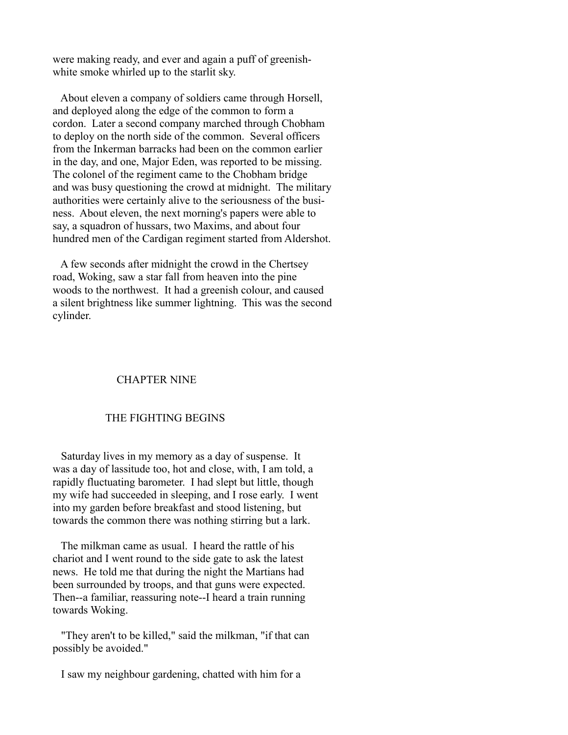were making ready, and ever and again a puff of greenishwhite smoke whirled up to the starlit sky.

 About eleven a company of soldiers came through Horsell, and deployed along the edge of the common to form a cordon. Later a second company marched through Chobham to deploy on the north side of the common. Several officers from the Inkerman barracks had been on the common earlier in the day, and one, Major Eden, was reported to be missing. The colonel of the regiment came to the Chobham bridge and was busy questioning the crowd at midnight. The military authorities were certainly alive to the seriousness of the business. About eleven, the next morning's papers were able to say, a squadron of hussars, two Maxims, and about four hundred men of the Cardigan regiment started from Aldershot.

 A few seconds after midnight the crowd in the Chertsey road, Woking, saw a star fall from heaven into the pine woods to the northwest. It had a greenish colour, and caused a silent brightness like summer lightning. This was the second cylinder.

# CHAPTER NINE

### THE FIGHTING BEGINS

 Saturday lives in my memory as a day of suspense. It was a day of lassitude too, hot and close, with, I am told, a rapidly fluctuating barometer. I had slept but little, though my wife had succeeded in sleeping, and I rose early. I went into my garden before breakfast and stood listening, but towards the common there was nothing stirring but a lark.

 The milkman came as usual. I heard the rattle of his chariot and I went round to the side gate to ask the latest news. He told me that during the night the Martians had been surrounded by troops, and that guns were expected. Then--a familiar, reassuring note--I heard a train running towards Woking.

 "They aren't to be killed," said the milkman, "if that can possibly be avoided."

I saw my neighbour gardening, chatted with him for a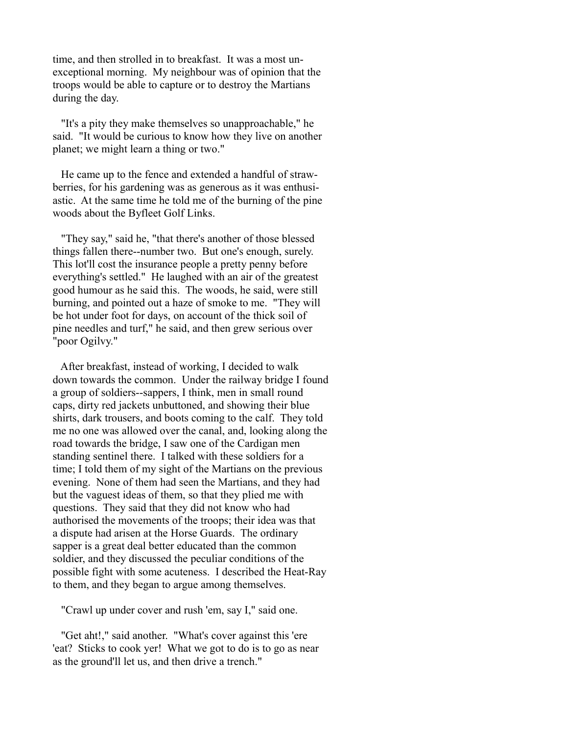time, and then strolled in to breakfast. It was a most unexceptional morning. My neighbour was of opinion that the troops would be able to capture or to destroy the Martians during the day.

 "It's a pity they make themselves so unapproachable," he said. "It would be curious to know how they live on another planet; we might learn a thing or two."

 He came up to the fence and extended a handful of strawberries, for his gardening was as generous as it was enthusiastic. At the same time he told me of the burning of the pine woods about the Byfleet Golf Links.

 "They say," said he, "that there's another of those blessed things fallen there--number two. But one's enough, surely. This lot'll cost the insurance people a pretty penny before everything's settled." He laughed with an air of the greatest good humour as he said this. The woods, he said, were still burning, and pointed out a haze of smoke to me. "They will be hot under foot for days, on account of the thick soil of pine needles and turf," he said, and then grew serious over "poor Ogilvy."

 After breakfast, instead of working, I decided to walk down towards the common. Under the railway bridge I found a group of soldiers--sappers, I think, men in small round caps, dirty red jackets unbuttoned, and showing their blue shirts, dark trousers, and boots coming to the calf. They told me no one was allowed over the canal, and, looking along the road towards the bridge, I saw one of the Cardigan men standing sentinel there. I talked with these soldiers for a time; I told them of my sight of the Martians on the previous evening. None of them had seen the Martians, and they had but the vaguest ideas of them, so that they plied me with questions. They said that they did not know who had authorised the movements of the troops; their idea was that a dispute had arisen at the Horse Guards. The ordinary sapper is a great deal better educated than the common soldier, and they discussed the peculiar conditions of the possible fight with some acuteness. I described the Heat-Ray to them, and they began to argue among themselves.

"Crawl up under cover and rush 'em, say I," said one.

 "Get aht!," said another. "What's cover against this 'ere 'eat? Sticks to cook yer! What we got to do is to go as near as the ground'll let us, and then drive a trench."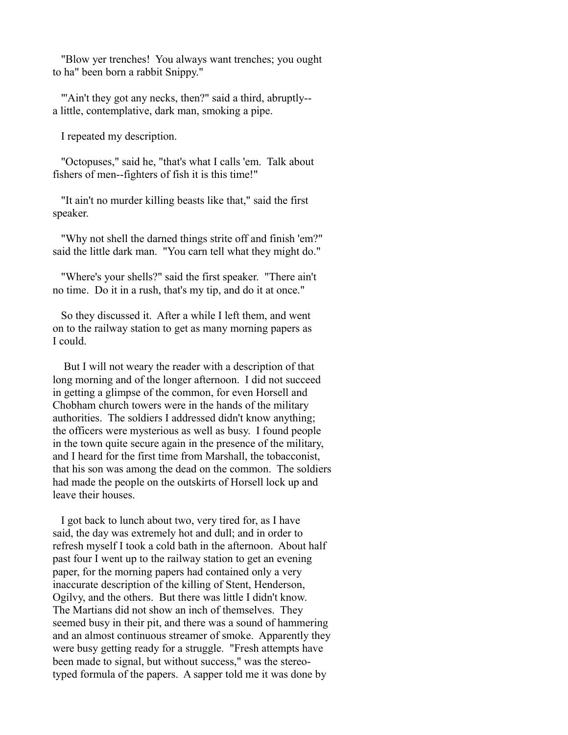"Blow yer trenches! You always want trenches; you ought to ha" been born a rabbit Snippy."

""Ain't they got any necks, then?" said a third, abruptly-a little, contemplative, dark man, smoking a pipe.

I repeated my description.

 "Octopuses," said he, "that's what I calls 'em. Talk about fishers of men--fighters of fish it is this time!"

 "It ain't no murder killing beasts like that," said the first speaker.

 "Why not shell the darned things strite off and finish 'em?" said the little dark man. "You carn tell what they might do."

 "Where's your shells?" said the first speaker. "There ain't no time. Do it in a rush, that's my tip, and do it at once."

 So they discussed it. After a while I left them, and went on to the railway station to get as many morning papers as I could.

 But I will not weary the reader with a description of that long morning and of the longer afternoon. I did not succeed in getting a glimpse of the common, for even Horsell and Chobham church towers were in the hands of the military authorities. The soldiers I addressed didn't know anything; the officers were mysterious as well as busy. I found people in the town quite secure again in the presence of the military, and I heard for the first time from Marshall, the tobacconist, that his son was among the dead on the common. The soldiers had made the people on the outskirts of Horsell lock up and leave their houses.

 I got back to lunch about two, very tired for, as I have said, the day was extremely hot and dull; and in order to refresh myself I took a cold bath in the afternoon. About half past four I went up to the railway station to get an evening paper, for the morning papers had contained only a very inaccurate description of the killing of Stent, Henderson, Ogilvy, and the others. But there was little I didn't know. The Martians did not show an inch of themselves. They seemed busy in their pit, and there was a sound of hammering and an almost continuous streamer of smoke. Apparently they were busy getting ready for a struggle. "Fresh attempts have been made to signal, but without success," was the stereotyped formula of the papers. A sapper told me it was done by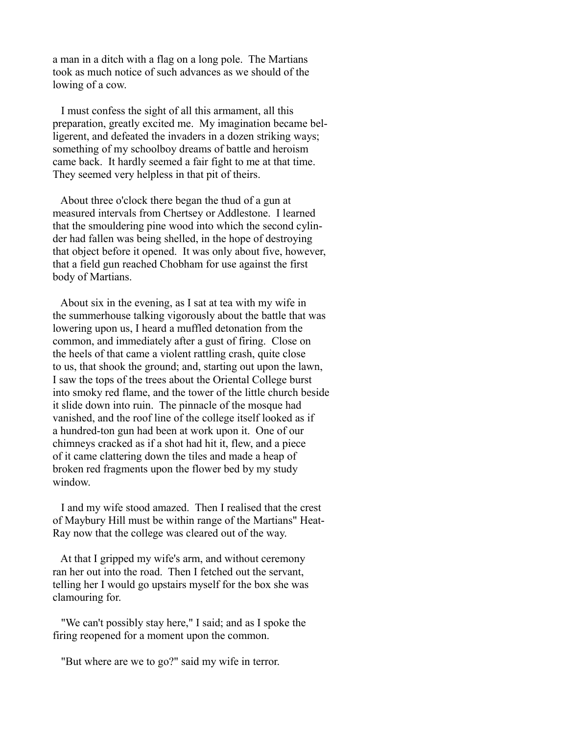a man in a ditch with a flag on a long pole. The Martians took as much notice of such advances as we should of the lowing of a cow.

 I must confess the sight of all this armament, all this preparation, greatly excited me. My imagination became belligerent, and defeated the invaders in a dozen striking ways; something of my schoolboy dreams of battle and heroism came back. It hardly seemed a fair fight to me at that time. They seemed very helpless in that pit of theirs.

 About three o'clock there began the thud of a gun at measured intervals from Chertsey or Addlestone. I learned that the smouldering pine wood into which the second cylinder had fallen was being shelled, in the hope of destroying that object before it opened. It was only about five, however, that a field gun reached Chobham for use against the first body of Martians.

 About six in the evening, as I sat at tea with my wife in the summerhouse talking vigorously about the battle that was lowering upon us, I heard a muffled detonation from the common, and immediately after a gust of firing. Close on the heels of that came a violent rattling crash, quite close to us, that shook the ground; and, starting out upon the lawn, I saw the tops of the trees about the Oriental College burst into smoky red flame, and the tower of the little church beside it slide down into ruin. The pinnacle of the mosque had vanished, and the roof line of the college itself looked as if a hundred-ton gun had been at work upon it. One of our chimneys cracked as if a shot had hit it, flew, and a piece of it came clattering down the tiles and made a heap of broken red fragments upon the flower bed by my study window.

 I and my wife stood amazed. Then I realised that the crest of Maybury Hill must be within range of the Martians" Heat-Ray now that the college was cleared out of the way.

 At that I gripped my wife's arm, and without ceremony ran her out into the road. Then I fetched out the servant, telling her I would go upstairs myself for the box she was clamouring for.

 "We can't possibly stay here," I said; and as I spoke the firing reopened for a moment upon the common.

"But where are we to go?" said my wife in terror.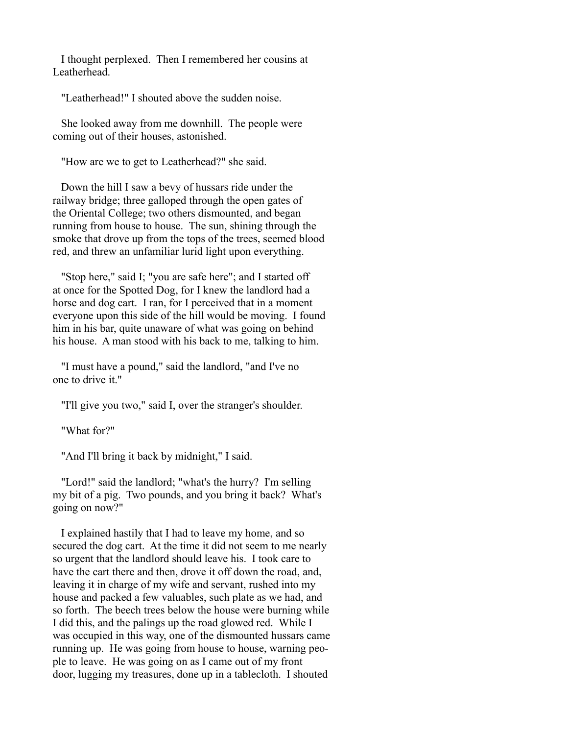I thought perplexed. Then I remembered her cousins at Leatherhead.

"Leatherhead!" I shouted above the sudden noise.

 She looked away from me downhill. The people were coming out of their houses, astonished.

"How are we to get to Leatherhead?" she said.

 Down the hill I saw a bevy of hussars ride under the railway bridge; three galloped through the open gates of the Oriental College; two others dismounted, and began running from house to house. The sun, shining through the smoke that drove up from the tops of the trees, seemed blood red, and threw an unfamiliar lurid light upon everything.

 "Stop here," said I; "you are safe here"; and I started off at once for the Spotted Dog, for I knew the landlord had a horse and dog cart. I ran, for I perceived that in a moment everyone upon this side of the hill would be moving. I found him in his bar, quite unaware of what was going on behind his house. A man stood with his back to me, talking to him.

 "I must have a pound," said the landlord, "and I've no one to drive it."

"I'll give you two," said I, over the stranger's shoulder.

"What for?"

"And I'll bring it back by midnight," I said.

 "Lord!" said the landlord; "what's the hurry? I'm selling my bit of a pig. Two pounds, and you bring it back? What's going on now?"

 I explained hastily that I had to leave my home, and so secured the dog cart. At the time it did not seem to me nearly so urgent that the landlord should leave his. I took care to have the cart there and then, drove it off down the road, and, leaving it in charge of my wife and servant, rushed into my house and packed a few valuables, such plate as we had, and so forth. The beech trees below the house were burning while I did this, and the palings up the road glowed red. While I was occupied in this way, one of the dismounted hussars came running up. He was going from house to house, warning people to leave. He was going on as I came out of my front door, lugging my treasures, done up in a tablecloth. I shouted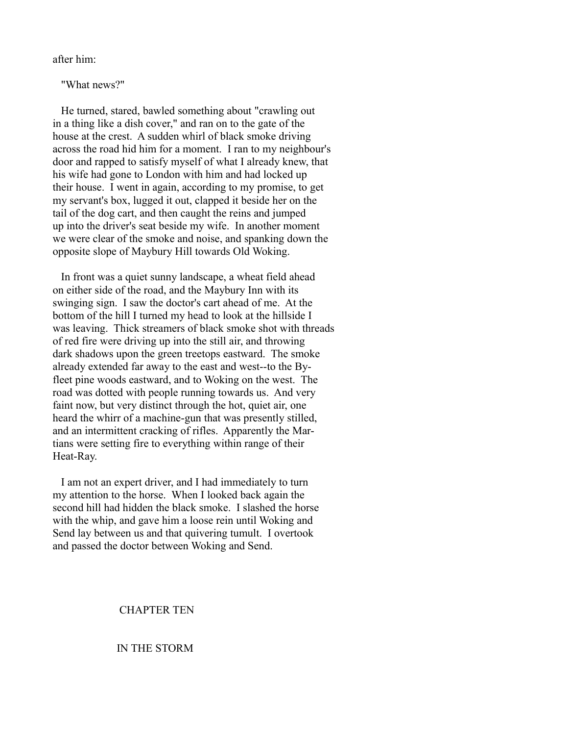after him:

"What news?"

 He turned, stared, bawled something about "crawling out in a thing like a dish cover," and ran on to the gate of the house at the crest. A sudden whirl of black smoke driving across the road hid him for a moment. I ran to my neighbour's door and rapped to satisfy myself of what I already knew, that his wife had gone to London with him and had locked up their house. I went in again, according to my promise, to get my servant's box, lugged it out, clapped it beside her on the tail of the dog cart, and then caught the reins and jumped up into the driver's seat beside my wife. In another moment we were clear of the smoke and noise, and spanking down the opposite slope of Maybury Hill towards Old Woking.

 In front was a quiet sunny landscape, a wheat field ahead on either side of the road, and the Maybury Inn with its swinging sign. I saw the doctor's cart ahead of me. At the bottom of the hill I turned my head to look at the hillside I was leaving. Thick streamers of black smoke shot with threads of red fire were driving up into the still air, and throwing dark shadows upon the green treetops eastward. The smoke already extended far away to the east and west--to the Byfleet pine woods eastward, and to Woking on the west. The road was dotted with people running towards us. And very faint now, but very distinct through the hot, quiet air, one heard the whirr of a machine-gun that was presently stilled, and an intermittent cracking of rifles. Apparently the Martians were setting fire to everything within range of their Heat-Ray.

 I am not an expert driver, and I had immediately to turn my attention to the horse. When I looked back again the second hill had hidden the black smoke. I slashed the horse with the whip, and gave him a loose rein until Woking and Send lay between us and that quivering tumult. I overtook and passed the doctor between Woking and Send.

# CHAPTER TEN

# IN THE STORM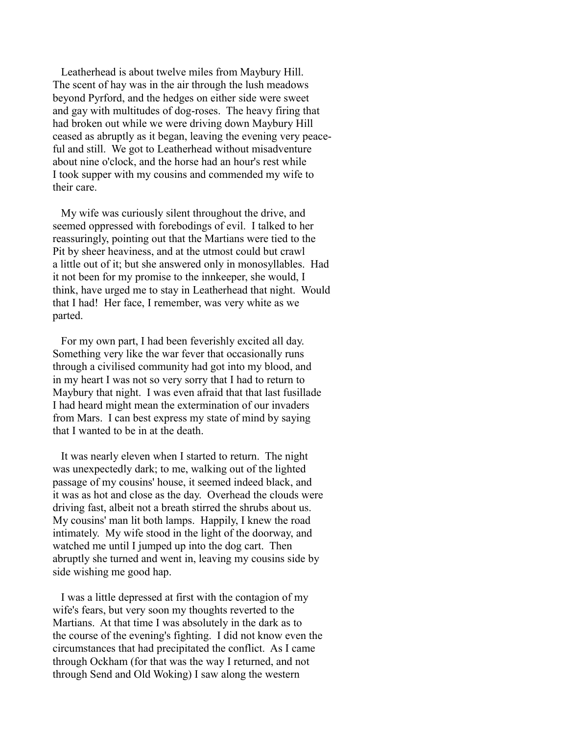Leatherhead is about twelve miles from Maybury Hill. The scent of hay was in the air through the lush meadows beyond Pyrford, and the hedges on either side were sweet and gay with multitudes of dog-roses. The heavy firing that had broken out while we were driving down Maybury Hill ceased as abruptly as it began, leaving the evening very peaceful and still. We got to Leatherhead without misadventure about nine o'clock, and the horse had an hour's rest while I took supper with my cousins and commended my wife to their care.

 My wife was curiously silent throughout the drive, and seemed oppressed with forebodings of evil. I talked to her reassuringly, pointing out that the Martians were tied to the Pit by sheer heaviness, and at the utmost could but crawl a little out of it; but she answered only in monosyllables. Had it not been for my promise to the innkeeper, she would, I think, have urged me to stay in Leatherhead that night. Would that I had! Her face, I remember, was very white as we parted.

 For my own part, I had been feverishly excited all day. Something very like the war fever that occasionally runs through a civilised community had got into my blood, and in my heart I was not so very sorry that I had to return to Maybury that night. I was even afraid that that last fusillade I had heard might mean the extermination of our invaders from Mars. I can best express my state of mind by saying that I wanted to be in at the death.

 It was nearly eleven when I started to return. The night was unexpectedly dark; to me, walking out of the lighted passage of my cousins' house, it seemed indeed black, and it was as hot and close as the day. Overhead the clouds were driving fast, albeit not a breath stirred the shrubs about us. My cousins' man lit both lamps. Happily, I knew the road intimately. My wife stood in the light of the doorway, and watched me until I jumped up into the dog cart. Then abruptly she turned and went in, leaving my cousins side by side wishing me good hap.

 I was a little depressed at first with the contagion of my wife's fears, but very soon my thoughts reverted to the Martians. At that time I was absolutely in the dark as to the course of the evening's fighting. I did not know even the circumstances that had precipitated the conflict. As I came through Ockham (for that was the way I returned, and not through Send and Old Woking) I saw along the western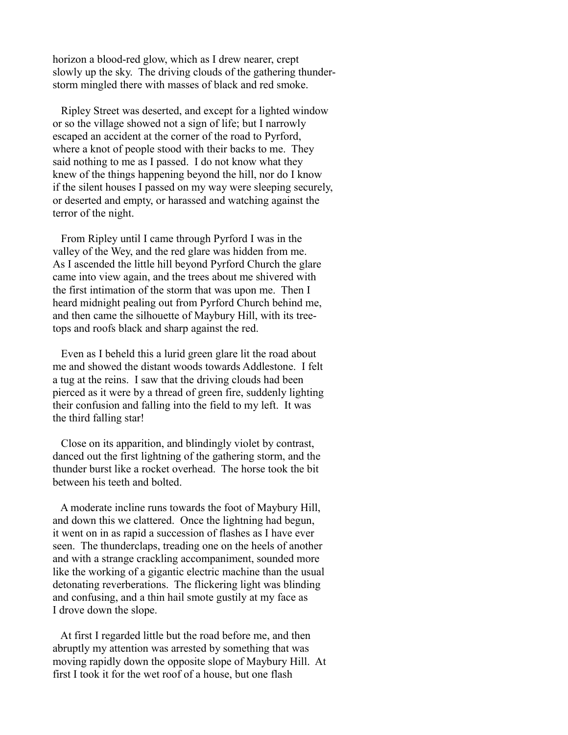horizon a blood-red glow, which as I drew nearer, crept slowly up the sky. The driving clouds of the gathering thunderstorm mingled there with masses of black and red smoke.

 Ripley Street was deserted, and except for a lighted window or so the village showed not a sign of life; but I narrowly escaped an accident at the corner of the road to Pyrford, where a knot of people stood with their backs to me. They said nothing to me as I passed. I do not know what they knew of the things happening beyond the hill, nor do I know if the silent houses I passed on my way were sleeping securely, or deserted and empty, or harassed and watching against the terror of the night.

 From Ripley until I came through Pyrford I was in the valley of the Wey, and the red glare was hidden from me. As I ascended the little hill beyond Pyrford Church the glare came into view again, and the trees about me shivered with the first intimation of the storm that was upon me. Then I heard midnight pealing out from Pyrford Church behind me, and then came the silhouette of Maybury Hill, with its treetops and roofs black and sharp against the red.

 Even as I beheld this a lurid green glare lit the road about me and showed the distant woods towards Addlestone. I felt a tug at the reins. I saw that the driving clouds had been pierced as it were by a thread of green fire, suddenly lighting their confusion and falling into the field to my left. It was the third falling star!

 Close on its apparition, and blindingly violet by contrast, danced out the first lightning of the gathering storm, and the thunder burst like a rocket overhead. The horse took the bit between his teeth and bolted.

 A moderate incline runs towards the foot of Maybury Hill, and down this we clattered. Once the lightning had begun, it went on in as rapid a succession of flashes as I have ever seen. The thunderclaps, treading one on the heels of another and with a strange crackling accompaniment, sounded more like the working of a gigantic electric machine than the usual detonating reverberations. The flickering light was blinding and confusing, and a thin hail smote gustily at my face as I drove down the slope.

 At first I regarded little but the road before me, and then abruptly my attention was arrested by something that was moving rapidly down the opposite slope of Maybury Hill. At first I took it for the wet roof of a house, but one flash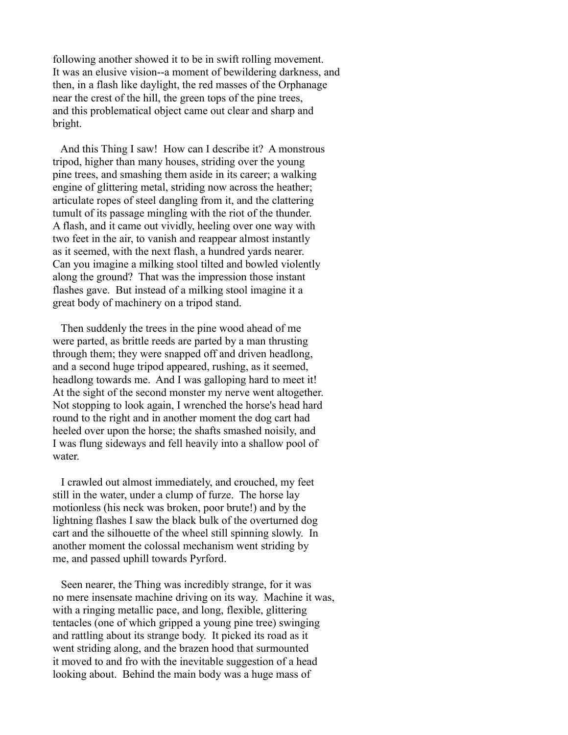following another showed it to be in swift rolling movement. It was an elusive vision--a moment of bewildering darkness, and then, in a flash like daylight, the red masses of the Orphanage near the crest of the hill, the green tops of the pine trees, and this problematical object came out clear and sharp and bright.

 And this Thing I saw! How can I describe it? A monstrous tripod, higher than many houses, striding over the young pine trees, and smashing them aside in its career; a walking engine of glittering metal, striding now across the heather; articulate ropes of steel dangling from it, and the clattering tumult of its passage mingling with the riot of the thunder. A flash, and it came out vividly, heeling over one way with two feet in the air, to vanish and reappear almost instantly as it seemed, with the next flash, a hundred yards nearer. Can you imagine a milking stool tilted and bowled violently along the ground? That was the impression those instant flashes gave. But instead of a milking stool imagine it a great body of machinery on a tripod stand.

 Then suddenly the trees in the pine wood ahead of me were parted, as brittle reeds are parted by a man thrusting through them; they were snapped off and driven headlong, and a second huge tripod appeared, rushing, as it seemed, headlong towards me. And I was galloping hard to meet it! At the sight of the second monster my nerve went altogether. Not stopping to look again, I wrenched the horse's head hard round to the right and in another moment the dog cart had heeled over upon the horse; the shafts smashed noisily, and I was flung sideways and fell heavily into a shallow pool of water

 I crawled out almost immediately, and crouched, my feet still in the water, under a clump of furze. The horse lay motionless (his neck was broken, poor brute!) and by the lightning flashes I saw the black bulk of the overturned dog cart and the silhouette of the wheel still spinning slowly. In another moment the colossal mechanism went striding by me, and passed uphill towards Pyrford.

 Seen nearer, the Thing was incredibly strange, for it was no mere insensate machine driving on its way. Machine it was, with a ringing metallic pace, and long, flexible, glittering tentacles (one of which gripped a young pine tree) swinging and rattling about its strange body. It picked its road as it went striding along, and the brazen hood that surmounted it moved to and fro with the inevitable suggestion of a head looking about. Behind the main body was a huge mass of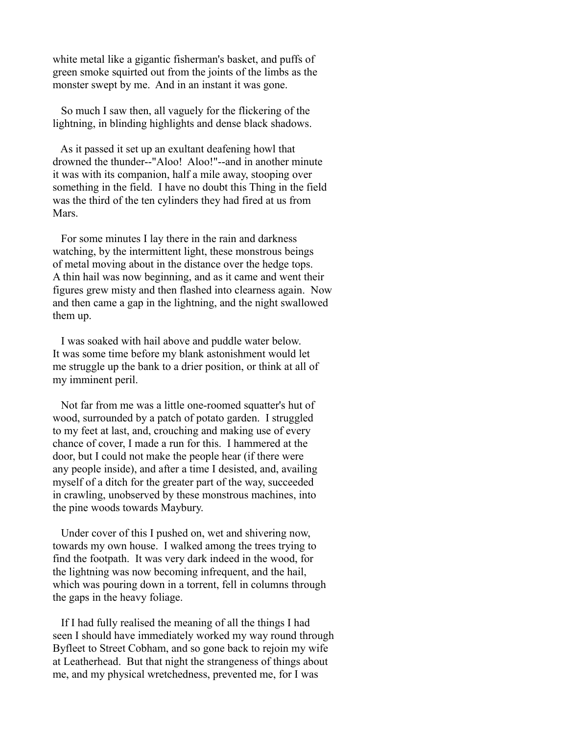white metal like a gigantic fisherman's basket, and puffs of green smoke squirted out from the joints of the limbs as the monster swept by me. And in an instant it was gone.

 So much I saw then, all vaguely for the flickering of the lightning, in blinding highlights and dense black shadows.

 As it passed it set up an exultant deafening howl that drowned the thunder--"Aloo! Aloo!"--and in another minute it was with its companion, half a mile away, stooping over something in the field. I have no doubt this Thing in the field was the third of the ten cylinders they had fired at us from **Mars** 

 For some minutes I lay there in the rain and darkness watching, by the intermittent light, these monstrous beings of metal moving about in the distance over the hedge tops. A thin hail was now beginning, and as it came and went their figures grew misty and then flashed into clearness again. Now and then came a gap in the lightning, and the night swallowed them up.

 I was soaked with hail above and puddle water below. It was some time before my blank astonishment would let me struggle up the bank to a drier position, or think at all of my imminent peril.

 Not far from me was a little one-roomed squatter's hut of wood, surrounded by a patch of potato garden. I struggled to my feet at last, and, crouching and making use of every chance of cover, I made a run for this. I hammered at the door, but I could not make the people hear (if there were any people inside), and after a time I desisted, and, availing myself of a ditch for the greater part of the way, succeeded in crawling, unobserved by these monstrous machines, into the pine woods towards Maybury.

 Under cover of this I pushed on, wet and shivering now, towards my own house. I walked among the trees trying to find the footpath. It was very dark indeed in the wood, for the lightning was now becoming infrequent, and the hail, which was pouring down in a torrent, fell in columns through the gaps in the heavy foliage.

 If I had fully realised the meaning of all the things I had seen I should have immediately worked my way round through Byfleet to Street Cobham, and so gone back to rejoin my wife at Leatherhead. But that night the strangeness of things about me, and my physical wretchedness, prevented me, for I was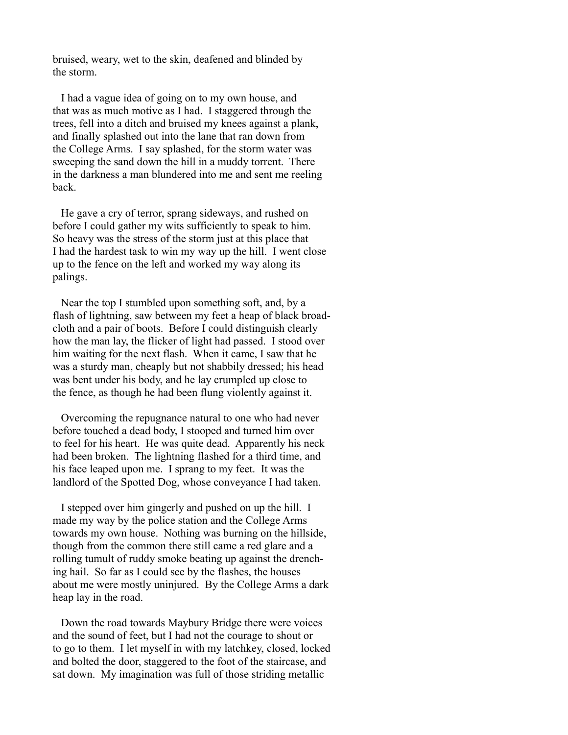bruised, weary, wet to the skin, deafened and blinded by the storm.

 I had a vague idea of going on to my own house, and that was as much motive as I had. I staggered through the trees, fell into a ditch and bruised my knees against a plank, and finally splashed out into the lane that ran down from the College Arms. I say splashed, for the storm water was sweeping the sand down the hill in a muddy torrent. There in the darkness a man blundered into me and sent me reeling back.

 He gave a cry of terror, sprang sideways, and rushed on before I could gather my wits sufficiently to speak to him. So heavy was the stress of the storm just at this place that I had the hardest task to win my way up the hill. I went close up to the fence on the left and worked my way along its palings.

 Near the top I stumbled upon something soft, and, by a flash of lightning, saw between my feet a heap of black broadcloth and a pair of boots. Before I could distinguish clearly how the man lay, the flicker of light had passed. I stood over him waiting for the next flash. When it came, I saw that he was a sturdy man, cheaply but not shabbily dressed; his head was bent under his body, and he lay crumpled up close to the fence, as though he had been flung violently against it.

 Overcoming the repugnance natural to one who had never before touched a dead body, I stooped and turned him over to feel for his heart. He was quite dead. Apparently his neck had been broken. The lightning flashed for a third time, and his face leaped upon me. I sprang to my feet. It was the landlord of the Spotted Dog, whose conveyance I had taken.

 I stepped over him gingerly and pushed on up the hill. I made my way by the police station and the College Arms towards my own house. Nothing was burning on the hillside, though from the common there still came a red glare and a rolling tumult of ruddy smoke beating up against the drenching hail. So far as I could see by the flashes, the houses about me were mostly uninjured. By the College Arms a dark heap lay in the road.

 Down the road towards Maybury Bridge there were voices and the sound of feet, but I had not the courage to shout or to go to them. I let myself in with my latchkey, closed, locked and bolted the door, staggered to the foot of the staircase, and sat down. My imagination was full of those striding metallic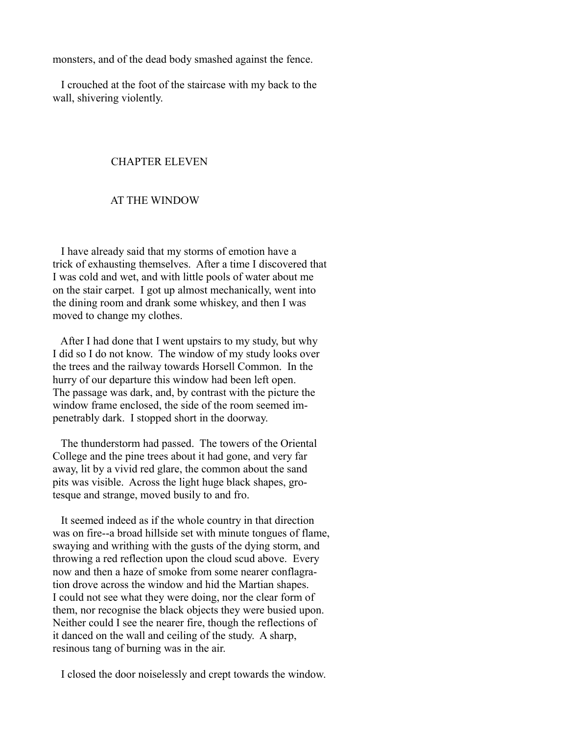monsters, and of the dead body smashed against the fence.

 I crouched at the foot of the staircase with my back to the wall, shivering violently.

### CHAPTER ELEVEN

# AT THE WINDOW

 I have already said that my storms of emotion have a trick of exhausting themselves. After a time I discovered that I was cold and wet, and with little pools of water about me on the stair carpet. I got up almost mechanically, went into the dining room and drank some whiskey, and then I was moved to change my clothes.

 After I had done that I went upstairs to my study, but why I did so I do not know. The window of my study looks over the trees and the railway towards Horsell Common. In the hurry of our departure this window had been left open. The passage was dark, and, by contrast with the picture the window frame enclosed, the side of the room seemed impenetrably dark. I stopped short in the doorway.

 The thunderstorm had passed. The towers of the Oriental College and the pine trees about it had gone, and very far away, lit by a vivid red glare, the common about the sand pits was visible. Across the light huge black shapes, grotesque and strange, moved busily to and fro.

 It seemed indeed as if the whole country in that direction was on fire--a broad hillside set with minute tongues of flame, swaying and writhing with the gusts of the dying storm, and throwing a red reflection upon the cloud scud above. Every now and then a haze of smoke from some nearer conflagration drove across the window and hid the Martian shapes. I could not see what they were doing, nor the clear form of them, nor recognise the black objects they were busied upon. Neither could I see the nearer fire, though the reflections of it danced on the wall and ceiling of the study. A sharp, resinous tang of burning was in the air.

I closed the door noiselessly and crept towards the window.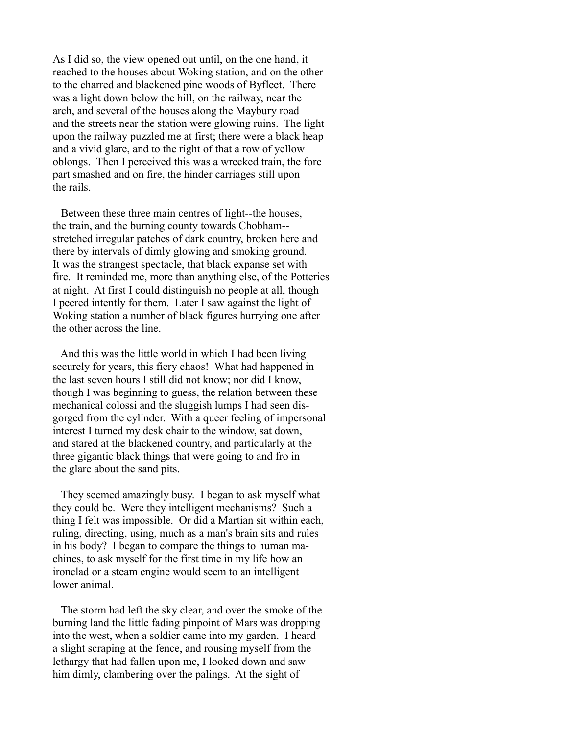As I did so, the view opened out until, on the one hand, it reached to the houses about Woking station, and on the other to the charred and blackened pine woods of Byfleet. There was a light down below the hill, on the railway, near the arch, and several of the houses along the Maybury road and the streets near the station were glowing ruins. The light upon the railway puzzled me at first; there were a black heap and a vivid glare, and to the right of that a row of yellow oblongs. Then I perceived this was a wrecked train, the fore part smashed and on fire, the hinder carriages still upon the rails.

 Between these three main centres of light--the houses, the train, and the burning county towards Chobham- stretched irregular patches of dark country, broken here and there by intervals of dimly glowing and smoking ground. It was the strangest spectacle, that black expanse set with fire. It reminded me, more than anything else, of the Potteries at night. At first I could distinguish no people at all, though I peered intently for them. Later I saw against the light of Woking station a number of black figures hurrying one after the other across the line.

 And this was the little world in which I had been living securely for years, this fiery chaos! What had happened in the last seven hours I still did not know; nor did I know, though I was beginning to guess, the relation between these mechanical colossi and the sluggish lumps I had seen disgorged from the cylinder. With a queer feeling of impersonal interest I turned my desk chair to the window, sat down, and stared at the blackened country, and particularly at the three gigantic black things that were going to and fro in the glare about the sand pits.

 They seemed amazingly busy. I began to ask myself what they could be. Were they intelligent mechanisms? Such a thing I felt was impossible. Or did a Martian sit within each, ruling, directing, using, much as a man's brain sits and rules in his body? I began to compare the things to human machines, to ask myself for the first time in my life how an ironclad or a steam engine would seem to an intelligent lower animal.

 The storm had left the sky clear, and over the smoke of the burning land the little fading pinpoint of Mars was dropping into the west, when a soldier came into my garden. I heard a slight scraping at the fence, and rousing myself from the lethargy that had fallen upon me, I looked down and saw him dimly, clambering over the palings. At the sight of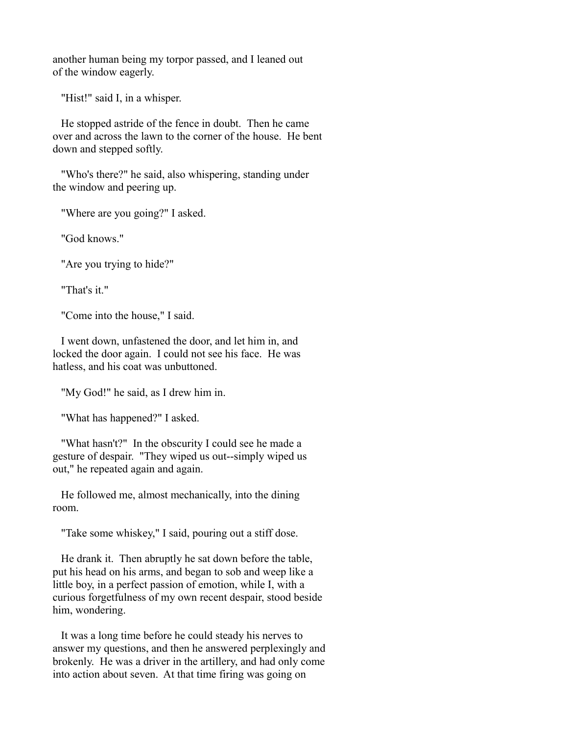another human being my torpor passed, and I leaned out of the window eagerly.

"Hist!" said I, in a whisper.

 He stopped astride of the fence in doubt. Then he came over and across the lawn to the corner of the house. He bent down and stepped softly.

 "Who's there?" he said, also whispering, standing under the window and peering up.

"Where are you going?" I asked.

"God knows."

"Are you trying to hide?"

"That's it."

"Come into the house," I said.

 I went down, unfastened the door, and let him in, and locked the door again. I could not see his face. He was hatless, and his coat was unbuttoned.

"My God!" he said, as I drew him in.

"What has happened?" I asked.

 "What hasn't?" In the obscurity I could see he made a gesture of despair. "They wiped us out--simply wiped us out," he repeated again and again.

 He followed me, almost mechanically, into the dining room.

"Take some whiskey," I said, pouring out a stiff dose.

 He drank it. Then abruptly he sat down before the table, put his head on his arms, and began to sob and weep like a little boy, in a perfect passion of emotion, while I, with a curious forgetfulness of my own recent despair, stood beside him, wondering.

 It was a long time before he could steady his nerves to answer my questions, and then he answered perplexingly and brokenly. He was a driver in the artillery, and had only come into action about seven. At that time firing was going on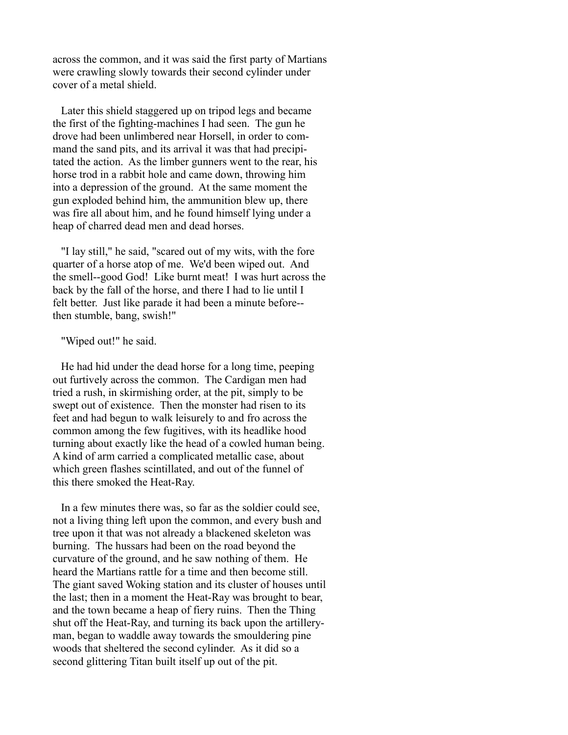across the common, and it was said the first party of Martians were crawling slowly towards their second cylinder under cover of a metal shield.

 Later this shield staggered up on tripod legs and became the first of the fighting-machines I had seen. The gun he drove had been unlimbered near Horsell, in order to command the sand pits, and its arrival it was that had precipitated the action. As the limber gunners went to the rear, his horse trod in a rabbit hole and came down, throwing him into a depression of the ground. At the same moment the gun exploded behind him, the ammunition blew up, there was fire all about him, and he found himself lying under a heap of charred dead men and dead horses.

 "I lay still," he said, "scared out of my wits, with the fore quarter of a horse atop of me. We'd been wiped out. And the smell--good God! Like burnt meat! I was hurt across the back by the fall of the horse, and there I had to lie until I felt better. Just like parade it had been a minute before- then stumble, bang, swish!"

#### "Wiped out!" he said.

 He had hid under the dead horse for a long time, peeping out furtively across the common. The Cardigan men had tried a rush, in skirmishing order, at the pit, simply to be swept out of existence. Then the monster had risen to its feet and had begun to walk leisurely to and fro across the common among the few fugitives, with its headlike hood turning about exactly like the head of a cowled human being. A kind of arm carried a complicated metallic case, about which green flashes scintillated, and out of the funnel of this there smoked the Heat-Ray.

 In a few minutes there was, so far as the soldier could see, not a living thing left upon the common, and every bush and tree upon it that was not already a blackened skeleton was burning. The hussars had been on the road beyond the curvature of the ground, and he saw nothing of them. He heard the Martians rattle for a time and then become still. The giant saved Woking station and its cluster of houses until the last; then in a moment the Heat-Ray was brought to bear, and the town became a heap of fiery ruins. Then the Thing shut off the Heat-Ray, and turning its back upon the artilleryman, began to waddle away towards the smouldering pine woods that sheltered the second cylinder. As it did so a second glittering Titan built itself up out of the pit.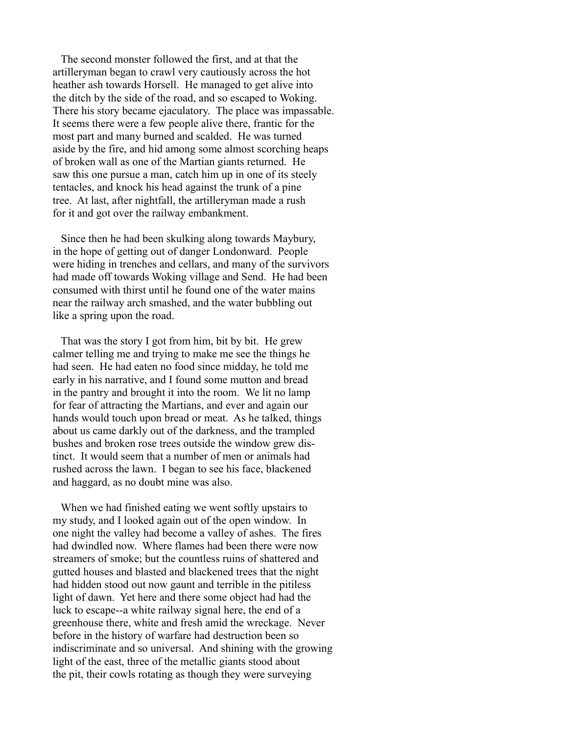The second monster followed the first, and at that the artilleryman began to crawl very cautiously across the hot heather ash towards Horsell. He managed to get alive into the ditch by the side of the road, and so escaped to Woking. There his story became ejaculatory. The place was impassable. It seems there were a few people alive there, frantic for the most part and many burned and scalded. He was turned aside by the fire, and hid among some almost scorching heaps of broken wall as one of the Martian giants returned. He saw this one pursue a man, catch him up in one of its steely tentacles, and knock his head against the trunk of a pine tree. At last, after nightfall, the artilleryman made a rush for it and got over the railway embankment.

 Since then he had been skulking along towards Maybury, in the hope of getting out of danger Londonward. People were hiding in trenches and cellars, and many of the survivors had made off towards Woking village and Send. He had been consumed with thirst until he found one of the water mains near the railway arch smashed, and the water bubbling out like a spring upon the road.

 That was the story I got from him, bit by bit. He grew calmer telling me and trying to make me see the things he had seen. He had eaten no food since midday, he told me early in his narrative, and I found some mutton and bread in the pantry and brought it into the room. We lit no lamp for fear of attracting the Martians, and ever and again our hands would touch upon bread or meat. As he talked, things about us came darkly out of the darkness, and the trampled bushes and broken rose trees outside the window grew distinct. It would seem that a number of men or animals had rushed across the lawn. I began to see his face, blackened and haggard, as no doubt mine was also.

 When we had finished eating we went softly upstairs to my study, and I looked again out of the open window. In one night the valley had become a valley of ashes. The fires had dwindled now. Where flames had been there were now streamers of smoke; but the countless ruins of shattered and gutted houses and blasted and blackened trees that the night had hidden stood out now gaunt and terrible in the pitiless light of dawn. Yet here and there some object had had the luck to escape--a white railway signal here, the end of a greenhouse there, white and fresh amid the wreckage. Never before in the history of warfare had destruction been so indiscriminate and so universal. And shining with the growing light of the east, three of the metallic giants stood about the pit, their cowls rotating as though they were surveying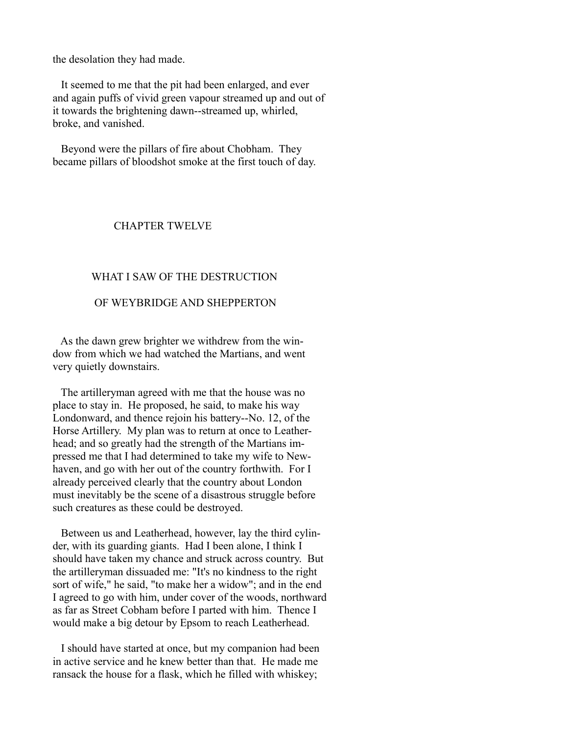the desolation they had made.

 It seemed to me that the pit had been enlarged, and ever and again puffs of vivid green vapour streamed up and out of it towards the brightening dawn--streamed up, whirled, broke, and vanished.

 Beyond were the pillars of fire about Chobham. They became pillars of bloodshot smoke at the first touch of day.

## CHAPTER TWELVE

## WHAT I SAW OF THE DESTRUCTION

## OF WEYBRIDGE AND SHEPPERTON

 As the dawn grew brighter we withdrew from the window from which we had watched the Martians, and went very quietly downstairs.

 The artilleryman agreed with me that the house was no place to stay in. He proposed, he said, to make his way Londonward, and thence rejoin his battery--No. 12, of the Horse Artillery. My plan was to return at once to Leatherhead; and so greatly had the strength of the Martians impressed me that I had determined to take my wife to Newhaven, and go with her out of the country forthwith. For I already perceived clearly that the country about London must inevitably be the scene of a disastrous struggle before such creatures as these could be destroyed.

 Between us and Leatherhead, however, lay the third cylinder, with its guarding giants. Had I been alone, I think I should have taken my chance and struck across country. But the artilleryman dissuaded me: "It's no kindness to the right sort of wife," he said, "to make her a widow"; and in the end I agreed to go with him, under cover of the woods, northward as far as Street Cobham before I parted with him. Thence I would make a big detour by Epsom to reach Leatherhead.

 I should have started at once, but my companion had been in active service and he knew better than that. He made me ransack the house for a flask, which he filled with whiskey;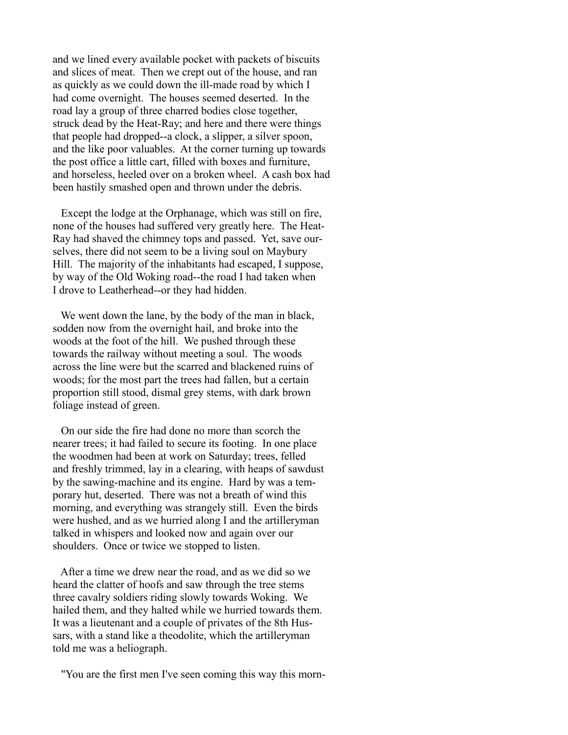and we lined every available pocket with packets of biscuits and slices of meat. Then we crept out of the house, and ran as quickly as we could down the ill-made road by which I had come overnight. The houses seemed deserted. In the road lay a group of three charred bodies close together, struck dead by the Heat-Ray; and here and there were things that people had dropped--a clock, a slipper, a silver spoon, and the like poor valuables. At the corner turning up towards the post office a little cart, filled with boxes and furniture, and horseless, heeled over on a broken wheel. A cash box had been hastily smashed open and thrown under the debris.

 Except the lodge at the Orphanage, which was still on fire, none of the houses had suffered very greatly here. The Heat-Ray had shaved the chimney tops and passed. Yet, save ourselves, there did not seem to be a living soul on Maybury Hill. The majority of the inhabitants had escaped, I suppose, by way of the Old Woking road--the road I had taken when I drove to Leatherhead--or they had hidden.

We went down the lane, by the body of the man in black, sodden now from the overnight hail, and broke into the woods at the foot of the hill. We pushed through these towards the railway without meeting a soul. The woods across the line were but the scarred and blackened ruins of woods; for the most part the trees had fallen, but a certain proportion still stood, dismal grey stems, with dark brown foliage instead of green.

 On our side the fire had done no more than scorch the nearer trees; it had failed to secure its footing. In one place the woodmen had been at work on Saturday; trees, felled and freshly trimmed, lay in a clearing, with heaps of sawdust by the sawing-machine and its engine. Hard by was a temporary hut, deserted. There was not a breath of wind this morning, and everything was strangely still. Even the birds were hushed, and as we hurried along I and the artilleryman talked in whispers and looked now and again over our shoulders. Once or twice we stopped to listen.

 After a time we drew near the road, and as we did so we heard the clatter of hoofs and saw through the tree stems three cavalry soldiers riding slowly towards Woking. We hailed them, and they halted while we hurried towards them. It was a lieutenant and a couple of privates of the 8th Hussars, with a stand like a theodolite, which the artilleryman told me was a heliograph.

"You are the first men I've seen coming this way this morn-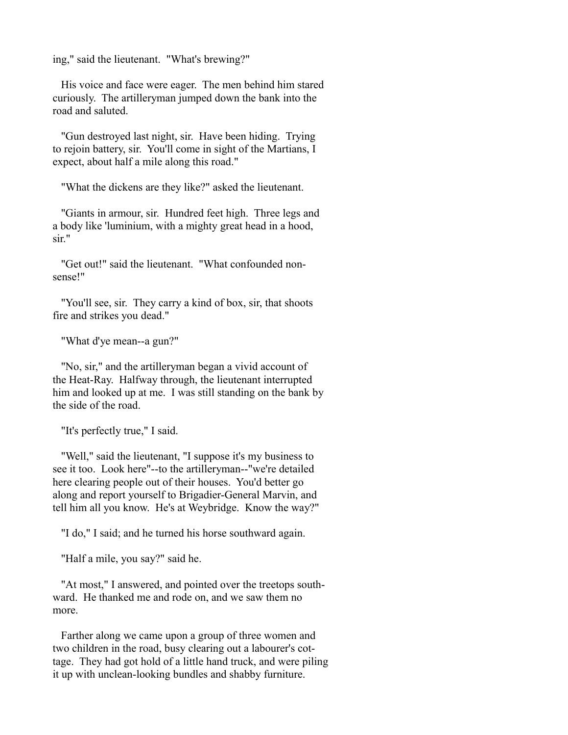ing," said the lieutenant. "What's brewing?"

 His voice and face were eager. The men behind him stared curiously. The artilleryman jumped down the bank into the road and saluted.

 "Gun destroyed last night, sir. Have been hiding. Trying to rejoin battery, sir. You'll come in sight of the Martians, I expect, about half a mile along this road."

"What the dickens are they like?" asked the lieutenant.

 "Giants in armour, sir. Hundred feet high. Three legs and a body like 'luminium, with a mighty great head in a hood, sir."

 "Get out!" said the lieutenant. "What confounded nonsense!"

 "You'll see, sir. They carry a kind of box, sir, that shoots fire and strikes you dead."

"What d'ye mean--a gun?"

 "No, sir," and the artilleryman began a vivid account of the Heat-Ray. Halfway through, the lieutenant interrupted him and looked up at me. I was still standing on the bank by the side of the road.

"It's perfectly true," I said.

 "Well," said the lieutenant, "I suppose it's my business to see it too. Look here"--to the artilleryman--"we're detailed here clearing people out of their houses. You'd better go along and report yourself to Brigadier-General Marvin, and tell him all you know. He's at Weybridge. Know the way?"

"I do," I said; and he turned his horse southward again.

"Half a mile, you say?" said he.

 "At most," I answered, and pointed over the treetops southward. He thanked me and rode on, and we saw them no more.

 Farther along we came upon a group of three women and two children in the road, busy clearing out a labourer's cottage. They had got hold of a little hand truck, and were piling it up with unclean-looking bundles and shabby furniture.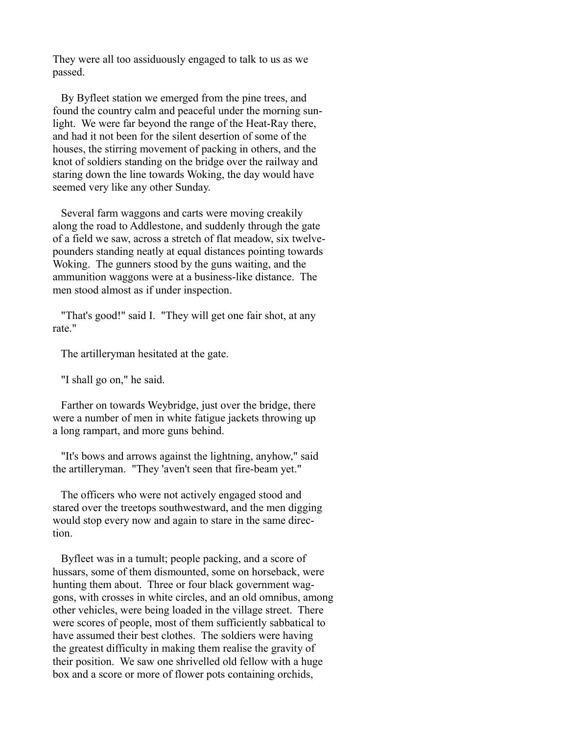They were all too assiduously engaged to talk to us as we passed.

 By Byfleet station we emerged from the pine trees, and found the country calm and peaceful under the morning sunlight. We were far beyond the range of the Heat-Ray there, and had it not been for the silent desertion of some of the houses, the stirring movement of packing in others, and the knot of soldiers standing on the bridge over the railway and staring down the line towards Woking, the day would have seemed very like any other Sunday.

 Several farm waggons and carts were moving creakily along the road to Addlestone, and suddenly through the gate of a field we saw, across a stretch of flat meadow, six twelvepounders standing neatly at equal distances pointing towards Woking. The gunners stood by the guns waiting, and the ammunition waggons were at a business-like distance. The men stood almost as if under inspection.

 "That's good!" said I. "They will get one fair shot, at any rate."

The artilleryman hesitated at the gate.

"I shall go on," he said.

 Farther on towards Weybridge, just over the bridge, there were a number of men in white fatigue jackets throwing up a long rampart, and more guns behind.

 "It's bows and arrows against the lightning, anyhow," said the artilleryman. "They 'aven't seen that fire-beam yet."

 The officers who were not actively engaged stood and stared over the treetops southwestward, and the men digging would stop every now and again to stare in the same direction.

 Byfleet was in a tumult; people packing, and a score of hussars, some of them dismounted, some on horseback, were hunting them about. Three or four black government waggons, with crosses in white circles, and an old omnibus, among other vehicles, were being loaded in the village street. There were scores of people, most of them sufficiently sabbatical to have assumed their best clothes. The soldiers were having the greatest difficulty in making them realise the gravity of their position. We saw one shrivelled old fellow with a huge box and a score or more of flower pots containing orchids,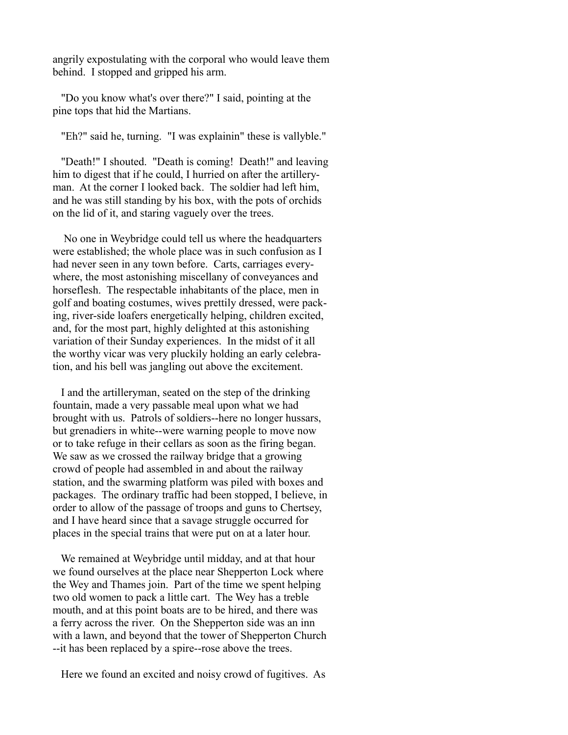angrily expostulating with the corporal who would leave them behind. I stopped and gripped his arm.

 "Do you know what's over there?" I said, pointing at the pine tops that hid the Martians.

"Eh?" said he, turning. "I was explainin" these is vallyble."

 "Death!" I shouted. "Death is coming! Death!" and leaving him to digest that if he could, I hurried on after the artilleryman. At the corner I looked back. The soldier had left him, and he was still standing by his box, with the pots of orchids on the lid of it, and staring vaguely over the trees.

 No one in Weybridge could tell us where the headquarters were established; the whole place was in such confusion as I had never seen in any town before. Carts, carriages everywhere, the most astonishing miscellany of conveyances and horseflesh. The respectable inhabitants of the place, men in golf and boating costumes, wives prettily dressed, were packing, river-side loafers energetically helping, children excited, and, for the most part, highly delighted at this astonishing variation of their Sunday experiences. In the midst of it all the worthy vicar was very pluckily holding an early celebration, and his bell was jangling out above the excitement.

 I and the artilleryman, seated on the step of the drinking fountain, made a very passable meal upon what we had brought with us. Patrols of soldiers--here no longer hussars, but grenadiers in white--were warning people to move now or to take refuge in their cellars as soon as the firing began. We saw as we crossed the railway bridge that a growing crowd of people had assembled in and about the railway station, and the swarming platform was piled with boxes and packages. The ordinary traffic had been stopped, I believe, in order to allow of the passage of troops and guns to Chertsey, and I have heard since that a savage struggle occurred for places in the special trains that were put on at a later hour.

 We remained at Weybridge until midday, and at that hour we found ourselves at the place near Shepperton Lock where the Wey and Thames join. Part of the time we spent helping two old women to pack a little cart. The Wey has a treble mouth, and at this point boats are to be hired, and there was a ferry across the river. On the Shepperton side was an inn with a lawn, and beyond that the tower of Shepperton Church --it has been replaced by a spire--rose above the trees.

Here we found an excited and noisy crowd of fugitives. As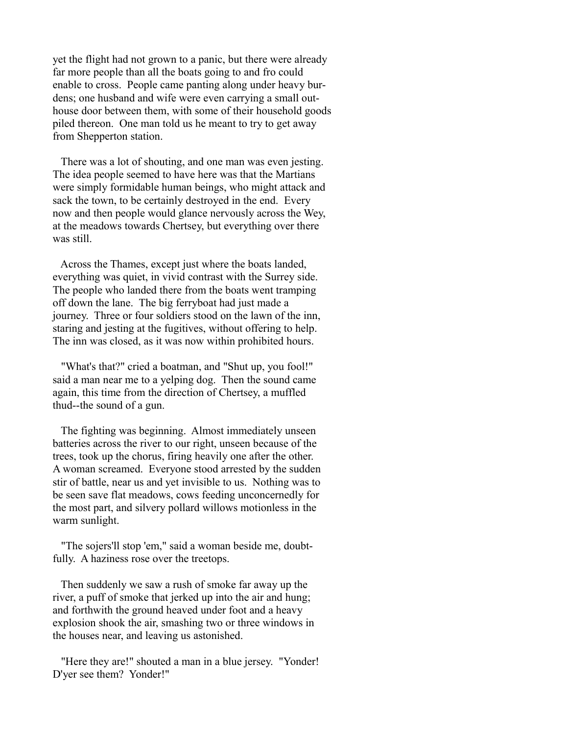yet the flight had not grown to a panic, but there were already far more people than all the boats going to and fro could enable to cross. People came panting along under heavy burdens; one husband and wife were even carrying a small outhouse door between them, with some of their household goods piled thereon. One man told us he meant to try to get away from Shepperton station.

 There was a lot of shouting, and one man was even jesting. The idea people seemed to have here was that the Martians were simply formidable human beings, who might attack and sack the town, to be certainly destroyed in the end. Every now and then people would glance nervously across the Wey, at the meadows towards Chertsey, but everything over there was still

 Across the Thames, except just where the boats landed, everything was quiet, in vivid contrast with the Surrey side. The people who landed there from the boats went tramping off down the lane. The big ferryboat had just made a journey. Three or four soldiers stood on the lawn of the inn, staring and jesting at the fugitives, without offering to help. The inn was closed, as it was now within prohibited hours.

 "What's that?" cried a boatman, and "Shut up, you fool!" said a man near me to a yelping dog. Then the sound came again, this time from the direction of Chertsey, a muffled thud--the sound of a gun.

 The fighting was beginning. Almost immediately unseen batteries across the river to our right, unseen because of the trees, took up the chorus, firing heavily one after the other. A woman screamed. Everyone stood arrested by the sudden stir of battle, near us and yet invisible to us. Nothing was to be seen save flat meadows, cows feeding unconcernedly for the most part, and silvery pollard willows motionless in the warm sunlight.

 "The sojers'll stop 'em," said a woman beside me, doubtfully. A haziness rose over the treetops.

 Then suddenly we saw a rush of smoke far away up the river, a puff of smoke that jerked up into the air and hung; and forthwith the ground heaved under foot and a heavy explosion shook the air, smashing two or three windows in the houses near, and leaving us astonished.

 "Here they are!" shouted a man in a blue jersey. "Yonder! D'yer see them? Yonder!"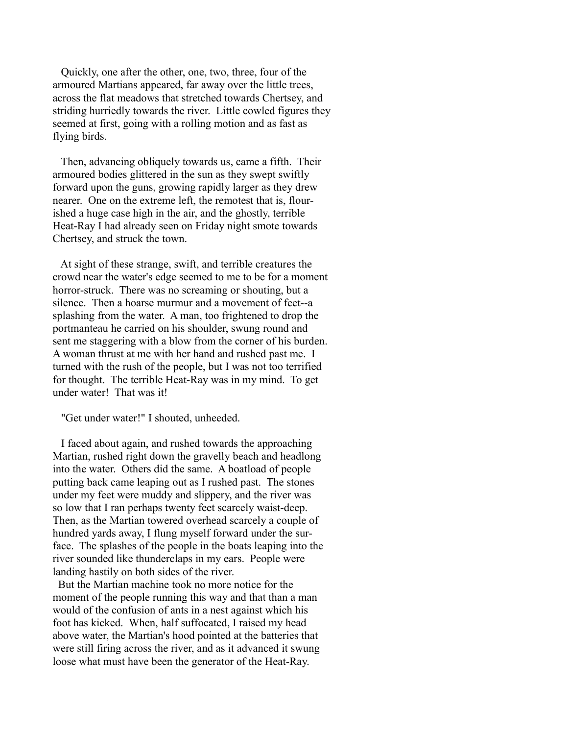Quickly, one after the other, one, two, three, four of the armoured Martians appeared, far away over the little trees, across the flat meadows that stretched towards Chertsey, and striding hurriedly towards the river. Little cowled figures they seemed at first, going with a rolling motion and as fast as flying birds.

 Then, advancing obliquely towards us, came a fifth. Their armoured bodies glittered in the sun as they swept swiftly forward upon the guns, growing rapidly larger as they drew nearer. One on the extreme left, the remotest that is, flourished a huge case high in the air, and the ghostly, terrible Heat-Ray I had already seen on Friday night smote towards Chertsey, and struck the town.

 At sight of these strange, swift, and terrible creatures the crowd near the water's edge seemed to me to be for a moment horror-struck. There was no screaming or shouting, but a silence. Then a hoarse murmur and a movement of feet--a splashing from the water. A man, too frightened to drop the portmanteau he carried on his shoulder, swung round and sent me staggering with a blow from the corner of his burden. A woman thrust at me with her hand and rushed past me. I turned with the rush of the people, but I was not too terrified for thought. The terrible Heat-Ray was in my mind. To get under water! That was it!

"Get under water!" I shouted, unheeded.

 I faced about again, and rushed towards the approaching Martian, rushed right down the gravelly beach and headlong into the water. Others did the same. A boatload of people putting back came leaping out as I rushed past. The stones under my feet were muddy and slippery, and the river was so low that I ran perhaps twenty feet scarcely waist-deep. Then, as the Martian towered overhead scarcely a couple of hundred yards away, I flung myself forward under the surface. The splashes of the people in the boats leaping into the river sounded like thunderclaps in my ears. People were landing hastily on both sides of the river.

 But the Martian machine took no more notice for the moment of the people running this way and that than a man would of the confusion of ants in a nest against which his foot has kicked. When, half suffocated, I raised my head above water, the Martian's hood pointed at the batteries that were still firing across the river, and as it advanced it swung loose what must have been the generator of the Heat-Ray.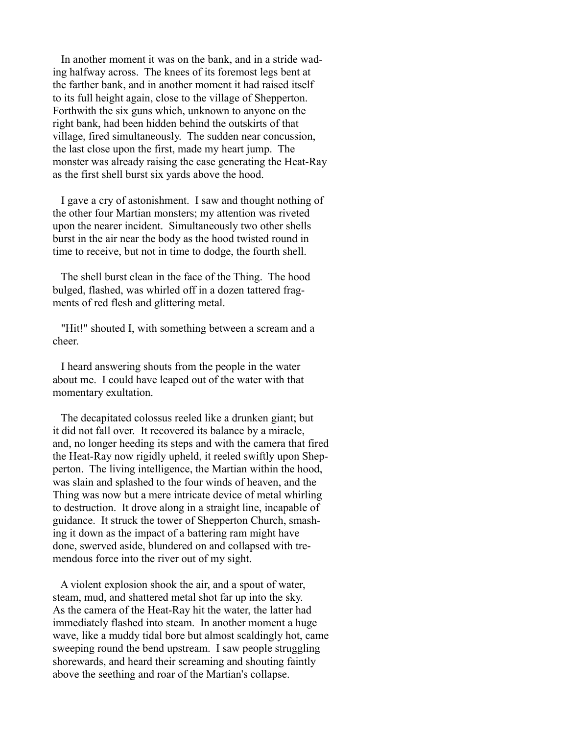In another moment it was on the bank, and in a stride wading halfway across. The knees of its foremost legs bent at the farther bank, and in another moment it had raised itself to its full height again, close to the village of Shepperton. Forthwith the six guns which, unknown to anyone on the right bank, had been hidden behind the outskirts of that village, fired simultaneously. The sudden near concussion, the last close upon the first, made my heart jump. The monster was already raising the case generating the Heat-Ray as the first shell burst six yards above the hood.

 I gave a cry of astonishment. I saw and thought nothing of the other four Martian monsters; my attention was riveted upon the nearer incident. Simultaneously two other shells burst in the air near the body as the hood twisted round in time to receive, but not in time to dodge, the fourth shell.

 The shell burst clean in the face of the Thing. The hood bulged, flashed, was whirled off in a dozen tattered fragments of red flesh and glittering metal.

 "Hit!" shouted I, with something between a scream and a cheer.

 I heard answering shouts from the people in the water about me. I could have leaped out of the water with that momentary exultation.

 The decapitated colossus reeled like a drunken giant; but it did not fall over. It recovered its balance by a miracle, and, no longer heeding its steps and with the camera that fired the Heat-Ray now rigidly upheld, it reeled swiftly upon Shepperton. The living intelligence, the Martian within the hood, was slain and splashed to the four winds of heaven, and the Thing was now but a mere intricate device of metal whirling to destruction. It drove along in a straight line, incapable of guidance. It struck the tower of Shepperton Church, smashing it down as the impact of a battering ram might have done, swerved aside, blundered on and collapsed with tremendous force into the river out of my sight.

 A violent explosion shook the air, and a spout of water, steam, mud, and shattered metal shot far up into the sky. As the camera of the Heat-Ray hit the water, the latter had immediately flashed into steam. In another moment a huge wave, like a muddy tidal bore but almost scaldingly hot, came sweeping round the bend upstream. I saw people struggling shorewards, and heard their screaming and shouting faintly above the seething and roar of the Martian's collapse.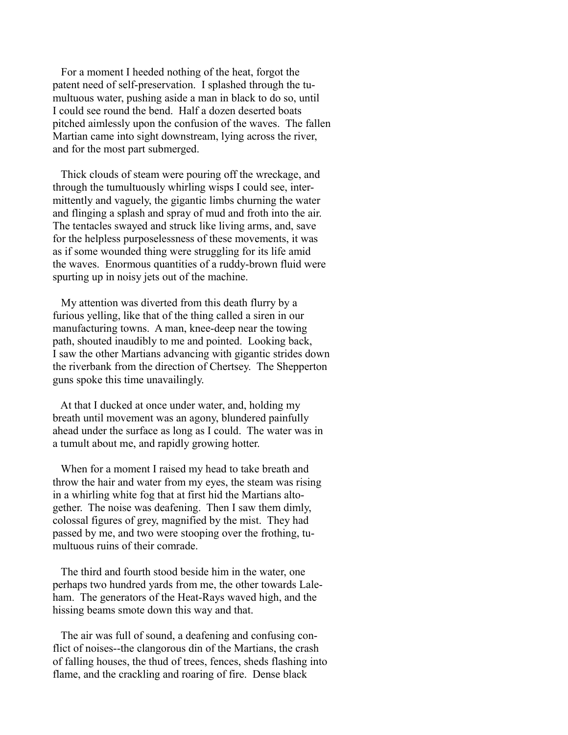For a moment I heeded nothing of the heat, forgot the patent need of self-preservation. I splashed through the tumultuous water, pushing aside a man in black to do so, until I could see round the bend. Half a dozen deserted boats pitched aimlessly upon the confusion of the waves. The fallen Martian came into sight downstream, lying across the river, and for the most part submerged.

 Thick clouds of steam were pouring off the wreckage, and through the tumultuously whirling wisps I could see, intermittently and vaguely, the gigantic limbs churning the water and flinging a splash and spray of mud and froth into the air. The tentacles swayed and struck like living arms, and, save for the helpless purposelessness of these movements, it was as if some wounded thing were struggling for its life amid the waves. Enormous quantities of a ruddy-brown fluid were spurting up in noisy jets out of the machine.

 My attention was diverted from this death flurry by a furious yelling, like that of the thing called a siren in our manufacturing towns. A man, knee-deep near the towing path, shouted inaudibly to me and pointed. Looking back, I saw the other Martians advancing with gigantic strides down the riverbank from the direction of Chertsey. The Shepperton guns spoke this time unavailingly.

 At that I ducked at once under water, and, holding my breath until movement was an agony, blundered painfully ahead under the surface as long as I could. The water was in a tumult about me, and rapidly growing hotter.

 When for a moment I raised my head to take breath and throw the hair and water from my eyes, the steam was rising in a whirling white fog that at first hid the Martians altogether. The noise was deafening. Then I saw them dimly, colossal figures of grey, magnified by the mist. They had passed by me, and two were stooping over the frothing, tumultuous ruins of their comrade.

 The third and fourth stood beside him in the water, one perhaps two hundred yards from me, the other towards Laleham. The generators of the Heat-Rays waved high, and the hissing beams smote down this way and that.

 The air was full of sound, a deafening and confusing conflict of noises--the clangorous din of the Martians, the crash of falling houses, the thud of trees, fences, sheds flashing into flame, and the crackling and roaring of fire. Dense black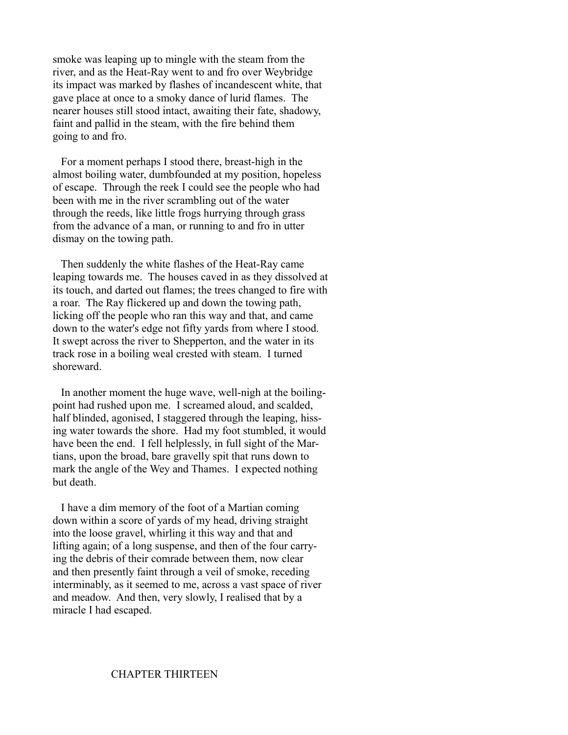smoke was leaping up to mingle with the steam from the river, and as the Heat-Ray went to and fro over Weybridge its impact was marked by flashes of incandescent white, that gave place at once to a smoky dance of lurid flames. The nearer houses still stood intact, awaiting their fate, shadowy, faint and pallid in the steam, with the fire behind them going to and fro.

 For a moment perhaps I stood there, breast-high in the almost boiling water, dumbfounded at my position, hopeless of escape. Through the reek I could see the people who had been with me in the river scrambling out of the water through the reeds, like little frogs hurrying through grass from the advance of a man, or running to and fro in utter dismay on the towing path.

 Then suddenly the white flashes of the Heat-Ray came leaping towards me. The houses caved in as they dissolved at its touch, and darted out flames; the trees changed to fire with a roar. The Ray flickered up and down the towing path, licking off the people who ran this way and that, and came down to the water's edge not fifty yards from where I stood. It swept across the river to Shepperton, and the water in its track rose in a boiling weal crested with steam. I turned shoreward.

 In another moment the huge wave, well-nigh at the boilingpoint had rushed upon me. I screamed aloud, and scalded, half blinded, agonised, I staggered through the leaping, hissing water towards the shore. Had my foot stumbled, it would have been the end. I fell helplessly, in full sight of the Martians, upon the broad, bare gravelly spit that runs down to mark the angle of the Wey and Thames. I expected nothing but death.

 I have a dim memory of the foot of a Martian coming down within a score of yards of my head, driving straight into the loose gravel, whirling it this way and that and lifting again; of a long suspense, and then of the four carrying the debris of their comrade between them, now clear and then presently faint through a veil of smoke, receding interminably, as it seemed to me, across a vast space of river and meadow. And then, very slowly, I realised that by a miracle I had escaped.

### CHAPTER THIRTEEN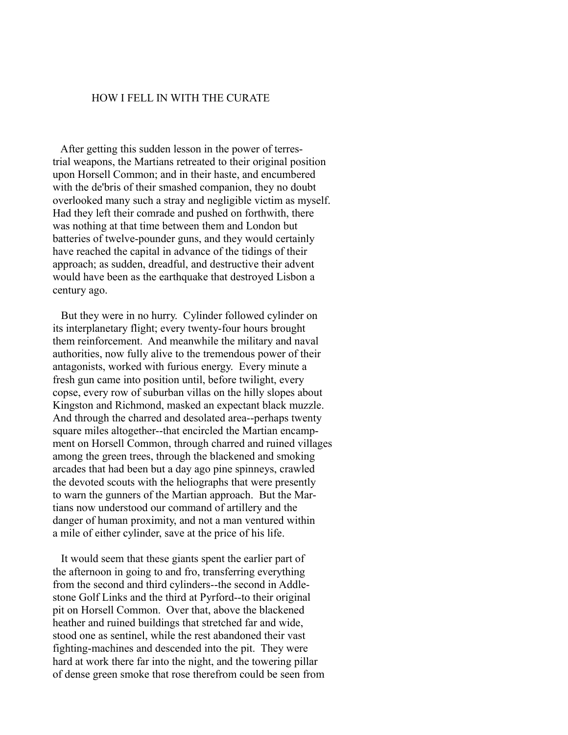# HOW I FELL IN WITH THE CURATE

 After getting this sudden lesson in the power of terrestrial weapons, the Martians retreated to their original position upon Horsell Common; and in their haste, and encumbered with the de'bris of their smashed companion, they no doubt overlooked many such a stray and negligible victim as myself. Had they left their comrade and pushed on forthwith, there was nothing at that time between them and London but batteries of twelve-pounder guns, and they would certainly have reached the capital in advance of the tidings of their approach; as sudden, dreadful, and destructive their advent would have been as the earthquake that destroyed Lisbon a century ago.

 But they were in no hurry. Cylinder followed cylinder on its interplanetary flight; every twenty-four hours brought them reinforcement. And meanwhile the military and naval authorities, now fully alive to the tremendous power of their antagonists, worked with furious energy. Every minute a fresh gun came into position until, before twilight, every copse, every row of suburban villas on the hilly slopes about Kingston and Richmond, masked an expectant black muzzle. And through the charred and desolated area--perhaps twenty square miles altogether--that encircled the Martian encampment on Horsell Common, through charred and ruined villages among the green trees, through the blackened and smoking arcades that had been but a day ago pine spinneys, crawled the devoted scouts with the heliographs that were presently to warn the gunners of the Martian approach. But the Martians now understood our command of artillery and the danger of human proximity, and not a man ventured within a mile of either cylinder, save at the price of his life.

 It would seem that these giants spent the earlier part of the afternoon in going to and fro, transferring everything from the second and third cylinders--the second in Addlestone Golf Links and the third at Pyrford--to their original pit on Horsell Common. Over that, above the blackened heather and ruined buildings that stretched far and wide, stood one as sentinel, while the rest abandoned their vast fighting-machines and descended into the pit. They were hard at work there far into the night, and the towering pillar of dense green smoke that rose therefrom could be seen from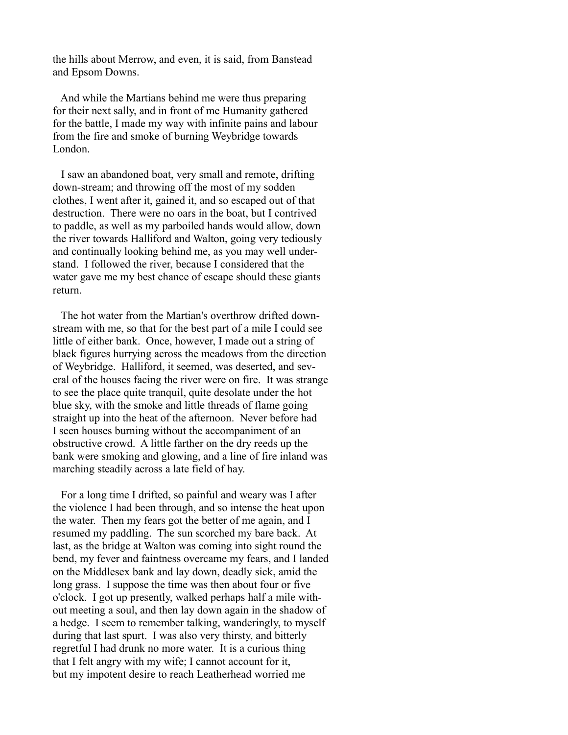the hills about Merrow, and even, it is said, from Banstead and Epsom Downs.

 And while the Martians behind me were thus preparing for their next sally, and in front of me Humanity gathered for the battle, I made my way with infinite pains and labour from the fire and smoke of burning Weybridge towards London.

 I saw an abandoned boat, very small and remote, drifting down-stream; and throwing off the most of my sodden clothes, I went after it, gained it, and so escaped out of that destruction. There were no oars in the boat, but I contrived to paddle, as well as my parboiled hands would allow, down the river towards Halliford and Walton, going very tediously and continually looking behind me, as you may well understand. I followed the river, because I considered that the water gave me my best chance of escape should these giants return.

 The hot water from the Martian's overthrow drifted downstream with me, so that for the best part of a mile I could see little of either bank. Once, however, I made out a string of black figures hurrying across the meadows from the direction of Weybridge. Halliford, it seemed, was deserted, and several of the houses facing the river were on fire. It was strange to see the place quite tranquil, quite desolate under the hot blue sky, with the smoke and little threads of flame going straight up into the heat of the afternoon. Never before had I seen houses burning without the accompaniment of an obstructive crowd. A little farther on the dry reeds up the bank were smoking and glowing, and a line of fire inland was marching steadily across a late field of hay.

 For a long time I drifted, so painful and weary was I after the violence I had been through, and so intense the heat upon the water. Then my fears got the better of me again, and I resumed my paddling. The sun scorched my bare back. At last, as the bridge at Walton was coming into sight round the bend, my fever and faintness overcame my fears, and I landed on the Middlesex bank and lay down, deadly sick, amid the long grass. I suppose the time was then about four or five o'clock. I got up presently, walked perhaps half a mile without meeting a soul, and then lay down again in the shadow of a hedge. I seem to remember talking, wanderingly, to myself during that last spurt. I was also very thirsty, and bitterly regretful I had drunk no more water. It is a curious thing that I felt angry with my wife; I cannot account for it, but my impotent desire to reach Leatherhead worried me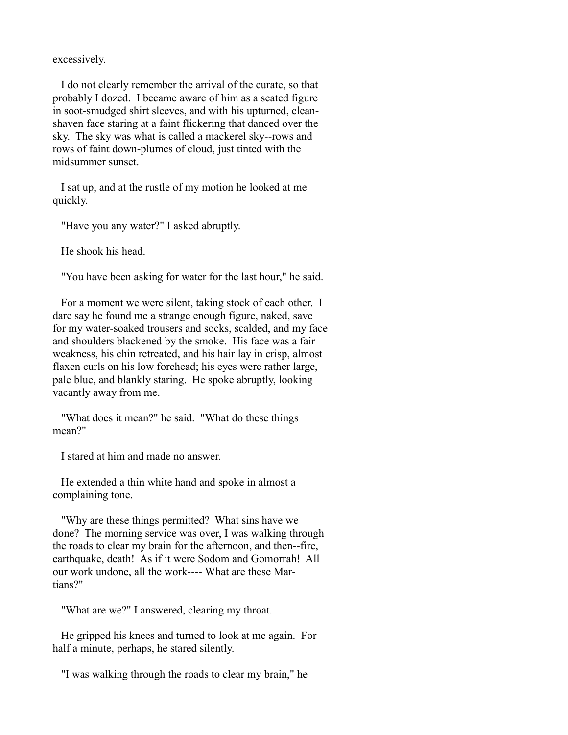excessively.

 I do not clearly remember the arrival of the curate, so that probably I dozed. I became aware of him as a seated figure in soot-smudged shirt sleeves, and with his upturned, cleanshaven face staring at a faint flickering that danced over the sky. The sky was what is called a mackerel sky--rows and rows of faint down-plumes of cloud, just tinted with the midsummer sunset.

 I sat up, and at the rustle of my motion he looked at me quickly.

"Have you any water?" I asked abruptly.

He shook his head.

"You have been asking for water for the last hour," he said.

 For a moment we were silent, taking stock of each other. I dare say he found me a strange enough figure, naked, save for my water-soaked trousers and socks, scalded, and my face and shoulders blackened by the smoke. His face was a fair weakness, his chin retreated, and his hair lay in crisp, almost flaxen curls on his low forehead; his eyes were rather large, pale blue, and blankly staring. He spoke abruptly, looking vacantly away from me.

 "What does it mean?" he said. "What do these things mean?"

I stared at him and made no answer.

 He extended a thin white hand and spoke in almost a complaining tone.

 "Why are these things permitted? What sins have we done? The morning service was over, I was walking through the roads to clear my brain for the afternoon, and then--fire, earthquake, death! As if it were Sodom and Gomorrah! All our work undone, all the work---- What are these Martians?"

"What are we?" I answered, clearing my throat.

 He gripped his knees and turned to look at me again. For half a minute, perhaps, he stared silently.

"I was walking through the roads to clear my brain," he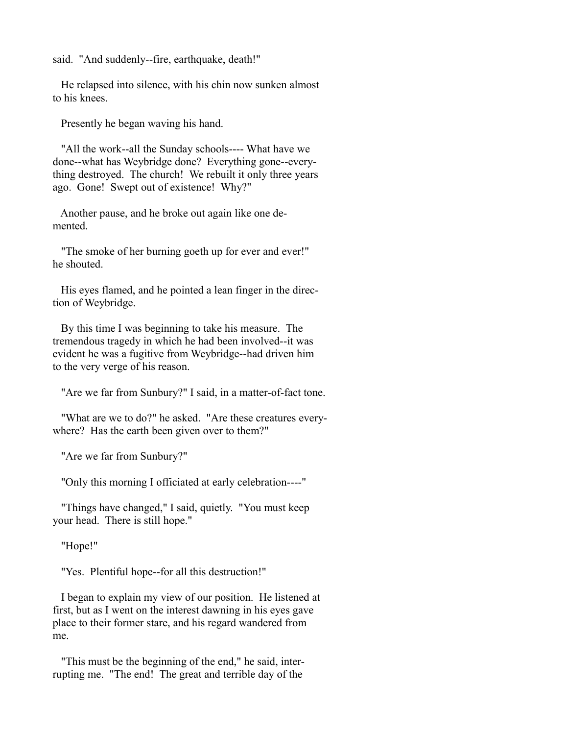said. "And suddenly--fire, earthquake, death!"

 He relapsed into silence, with his chin now sunken almost to his knees.

Presently he began waving his hand.

 "All the work--all the Sunday schools---- What have we done--what has Weybridge done? Everything gone--everything destroyed. The church! We rebuilt it only three years ago. Gone! Swept out of existence! Why?"

 Another pause, and he broke out again like one demented.

 "The smoke of her burning goeth up for ever and ever!" he shouted.

 His eyes flamed, and he pointed a lean finger in the direction of Weybridge.

 By this time I was beginning to take his measure. The tremendous tragedy in which he had been involved--it was evident he was a fugitive from Weybridge--had driven him to the very verge of his reason.

"Are we far from Sunbury?" I said, in a matter-of-fact tone.

 "What are we to do?" he asked. "Are these creatures everywhere? Has the earth been given over to them?"

"Are we far from Sunbury?"

"Only this morning I officiated at early celebration----"

 "Things have changed," I said, quietly. "You must keep your head. There is still hope."

"Hope!"

"Yes. Plentiful hope--for all this destruction!"

 I began to explain my view of our position. He listened at first, but as I went on the interest dawning in his eyes gave place to their former stare, and his regard wandered from me.

 "This must be the beginning of the end," he said, interrupting me. "The end! The great and terrible day of the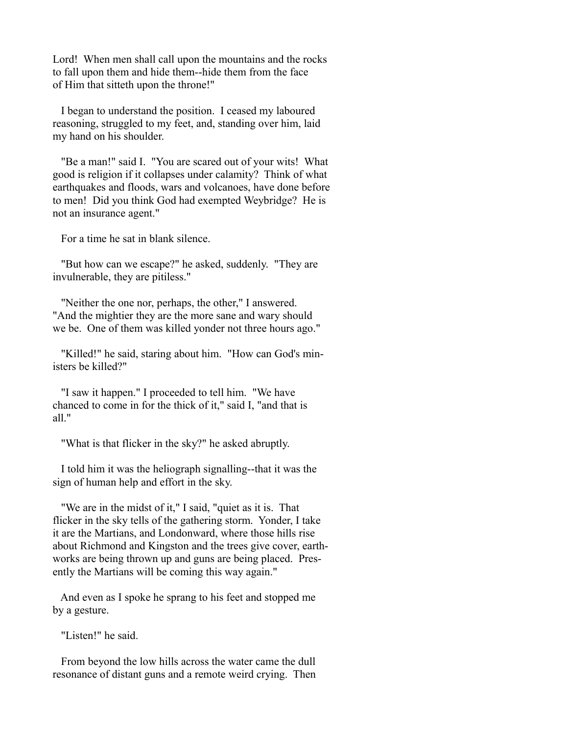Lord! When men shall call upon the mountains and the rocks to fall upon them and hide them--hide them from the face of Him that sitteth upon the throne!"

 I began to understand the position. I ceased my laboured reasoning, struggled to my feet, and, standing over him, laid my hand on his shoulder.

 "Be a man!" said I. "You are scared out of your wits! What good is religion if it collapses under calamity? Think of what earthquakes and floods, wars and volcanoes, have done before to men! Did you think God had exempted Weybridge? He is not an insurance agent."

For a time he sat in blank silence.

 "But how can we escape?" he asked, suddenly. "They are invulnerable, they are pitiless."

 "Neither the one nor, perhaps, the other," I answered. "And the mightier they are the more sane and wary should we be. One of them was killed yonder not three hours ago."

 "Killed!" he said, staring about him. "How can God's ministers be killed?"

 "I saw it happen." I proceeded to tell him. "We have chanced to come in for the thick of it," said I, "and that is all."

"What is that flicker in the sky?" he asked abruptly.

 I told him it was the heliograph signalling--that it was the sign of human help and effort in the sky.

 "We are in the midst of it," I said, "quiet as it is. That flicker in the sky tells of the gathering storm. Yonder, I take it are the Martians, and Londonward, where those hills rise about Richmond and Kingston and the trees give cover, earthworks are being thrown up and guns are being placed. Presently the Martians will be coming this way again."

 And even as I spoke he sprang to his feet and stopped me by a gesture.

"Listen!" he said.

 From beyond the low hills across the water came the dull resonance of distant guns and a remote weird crying. Then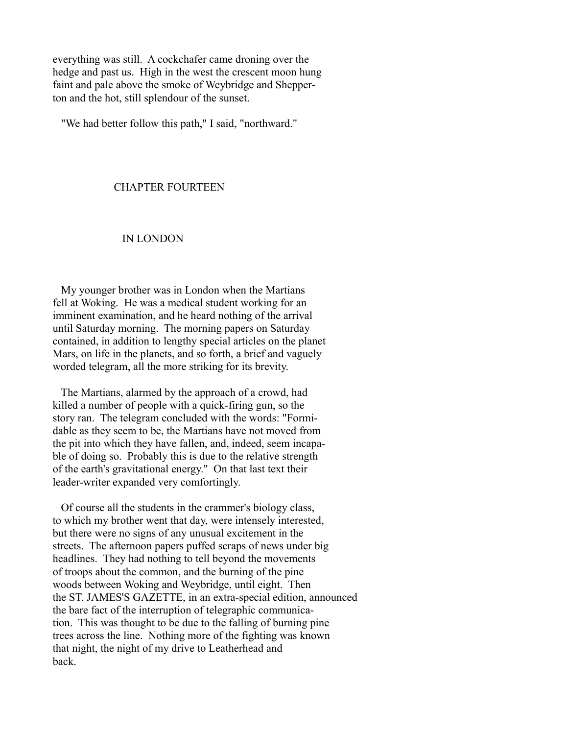everything was still. A cockchafer came droning over the hedge and past us. High in the west the crescent moon hung faint and pale above the smoke of Weybridge and Shepperton and the hot, still splendour of the sunset.

"We had better follow this path," I said, "northward."

#### CHAPTER FOURTEEN

#### IN LONDON

 My younger brother was in London when the Martians fell at Woking. He was a medical student working for an imminent examination, and he heard nothing of the arrival until Saturday morning. The morning papers on Saturday contained, in addition to lengthy special articles on the planet Mars, on life in the planets, and so forth, a brief and vaguely worded telegram, all the more striking for its brevity.

 The Martians, alarmed by the approach of a crowd, had killed a number of people with a quick-firing gun, so the story ran. The telegram concluded with the words: "Formidable as they seem to be, the Martians have not moved from the pit into which they have fallen, and, indeed, seem incapable of doing so. Probably this is due to the relative strength of the earth's gravitational energy." On that last text their leader-writer expanded very comfortingly.

 Of course all the students in the crammer's biology class, to which my brother went that day, were intensely interested, but there were no signs of any unusual excitement in the streets. The afternoon papers puffed scraps of news under big headlines. They had nothing to tell beyond the movements of troops about the common, and the burning of the pine woods between Woking and Weybridge, until eight. Then the ST. JAMES'S GAZETTE, in an extra-special edition, announced the bare fact of the interruption of telegraphic communication. This was thought to be due to the falling of burning pine trees across the line. Nothing more of the fighting was known that night, the night of my drive to Leatherhead and back.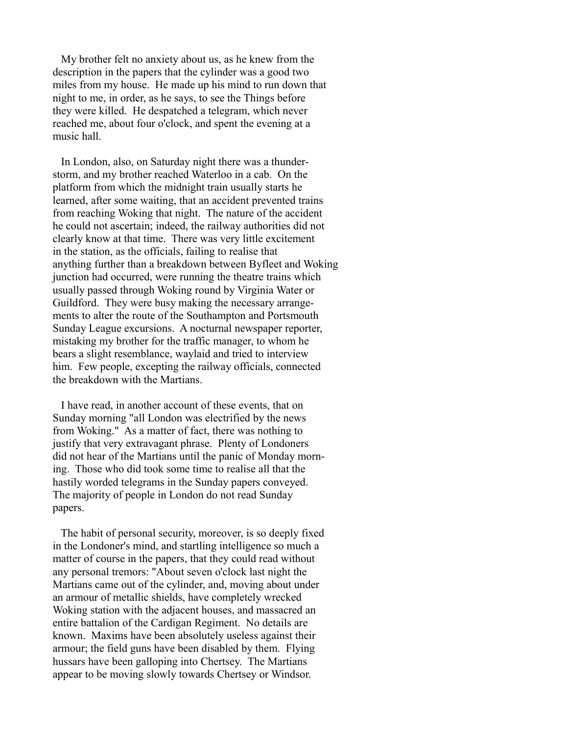My brother felt no anxiety about us, as he knew from the description in the papers that the cylinder was a good two miles from my house. He made up his mind to run down that night to me, in order, as he says, to see the Things before they were killed. He despatched a telegram, which never reached me, about four o'clock, and spent the evening at a music hall.

 In London, also, on Saturday night there was a thunderstorm, and my brother reached Waterloo in a cab. On the platform from which the midnight train usually starts he learned, after some waiting, that an accident prevented trains from reaching Woking that night. The nature of the accident he could not ascertain; indeed, the railway authorities did not clearly know at that time. There was very little excitement in the station, as the officials, failing to realise that anything further than a breakdown between Byfleet and Woking junction had occurred, were running the theatre trains which usually passed through Woking round by Virginia Water or Guildford. They were busy making the necessary arrangements to alter the route of the Southampton and Portsmouth Sunday League excursions. A nocturnal newspaper reporter, mistaking my brother for the traffic manager, to whom he bears a slight resemblance, waylaid and tried to interview him. Few people, excepting the railway officials, connected the breakdown with the Martians.

 I have read, in another account of these events, that on Sunday morning "all London was electrified by the news from Woking." As a matter of fact, there was nothing to justify that very extravagant phrase. Plenty of Londoners did not hear of the Martians until the panic of Monday morning. Those who did took some time to realise all that the hastily worded telegrams in the Sunday papers conveyed. The majority of people in London do not read Sunday papers.

 The habit of personal security, moreover, is so deeply fixed in the Londoner's mind, and startling intelligence so much a matter of course in the papers, that they could read without any personal tremors: "About seven o'clock last night the Martians came out of the cylinder, and, moving about under an armour of metallic shields, have completely wrecked Woking station with the adjacent houses, and massacred an entire battalion of the Cardigan Regiment. No details are known. Maxims have been absolutely useless against their armour; the field guns have been disabled by them. Flying hussars have been galloping into Chertsey. The Martians appear to be moving slowly towards Chertsey or Windsor.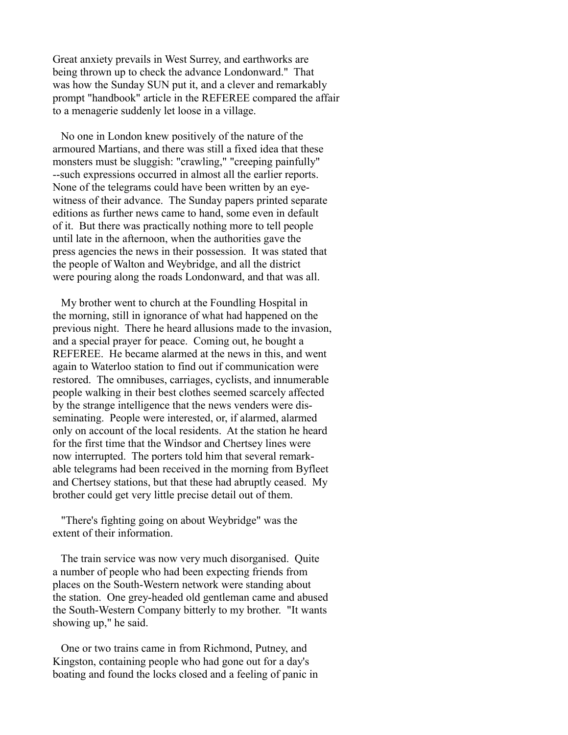Great anxiety prevails in West Surrey, and earthworks are being thrown up to check the advance Londonward." That was how the Sunday SUN put it, and a clever and remarkably prompt "handbook" article in the REFEREE compared the affair to a menagerie suddenly let loose in a village.

 No one in London knew positively of the nature of the armoured Martians, and there was still a fixed idea that these monsters must be sluggish: "crawling," "creeping painfully" --such expressions occurred in almost all the earlier reports. None of the telegrams could have been written by an eyewitness of their advance. The Sunday papers printed separate editions as further news came to hand, some even in default of it. But there was practically nothing more to tell people until late in the afternoon, when the authorities gave the press agencies the news in their possession. It was stated that the people of Walton and Weybridge, and all the district were pouring along the roads Londonward, and that was all.

 My brother went to church at the Foundling Hospital in the morning, still in ignorance of what had happened on the previous night. There he heard allusions made to the invasion, and a special prayer for peace. Coming out, he bought a REFEREE. He became alarmed at the news in this, and went again to Waterloo station to find out if communication were restored. The omnibuses, carriages, cyclists, and innumerable people walking in their best clothes seemed scarcely affected by the strange intelligence that the news venders were disseminating. People were interested, or, if alarmed, alarmed only on account of the local residents. At the station he heard for the first time that the Windsor and Chertsey lines were now interrupted. The porters told him that several remarkable telegrams had been received in the morning from Byfleet and Chertsey stations, but that these had abruptly ceased. My brother could get very little precise detail out of them.

 "There's fighting going on about Weybridge" was the extent of their information.

 The train service was now very much disorganised. Quite a number of people who had been expecting friends from places on the South-Western network were standing about the station. One grey-headed old gentleman came and abused the South-Western Company bitterly to my brother. "It wants showing up," he said.

 One or two trains came in from Richmond, Putney, and Kingston, containing people who had gone out for a day's boating and found the locks closed and a feeling of panic in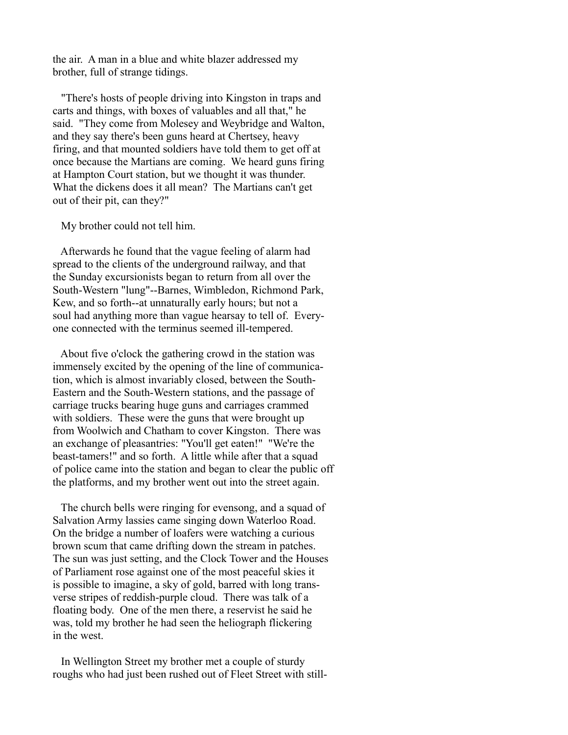the air. A man in a blue and white blazer addressed my brother, full of strange tidings.

 "There's hosts of people driving into Kingston in traps and carts and things, with boxes of valuables and all that," he said. "They come from Molesey and Weybridge and Walton, and they say there's been guns heard at Chertsey, heavy firing, and that mounted soldiers have told them to get off at once because the Martians are coming. We heard guns firing at Hampton Court station, but we thought it was thunder. What the dickens does it all mean? The Martians can't get out of their pit, can they?"

My brother could not tell him.

 Afterwards he found that the vague feeling of alarm had spread to the clients of the underground railway, and that the Sunday excursionists began to return from all over the South-Western "lung"--Barnes, Wimbledon, Richmond Park, Kew, and so forth--at unnaturally early hours; but not a soul had anything more than vague hearsay to tell of. Everyone connected with the terminus seemed ill-tempered.

 About five o'clock the gathering crowd in the station was immensely excited by the opening of the line of communication, which is almost invariably closed, between the South-Eastern and the South-Western stations, and the passage of carriage trucks bearing huge guns and carriages crammed with soldiers. These were the guns that were brought up from Woolwich and Chatham to cover Kingston. There was an exchange of pleasantries: "You'll get eaten!" "We're the beast-tamers!" and so forth. A little while after that a squad of police came into the station and began to clear the public off the platforms, and my brother went out into the street again.

 The church bells were ringing for evensong, and a squad of Salvation Army lassies came singing down Waterloo Road. On the bridge a number of loafers were watching a curious brown scum that came drifting down the stream in patches. The sun was just setting, and the Clock Tower and the Houses of Parliament rose against one of the most peaceful skies it is possible to imagine, a sky of gold, barred with long transverse stripes of reddish-purple cloud. There was talk of a floating body. One of the men there, a reservist he said he was, told my brother he had seen the heliograph flickering in the west.

 In Wellington Street my brother met a couple of sturdy roughs who had just been rushed out of Fleet Street with still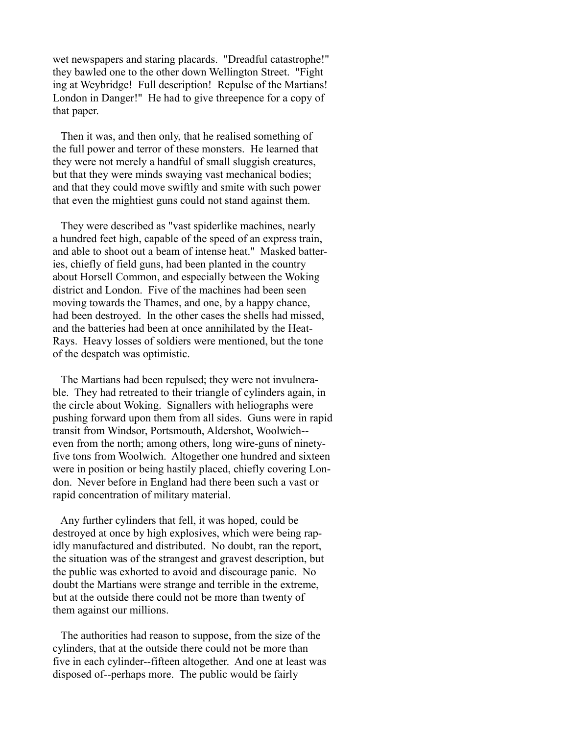wet newspapers and staring placards. "Dreadful catastrophe!" they bawled one to the other down Wellington Street. "Fight ing at Weybridge! Full description! Repulse of the Martians! London in Danger!" He had to give threepence for a copy of that paper.

 Then it was, and then only, that he realised something of the full power and terror of these monsters. He learned that they were not merely a handful of small sluggish creatures, but that they were minds swaying vast mechanical bodies; and that they could move swiftly and smite with such power that even the mightiest guns could not stand against them.

 They were described as "vast spiderlike machines, nearly a hundred feet high, capable of the speed of an express train, and able to shoot out a beam of intense heat." Masked batteries, chiefly of field guns, had been planted in the country about Horsell Common, and especially between the Woking district and London. Five of the machines had been seen moving towards the Thames, and one, by a happy chance, had been destroyed. In the other cases the shells had missed, and the batteries had been at once annihilated by the Heat-Rays. Heavy losses of soldiers were mentioned, but the tone of the despatch was optimistic.

 The Martians had been repulsed; they were not invulnerable. They had retreated to their triangle of cylinders again, in the circle about Woking. Signallers with heliographs were pushing forward upon them from all sides. Guns were in rapid transit from Windsor, Portsmouth, Aldershot, Woolwich- even from the north; among others, long wire-guns of ninetyfive tons from Woolwich. Altogether one hundred and sixteen were in position or being hastily placed, chiefly covering London. Never before in England had there been such a vast or rapid concentration of military material.

 Any further cylinders that fell, it was hoped, could be destroyed at once by high explosives, which were being rapidly manufactured and distributed. No doubt, ran the report, the situation was of the strangest and gravest description, but the public was exhorted to avoid and discourage panic. No doubt the Martians were strange and terrible in the extreme, but at the outside there could not be more than twenty of them against our millions.

 The authorities had reason to suppose, from the size of the cylinders, that at the outside there could not be more than five in each cylinder--fifteen altogether. And one at least was disposed of--perhaps more. The public would be fairly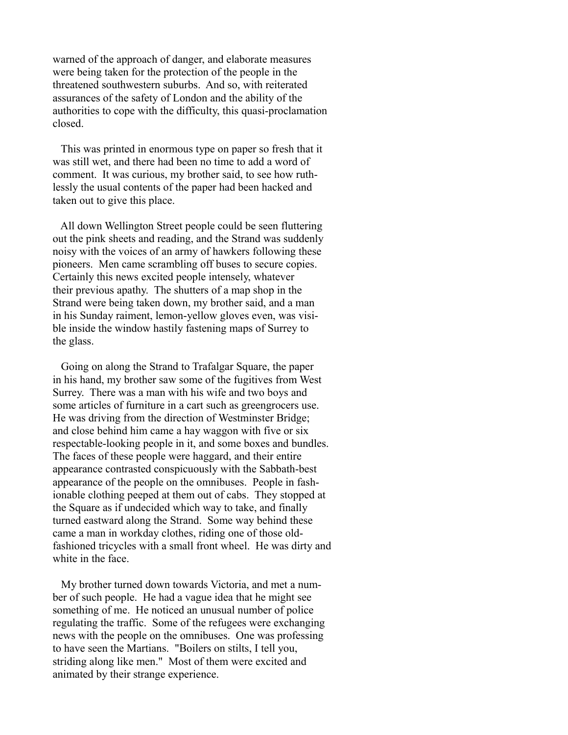warned of the approach of danger, and elaborate measures were being taken for the protection of the people in the threatened southwestern suburbs. And so, with reiterated assurances of the safety of London and the ability of the authorities to cope with the difficulty, this quasi-proclamation closed.

 This was printed in enormous type on paper so fresh that it was still wet, and there had been no time to add a word of comment. It was curious, my brother said, to see how ruthlessly the usual contents of the paper had been hacked and taken out to give this place.

 All down Wellington Street people could be seen fluttering out the pink sheets and reading, and the Strand was suddenly noisy with the voices of an army of hawkers following these pioneers. Men came scrambling off buses to secure copies. Certainly this news excited people intensely, whatever their previous apathy. The shutters of a map shop in the Strand were being taken down, my brother said, and a man in his Sunday raiment, lemon-yellow gloves even, was visible inside the window hastily fastening maps of Surrey to the glass.

 Going on along the Strand to Trafalgar Square, the paper in his hand, my brother saw some of the fugitives from West Surrey. There was a man with his wife and two boys and some articles of furniture in a cart such as greengrocers use. He was driving from the direction of Westminster Bridge; and close behind him came a hay waggon with five or six respectable-looking people in it, and some boxes and bundles. The faces of these people were haggard, and their entire appearance contrasted conspicuously with the Sabbath-best appearance of the people on the omnibuses. People in fashionable clothing peeped at them out of cabs. They stopped at the Square as if undecided which way to take, and finally turned eastward along the Strand. Some way behind these came a man in workday clothes, riding one of those oldfashioned tricycles with a small front wheel. He was dirty and white in the face

 My brother turned down towards Victoria, and met a number of such people. He had a vague idea that he might see something of me. He noticed an unusual number of police regulating the traffic. Some of the refugees were exchanging news with the people on the omnibuses. One was professing to have seen the Martians. "Boilers on stilts, I tell you, striding along like men." Most of them were excited and animated by their strange experience.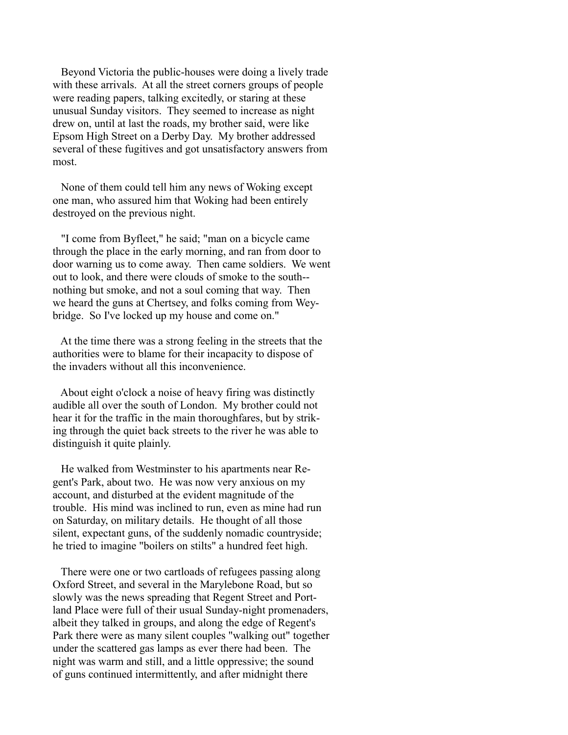Beyond Victoria the public-houses were doing a lively trade with these arrivals. At all the street corners groups of people were reading papers, talking excitedly, or staring at these unusual Sunday visitors. They seemed to increase as night drew on, until at last the roads, my brother said, were like Epsom High Street on a Derby Day. My brother addressed several of these fugitives and got unsatisfactory answers from most.

 None of them could tell him any news of Woking except one man, who assured him that Woking had been entirely destroyed on the previous night.

 "I come from Byfleet," he said; "man on a bicycle came through the place in the early morning, and ran from door to door warning us to come away. Then came soldiers. We went out to look, and there were clouds of smoke to the south- nothing but smoke, and not a soul coming that way. Then we heard the guns at Chertsey, and folks coming from Weybridge. So I've locked up my house and come on."

 At the time there was a strong feeling in the streets that the authorities were to blame for their incapacity to dispose of the invaders without all this inconvenience.

 About eight o'clock a noise of heavy firing was distinctly audible all over the south of London. My brother could not hear it for the traffic in the main thoroughfares, but by striking through the quiet back streets to the river he was able to distinguish it quite plainly.

 He walked from Westminster to his apartments near Regent's Park, about two. He was now very anxious on my account, and disturbed at the evident magnitude of the trouble. His mind was inclined to run, even as mine had run on Saturday, on military details. He thought of all those silent, expectant guns, of the suddenly nomadic countryside; he tried to imagine "boilers on stilts" a hundred feet high.

 There were one or two cartloads of refugees passing along Oxford Street, and several in the Marylebone Road, but so slowly was the news spreading that Regent Street and Portland Place were full of their usual Sunday-night promenaders, albeit they talked in groups, and along the edge of Regent's Park there were as many silent couples "walking out" together under the scattered gas lamps as ever there had been. The night was warm and still, and a little oppressive; the sound of guns continued intermittently, and after midnight there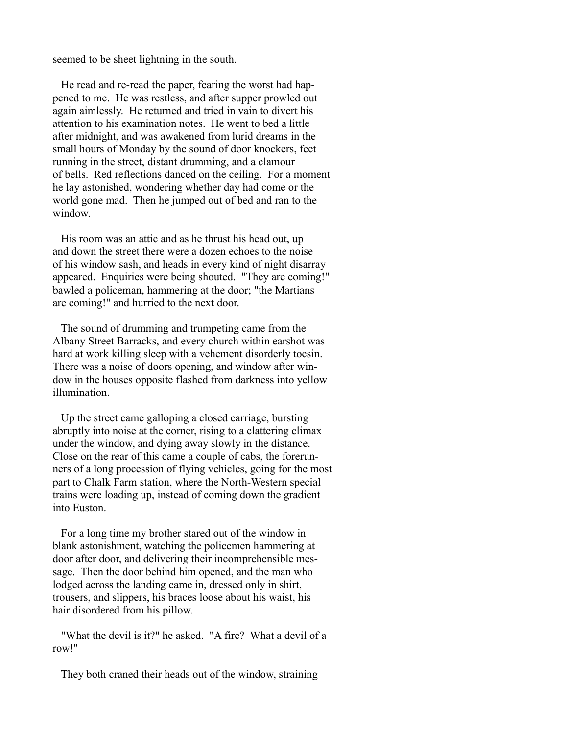seemed to be sheet lightning in the south.

 He read and re-read the paper, fearing the worst had happened to me. He was restless, and after supper prowled out again aimlessly. He returned and tried in vain to divert his attention to his examination notes. He went to bed a little after midnight, and was awakened from lurid dreams in the small hours of Monday by the sound of door knockers, feet running in the street, distant drumming, and a clamour of bells. Red reflections danced on the ceiling. For a moment he lay astonished, wondering whether day had come or the world gone mad. Then he jumped out of bed and ran to the window.

 His room was an attic and as he thrust his head out, up and down the street there were a dozen echoes to the noise of his window sash, and heads in every kind of night disarray appeared. Enquiries were being shouted. "They are coming!" bawled a policeman, hammering at the door; "the Martians are coming!" and hurried to the next door.

 The sound of drumming and trumpeting came from the Albany Street Barracks, and every church within earshot was hard at work killing sleep with a vehement disorderly tocsin. There was a noise of doors opening, and window after window in the houses opposite flashed from darkness into yellow illumination.

 Up the street came galloping a closed carriage, bursting abruptly into noise at the corner, rising to a clattering climax under the window, and dying away slowly in the distance. Close on the rear of this came a couple of cabs, the forerunners of a long procession of flying vehicles, going for the most part to Chalk Farm station, where the North-Western special trains were loading up, instead of coming down the gradient into Euston.

 For a long time my brother stared out of the window in blank astonishment, watching the policemen hammering at door after door, and delivering their incomprehensible message. Then the door behind him opened, and the man who lodged across the landing came in, dressed only in shirt, trousers, and slippers, his braces loose about his waist, his hair disordered from his pillow.

 "What the devil is it?" he asked. "A fire? What a devil of a row!"

They both craned their heads out of the window, straining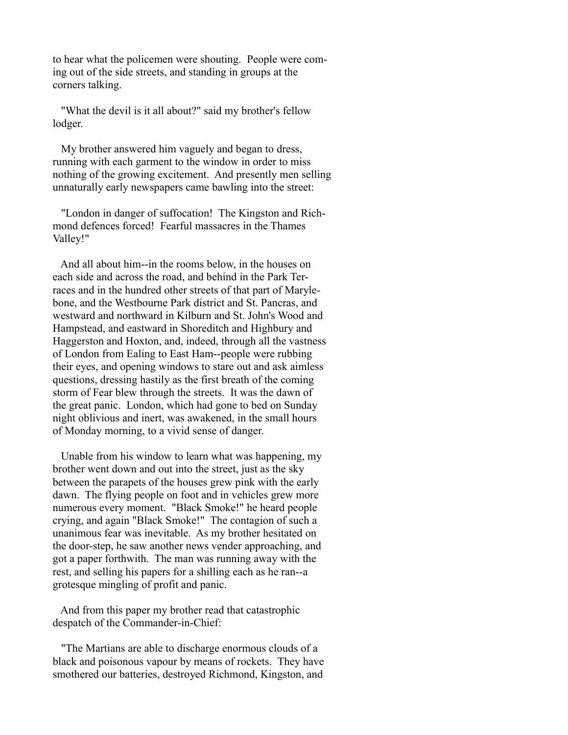to hear what the policemen were shouting. People were coming out of the side streets, and standing in groups at the corners talking.

 "What the devil is it all about?" said my brother's fellow lodger.

 My brother answered him vaguely and began to dress, running with each garment to the window in order to miss nothing of the growing excitement. And presently men selling unnaturally early newspapers came bawling into the street:

 "London in danger of suffocation! The Kingston and Richmond defences forced! Fearful massacres in the Thames Valley!"

 And all about him--in the rooms below, in the houses on each side and across the road, and behind in the Park Terraces and in the hundred other streets of that part of Marylebone, and the Westbourne Park district and St. Pancras, and westward and northward in Kilburn and St. John's Wood and Hampstead, and eastward in Shoreditch and Highbury and Haggerston and Hoxton, and, indeed, through all the vastness of London from Ealing to East Ham--people were rubbing their eyes, and opening windows to stare out and ask aimless questions, dressing hastily as the first breath of the coming storm of Fear blew through the streets. It was the dawn of the great panic. London, which had gone to bed on Sunday night oblivious and inert, was awakened, in the small hours of Monday morning, to a vivid sense of danger.

 Unable from his window to learn what was happening, my brother went down and out into the street, just as the sky between the parapets of the houses grew pink with the early dawn. The flying people on foot and in vehicles grew more numerous every moment. "Black Smoke!" he heard people crying, and again "Black Smoke!" The contagion of such a unanimous fear was inevitable. As my brother hesitated on the door-step, he saw another news vender approaching, and got a paper forthwith. The man was running away with the rest, and selling his papers for a shilling each as he ran--a grotesque mingling of profit and panic.

 And from this paper my brother read that catastrophic despatch of the Commander-in-Chief:

 "The Martians are able to discharge enormous clouds of a black and poisonous vapour by means of rockets. They have smothered our batteries, destroyed Richmond, Kingston, and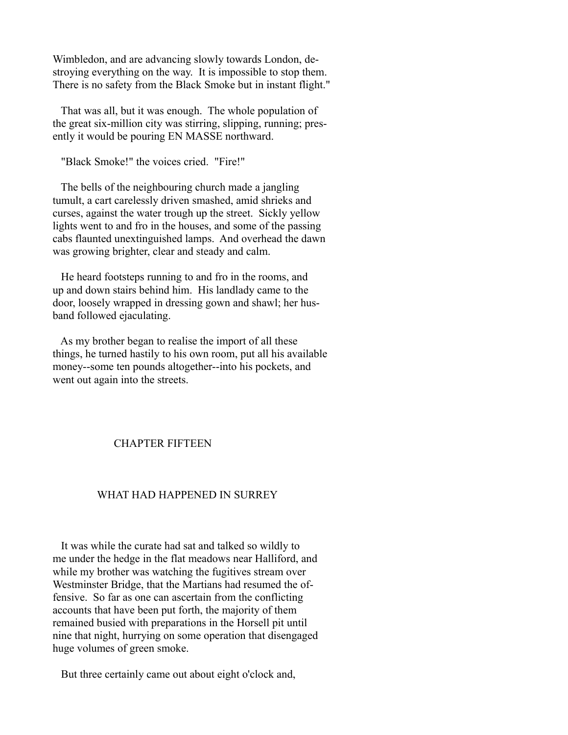Wimbledon, and are advancing slowly towards London, destroying everything on the way. It is impossible to stop them. There is no safety from the Black Smoke but in instant flight."

 That was all, but it was enough. The whole population of the great six-million city was stirring, slipping, running; presently it would be pouring EN MASSE northward.

"Black Smoke!" the voices cried. "Fire!"

 The bells of the neighbouring church made a jangling tumult, a cart carelessly driven smashed, amid shrieks and curses, against the water trough up the street. Sickly yellow lights went to and fro in the houses, and some of the passing cabs flaunted unextinguished lamps. And overhead the dawn was growing brighter, clear and steady and calm.

 He heard footsteps running to and fro in the rooms, and up and down stairs behind him. His landlady came to the door, loosely wrapped in dressing gown and shawl; her husband followed ejaculating.

 As my brother began to realise the import of all these things, he turned hastily to his own room, put all his available money--some ten pounds altogether--into his pockets, and went out again into the streets.

## CHAPTER FIFTEEN

## WHAT HAD HAPPENED IN SURREY

 It was while the curate had sat and talked so wildly to me under the hedge in the flat meadows near Halliford, and while my brother was watching the fugitives stream over Westminster Bridge, that the Martians had resumed the offensive. So far as one can ascertain from the conflicting accounts that have been put forth, the majority of them remained busied with preparations in the Horsell pit until nine that night, hurrying on some operation that disengaged huge volumes of green smoke.

But three certainly came out about eight o'clock and,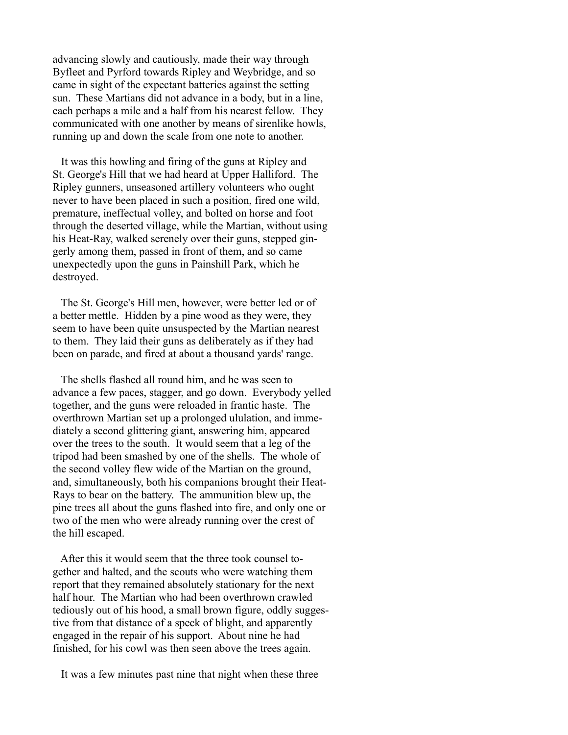advancing slowly and cautiously, made their way through Byfleet and Pyrford towards Ripley and Weybridge, and so came in sight of the expectant batteries against the setting sun. These Martians did not advance in a body, but in a line, each perhaps a mile and a half from his nearest fellow. They communicated with one another by means of sirenlike howls, running up and down the scale from one note to another.

 It was this howling and firing of the guns at Ripley and St. George's Hill that we had heard at Upper Halliford. The Ripley gunners, unseasoned artillery volunteers who ought never to have been placed in such a position, fired one wild, premature, ineffectual volley, and bolted on horse and foot through the deserted village, while the Martian, without using his Heat-Ray, walked serenely over their guns, stepped gingerly among them, passed in front of them, and so came unexpectedly upon the guns in Painshill Park, which he destroyed.

 The St. George's Hill men, however, were better led or of a better mettle. Hidden by a pine wood as they were, they seem to have been quite unsuspected by the Martian nearest to them. They laid their guns as deliberately as if they had been on parade, and fired at about a thousand yards' range.

 The shells flashed all round him, and he was seen to advance a few paces, stagger, and go down. Everybody yelled together, and the guns were reloaded in frantic haste. The overthrown Martian set up a prolonged ululation, and immediately a second glittering giant, answering him, appeared over the trees to the south. It would seem that a leg of the tripod had been smashed by one of the shells. The whole of the second volley flew wide of the Martian on the ground, and, simultaneously, both his companions brought their Heat-Rays to bear on the battery. The ammunition blew up, the pine trees all about the guns flashed into fire, and only one or two of the men who were already running over the crest of the hill escaped.

 After this it would seem that the three took counsel together and halted, and the scouts who were watching them report that they remained absolutely stationary for the next half hour. The Martian who had been overthrown crawled tediously out of his hood, a small brown figure, oddly suggestive from that distance of a speck of blight, and apparently engaged in the repair of his support. About nine he had finished, for his cowl was then seen above the trees again.

It was a few minutes past nine that night when these three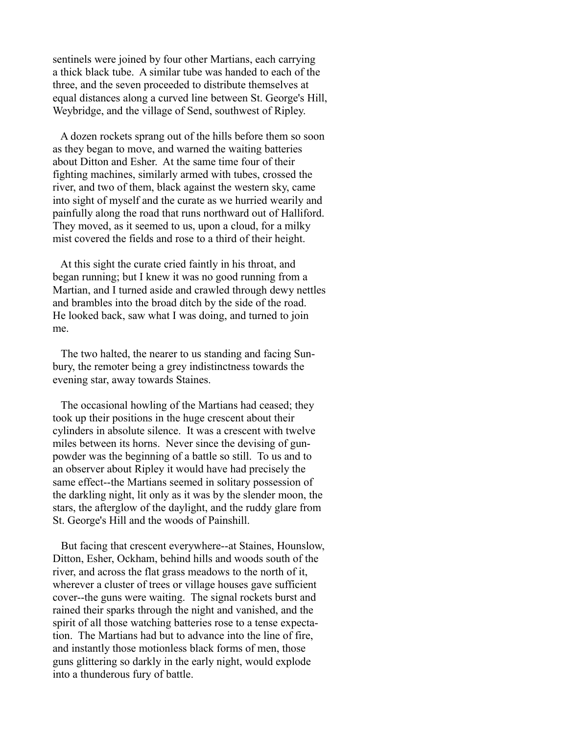sentinels were joined by four other Martians, each carrying a thick black tube. A similar tube was handed to each of the three, and the seven proceeded to distribute themselves at equal distances along a curved line between St. George's Hill, Weybridge, and the village of Send, southwest of Ripley.

 A dozen rockets sprang out of the hills before them so soon as they began to move, and warned the waiting batteries about Ditton and Esher. At the same time four of their fighting machines, similarly armed with tubes, crossed the river, and two of them, black against the western sky, came into sight of myself and the curate as we hurried wearily and painfully along the road that runs northward out of Halliford. They moved, as it seemed to us, upon a cloud, for a milky mist covered the fields and rose to a third of their height.

 At this sight the curate cried faintly in his throat, and began running; but I knew it was no good running from a Martian, and I turned aside and crawled through dewy nettles and brambles into the broad ditch by the side of the road. He looked back, saw what I was doing, and turned to join me.

 The two halted, the nearer to us standing and facing Sunbury, the remoter being a grey indistinctness towards the evening star, away towards Staines.

 The occasional howling of the Martians had ceased; they took up their positions in the huge crescent about their cylinders in absolute silence. It was a crescent with twelve miles between its horns. Never since the devising of gunpowder was the beginning of a battle so still. To us and to an observer about Ripley it would have had precisely the same effect--the Martians seemed in solitary possession of the darkling night, lit only as it was by the slender moon, the stars, the afterglow of the daylight, and the ruddy glare from St. George's Hill and the woods of Painshill.

 But facing that crescent everywhere--at Staines, Hounslow, Ditton, Esher, Ockham, behind hills and woods south of the river, and across the flat grass meadows to the north of it, wherever a cluster of trees or village houses gave sufficient cover--the guns were waiting. The signal rockets burst and rained their sparks through the night and vanished, and the spirit of all those watching batteries rose to a tense expectation. The Martians had but to advance into the line of fire, and instantly those motionless black forms of men, those guns glittering so darkly in the early night, would explode into a thunderous fury of battle.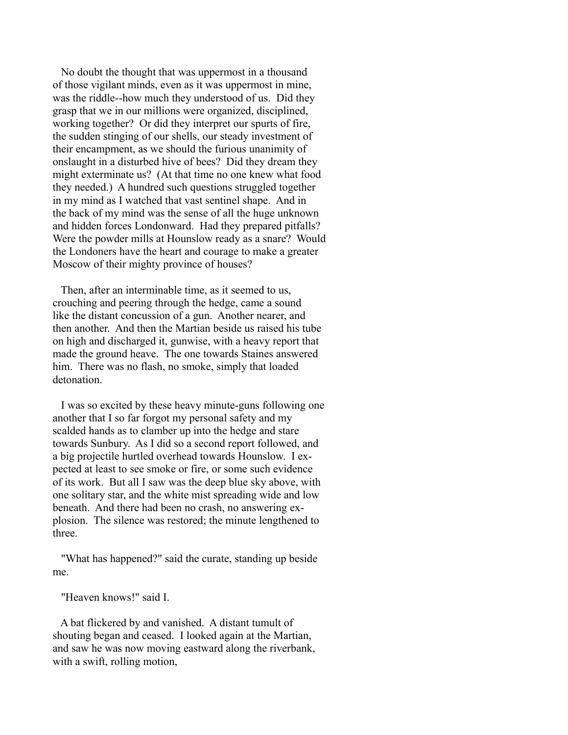No doubt the thought that was uppermost in a thousand of those vigilant minds, even as it was uppermost in mine, was the riddle--how much they understood of us. Did they grasp that we in our millions were organized, disciplined, working together? Or did they interpret our spurts of fire, the sudden stinging of our shells, our steady investment of their encampment, as we should the furious unanimity of onslaught in a disturbed hive of bees? Did they dream they might exterminate us? (At that time no one knew what food they needed.) A hundred such questions struggled together in my mind as I watched that vast sentinel shape. And in the back of my mind was the sense of all the huge unknown and hidden forces Londonward. Had they prepared pitfalls? Were the powder mills at Hounslow ready as a snare? Would the Londoners have the heart and courage to make a greater Moscow of their mighty province of houses?

 Then, after an interminable time, as it seemed to us, crouching and peering through the hedge, came a sound like the distant concussion of a gun. Another nearer, and then another. And then the Martian beside us raised his tube on high and discharged it, gunwise, with a heavy report that made the ground heave. The one towards Staines answered him. There was no flash, no smoke, simply that loaded detonation.

 I was so excited by these heavy minute-guns following one another that I so far forgot my personal safety and my scalded hands as to clamber up into the hedge and stare towards Sunbury. As I did so a second report followed, and a big projectile hurtled overhead towards Hounslow. I expected at least to see smoke or fire, or some such evidence of its work. But all I saw was the deep blue sky above, with one solitary star, and the white mist spreading wide and low beneath. And there had been no crash, no answering explosion. The silence was restored; the minute lengthened to three.

 "What has happened?" said the curate, standing up beside me.

"Heaven knows!" said I.

 A bat flickered by and vanished. A distant tumult of shouting began and ceased. I looked again at the Martian, and saw he was now moving eastward along the riverbank, with a swift, rolling motion,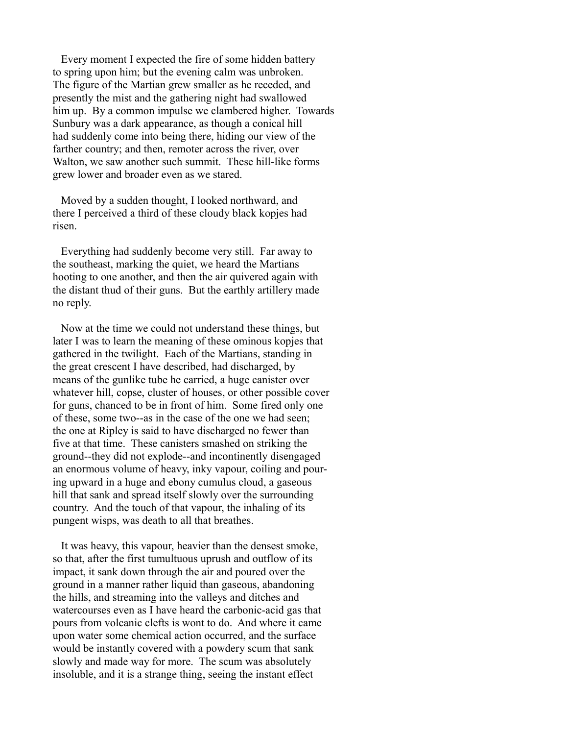Every moment I expected the fire of some hidden battery to spring upon him; but the evening calm was unbroken. The figure of the Martian grew smaller as he receded, and presently the mist and the gathering night had swallowed him up. By a common impulse we clambered higher. Towards Sunbury was a dark appearance, as though a conical hill had suddenly come into being there, hiding our view of the farther country; and then, remoter across the river, over Walton, we saw another such summit. These hill-like forms grew lower and broader even as we stared.

 Moved by a sudden thought, I looked northward, and there I perceived a third of these cloudy black kopjes had risen.

 Everything had suddenly become very still. Far away to the southeast, marking the quiet, we heard the Martians hooting to one another, and then the air quivered again with the distant thud of their guns. But the earthly artillery made no reply.

 Now at the time we could not understand these things, but later I was to learn the meaning of these ominous kopjes that gathered in the twilight. Each of the Martians, standing in the great crescent I have described, had discharged, by means of the gunlike tube he carried, a huge canister over whatever hill, copse, cluster of houses, or other possible cover for guns, chanced to be in front of him. Some fired only one of these, some two--as in the case of the one we had seen; the one at Ripley is said to have discharged no fewer than five at that time. These canisters smashed on striking the ground--they did not explode--and incontinently disengaged an enormous volume of heavy, inky vapour, coiling and pouring upward in a huge and ebony cumulus cloud, a gaseous hill that sank and spread itself slowly over the surrounding country. And the touch of that vapour, the inhaling of its pungent wisps, was death to all that breathes.

 It was heavy, this vapour, heavier than the densest smoke, so that, after the first tumultuous uprush and outflow of its impact, it sank down through the air and poured over the ground in a manner rather liquid than gaseous, abandoning the hills, and streaming into the valleys and ditches and watercourses even as I have heard the carbonic-acid gas that pours from volcanic clefts is wont to do. And where it came upon water some chemical action occurred, and the surface would be instantly covered with a powdery scum that sank slowly and made way for more. The scum was absolutely insoluble, and it is a strange thing, seeing the instant effect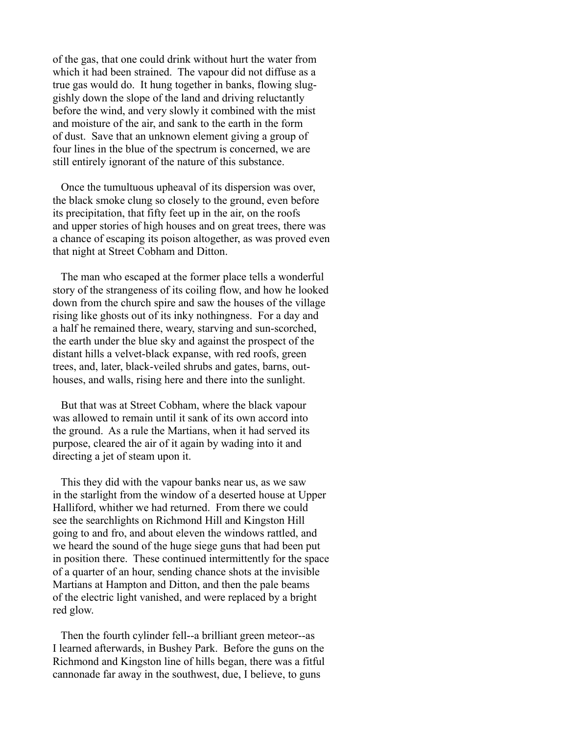of the gas, that one could drink without hurt the water from which it had been strained. The vapour did not diffuse as a true gas would do. It hung together in banks, flowing sluggishly down the slope of the land and driving reluctantly before the wind, and very slowly it combined with the mist and moisture of the air, and sank to the earth in the form of dust. Save that an unknown element giving a group of four lines in the blue of the spectrum is concerned, we are still entirely ignorant of the nature of this substance.

 Once the tumultuous upheaval of its dispersion was over, the black smoke clung so closely to the ground, even before its precipitation, that fifty feet up in the air, on the roofs and upper stories of high houses and on great trees, there was a chance of escaping its poison altogether, as was proved even that night at Street Cobham and Ditton.

 The man who escaped at the former place tells a wonderful story of the strangeness of its coiling flow, and how he looked down from the church spire and saw the houses of the village rising like ghosts out of its inky nothingness. For a day and a half he remained there, weary, starving and sun-scorched, the earth under the blue sky and against the prospect of the distant hills a velvet-black expanse, with red roofs, green trees, and, later, black-veiled shrubs and gates, barns, outhouses, and walls, rising here and there into the sunlight.

 But that was at Street Cobham, where the black vapour was allowed to remain until it sank of its own accord into the ground. As a rule the Martians, when it had served its purpose, cleared the air of it again by wading into it and directing a jet of steam upon it.

 This they did with the vapour banks near us, as we saw in the starlight from the window of a deserted house at Upper Halliford, whither we had returned. From there we could see the searchlights on Richmond Hill and Kingston Hill going to and fro, and about eleven the windows rattled, and we heard the sound of the huge siege guns that had been put in position there. These continued intermittently for the space of a quarter of an hour, sending chance shots at the invisible Martians at Hampton and Ditton, and then the pale beams of the electric light vanished, and were replaced by a bright red glow.

 Then the fourth cylinder fell--a brilliant green meteor--as I learned afterwards, in Bushey Park. Before the guns on the Richmond and Kingston line of hills began, there was a fitful cannonade far away in the southwest, due, I believe, to guns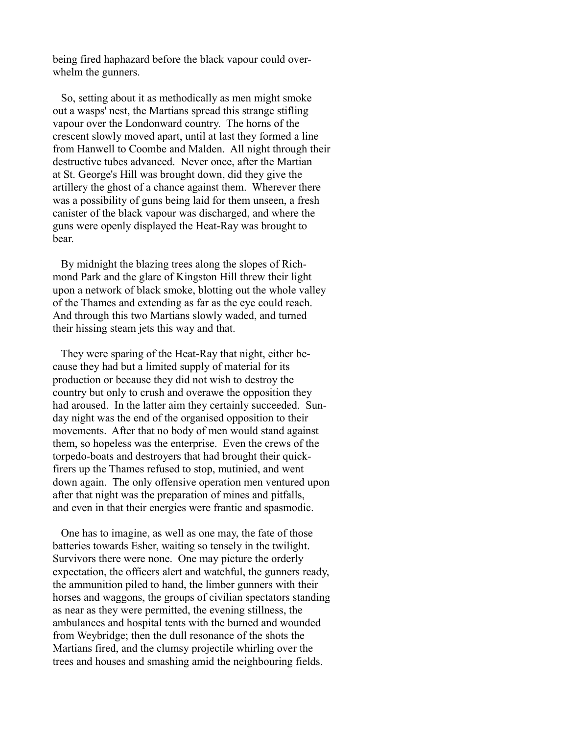being fired haphazard before the black vapour could overwhelm the gunners.

 So, setting about it as methodically as men might smoke out a wasps' nest, the Martians spread this strange stifling vapour over the Londonward country. The horns of the crescent slowly moved apart, until at last they formed a line from Hanwell to Coombe and Malden. All night through their destructive tubes advanced. Never once, after the Martian at St. George's Hill was brought down, did they give the artillery the ghost of a chance against them. Wherever there was a possibility of guns being laid for them unseen, a fresh canister of the black vapour was discharged, and where the guns were openly displayed the Heat-Ray was brought to bear.

 By midnight the blazing trees along the slopes of Richmond Park and the glare of Kingston Hill threw their light upon a network of black smoke, blotting out the whole valley of the Thames and extending as far as the eye could reach. And through this two Martians slowly waded, and turned their hissing steam jets this way and that.

 They were sparing of the Heat-Ray that night, either because they had but a limited supply of material for its production or because they did not wish to destroy the country but only to crush and overawe the opposition they had aroused. In the latter aim they certainly succeeded. Sunday night was the end of the organised opposition to their movements. After that no body of men would stand against them, so hopeless was the enterprise. Even the crews of the torpedo-boats and destroyers that had brought their quickfirers up the Thames refused to stop, mutinied, and went down again. The only offensive operation men ventured upon after that night was the preparation of mines and pitfalls, and even in that their energies were frantic and spasmodic.

 One has to imagine, as well as one may, the fate of those batteries towards Esher, waiting so tensely in the twilight. Survivors there were none. One may picture the orderly expectation, the officers alert and watchful, the gunners ready, the ammunition piled to hand, the limber gunners with their horses and waggons, the groups of civilian spectators standing as near as they were permitted, the evening stillness, the ambulances and hospital tents with the burned and wounded from Weybridge; then the dull resonance of the shots the Martians fired, and the clumsy projectile whirling over the trees and houses and smashing amid the neighbouring fields.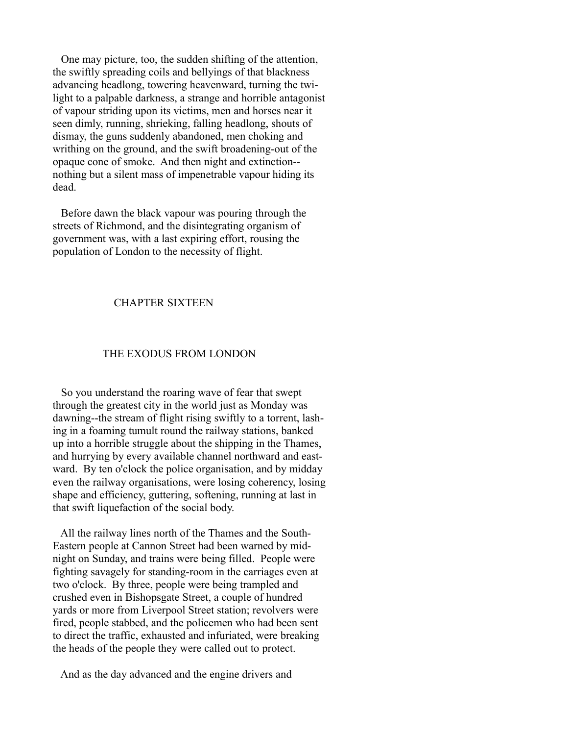One may picture, too, the sudden shifting of the attention, the swiftly spreading coils and bellyings of that blackness advancing headlong, towering heavenward, turning the twilight to a palpable darkness, a strange and horrible antagonist of vapour striding upon its victims, men and horses near it seen dimly, running, shrieking, falling headlong, shouts of dismay, the guns suddenly abandoned, men choking and writhing on the ground, and the swift broadening-out of the opaque cone of smoke. And then night and extinction- nothing but a silent mass of impenetrable vapour hiding its dead.

 Before dawn the black vapour was pouring through the streets of Richmond, and the disintegrating organism of government was, with a last expiring effort, rousing the population of London to the necessity of flight.

## CHAPTER SIXTEEN

### THE EXODUS FROM LONDON

 So you understand the roaring wave of fear that swept through the greatest city in the world just as Monday was dawning--the stream of flight rising swiftly to a torrent, lashing in a foaming tumult round the railway stations, banked up into a horrible struggle about the shipping in the Thames, and hurrying by every available channel northward and eastward. By ten o'clock the police organisation, and by midday even the railway organisations, were losing coherency, losing shape and efficiency, guttering, softening, running at last in that swift liquefaction of the social body.

 All the railway lines north of the Thames and the South-Eastern people at Cannon Street had been warned by midnight on Sunday, and trains were being filled. People were fighting savagely for standing-room in the carriages even at two o'clock. By three, people were being trampled and crushed even in Bishopsgate Street, a couple of hundred yards or more from Liverpool Street station; revolvers were fired, people stabbed, and the policemen who had been sent to direct the traffic, exhausted and infuriated, were breaking the heads of the people they were called out to protect.

And as the day advanced and the engine drivers and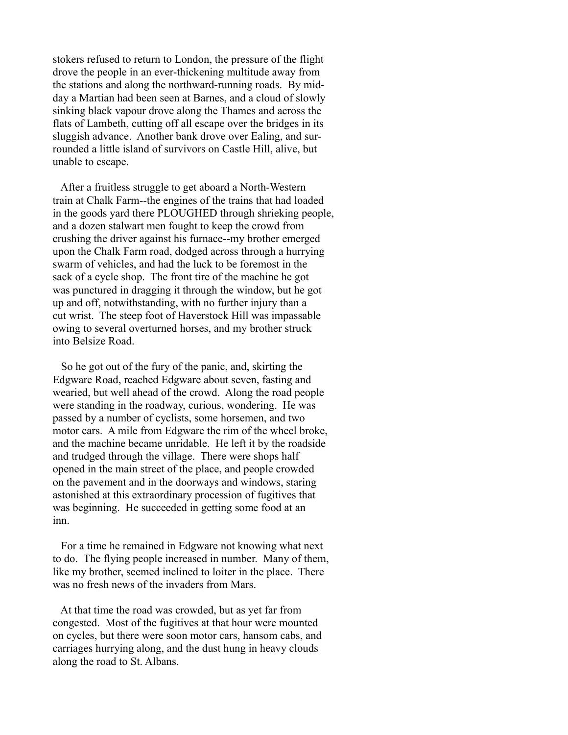stokers refused to return to London, the pressure of the flight drove the people in an ever-thickening multitude away from the stations and along the northward-running roads. By midday a Martian had been seen at Barnes, and a cloud of slowly sinking black vapour drove along the Thames and across the flats of Lambeth, cutting off all escape over the bridges in its sluggish advance. Another bank drove over Ealing, and surrounded a little island of survivors on Castle Hill, alive, but unable to escape.

 After a fruitless struggle to get aboard a North-Western train at Chalk Farm--the engines of the trains that had loaded in the goods yard there PLOUGHED through shrieking people, and a dozen stalwart men fought to keep the crowd from crushing the driver against his furnace--my brother emerged upon the Chalk Farm road, dodged across through a hurrying swarm of vehicles, and had the luck to be foremost in the sack of a cycle shop. The front tire of the machine he got was punctured in dragging it through the window, but he got up and off, notwithstanding, with no further injury than a cut wrist. The steep foot of Haverstock Hill was impassable owing to several overturned horses, and my brother struck into Belsize Road.

 So he got out of the fury of the panic, and, skirting the Edgware Road, reached Edgware about seven, fasting and wearied, but well ahead of the crowd. Along the road people were standing in the roadway, curious, wondering. He was passed by a number of cyclists, some horsemen, and two motor cars. A mile from Edgware the rim of the wheel broke, and the machine became unridable. He left it by the roadside and trudged through the village. There were shops half opened in the main street of the place, and people crowded on the pavement and in the doorways and windows, staring astonished at this extraordinary procession of fugitives that was beginning. He succeeded in getting some food at an inn.

 For a time he remained in Edgware not knowing what next to do. The flying people increased in number. Many of them, like my brother, seemed inclined to loiter in the place. There was no fresh news of the invaders from Mars.

 At that time the road was crowded, but as yet far from congested. Most of the fugitives at that hour were mounted on cycles, but there were soon motor cars, hansom cabs, and carriages hurrying along, and the dust hung in heavy clouds along the road to St. Albans.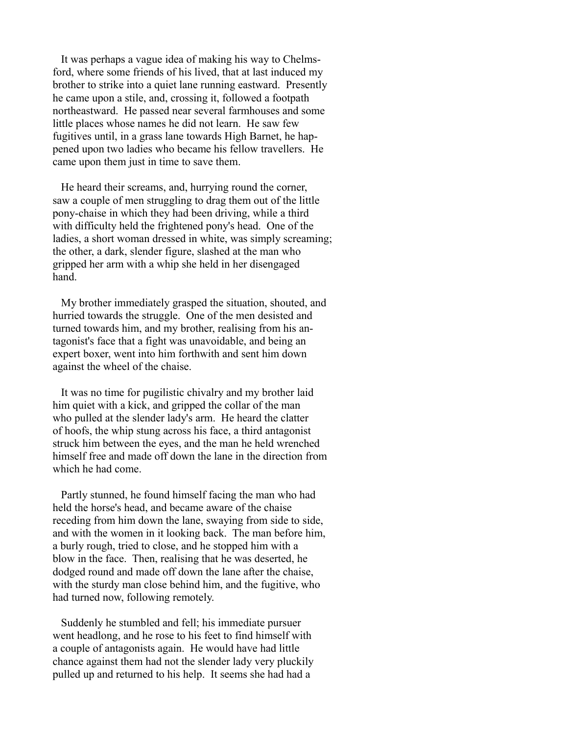It was perhaps a vague idea of making his way to Chelmsford, where some friends of his lived, that at last induced my brother to strike into a quiet lane running eastward. Presently he came upon a stile, and, crossing it, followed a footpath northeastward. He passed near several farmhouses and some little places whose names he did not learn. He saw few fugitives until, in a grass lane towards High Barnet, he happened upon two ladies who became his fellow travellers. He came upon them just in time to save them.

 He heard their screams, and, hurrying round the corner, saw a couple of men struggling to drag them out of the little pony-chaise in which they had been driving, while a third with difficulty held the frightened pony's head. One of the ladies, a short woman dressed in white, was simply screaming; the other, a dark, slender figure, slashed at the man who gripped her arm with a whip she held in her disengaged hand.

 My brother immediately grasped the situation, shouted, and hurried towards the struggle. One of the men desisted and turned towards him, and my brother, realising from his antagonist's face that a fight was unavoidable, and being an expert boxer, went into him forthwith and sent him down against the wheel of the chaise.

 It was no time for pugilistic chivalry and my brother laid him quiet with a kick, and gripped the collar of the man who pulled at the slender lady's arm. He heard the clatter of hoofs, the whip stung across his face, a third antagonist struck him between the eyes, and the man he held wrenched himself free and made off down the lane in the direction from which he had come.

 Partly stunned, he found himself facing the man who had held the horse's head, and became aware of the chaise receding from him down the lane, swaying from side to side, and with the women in it looking back. The man before him, a burly rough, tried to close, and he stopped him with a blow in the face. Then, realising that he was deserted, he dodged round and made off down the lane after the chaise, with the sturdy man close behind him, and the fugitive, who had turned now, following remotely.

 Suddenly he stumbled and fell; his immediate pursuer went headlong, and he rose to his feet to find himself with a couple of antagonists again. He would have had little chance against them had not the slender lady very pluckily pulled up and returned to his help. It seems she had had a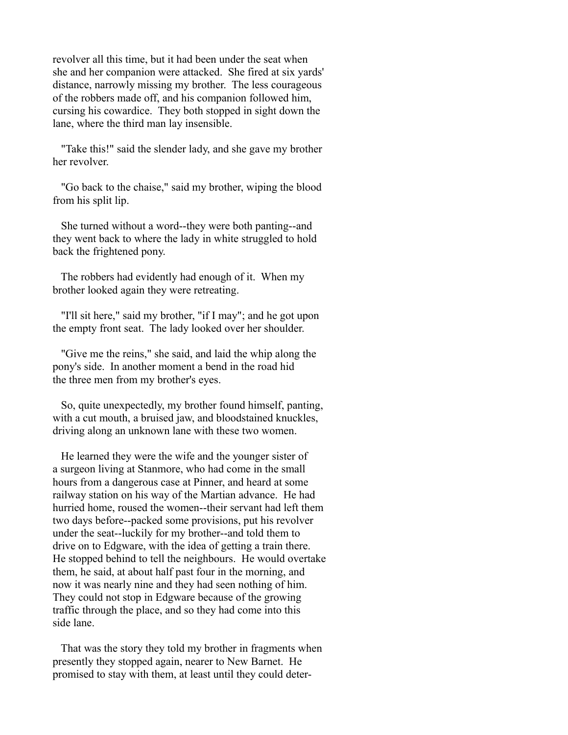revolver all this time, but it had been under the seat when she and her companion were attacked. She fired at six yards' distance, narrowly missing my brother. The less courageous of the robbers made off, and his companion followed him, cursing his cowardice. They both stopped in sight down the lane, where the third man lay insensible.

 "Take this!" said the slender lady, and she gave my brother her revolver.

 "Go back to the chaise," said my brother, wiping the blood from his split lip.

 She turned without a word--they were both panting--and they went back to where the lady in white struggled to hold back the frightened pony.

 The robbers had evidently had enough of it. When my brother looked again they were retreating.

 "I'll sit here," said my brother, "if I may"; and he got upon the empty front seat. The lady looked over her shoulder.

 "Give me the reins," she said, and laid the whip along the pony's side. In another moment a bend in the road hid the three men from my brother's eyes.

 So, quite unexpectedly, my brother found himself, panting, with a cut mouth, a bruised jaw, and bloodstained knuckles, driving along an unknown lane with these two women.

 He learned they were the wife and the younger sister of a surgeon living at Stanmore, who had come in the small hours from a dangerous case at Pinner, and heard at some railway station on his way of the Martian advance. He had hurried home, roused the women--their servant had left them two days before--packed some provisions, put his revolver under the seat--luckily for my brother--and told them to drive on to Edgware, with the idea of getting a train there. He stopped behind to tell the neighbours. He would overtake them, he said, at about half past four in the morning, and now it was nearly nine and they had seen nothing of him. They could not stop in Edgware because of the growing traffic through the place, and so they had come into this side lane.

 That was the story they told my brother in fragments when presently they stopped again, nearer to New Barnet. He promised to stay with them, at least until they could deter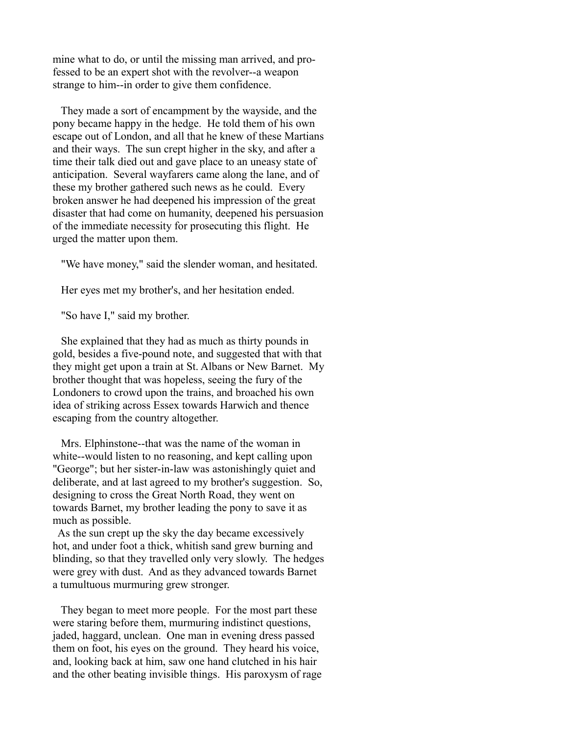mine what to do, or until the missing man arrived, and professed to be an expert shot with the revolver--a weapon strange to him--in order to give them confidence.

 They made a sort of encampment by the wayside, and the pony became happy in the hedge. He told them of his own escape out of London, and all that he knew of these Martians and their ways. The sun crept higher in the sky, and after a time their talk died out and gave place to an uneasy state of anticipation. Several wayfarers came along the lane, and of these my brother gathered such news as he could. Every broken answer he had deepened his impression of the great disaster that had come on humanity, deepened his persuasion of the immediate necessity for prosecuting this flight. He urged the matter upon them.

"We have money," said the slender woman, and hesitated.

Her eyes met my brother's, and her hesitation ended.

"So have I," said my brother.

 She explained that they had as much as thirty pounds in gold, besides a five-pound note, and suggested that with that they might get upon a train at St. Albans or New Barnet. My brother thought that was hopeless, seeing the fury of the Londoners to crowd upon the trains, and broached his own idea of striking across Essex towards Harwich and thence escaping from the country altogether.

 Mrs. Elphinstone--that was the name of the woman in white--would listen to no reasoning, and kept calling upon "George"; but her sister-in-law was astonishingly quiet and deliberate, and at last agreed to my brother's suggestion. So, designing to cross the Great North Road, they went on towards Barnet, my brother leading the pony to save it as much as possible.

 As the sun crept up the sky the day became excessively hot, and under foot a thick, whitish sand grew burning and blinding, so that they travelled only very slowly. The hedges were grey with dust. And as they advanced towards Barnet a tumultuous murmuring grew stronger.

 They began to meet more people. For the most part these were staring before them, murmuring indistinct questions, jaded, haggard, unclean. One man in evening dress passed them on foot, his eyes on the ground. They heard his voice, and, looking back at him, saw one hand clutched in his hair and the other beating invisible things. His paroxysm of rage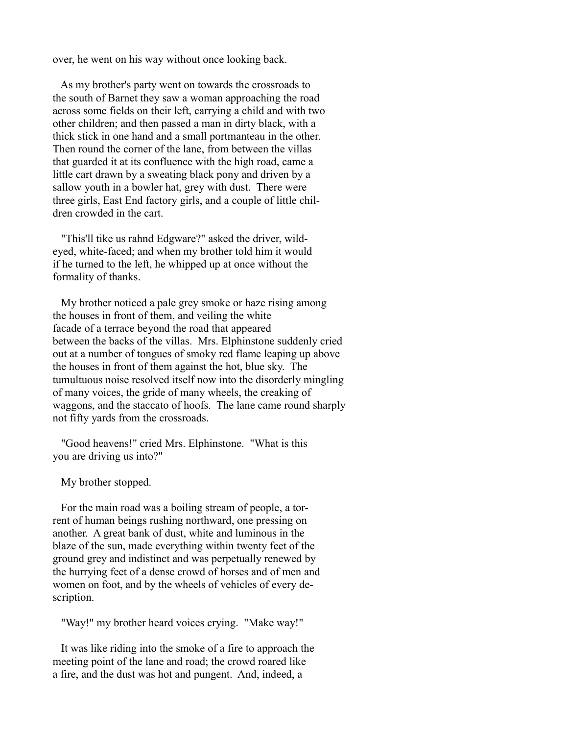over, he went on his way without once looking back.

 As my brother's party went on towards the crossroads to the south of Barnet they saw a woman approaching the road across some fields on their left, carrying a child and with two other children; and then passed a man in dirty black, with a thick stick in one hand and a small portmanteau in the other. Then round the corner of the lane, from between the villas that guarded it at its confluence with the high road, came a little cart drawn by a sweating black pony and driven by a sallow youth in a bowler hat, grey with dust. There were three girls, East End factory girls, and a couple of little children crowded in the cart.

 "This'll tike us rahnd Edgware?" asked the driver, wildeyed, white-faced; and when my brother told him it would if he turned to the left, he whipped up at once without the formality of thanks.

 My brother noticed a pale grey smoke or haze rising among the houses in front of them, and veiling the white facade of a terrace beyond the road that appeared between the backs of the villas. Mrs. Elphinstone suddenly cried out at a number of tongues of smoky red flame leaping up above the houses in front of them against the hot, blue sky. The tumultuous noise resolved itself now into the disorderly mingling of many voices, the gride of many wheels, the creaking of waggons, and the staccato of hoofs. The lane came round sharply not fifty yards from the crossroads.

 "Good heavens!" cried Mrs. Elphinstone. "What is this you are driving us into?"

My brother stopped.

 For the main road was a boiling stream of people, a torrent of human beings rushing northward, one pressing on another. A great bank of dust, white and luminous in the blaze of the sun, made everything within twenty feet of the ground grey and indistinct and was perpetually renewed by the hurrying feet of a dense crowd of horses and of men and women on foot, and by the wheels of vehicles of every description.

"Way!" my brother heard voices crying. "Make way!"

 It was like riding into the smoke of a fire to approach the meeting point of the lane and road; the crowd roared like a fire, and the dust was hot and pungent. And, indeed, a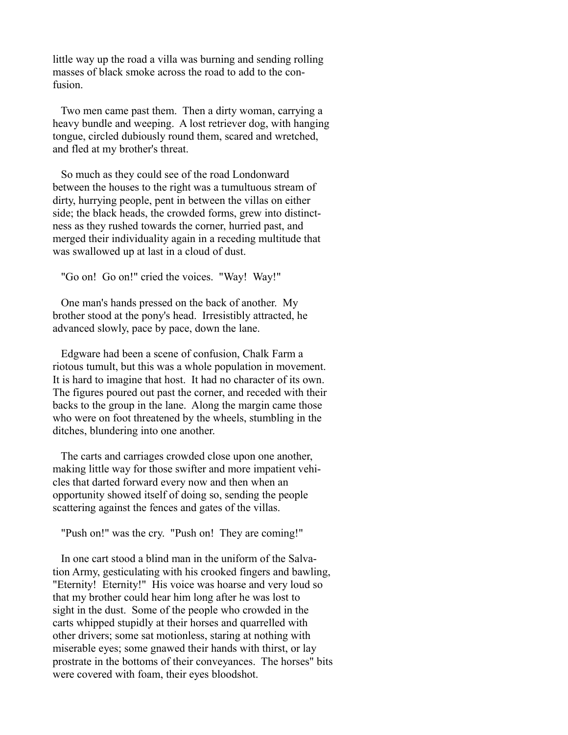little way up the road a villa was burning and sending rolling masses of black smoke across the road to add to the confusion.

 Two men came past them. Then a dirty woman, carrying a heavy bundle and weeping. A lost retriever dog, with hanging tongue, circled dubiously round them, scared and wretched, and fled at my brother's threat.

 So much as they could see of the road Londonward between the houses to the right was a tumultuous stream of dirty, hurrying people, pent in between the villas on either side; the black heads, the crowded forms, grew into distinctness as they rushed towards the corner, hurried past, and merged their individuality again in a receding multitude that was swallowed up at last in a cloud of dust.

"Go on! Go on!" cried the voices. "Way! Way!"

 One man's hands pressed on the back of another. My brother stood at the pony's head. Irresistibly attracted, he advanced slowly, pace by pace, down the lane.

 Edgware had been a scene of confusion, Chalk Farm a riotous tumult, but this was a whole population in movement. It is hard to imagine that host. It had no character of its own. The figures poured out past the corner, and receded with their backs to the group in the lane. Along the margin came those who were on foot threatened by the wheels, stumbling in the ditches, blundering into one another.

 The carts and carriages crowded close upon one another, making little way for those swifter and more impatient vehicles that darted forward every now and then when an opportunity showed itself of doing so, sending the people scattering against the fences and gates of the villas.

"Push on!" was the cry. "Push on! They are coming!"

 In one cart stood a blind man in the uniform of the Salvation Army, gesticulating with his crooked fingers and bawling, "Eternity! Eternity!" His voice was hoarse and very loud so that my brother could hear him long after he was lost to sight in the dust. Some of the people who crowded in the carts whipped stupidly at their horses and quarrelled with other drivers; some sat motionless, staring at nothing with miserable eyes; some gnawed their hands with thirst, or lay prostrate in the bottoms of their conveyances. The horses" bits were covered with foam, their eyes bloodshot.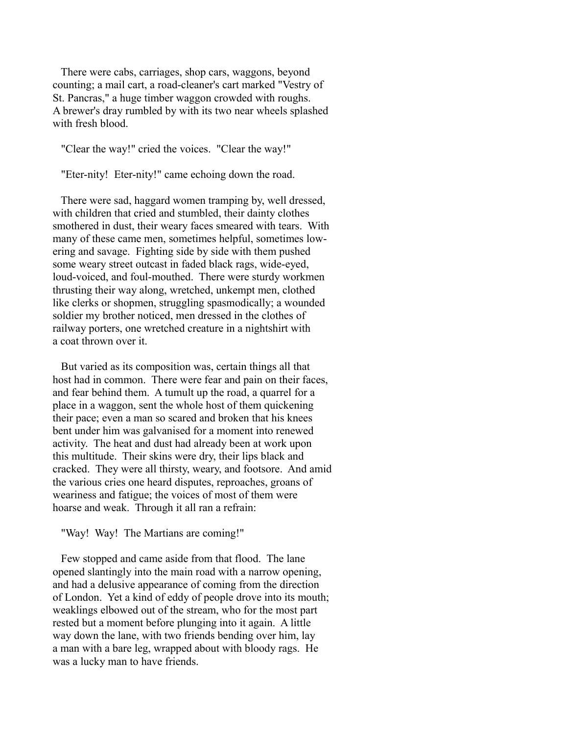There were cabs, carriages, shop cars, waggons, beyond counting; a mail cart, a road-cleaner's cart marked "Vestry of St. Pancras," a huge timber waggon crowded with roughs. A brewer's dray rumbled by with its two near wheels splashed with fresh blood.

"Clear the way!" cried the voices. "Clear the way!"

"Eter-nity! Eter-nity!" came echoing down the road.

 There were sad, haggard women tramping by, well dressed, with children that cried and stumbled, their dainty clothes smothered in dust, their weary faces smeared with tears. With many of these came men, sometimes helpful, sometimes lowering and savage. Fighting side by side with them pushed some weary street outcast in faded black rags, wide-eyed, loud-voiced, and foul-mouthed. There were sturdy workmen thrusting their way along, wretched, unkempt men, clothed like clerks or shopmen, struggling spasmodically; a wounded soldier my brother noticed, men dressed in the clothes of railway porters, one wretched creature in a nightshirt with a coat thrown over it.

 But varied as its composition was, certain things all that host had in common. There were fear and pain on their faces, and fear behind them. A tumult up the road, a quarrel for a place in a waggon, sent the whole host of them quickening their pace; even a man so scared and broken that his knees bent under him was galvanised for a moment into renewed activity. The heat and dust had already been at work upon this multitude. Their skins were dry, their lips black and cracked. They were all thirsty, weary, and footsore. And amid the various cries one heard disputes, reproaches, groans of weariness and fatigue; the voices of most of them were hoarse and weak. Through it all ran a refrain:

"Way! Way! The Martians are coming!"

 Few stopped and came aside from that flood. The lane opened slantingly into the main road with a narrow opening, and had a delusive appearance of coming from the direction of London. Yet a kind of eddy of people drove into its mouth; weaklings elbowed out of the stream, who for the most part rested but a moment before plunging into it again. A little way down the lane, with two friends bending over him, lay a man with a bare leg, wrapped about with bloody rags. He was a lucky man to have friends.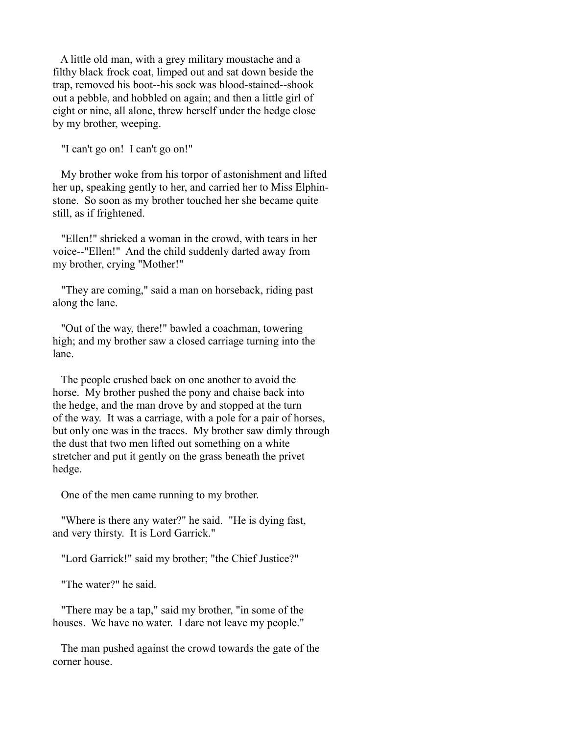A little old man, with a grey military moustache and a filthy black frock coat, limped out and sat down beside the trap, removed his boot--his sock was blood-stained--shook out a pebble, and hobbled on again; and then a little girl of eight or nine, all alone, threw herself under the hedge close by my brother, weeping.

"I can't go on! I can't go on!"

 My brother woke from his torpor of astonishment and lifted her up, speaking gently to her, and carried her to Miss Elphinstone. So soon as my brother touched her she became quite still, as if frightened.

 "Ellen!" shrieked a woman in the crowd, with tears in her voice--"Ellen!" And the child suddenly darted away from my brother, crying "Mother!"

 "They are coming," said a man on horseback, riding past along the lane.

 "Out of the way, there!" bawled a coachman, towering high; and my brother saw a closed carriage turning into the lane.

 The people crushed back on one another to avoid the horse. My brother pushed the pony and chaise back into the hedge, and the man drove by and stopped at the turn of the way. It was a carriage, with a pole for a pair of horses, but only one was in the traces. My brother saw dimly through the dust that two men lifted out something on a white stretcher and put it gently on the grass beneath the privet hedge.

One of the men came running to my brother.

 "Where is there any water?" he said. "He is dying fast, and very thirsty. It is Lord Garrick."

"Lord Garrick!" said my brother; "the Chief Justice?"

"The water?" he said.

 "There may be a tap," said my brother, "in some of the houses. We have no water. I dare not leave my people."

 The man pushed against the crowd towards the gate of the corner house.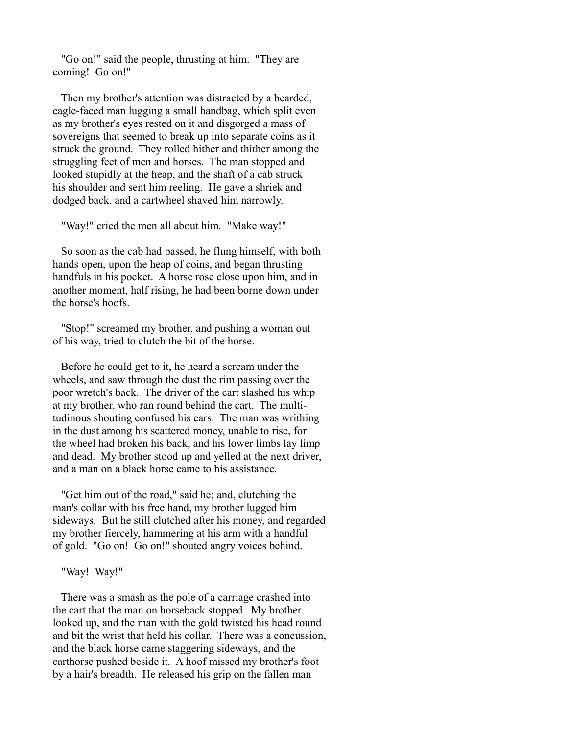"Go on!" said the people, thrusting at him. "They are coming! Go on!"

 Then my brother's attention was distracted by a bearded, eagle-faced man lugging a small handbag, which split even as my brother's eyes rested on it and disgorged a mass of sovereigns that seemed to break up into separate coins as it struck the ground. They rolled hither and thither among the struggling feet of men and horses. The man stopped and looked stupidly at the heap, and the shaft of a cab struck his shoulder and sent him reeling. He gave a shriek and dodged back, and a cartwheel shaved him narrowly.

"Way!" cried the men all about him. "Make way!"

 So soon as the cab had passed, he flung himself, with both hands open, upon the heap of coins, and began thrusting handfuls in his pocket. A horse rose close upon him, and in another moment, half rising, he had been borne down under the horse's hoofs.

 "Stop!" screamed my brother, and pushing a woman out of his way, tried to clutch the bit of the horse.

 Before he could get to it, he heard a scream under the wheels, and saw through the dust the rim passing over the poor wretch's back. The driver of the cart slashed his whip at my brother, who ran round behind the cart. The multitudinous shouting confused his ears. The man was writhing in the dust among his scattered money, unable to rise, for the wheel had broken his back, and his lower limbs lay limp and dead. My brother stood up and yelled at the next driver, and a man on a black horse came to his assistance.

 "Get him out of the road," said he; and, clutching the man's collar with his free hand, my brother lugged him sideways. But he still clutched after his money, and regarded my brother fiercely, hammering at his arm with a handful of gold. "Go on! Go on!" shouted angry voices behind.

### "Way! Way!"

 There was a smash as the pole of a carriage crashed into the cart that the man on horseback stopped. My brother looked up, and the man with the gold twisted his head round and bit the wrist that held his collar. There was a concussion, and the black horse came staggering sideways, and the carthorse pushed beside it. A hoof missed my brother's foot by a hair's breadth. He released his grip on the fallen man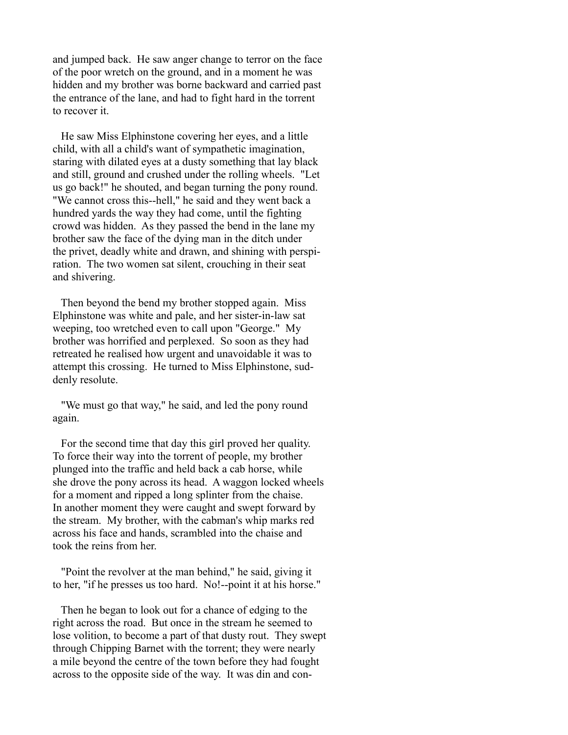and jumped back. He saw anger change to terror on the face of the poor wretch on the ground, and in a moment he was hidden and my brother was borne backward and carried past the entrance of the lane, and had to fight hard in the torrent to recover it.

 He saw Miss Elphinstone covering her eyes, and a little child, with all a child's want of sympathetic imagination, staring with dilated eyes at a dusty something that lay black and still, ground and crushed under the rolling wheels. "Let us go back!" he shouted, and began turning the pony round. "We cannot cross this--hell," he said and they went back a hundred yards the way they had come, until the fighting crowd was hidden. As they passed the bend in the lane my brother saw the face of the dying man in the ditch under the privet, deadly white and drawn, and shining with perspiration. The two women sat silent, crouching in their seat and shivering.

 Then beyond the bend my brother stopped again. Miss Elphinstone was white and pale, and her sister-in-law sat weeping, too wretched even to call upon "George." My brother was horrified and perplexed. So soon as they had retreated he realised how urgent and unavoidable it was to attempt this crossing. He turned to Miss Elphinstone, suddenly resolute.

 "We must go that way," he said, and led the pony round again.

 For the second time that day this girl proved her quality. To force their way into the torrent of people, my brother plunged into the traffic and held back a cab horse, while she drove the pony across its head. A waggon locked wheels for a moment and ripped a long splinter from the chaise. In another moment they were caught and swept forward by the stream. My brother, with the cabman's whip marks red across his face and hands, scrambled into the chaise and took the reins from her.

 "Point the revolver at the man behind," he said, giving it to her, "if he presses us too hard. No!--point it at his horse."

 Then he began to look out for a chance of edging to the right across the road. But once in the stream he seemed to lose volition, to become a part of that dusty rout. They swept through Chipping Barnet with the torrent; they were nearly a mile beyond the centre of the town before they had fought across to the opposite side of the way. It was din and con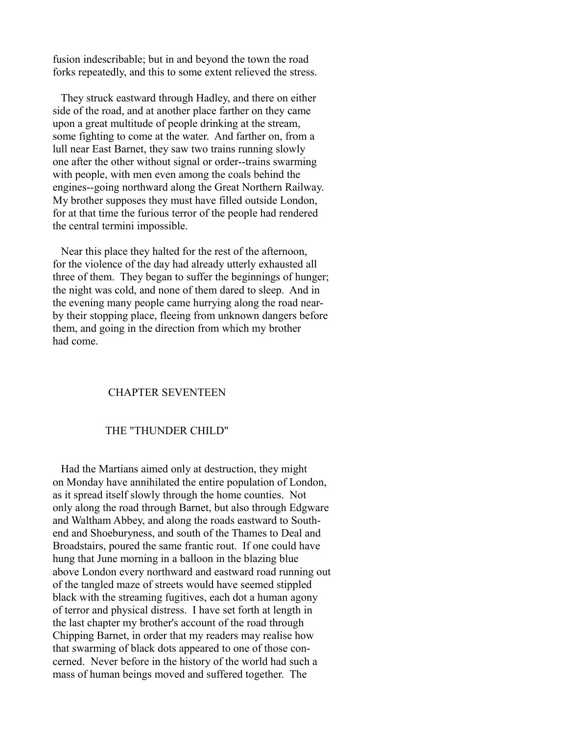fusion indescribable; but in and beyond the town the road forks repeatedly, and this to some extent relieved the stress.

 They struck eastward through Hadley, and there on either side of the road, and at another place farther on they came upon a great multitude of people drinking at the stream, some fighting to come at the water. And farther on, from a lull near East Barnet, they saw two trains running slowly one after the other without signal or order--trains swarming with people, with men even among the coals behind the engines--going northward along the Great Northern Railway. My brother supposes they must have filled outside London, for at that time the furious terror of the people had rendered the central termini impossible.

 Near this place they halted for the rest of the afternoon, for the violence of the day had already utterly exhausted all three of them. They began to suffer the beginnings of hunger; the night was cold, and none of them dared to sleep. And in the evening many people came hurrying along the road nearby their stopping place, fleeing from unknown dangers before them, and going in the direction from which my brother had come.

## CHAPTER SEVENTEEN

## THE "THUNDER CHILD"

 Had the Martians aimed only at destruction, they might on Monday have annihilated the entire population of London, as it spread itself slowly through the home counties. Not only along the road through Barnet, but also through Edgware and Waltham Abbey, and along the roads eastward to Southend and Shoeburyness, and south of the Thames to Deal and Broadstairs, poured the same frantic rout. If one could have hung that June morning in a balloon in the blazing blue above London every northward and eastward road running out of the tangled maze of streets would have seemed stippled black with the streaming fugitives, each dot a human agony of terror and physical distress. I have set forth at length in the last chapter my brother's account of the road through Chipping Barnet, in order that my readers may realise how that swarming of black dots appeared to one of those concerned. Never before in the history of the world had such a mass of human beings moved and suffered together. The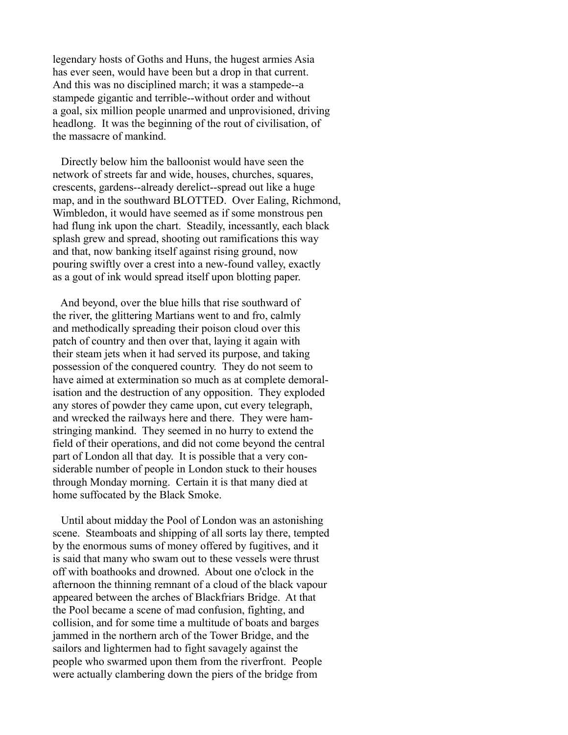legendary hosts of Goths and Huns, the hugest armies Asia has ever seen, would have been but a drop in that current. And this was no disciplined march; it was a stampede--a stampede gigantic and terrible--without order and without a goal, six million people unarmed and unprovisioned, driving headlong. It was the beginning of the rout of civilisation, of the massacre of mankind.

 Directly below him the balloonist would have seen the network of streets far and wide, houses, churches, squares, crescents, gardens--already derelict--spread out like a huge map, and in the southward BLOTTED. Over Ealing, Richmond, Wimbledon, it would have seemed as if some monstrous pen had flung ink upon the chart. Steadily, incessantly, each black splash grew and spread, shooting out ramifications this way and that, now banking itself against rising ground, now pouring swiftly over a crest into a new-found valley, exactly as a gout of ink would spread itself upon blotting paper.

 And beyond, over the blue hills that rise southward of the river, the glittering Martians went to and fro, calmly and methodically spreading their poison cloud over this patch of country and then over that, laying it again with their steam jets when it had served its purpose, and taking possession of the conquered country. They do not seem to have aimed at extermination so much as at complete demoralisation and the destruction of any opposition. They exploded any stores of powder they came upon, cut every telegraph, and wrecked the railways here and there. They were hamstringing mankind. They seemed in no hurry to extend the field of their operations, and did not come beyond the central part of London all that day. It is possible that a very considerable number of people in London stuck to their houses through Monday morning. Certain it is that many died at home suffocated by the Black Smoke.

 Until about midday the Pool of London was an astonishing scene. Steamboats and shipping of all sorts lay there, tempted by the enormous sums of money offered by fugitives, and it is said that many who swam out to these vessels were thrust off with boathooks and drowned. About one o'clock in the afternoon the thinning remnant of a cloud of the black vapour appeared between the arches of Blackfriars Bridge. At that the Pool became a scene of mad confusion, fighting, and collision, and for some time a multitude of boats and barges jammed in the northern arch of the Tower Bridge, and the sailors and lightermen had to fight savagely against the people who swarmed upon them from the riverfront. People were actually clambering down the piers of the bridge from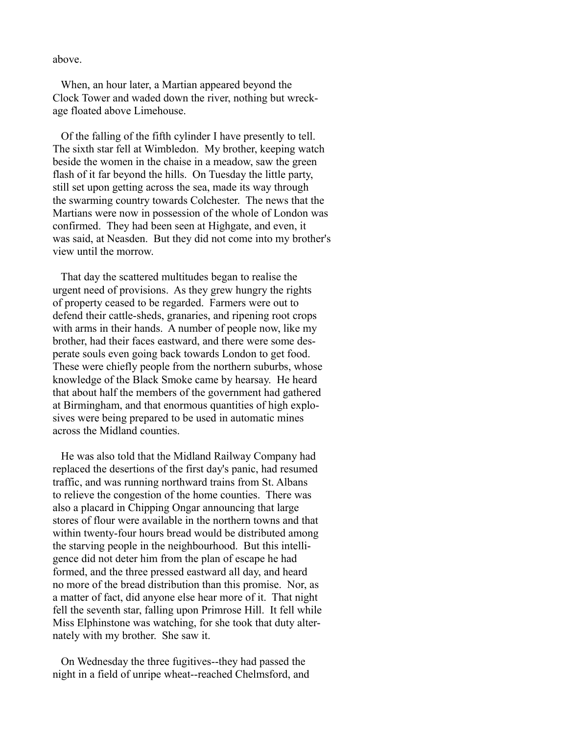above.

 When, an hour later, a Martian appeared beyond the Clock Tower and waded down the river, nothing but wreckage floated above Limehouse.

 Of the falling of the fifth cylinder I have presently to tell. The sixth star fell at Wimbledon. My brother, keeping watch beside the women in the chaise in a meadow, saw the green flash of it far beyond the hills. On Tuesday the little party, still set upon getting across the sea, made its way through the swarming country towards Colchester. The news that the Martians were now in possession of the whole of London was confirmed. They had been seen at Highgate, and even, it was said, at Neasden. But they did not come into my brother's view until the morrow.

 That day the scattered multitudes began to realise the urgent need of provisions. As they grew hungry the rights of property ceased to be regarded. Farmers were out to defend their cattle-sheds, granaries, and ripening root crops with arms in their hands. A number of people now, like my brother, had their faces eastward, and there were some desperate souls even going back towards London to get food. These were chiefly people from the northern suburbs, whose knowledge of the Black Smoke came by hearsay. He heard that about half the members of the government had gathered at Birmingham, and that enormous quantities of high explosives were being prepared to be used in automatic mines across the Midland counties.

 He was also told that the Midland Railway Company had replaced the desertions of the first day's panic, had resumed traffic, and was running northward trains from St. Albans to relieve the congestion of the home counties. There was also a placard in Chipping Ongar announcing that large stores of flour were available in the northern towns and that within twenty-four hours bread would be distributed among the starving people in the neighbourhood. But this intelligence did not deter him from the plan of escape he had formed, and the three pressed eastward all day, and heard no more of the bread distribution than this promise. Nor, as a matter of fact, did anyone else hear more of it. That night fell the seventh star, falling upon Primrose Hill. It fell while Miss Elphinstone was watching, for she took that duty alternately with my brother. She saw it.

 On Wednesday the three fugitives--they had passed the night in a field of unripe wheat--reached Chelmsford, and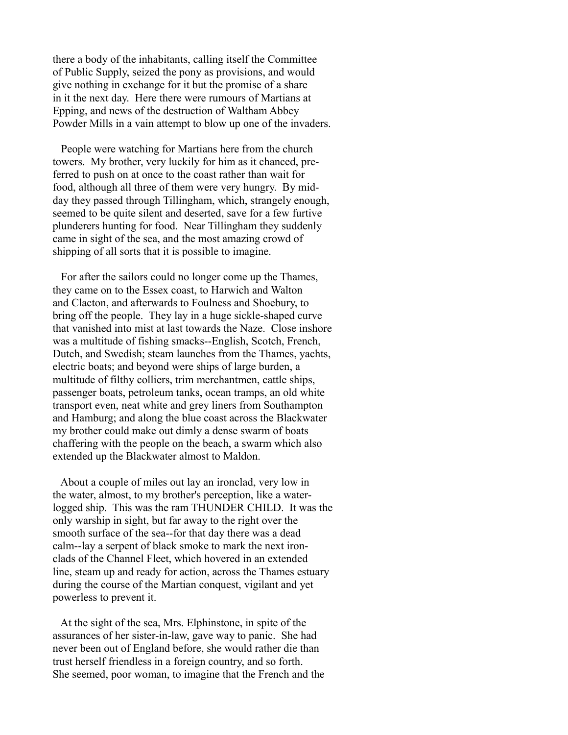there a body of the inhabitants, calling itself the Committee of Public Supply, seized the pony as provisions, and would give nothing in exchange for it but the promise of a share in it the next day. Here there were rumours of Martians at Epping, and news of the destruction of Waltham Abbey Powder Mills in a vain attempt to blow up one of the invaders.

 People were watching for Martians here from the church towers. My brother, very luckily for him as it chanced, preferred to push on at once to the coast rather than wait for food, although all three of them were very hungry. By midday they passed through Tillingham, which, strangely enough, seemed to be quite silent and deserted, save for a few furtive plunderers hunting for food. Near Tillingham they suddenly came in sight of the sea, and the most amazing crowd of shipping of all sorts that it is possible to imagine.

 For after the sailors could no longer come up the Thames, they came on to the Essex coast, to Harwich and Walton and Clacton, and afterwards to Foulness and Shoebury, to bring off the people. They lay in a huge sickle-shaped curve that vanished into mist at last towards the Naze. Close inshore was a multitude of fishing smacks--English, Scotch, French, Dutch, and Swedish; steam launches from the Thames, yachts, electric boats; and beyond were ships of large burden, a multitude of filthy colliers, trim merchantmen, cattle ships, passenger boats, petroleum tanks, ocean tramps, an old white transport even, neat white and grey liners from Southampton and Hamburg; and along the blue coast across the Blackwater my brother could make out dimly a dense swarm of boats chaffering with the people on the beach, a swarm which also extended up the Blackwater almost to Maldon.

 About a couple of miles out lay an ironclad, very low in the water, almost, to my brother's perception, like a waterlogged ship. This was the ram THUNDER CHILD. It was the only warship in sight, but far away to the right over the smooth surface of the sea--for that day there was a dead calm--lay a serpent of black smoke to mark the next ironclads of the Channel Fleet, which hovered in an extended line, steam up and ready for action, across the Thames estuary during the course of the Martian conquest, vigilant and yet powerless to prevent it.

 At the sight of the sea, Mrs. Elphinstone, in spite of the assurances of her sister-in-law, gave way to panic. She had never been out of England before, she would rather die than trust herself friendless in a foreign country, and so forth. She seemed, poor woman, to imagine that the French and the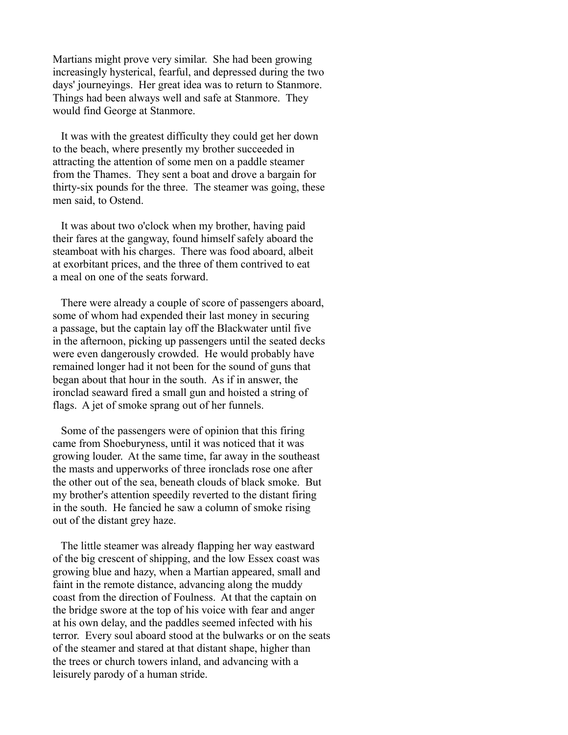Martians might prove very similar. She had been growing increasingly hysterical, fearful, and depressed during the two days' journeyings. Her great idea was to return to Stanmore. Things had been always well and safe at Stanmore. They would find George at Stanmore.

 It was with the greatest difficulty they could get her down to the beach, where presently my brother succeeded in attracting the attention of some men on a paddle steamer from the Thames. They sent a boat and drove a bargain for thirty-six pounds for the three. The steamer was going, these men said, to Ostend.

 It was about two o'clock when my brother, having paid their fares at the gangway, found himself safely aboard the steamboat with his charges. There was food aboard, albeit at exorbitant prices, and the three of them contrived to eat a meal on one of the seats forward.

 There were already a couple of score of passengers aboard, some of whom had expended their last money in securing a passage, but the captain lay off the Blackwater until five in the afternoon, picking up passengers until the seated decks were even dangerously crowded. He would probably have remained longer had it not been for the sound of guns that began about that hour in the south. As if in answer, the ironclad seaward fired a small gun and hoisted a string of flags. A jet of smoke sprang out of her funnels.

 Some of the passengers were of opinion that this firing came from Shoeburyness, until it was noticed that it was growing louder. At the same time, far away in the southeast the masts and upperworks of three ironclads rose one after the other out of the sea, beneath clouds of black smoke. But my brother's attention speedily reverted to the distant firing in the south. He fancied he saw a column of smoke rising out of the distant grey haze.

 The little steamer was already flapping her way eastward of the big crescent of shipping, and the low Essex coast was growing blue and hazy, when a Martian appeared, small and faint in the remote distance, advancing along the muddy coast from the direction of Foulness. At that the captain on the bridge swore at the top of his voice with fear and anger at his own delay, and the paddles seemed infected with his terror. Every soul aboard stood at the bulwarks or on the seats of the steamer and stared at that distant shape, higher than the trees or church towers inland, and advancing with a leisurely parody of a human stride.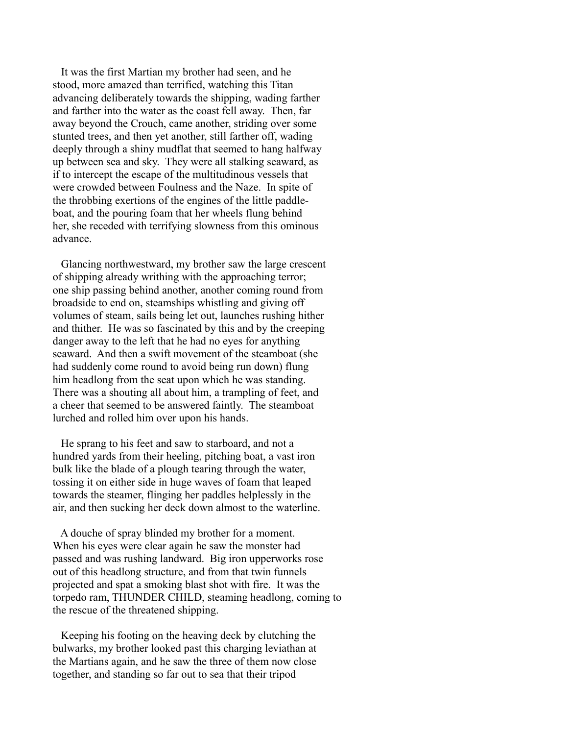It was the first Martian my brother had seen, and he stood, more amazed than terrified, watching this Titan advancing deliberately towards the shipping, wading farther and farther into the water as the coast fell away. Then, far away beyond the Crouch, came another, striding over some stunted trees, and then yet another, still farther off, wading deeply through a shiny mudflat that seemed to hang halfway up between sea and sky. They were all stalking seaward, as if to intercept the escape of the multitudinous vessels that were crowded between Foulness and the Naze. In spite of the throbbing exertions of the engines of the little paddleboat, and the pouring foam that her wheels flung behind her, she receded with terrifying slowness from this ominous advance.

 Glancing northwestward, my brother saw the large crescent of shipping already writhing with the approaching terror; one ship passing behind another, another coming round from broadside to end on, steamships whistling and giving off volumes of steam, sails being let out, launches rushing hither and thither. He was so fascinated by this and by the creeping danger away to the left that he had no eyes for anything seaward. And then a swift movement of the steamboat (she had suddenly come round to avoid being run down) flung him headlong from the seat upon which he was standing. There was a shouting all about him, a trampling of feet, and a cheer that seemed to be answered faintly. The steamboat lurched and rolled him over upon his hands.

 He sprang to his feet and saw to starboard, and not a hundred yards from their heeling, pitching boat, a vast iron bulk like the blade of a plough tearing through the water, tossing it on either side in huge waves of foam that leaped towards the steamer, flinging her paddles helplessly in the air, and then sucking her deck down almost to the waterline.

 A douche of spray blinded my brother for a moment. When his eyes were clear again he saw the monster had passed and was rushing landward. Big iron upperworks rose out of this headlong structure, and from that twin funnels projected and spat a smoking blast shot with fire. It was the torpedo ram, THUNDER CHILD, steaming headlong, coming to the rescue of the threatened shipping.

 Keeping his footing on the heaving deck by clutching the bulwarks, my brother looked past this charging leviathan at the Martians again, and he saw the three of them now close together, and standing so far out to sea that their tripod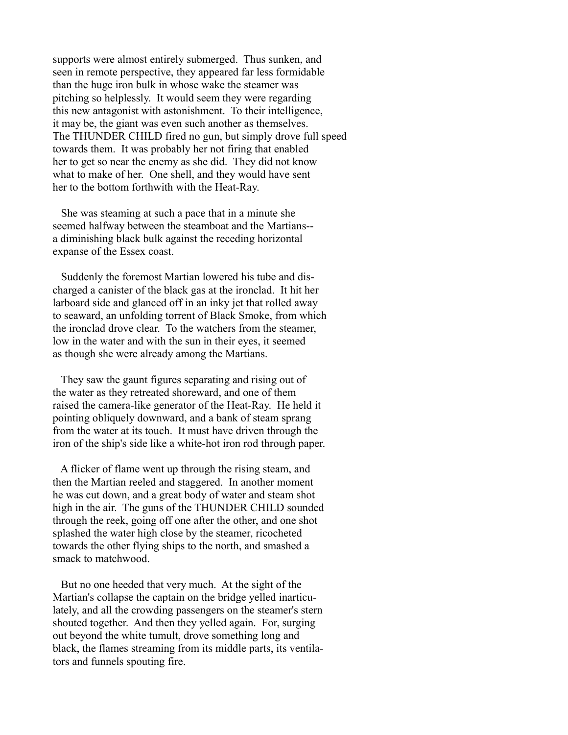supports were almost entirely submerged. Thus sunken, and seen in remote perspective, they appeared far less formidable than the huge iron bulk in whose wake the steamer was pitching so helplessly. It would seem they were regarding this new antagonist with astonishment. To their intelligence, it may be, the giant was even such another as themselves. The THUNDER CHILD fired no gun, but simply drove full speed towards them. It was probably her not firing that enabled her to get so near the enemy as she did. They did not know what to make of her. One shell, and they would have sent her to the bottom forthwith with the Heat-Ray.

 She was steaming at such a pace that in a minute she seemed halfway between the steamboat and the Martians- a diminishing black bulk against the receding horizontal expanse of the Essex coast.

 Suddenly the foremost Martian lowered his tube and discharged a canister of the black gas at the ironclad. It hit her larboard side and glanced off in an inky jet that rolled away to seaward, an unfolding torrent of Black Smoke, from which the ironclad drove clear. To the watchers from the steamer, low in the water and with the sun in their eyes, it seemed as though she were already among the Martians.

 They saw the gaunt figures separating and rising out of the water as they retreated shoreward, and one of them raised the camera-like generator of the Heat-Ray. He held it pointing obliquely downward, and a bank of steam sprang from the water at its touch. It must have driven through the iron of the ship's side like a white-hot iron rod through paper.

 A flicker of flame went up through the rising steam, and then the Martian reeled and staggered. In another moment he was cut down, and a great body of water and steam shot high in the air. The guns of the THUNDER CHILD sounded through the reek, going off one after the other, and one shot splashed the water high close by the steamer, ricocheted towards the other flying ships to the north, and smashed a smack to matchwood.

 But no one heeded that very much. At the sight of the Martian's collapse the captain on the bridge yelled inarticulately, and all the crowding passengers on the steamer's stern shouted together. And then they yelled again. For, surging out beyond the white tumult, drove something long and black, the flames streaming from its middle parts, its ventilators and funnels spouting fire.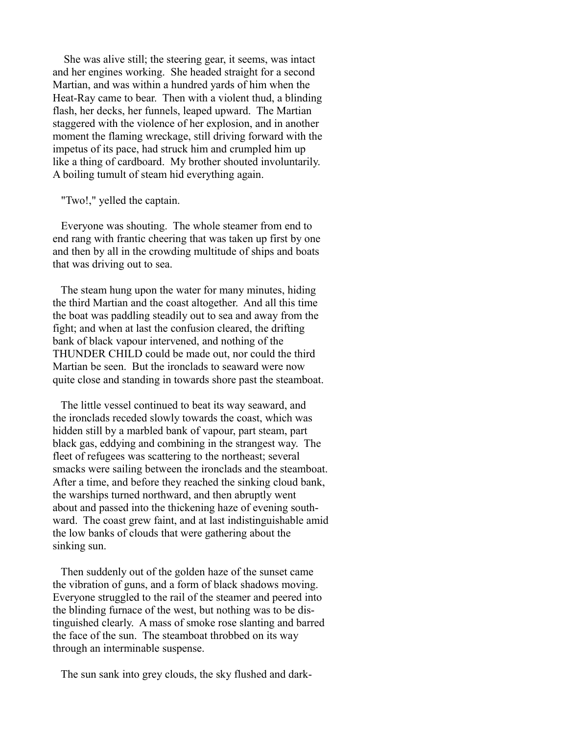She was alive still; the steering gear, it seems, was intact and her engines working. She headed straight for a second Martian, and was within a hundred yards of him when the Heat-Ray came to bear. Then with a violent thud, a blinding flash, her decks, her funnels, leaped upward. The Martian staggered with the violence of her explosion, and in another moment the flaming wreckage, still driving forward with the impetus of its pace, had struck him and crumpled him up like a thing of cardboard. My brother shouted involuntarily. A boiling tumult of steam hid everything again.

"Two!," yelled the captain.

 Everyone was shouting. The whole steamer from end to end rang with frantic cheering that was taken up first by one and then by all in the crowding multitude of ships and boats that was driving out to sea.

 The steam hung upon the water for many minutes, hiding the third Martian and the coast altogether. And all this time the boat was paddling steadily out to sea and away from the fight; and when at last the confusion cleared, the drifting bank of black vapour intervened, and nothing of the THUNDER CHILD could be made out, nor could the third Martian be seen. But the ironclads to seaward were now quite close and standing in towards shore past the steamboat.

 The little vessel continued to beat its way seaward, and the ironclads receded slowly towards the coast, which was hidden still by a marbled bank of vapour, part steam, part black gas, eddying and combining in the strangest way. The fleet of refugees was scattering to the northeast; several smacks were sailing between the ironclads and the steamboat. After a time, and before they reached the sinking cloud bank, the warships turned northward, and then abruptly went about and passed into the thickening haze of evening southward. The coast grew faint, and at last indistinguishable amid the low banks of clouds that were gathering about the sinking sun.

 Then suddenly out of the golden haze of the sunset came the vibration of guns, and a form of black shadows moving. Everyone struggled to the rail of the steamer and peered into the blinding furnace of the west, but nothing was to be distinguished clearly. A mass of smoke rose slanting and barred the face of the sun. The steamboat throbbed on its way through an interminable suspense.

The sun sank into grey clouds, the sky flushed and dark-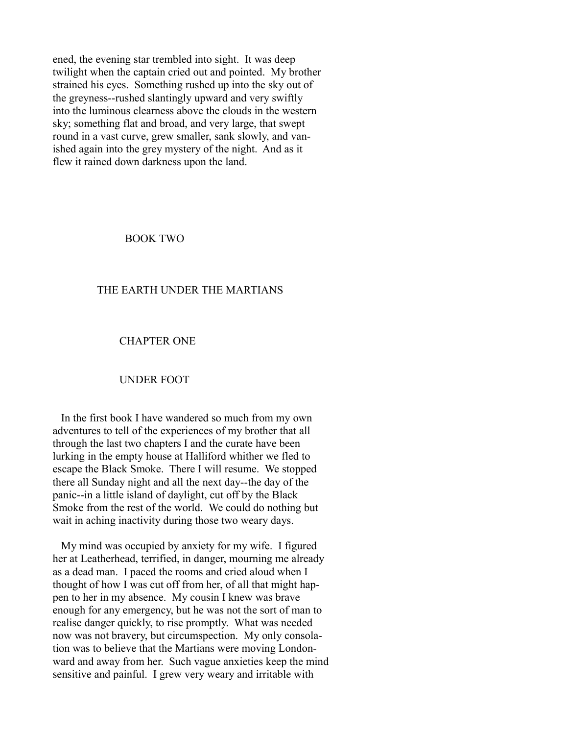ened, the evening star trembled into sight. It was deep twilight when the captain cried out and pointed. My brother strained his eyes. Something rushed up into the sky out of the greyness--rushed slantingly upward and very swiftly into the luminous clearness above the clouds in the western sky; something flat and broad, and very large, that swept round in a vast curve, grew smaller, sank slowly, and vanished again into the grey mystery of the night. And as it flew it rained down darkness upon the land.

BOOK TWO

## THE EARTH UNDER THE MARTIANS

#### CHAPTER ONE

## UNDER FOOT

 In the first book I have wandered so much from my own adventures to tell of the experiences of my brother that all through the last two chapters I and the curate have been lurking in the empty house at Halliford whither we fled to escape the Black Smoke. There I will resume. We stopped there all Sunday night and all the next day--the day of the panic--in a little island of daylight, cut off by the Black Smoke from the rest of the world. We could do nothing but wait in aching inactivity during those two weary days.

 My mind was occupied by anxiety for my wife. I figured her at Leatherhead, terrified, in danger, mourning me already as a dead man. I paced the rooms and cried aloud when I thought of how I was cut off from her, of all that might happen to her in my absence. My cousin I knew was brave enough for any emergency, but he was not the sort of man to realise danger quickly, to rise promptly. What was needed now was not bravery, but circumspection. My only consolation was to believe that the Martians were moving Londonward and away from her. Such vague anxieties keep the mind sensitive and painful. I grew very weary and irritable with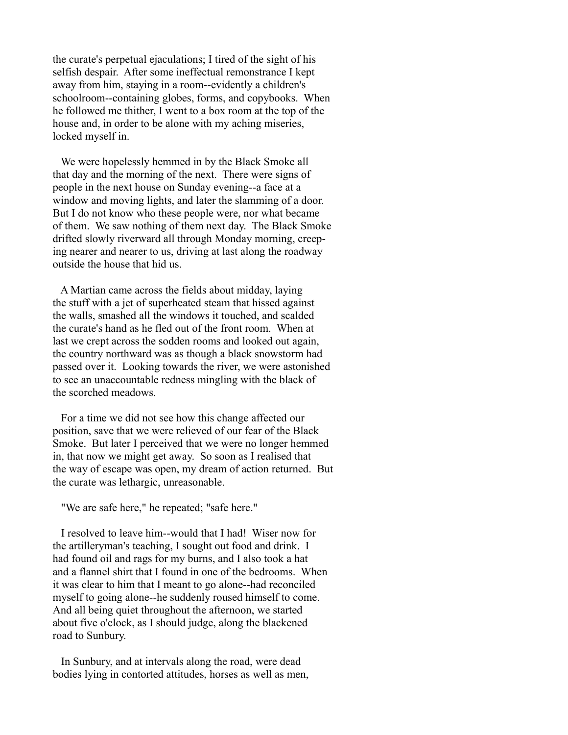the curate's perpetual ejaculations; I tired of the sight of his selfish despair. After some ineffectual remonstrance I kept away from him, staying in a room--evidently a children's schoolroom--containing globes, forms, and copybooks. When he followed me thither, I went to a box room at the top of the house and, in order to be alone with my aching miseries, locked myself in.

 We were hopelessly hemmed in by the Black Smoke all that day and the morning of the next. There were signs of people in the next house on Sunday evening--a face at a window and moving lights, and later the slamming of a door. But I do not know who these people were, nor what became of them. We saw nothing of them next day. The Black Smoke drifted slowly riverward all through Monday morning, creeping nearer and nearer to us, driving at last along the roadway outside the house that hid us.

 A Martian came across the fields about midday, laying the stuff with a jet of superheated steam that hissed against the walls, smashed all the windows it touched, and scalded the curate's hand as he fled out of the front room. When at last we crept across the sodden rooms and looked out again, the country northward was as though a black snowstorm had passed over it. Looking towards the river, we were astonished to see an unaccountable redness mingling with the black of the scorched meadows.

 For a time we did not see how this change affected our position, save that we were relieved of our fear of the Black Smoke. But later I perceived that we were no longer hemmed in, that now we might get away. So soon as I realised that the way of escape was open, my dream of action returned. But the curate was lethargic, unreasonable.

"We are safe here," he repeated; "safe here."

 I resolved to leave him--would that I had! Wiser now for the artilleryman's teaching, I sought out food and drink. I had found oil and rags for my burns, and I also took a hat and a flannel shirt that I found in one of the bedrooms. When it was clear to him that I meant to go alone--had reconciled myself to going alone--he suddenly roused himself to come. And all being quiet throughout the afternoon, we started about five o'clock, as I should judge, along the blackened road to Sunbury.

 In Sunbury, and at intervals along the road, were dead bodies lying in contorted attitudes, horses as well as men,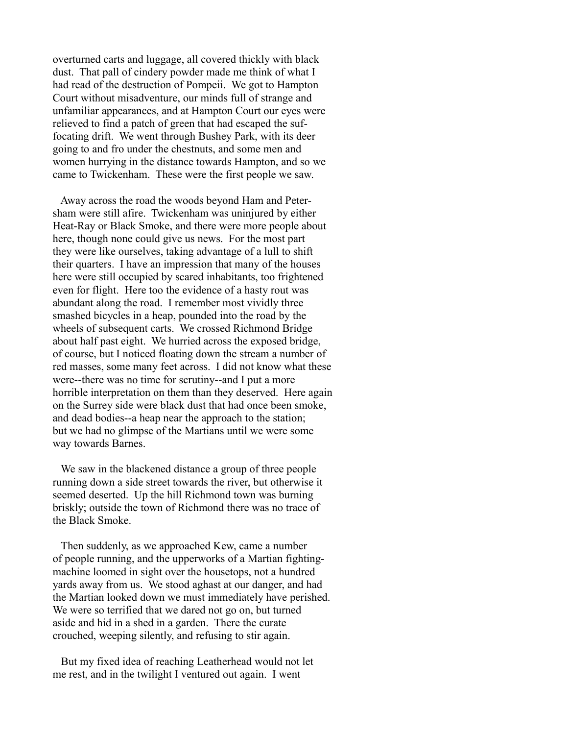overturned carts and luggage, all covered thickly with black dust. That pall of cindery powder made me think of what I had read of the destruction of Pompeii. We got to Hampton Court without misadventure, our minds full of strange and unfamiliar appearances, and at Hampton Court our eyes were relieved to find a patch of green that had escaped the suffocating drift. We went through Bushey Park, with its deer going to and fro under the chestnuts, and some men and women hurrying in the distance towards Hampton, and so we came to Twickenham. These were the first people we saw.

 Away across the road the woods beyond Ham and Petersham were still afire. Twickenham was uninjured by either Heat-Ray or Black Smoke, and there were more people about here, though none could give us news. For the most part they were like ourselves, taking advantage of a lull to shift their quarters. I have an impression that many of the houses here were still occupied by scared inhabitants, too frightened even for flight. Here too the evidence of a hasty rout was abundant along the road. I remember most vividly three smashed bicycles in a heap, pounded into the road by the wheels of subsequent carts. We crossed Richmond Bridge about half past eight. We hurried across the exposed bridge, of course, but I noticed floating down the stream a number of red masses, some many feet across. I did not know what these were--there was no time for scrutiny--and I put a more horrible interpretation on them than they deserved. Here again on the Surrey side were black dust that had once been smoke, and dead bodies--a heap near the approach to the station; but we had no glimpse of the Martians until we were some way towards Barnes.

 We saw in the blackened distance a group of three people running down a side street towards the river, but otherwise it seemed deserted. Up the hill Richmond town was burning briskly; outside the town of Richmond there was no trace of the Black Smoke.

 Then suddenly, as we approached Kew, came a number of people running, and the upperworks of a Martian fightingmachine loomed in sight over the housetops, not a hundred yards away from us. We stood aghast at our danger, and had the Martian looked down we must immediately have perished. We were so terrified that we dared not go on, but turned aside and hid in a shed in a garden. There the curate crouched, weeping silently, and refusing to stir again.

 But my fixed idea of reaching Leatherhead would not let me rest, and in the twilight I ventured out again. I went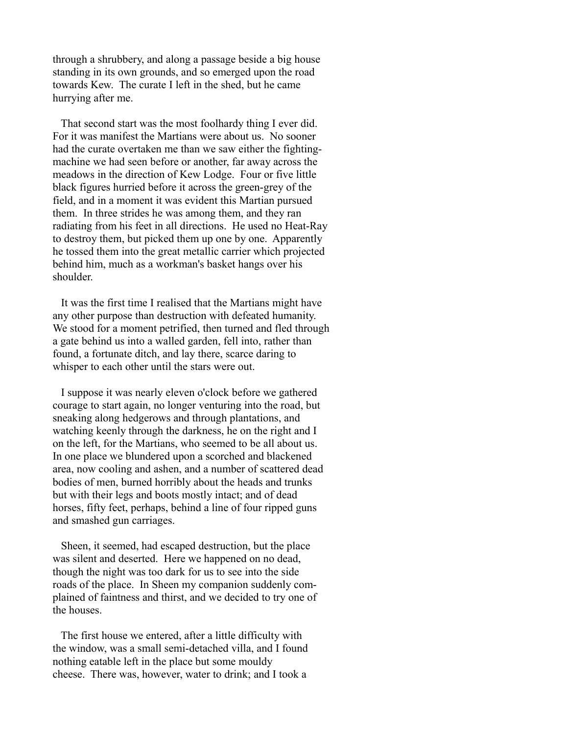through a shrubbery, and along a passage beside a big house standing in its own grounds, and so emerged upon the road towards Kew. The curate I left in the shed, but he came hurrying after me.

 That second start was the most foolhardy thing I ever did. For it was manifest the Martians were about us. No sooner had the curate overtaken me than we saw either the fightingmachine we had seen before or another, far away across the meadows in the direction of Kew Lodge. Four or five little black figures hurried before it across the green-grey of the field, and in a moment it was evident this Martian pursued them. In three strides he was among them, and they ran radiating from his feet in all directions. He used no Heat-Ray to destroy them, but picked them up one by one. Apparently he tossed them into the great metallic carrier which projected behind him, much as a workman's basket hangs over his shoulder.

 It was the first time I realised that the Martians might have any other purpose than destruction with defeated humanity. We stood for a moment petrified, then turned and fled through a gate behind us into a walled garden, fell into, rather than found, a fortunate ditch, and lay there, scarce daring to whisper to each other until the stars were out.

 I suppose it was nearly eleven o'clock before we gathered courage to start again, no longer venturing into the road, but sneaking along hedgerows and through plantations, and watching keenly through the darkness, he on the right and I on the left, for the Martians, who seemed to be all about us. In one place we blundered upon a scorched and blackened area, now cooling and ashen, and a number of scattered dead bodies of men, burned horribly about the heads and trunks but with their legs and boots mostly intact; and of dead horses, fifty feet, perhaps, behind a line of four ripped guns and smashed gun carriages.

 Sheen, it seemed, had escaped destruction, but the place was silent and deserted. Here we happened on no dead, though the night was too dark for us to see into the side roads of the place. In Sheen my companion suddenly complained of faintness and thirst, and we decided to try one of the houses.

 The first house we entered, after a little difficulty with the window, was a small semi-detached villa, and I found nothing eatable left in the place but some mouldy cheese. There was, however, water to drink; and I took a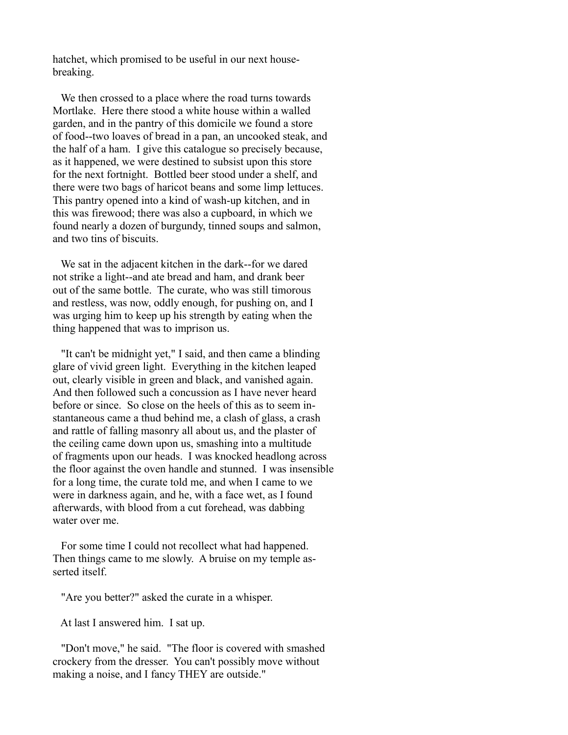hatchet, which promised to be useful in our next housebreaking.

 We then crossed to a place where the road turns towards Mortlake. Here there stood a white house within a walled garden, and in the pantry of this domicile we found a store of food--two loaves of bread in a pan, an uncooked steak, and the half of a ham. I give this catalogue so precisely because, as it happened, we were destined to subsist upon this store for the next fortnight. Bottled beer stood under a shelf, and there were two bags of haricot beans and some limp lettuces. This pantry opened into a kind of wash-up kitchen, and in this was firewood; there was also a cupboard, in which we found nearly a dozen of burgundy, tinned soups and salmon, and two tins of biscuits.

 We sat in the adjacent kitchen in the dark--for we dared not strike a light--and ate bread and ham, and drank beer out of the same bottle. The curate, who was still timorous and restless, was now, oddly enough, for pushing on, and I was urging him to keep up his strength by eating when the thing happened that was to imprison us.

 "It can't be midnight yet," I said, and then came a blinding glare of vivid green light. Everything in the kitchen leaped out, clearly visible in green and black, and vanished again. And then followed such a concussion as I have never heard before or since. So close on the heels of this as to seem instantaneous came a thud behind me, a clash of glass, a crash and rattle of falling masonry all about us, and the plaster of the ceiling came down upon us, smashing into a multitude of fragments upon our heads. I was knocked headlong across the floor against the oven handle and stunned. I was insensible for a long time, the curate told me, and when I came to we were in darkness again, and he, with a face wet, as I found afterwards, with blood from a cut forehead, was dabbing water over me.

 For some time I could not recollect what had happened. Then things came to me slowly. A bruise on my temple asserted itself.

"Are you better?" asked the curate in a whisper.

At last I answered him. I sat up.

 "Don't move," he said. "The floor is covered with smashed crockery from the dresser. You can't possibly move without making a noise, and I fancy THEY are outside."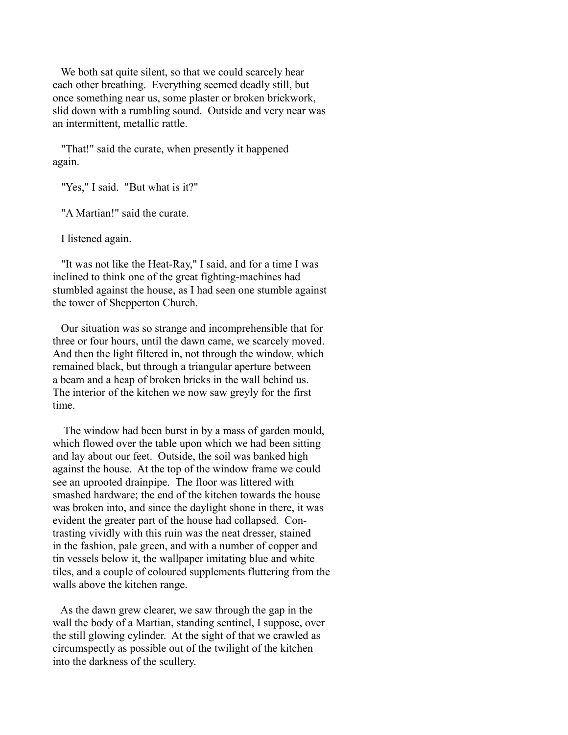We both sat quite silent, so that we could scarcely hear each other breathing. Everything seemed deadly still, but once something near us, some plaster or broken brickwork, slid down with a rumbling sound. Outside and very near was an intermittent, metallic rattle.

 "That!" said the curate, when presently it happened again.

"Yes," I said. "But what is it?"

"A Martian!" said the curate.

I listened again.

 "It was not like the Heat-Ray," I said, and for a time I was inclined to think one of the great fighting-machines had stumbled against the house, as I had seen one stumble against the tower of Shepperton Church.

 Our situation was so strange and incomprehensible that for three or four hours, until the dawn came, we scarcely moved. And then the light filtered in, not through the window, which remained black, but through a triangular aperture between a beam and a heap of broken bricks in the wall behind us. The interior of the kitchen we now saw greyly for the first time.

 The window had been burst in by a mass of garden mould, which flowed over the table upon which we had been sitting and lay about our feet. Outside, the soil was banked high against the house. At the top of the window frame we could see an uprooted drainpipe. The floor was littered with smashed hardware; the end of the kitchen towards the house was broken into, and since the daylight shone in there, it was evident the greater part of the house had collapsed. Contrasting vividly with this ruin was the neat dresser, stained in the fashion, pale green, and with a number of copper and tin vessels below it, the wallpaper imitating blue and white tiles, and a couple of coloured supplements fluttering from the walls above the kitchen range.

 As the dawn grew clearer, we saw through the gap in the wall the body of a Martian, standing sentinel, I suppose, over the still glowing cylinder. At the sight of that we crawled as circumspectly as possible out of the twilight of the kitchen into the darkness of the scullery.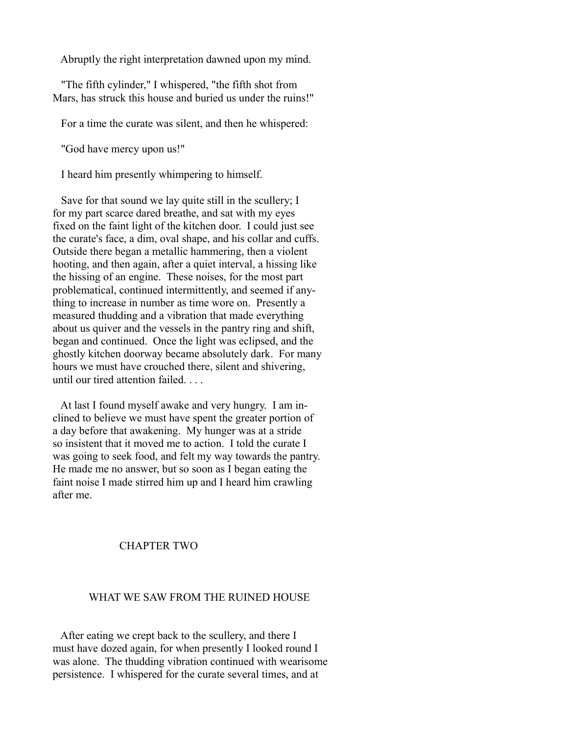Abruptly the right interpretation dawned upon my mind.

 "The fifth cylinder," I whispered, "the fifth shot from Mars, has struck this house and buried us under the ruins!"

For a time the curate was silent, and then he whispered:

"God have mercy upon us!"

I heard him presently whimpering to himself.

 Save for that sound we lay quite still in the scullery; I for my part scarce dared breathe, and sat with my eyes fixed on the faint light of the kitchen door. I could just see the curate's face, a dim, oval shape, and his collar and cuffs. Outside there began a metallic hammering, then a violent hooting, and then again, after a quiet interval, a hissing like the hissing of an engine. These noises, for the most part problematical, continued intermittently, and seemed if anything to increase in number as time wore on. Presently a measured thudding and a vibration that made everything about us quiver and the vessels in the pantry ring and shift, began and continued. Once the light was eclipsed, and the ghostly kitchen doorway became absolutely dark. For many hours we must have crouched there, silent and shivering, until our tired attention failed. . . .

 At last I found myself awake and very hungry. I am inclined to believe we must have spent the greater portion of a day before that awakening. My hunger was at a stride so insistent that it moved me to action. I told the curate I was going to seek food, and felt my way towards the pantry. He made me no answer, but so soon as I began eating the faint noise I made stirred him up and I heard him crawling after me.

# CHAPTER TWO

## WHAT WE SAW FROM THE RUINED HOUSE

 After eating we crept back to the scullery, and there I must have dozed again, for when presently I looked round I was alone. The thudding vibration continued with wearisome persistence. I whispered for the curate several times, and at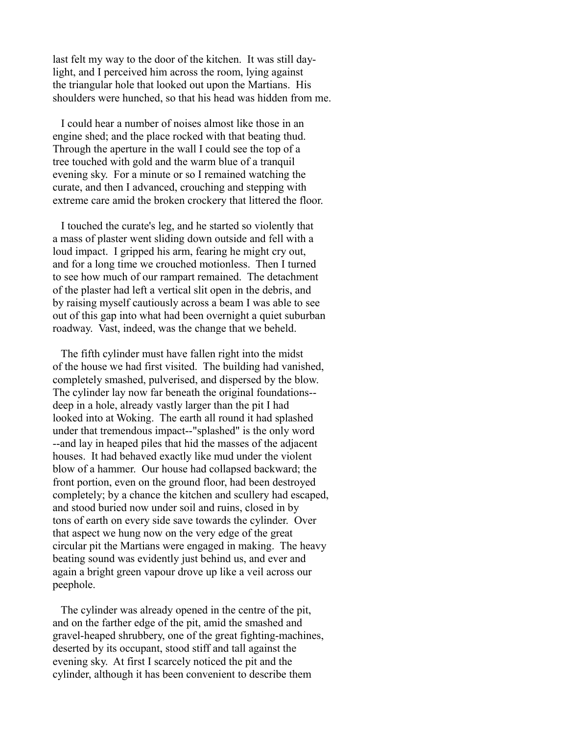last felt my way to the door of the kitchen. It was still daylight, and I perceived him across the room, lying against the triangular hole that looked out upon the Martians. His shoulders were hunched, so that his head was hidden from me.

 I could hear a number of noises almost like those in an engine shed; and the place rocked with that beating thud. Through the aperture in the wall I could see the top of a tree touched with gold and the warm blue of a tranquil evening sky. For a minute or so I remained watching the curate, and then I advanced, crouching and stepping with extreme care amid the broken crockery that littered the floor.

 I touched the curate's leg, and he started so violently that a mass of plaster went sliding down outside and fell with a loud impact. I gripped his arm, fearing he might cry out, and for a long time we crouched motionless. Then I turned to see how much of our rampart remained. The detachment of the plaster had left a vertical slit open in the debris, and by raising myself cautiously across a beam I was able to see out of this gap into what had been overnight a quiet suburban roadway. Vast, indeed, was the change that we beheld.

 The fifth cylinder must have fallen right into the midst of the house we had first visited. The building had vanished, completely smashed, pulverised, and dispersed by the blow. The cylinder lay now far beneath the original foundations- deep in a hole, already vastly larger than the pit I had looked into at Woking. The earth all round it had splashed under that tremendous impact--"splashed" is the only word --and lay in heaped piles that hid the masses of the adjacent houses. It had behaved exactly like mud under the violent blow of a hammer. Our house had collapsed backward; the front portion, even on the ground floor, had been destroyed completely; by a chance the kitchen and scullery had escaped, and stood buried now under soil and ruins, closed in by tons of earth on every side save towards the cylinder. Over that aspect we hung now on the very edge of the great circular pit the Martians were engaged in making. The heavy beating sound was evidently just behind us, and ever and again a bright green vapour drove up like a veil across our peephole.

 The cylinder was already opened in the centre of the pit, and on the farther edge of the pit, amid the smashed and gravel-heaped shrubbery, one of the great fighting-machines, deserted by its occupant, stood stiff and tall against the evening sky. At first I scarcely noticed the pit and the cylinder, although it has been convenient to describe them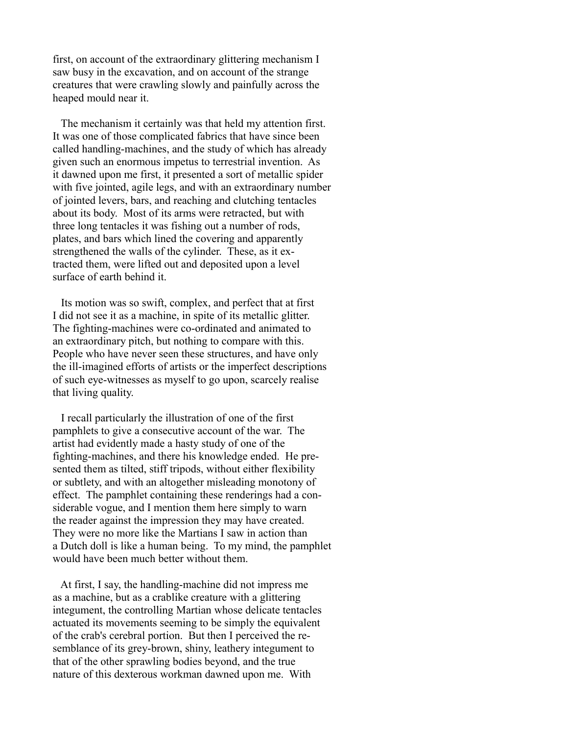first, on account of the extraordinary glittering mechanism I saw busy in the excavation, and on account of the strange creatures that were crawling slowly and painfully across the heaped mould near it.

 The mechanism it certainly was that held my attention first. It was one of those complicated fabrics that have since been called handling-machines, and the study of which has already given such an enormous impetus to terrestrial invention. As it dawned upon me first, it presented a sort of metallic spider with five jointed, agile legs, and with an extraordinary number of jointed levers, bars, and reaching and clutching tentacles about its body. Most of its arms were retracted, but with three long tentacles it was fishing out a number of rods, plates, and bars which lined the covering and apparently strengthened the walls of the cylinder. These, as it extracted them, were lifted out and deposited upon a level surface of earth behind it.

 Its motion was so swift, complex, and perfect that at first I did not see it as a machine, in spite of its metallic glitter. The fighting-machines were co-ordinated and animated to an extraordinary pitch, but nothing to compare with this. People who have never seen these structures, and have only the ill-imagined efforts of artists or the imperfect descriptions of such eye-witnesses as myself to go upon, scarcely realise that living quality.

 I recall particularly the illustration of one of the first pamphlets to give a consecutive account of the war. The artist had evidently made a hasty study of one of the fighting-machines, and there his knowledge ended. He presented them as tilted, stiff tripods, without either flexibility or subtlety, and with an altogether misleading monotony of effect. The pamphlet containing these renderings had a considerable vogue, and I mention them here simply to warn the reader against the impression they may have created. They were no more like the Martians I saw in action than a Dutch doll is like a human being. To my mind, the pamphlet would have been much better without them.

 At first, I say, the handling-machine did not impress me as a machine, but as a crablike creature with a glittering integument, the controlling Martian whose delicate tentacles actuated its movements seeming to be simply the equivalent of the crab's cerebral portion. But then I perceived the resemblance of its grey-brown, shiny, leathery integument to that of the other sprawling bodies beyond, and the true nature of this dexterous workman dawned upon me. With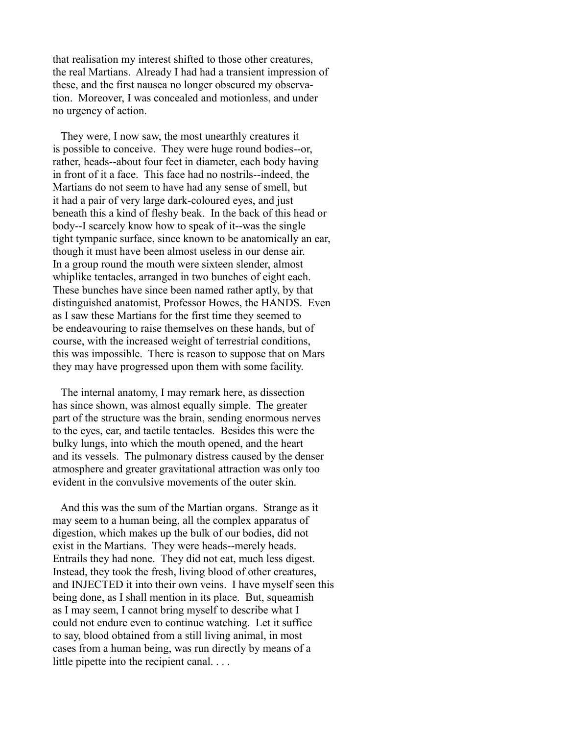that realisation my interest shifted to those other creatures, the real Martians. Already I had had a transient impression of these, and the first nausea no longer obscured my observation. Moreover, I was concealed and motionless, and under no urgency of action.

 They were, I now saw, the most unearthly creatures it is possible to conceive. They were huge round bodies--or, rather, heads--about four feet in diameter, each body having in front of it a face. This face had no nostrils--indeed, the Martians do not seem to have had any sense of smell, but it had a pair of very large dark-coloured eyes, and just beneath this a kind of fleshy beak. In the back of this head or body--I scarcely know how to speak of it--was the single tight tympanic surface, since known to be anatomically an ear, though it must have been almost useless in our dense air. In a group round the mouth were sixteen slender, almost whiplike tentacles, arranged in two bunches of eight each. These bunches have since been named rather aptly, by that distinguished anatomist, Professor Howes, the HANDS. Even as I saw these Martians for the first time they seemed to be endeavouring to raise themselves on these hands, but of course, with the increased weight of terrestrial conditions, this was impossible. There is reason to suppose that on Mars they may have progressed upon them with some facility.

 The internal anatomy, I may remark here, as dissection has since shown, was almost equally simple. The greater part of the structure was the brain, sending enormous nerves to the eyes, ear, and tactile tentacles. Besides this were the bulky lungs, into which the mouth opened, and the heart and its vessels. The pulmonary distress caused by the denser atmosphere and greater gravitational attraction was only too evident in the convulsive movements of the outer skin.

 And this was the sum of the Martian organs. Strange as it may seem to a human being, all the complex apparatus of digestion, which makes up the bulk of our bodies, did not exist in the Martians. They were heads--merely heads. Entrails they had none. They did not eat, much less digest. Instead, they took the fresh, living blood of other creatures, and INJECTED it into their own veins. I have myself seen this being done, as I shall mention in its place. But, squeamish as I may seem, I cannot bring myself to describe what I could not endure even to continue watching. Let it suffice to say, blood obtained from a still living animal, in most cases from a human being, was run directly by means of a little pipette into the recipient canal. . . .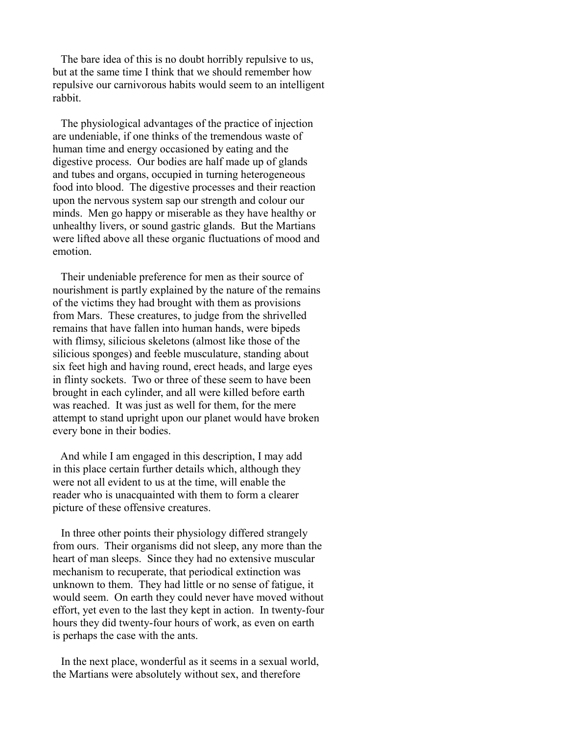The bare idea of this is no doubt horribly repulsive to us, but at the same time I think that we should remember how repulsive our carnivorous habits would seem to an intelligent rabbit.

 The physiological advantages of the practice of injection are undeniable, if one thinks of the tremendous waste of human time and energy occasioned by eating and the digestive process. Our bodies are half made up of glands and tubes and organs, occupied in turning heterogeneous food into blood. The digestive processes and their reaction upon the nervous system sap our strength and colour our minds. Men go happy or miserable as they have healthy or unhealthy livers, or sound gastric glands. But the Martians were lifted above all these organic fluctuations of mood and emotion.

 Their undeniable preference for men as their source of nourishment is partly explained by the nature of the remains of the victims they had brought with them as provisions from Mars. These creatures, to judge from the shrivelled remains that have fallen into human hands, were bipeds with flimsy, silicious skeletons (almost like those of the silicious sponges) and feeble musculature, standing about six feet high and having round, erect heads, and large eyes in flinty sockets. Two or three of these seem to have been brought in each cylinder, and all were killed before earth was reached. It was just as well for them, for the mere attempt to stand upright upon our planet would have broken every bone in their bodies.

 And while I am engaged in this description, I may add in this place certain further details which, although they were not all evident to us at the time, will enable the reader who is unacquainted with them to form a clearer picture of these offensive creatures.

 In three other points their physiology differed strangely from ours. Their organisms did not sleep, any more than the heart of man sleeps. Since they had no extensive muscular mechanism to recuperate, that periodical extinction was unknown to them. They had little or no sense of fatigue, it would seem. On earth they could never have moved without effort, yet even to the last they kept in action. In twenty-four hours they did twenty-four hours of work, as even on earth is perhaps the case with the ants.

 In the next place, wonderful as it seems in a sexual world, the Martians were absolutely without sex, and therefore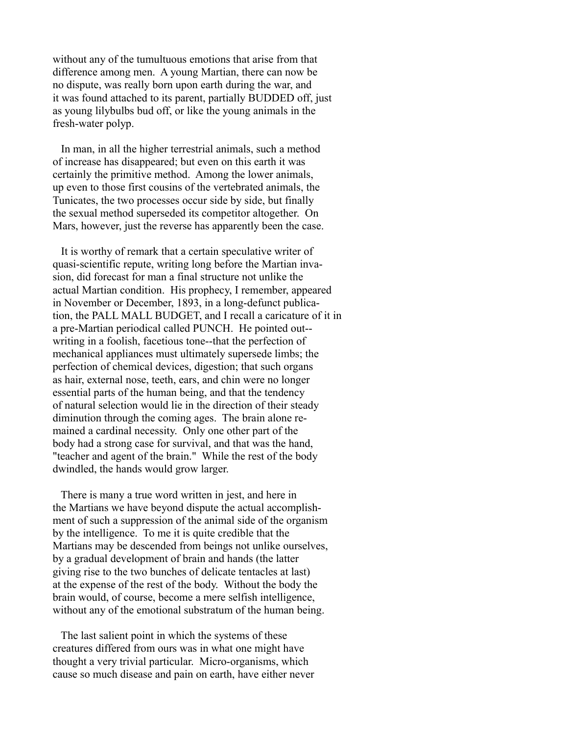without any of the tumultuous emotions that arise from that difference among men. A young Martian, there can now be no dispute, was really born upon earth during the war, and it was found attached to its parent, partially BUDDED off, just as young lilybulbs bud off, or like the young animals in the fresh-water polyp.

 In man, in all the higher terrestrial animals, such a method of increase has disappeared; but even on this earth it was certainly the primitive method. Among the lower animals, up even to those first cousins of the vertebrated animals, the Tunicates, the two processes occur side by side, but finally the sexual method superseded its competitor altogether. On Mars, however, just the reverse has apparently been the case.

 It is worthy of remark that a certain speculative writer of quasi-scientific repute, writing long before the Martian invasion, did forecast for man a final structure not unlike the actual Martian condition. His prophecy, I remember, appeared in November or December, 1893, in a long-defunct publication, the PALL MALL BUDGET, and I recall a caricature of it in a pre-Martian periodical called PUNCH. He pointed out- writing in a foolish, facetious tone--that the perfection of mechanical appliances must ultimately supersede limbs; the perfection of chemical devices, digestion; that such organs as hair, external nose, teeth, ears, and chin were no longer essential parts of the human being, and that the tendency of natural selection would lie in the direction of their steady diminution through the coming ages. The brain alone remained a cardinal necessity. Only one other part of the body had a strong case for survival, and that was the hand, "teacher and agent of the brain." While the rest of the body dwindled, the hands would grow larger.

 There is many a true word written in jest, and here in the Martians we have beyond dispute the actual accomplishment of such a suppression of the animal side of the organism by the intelligence. To me it is quite credible that the Martians may be descended from beings not unlike ourselves, by a gradual development of brain and hands (the latter giving rise to the two bunches of delicate tentacles at last) at the expense of the rest of the body. Without the body the brain would, of course, become a mere selfish intelligence, without any of the emotional substratum of the human being.

 The last salient point in which the systems of these creatures differed from ours was in what one might have thought a very trivial particular. Micro-organisms, which cause so much disease and pain on earth, have either never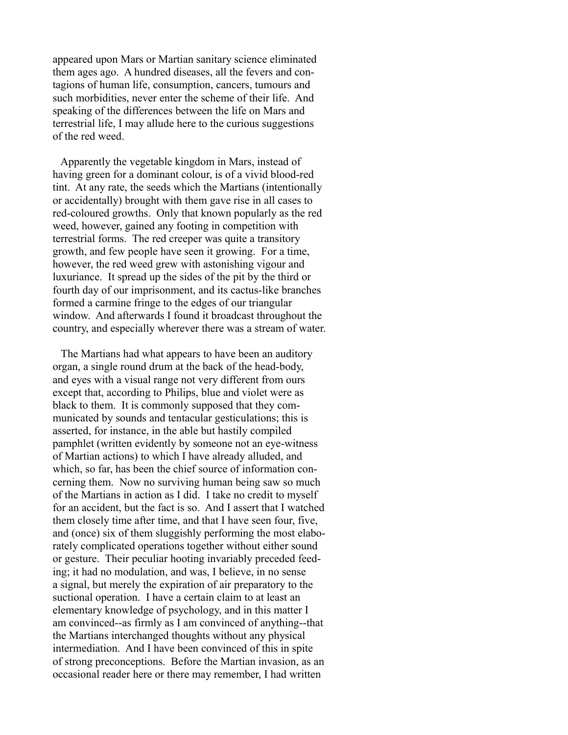appeared upon Mars or Martian sanitary science eliminated them ages ago. A hundred diseases, all the fevers and contagions of human life, consumption, cancers, tumours and such morbidities, never enter the scheme of their life. And speaking of the differences between the life on Mars and terrestrial life, I may allude here to the curious suggestions of the red weed.

 Apparently the vegetable kingdom in Mars, instead of having green for a dominant colour, is of a vivid blood-red tint. At any rate, the seeds which the Martians (intentionally or accidentally) brought with them gave rise in all cases to red-coloured growths. Only that known popularly as the red weed, however, gained any footing in competition with terrestrial forms. The red creeper was quite a transitory growth, and few people have seen it growing. For a time, however, the red weed grew with astonishing vigour and luxuriance. It spread up the sides of the pit by the third or fourth day of our imprisonment, and its cactus-like branches formed a carmine fringe to the edges of our triangular window. And afterwards I found it broadcast throughout the country, and especially wherever there was a stream of water.

 The Martians had what appears to have been an auditory organ, a single round drum at the back of the head-body, and eyes with a visual range not very different from ours except that, according to Philips, blue and violet were as black to them. It is commonly supposed that they communicated by sounds and tentacular gesticulations; this is asserted, for instance, in the able but hastily compiled pamphlet (written evidently by someone not an eye-witness of Martian actions) to which I have already alluded, and which, so far, has been the chief source of information concerning them. Now no surviving human being saw so much of the Martians in action as I did. I take no credit to myself for an accident, but the fact is so. And I assert that I watched them closely time after time, and that I have seen four, five, and (once) six of them sluggishly performing the most elaborately complicated operations together without either sound or gesture. Their peculiar hooting invariably preceded feeding; it had no modulation, and was, I believe, in no sense a signal, but merely the expiration of air preparatory to the suctional operation. I have a certain claim to at least an elementary knowledge of psychology, and in this matter I am convinced--as firmly as I am convinced of anything--that the Martians interchanged thoughts without any physical intermediation. And I have been convinced of this in spite of strong preconceptions. Before the Martian invasion, as an occasional reader here or there may remember, I had written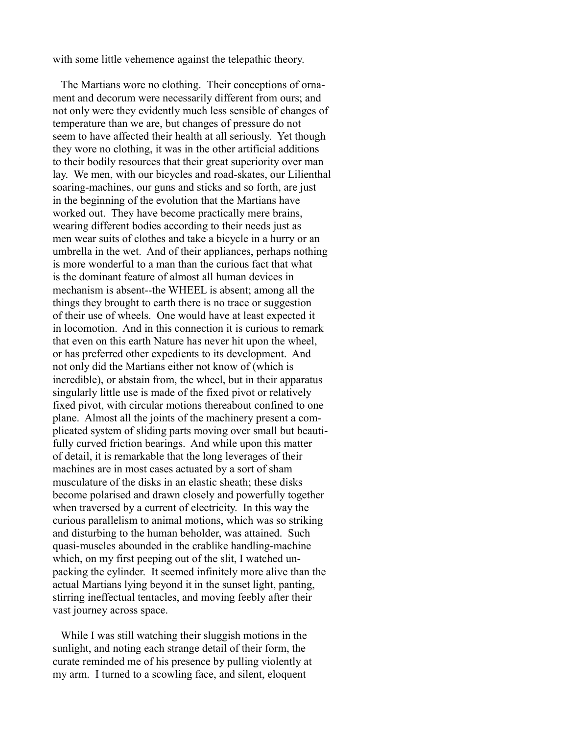with some little vehemence against the telepathic theory.

 The Martians wore no clothing. Their conceptions of ornament and decorum were necessarily different from ours; and not only were they evidently much less sensible of changes of temperature than we are, but changes of pressure do not seem to have affected their health at all seriously. Yet though they wore no clothing, it was in the other artificial additions to their bodily resources that their great superiority over man lay. We men, with our bicycles and road-skates, our Lilienthal soaring-machines, our guns and sticks and so forth, are just in the beginning of the evolution that the Martians have worked out. They have become practically mere brains, wearing different bodies according to their needs just as men wear suits of clothes and take a bicycle in a hurry or an umbrella in the wet. And of their appliances, perhaps nothing is more wonderful to a man than the curious fact that what is the dominant feature of almost all human devices in mechanism is absent--the WHEEL is absent; among all the things they brought to earth there is no trace or suggestion of their use of wheels. One would have at least expected it in locomotion. And in this connection it is curious to remark that even on this earth Nature has never hit upon the wheel, or has preferred other expedients to its development. And not only did the Martians either not know of (which is incredible), or abstain from, the wheel, but in their apparatus singularly little use is made of the fixed pivot or relatively fixed pivot, with circular motions thereabout confined to one plane. Almost all the joints of the machinery present a complicated system of sliding parts moving over small but beautifully curved friction bearings. And while upon this matter of detail, it is remarkable that the long leverages of their machines are in most cases actuated by a sort of sham musculature of the disks in an elastic sheath; these disks become polarised and drawn closely and powerfully together when traversed by a current of electricity. In this way the curious parallelism to animal motions, which was so striking and disturbing to the human beholder, was attained. Such quasi-muscles abounded in the crablike handling-machine which, on my first peeping out of the slit, I watched unpacking the cylinder. It seemed infinitely more alive than the actual Martians lying beyond it in the sunset light, panting, stirring ineffectual tentacles, and moving feebly after their vast journey across space.

 While I was still watching their sluggish motions in the sunlight, and noting each strange detail of their form, the curate reminded me of his presence by pulling violently at my arm. I turned to a scowling face, and silent, eloquent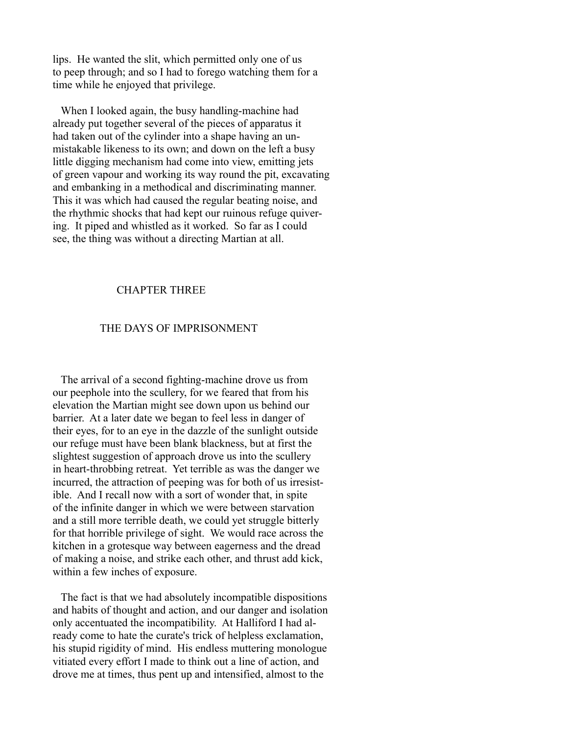lips. He wanted the slit, which permitted only one of us to peep through; and so I had to forego watching them for a time while he enjoyed that privilege.

 When I looked again, the busy handling-machine had already put together several of the pieces of apparatus it had taken out of the cylinder into a shape having an unmistakable likeness to its own; and down on the left a busy little digging mechanism had come into view, emitting jets of green vapour and working its way round the pit, excavating and embanking in a methodical and discriminating manner. This it was which had caused the regular beating noise, and the rhythmic shocks that had kept our ruinous refuge quivering. It piped and whistled as it worked. So far as I could see, the thing was without a directing Martian at all.

# CHAPTER THREE

### THE DAYS OF IMPRISONMENT

 The arrival of a second fighting-machine drove us from our peephole into the scullery, for we feared that from his elevation the Martian might see down upon us behind our barrier. At a later date we began to feel less in danger of their eyes, for to an eye in the dazzle of the sunlight outside our refuge must have been blank blackness, but at first the slightest suggestion of approach drove us into the scullery in heart-throbbing retreat. Yet terrible as was the danger we incurred, the attraction of peeping was for both of us irresistible. And I recall now with a sort of wonder that, in spite of the infinite danger in which we were between starvation and a still more terrible death, we could yet struggle bitterly for that horrible privilege of sight. We would race across the kitchen in a grotesque way between eagerness and the dread of making a noise, and strike each other, and thrust add kick, within a few inches of exposure.

 The fact is that we had absolutely incompatible dispositions and habits of thought and action, and our danger and isolation only accentuated the incompatibility. At Halliford I had already come to hate the curate's trick of helpless exclamation, his stupid rigidity of mind. His endless muttering monologue vitiated every effort I made to think out a line of action, and drove me at times, thus pent up and intensified, almost to the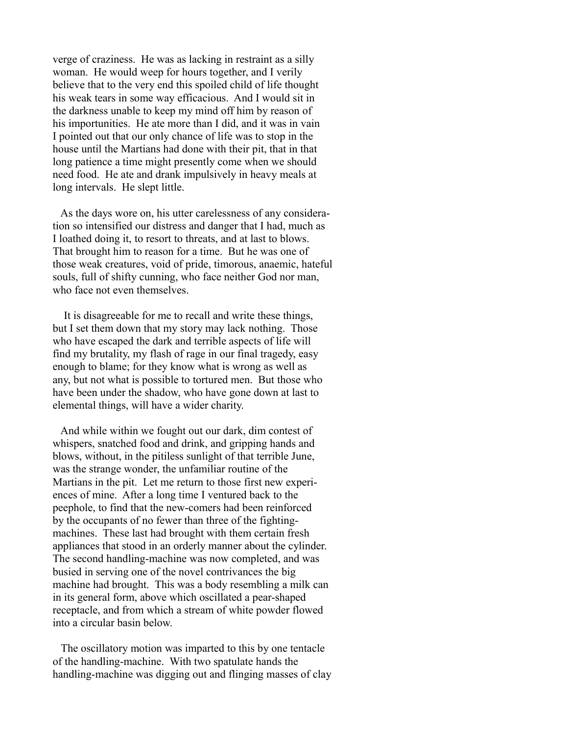verge of craziness. He was as lacking in restraint as a silly woman. He would weep for hours together, and I verily believe that to the very end this spoiled child of life thought his weak tears in some way efficacious. And I would sit in the darkness unable to keep my mind off him by reason of his importunities. He ate more than I did, and it was in vain I pointed out that our only chance of life was to stop in the house until the Martians had done with their pit, that in that long patience a time might presently come when we should need food. He ate and drank impulsively in heavy meals at long intervals. He slept little.

 As the days wore on, his utter carelessness of any consideration so intensified our distress and danger that I had, much as I loathed doing it, to resort to threats, and at last to blows. That brought him to reason for a time. But he was one of those weak creatures, void of pride, timorous, anaemic, hateful souls, full of shifty cunning, who face neither God nor man, who face not even themselves.

 It is disagreeable for me to recall and write these things, but I set them down that my story may lack nothing. Those who have escaped the dark and terrible aspects of life will find my brutality, my flash of rage in our final tragedy, easy enough to blame; for they know what is wrong as well as any, but not what is possible to tortured men. But those who have been under the shadow, who have gone down at last to elemental things, will have a wider charity.

 And while within we fought out our dark, dim contest of whispers, snatched food and drink, and gripping hands and blows, without, in the pitiless sunlight of that terrible June, was the strange wonder, the unfamiliar routine of the Martians in the pit. Let me return to those first new experiences of mine. After a long time I ventured back to the peephole, to find that the new-comers had been reinforced by the occupants of no fewer than three of the fightingmachines. These last had brought with them certain fresh appliances that stood in an orderly manner about the cylinder. The second handling-machine was now completed, and was busied in serving one of the novel contrivances the big machine had brought. This was a body resembling a milk can in its general form, above which oscillated a pear-shaped receptacle, and from which a stream of white powder flowed into a circular basin below.

 The oscillatory motion was imparted to this by one tentacle of the handling-machine. With two spatulate hands the handling-machine was digging out and flinging masses of clay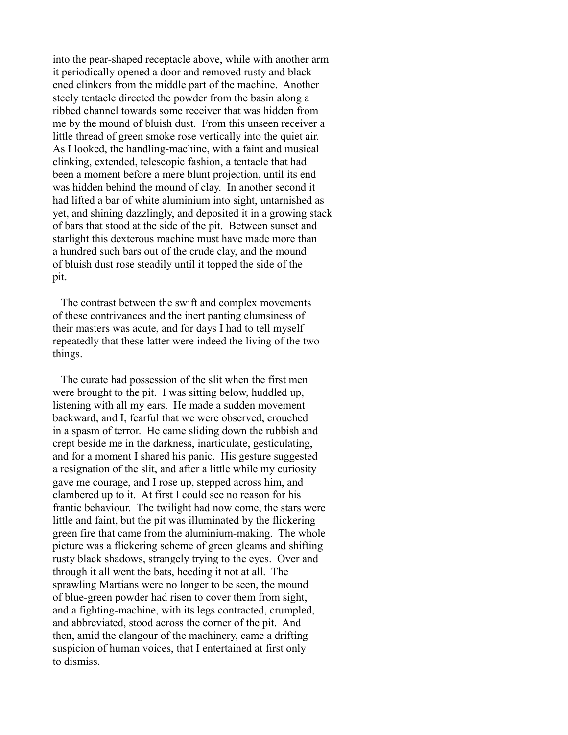into the pear-shaped receptacle above, while with another arm it periodically opened a door and removed rusty and blackened clinkers from the middle part of the machine. Another steely tentacle directed the powder from the basin along a ribbed channel towards some receiver that was hidden from me by the mound of bluish dust. From this unseen receiver a little thread of green smoke rose vertically into the quiet air. As I looked, the handling-machine, with a faint and musical clinking, extended, telescopic fashion, a tentacle that had been a moment before a mere blunt projection, until its end was hidden behind the mound of clay. In another second it had lifted a bar of white aluminium into sight, untarnished as yet, and shining dazzlingly, and deposited it in a growing stack of bars that stood at the side of the pit. Between sunset and starlight this dexterous machine must have made more than a hundred such bars out of the crude clay, and the mound of bluish dust rose steadily until it topped the side of the pit.

 The contrast between the swift and complex movements of these contrivances and the inert panting clumsiness of their masters was acute, and for days I had to tell myself repeatedly that these latter were indeed the living of the two things.

 The curate had possession of the slit when the first men were brought to the pit. I was sitting below, huddled up, listening with all my ears. He made a sudden movement backward, and I, fearful that we were observed, crouched in a spasm of terror. He came sliding down the rubbish and crept beside me in the darkness, inarticulate, gesticulating, and for a moment I shared his panic. His gesture suggested a resignation of the slit, and after a little while my curiosity gave me courage, and I rose up, stepped across him, and clambered up to it. At first I could see no reason for his frantic behaviour. The twilight had now come, the stars were little and faint, but the pit was illuminated by the flickering green fire that came from the aluminium-making. The whole picture was a flickering scheme of green gleams and shifting rusty black shadows, strangely trying to the eyes. Over and through it all went the bats, heeding it not at all. The sprawling Martians were no longer to be seen, the mound of blue-green powder had risen to cover them from sight, and a fighting-machine, with its legs contracted, crumpled, and abbreviated, stood across the corner of the pit. And then, amid the clangour of the machinery, came a drifting suspicion of human voices, that I entertained at first only to dismiss.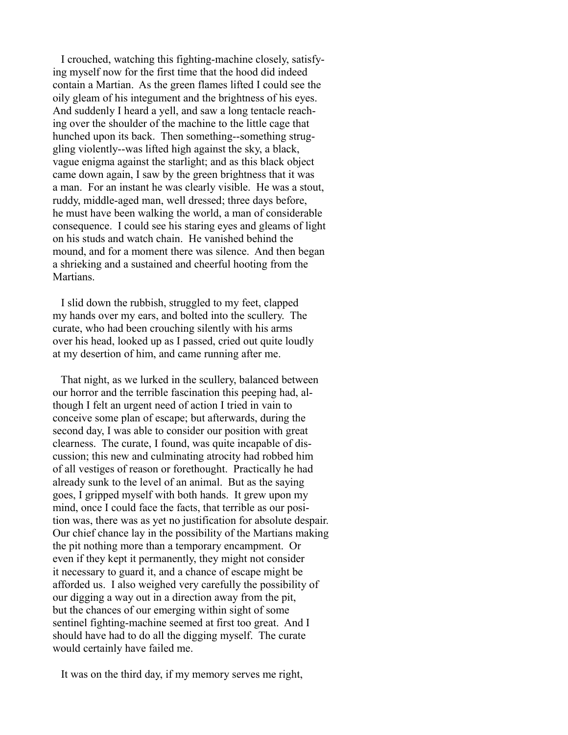I crouched, watching this fighting-machine closely, satisfying myself now for the first time that the hood did indeed contain a Martian. As the green flames lifted I could see the oily gleam of his integument and the brightness of his eyes. And suddenly I heard a yell, and saw a long tentacle reaching over the shoulder of the machine to the little cage that hunched upon its back. Then something--something struggling violently--was lifted high against the sky, a black, vague enigma against the starlight; and as this black object came down again, I saw by the green brightness that it was a man. For an instant he was clearly visible. He was a stout, ruddy, middle-aged man, well dressed; three days before, he must have been walking the world, a man of considerable consequence. I could see his staring eyes and gleams of light on his studs and watch chain. He vanished behind the mound, and for a moment there was silence. And then began a shrieking and a sustained and cheerful hooting from the Martians.

 I slid down the rubbish, struggled to my feet, clapped my hands over my ears, and bolted into the scullery. The curate, who had been crouching silently with his arms over his head, looked up as I passed, cried out quite loudly at my desertion of him, and came running after me.

 That night, as we lurked in the scullery, balanced between our horror and the terrible fascination this peeping had, although I felt an urgent need of action I tried in vain to conceive some plan of escape; but afterwards, during the second day, I was able to consider our position with great clearness. The curate, I found, was quite incapable of discussion; this new and culminating atrocity had robbed him of all vestiges of reason or forethought. Practically he had already sunk to the level of an animal. But as the saying goes, I gripped myself with both hands. It grew upon my mind, once I could face the facts, that terrible as our position was, there was as yet no justification for absolute despair. Our chief chance lay in the possibility of the Martians making the pit nothing more than a temporary encampment. Or even if they kept it permanently, they might not consider it necessary to guard it, and a chance of escape might be afforded us. I also weighed very carefully the possibility of our digging a way out in a direction away from the pit, but the chances of our emerging within sight of some sentinel fighting-machine seemed at first too great. And I should have had to do all the digging myself. The curate would certainly have failed me.

It was on the third day, if my memory serves me right,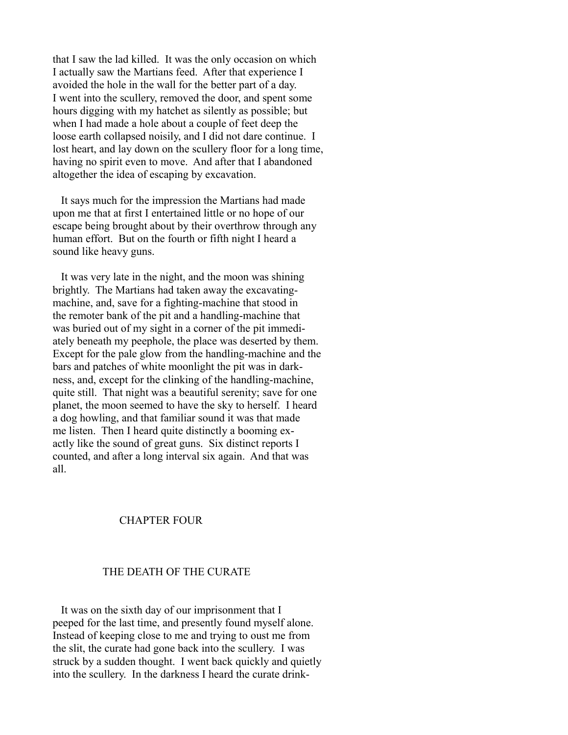that I saw the lad killed. It was the only occasion on which I actually saw the Martians feed. After that experience I avoided the hole in the wall for the better part of a day. I went into the scullery, removed the door, and spent some hours digging with my hatchet as silently as possible; but when I had made a hole about a couple of feet deep the loose earth collapsed noisily, and I did not dare continue. I lost heart, and lay down on the scullery floor for a long time, having no spirit even to move. And after that I abandoned altogether the idea of escaping by excavation.

 It says much for the impression the Martians had made upon me that at first I entertained little or no hope of our escape being brought about by their overthrow through any human effort. But on the fourth or fifth night I heard a sound like heavy guns.

 It was very late in the night, and the moon was shining brightly. The Martians had taken away the excavatingmachine, and, save for a fighting-machine that stood in the remoter bank of the pit and a handling-machine that was buried out of my sight in a corner of the pit immediately beneath my peephole, the place was deserted by them. Except for the pale glow from the handling-machine and the bars and patches of white moonlight the pit was in darkness, and, except for the clinking of the handling-machine, quite still. That night was a beautiful serenity; save for one planet, the moon seemed to have the sky to herself. I heard a dog howling, and that familiar sound it was that made me listen. Then I heard quite distinctly a booming exactly like the sound of great guns. Six distinct reports I counted, and after a long interval six again. And that was all.

# CHAPTER FOUR

# THE DEATH OF THE CURATE

 It was on the sixth day of our imprisonment that I peeped for the last time, and presently found myself alone. Instead of keeping close to me and trying to oust me from the slit, the curate had gone back into the scullery. I was struck by a sudden thought. I went back quickly and quietly into the scullery. In the darkness I heard the curate drink-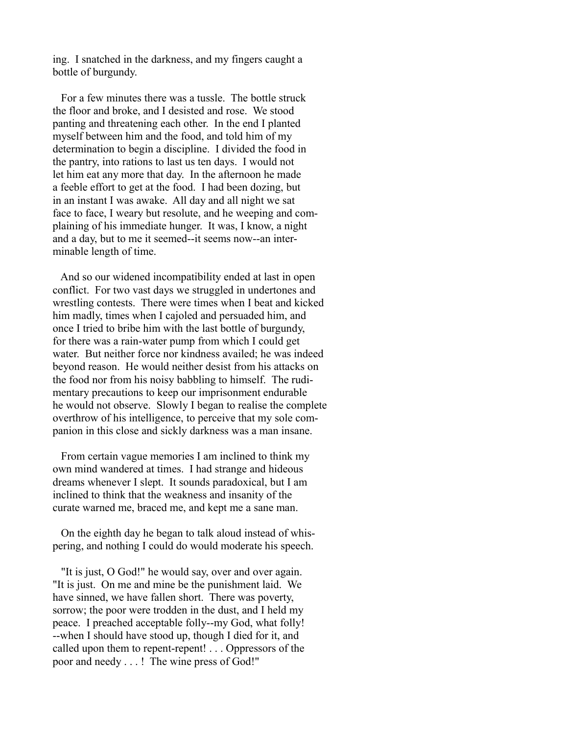ing. I snatched in the darkness, and my fingers caught a bottle of burgundy.

 For a few minutes there was a tussle. The bottle struck the floor and broke, and I desisted and rose. We stood panting and threatening each other. In the end I planted myself between him and the food, and told him of my determination to begin a discipline. I divided the food in the pantry, into rations to last us ten days. I would not let him eat any more that day. In the afternoon he made a feeble effort to get at the food. I had been dozing, but in an instant I was awake. All day and all night we sat face to face, I weary but resolute, and he weeping and complaining of his immediate hunger. It was, I know, a night and a day, but to me it seemed--it seems now--an interminable length of time.

 And so our widened incompatibility ended at last in open conflict. For two vast days we struggled in undertones and wrestling contests. There were times when I beat and kicked him madly, times when I cajoled and persuaded him, and once I tried to bribe him with the last bottle of burgundy, for there was a rain-water pump from which I could get water. But neither force nor kindness availed; he was indeed beyond reason. He would neither desist from his attacks on the food nor from his noisy babbling to himself. The rudimentary precautions to keep our imprisonment endurable he would not observe. Slowly I began to realise the complete overthrow of his intelligence, to perceive that my sole companion in this close and sickly darkness was a man insane.

 From certain vague memories I am inclined to think my own mind wandered at times. I had strange and hideous dreams whenever I slept. It sounds paradoxical, but I am inclined to think that the weakness and insanity of the curate warned me, braced me, and kept me a sane man.

 On the eighth day he began to talk aloud instead of whispering, and nothing I could do would moderate his speech.

 "It is just, O God!" he would say, over and over again. "It is just. On me and mine be the punishment laid. We have sinned, we have fallen short. There was poverty, sorrow; the poor were trodden in the dust, and I held my peace. I preached acceptable folly--my God, what folly! --when I should have stood up, though I died for it, and called upon them to repent-repent! . . . Oppressors of the poor and needy . . . ! The wine press of God!"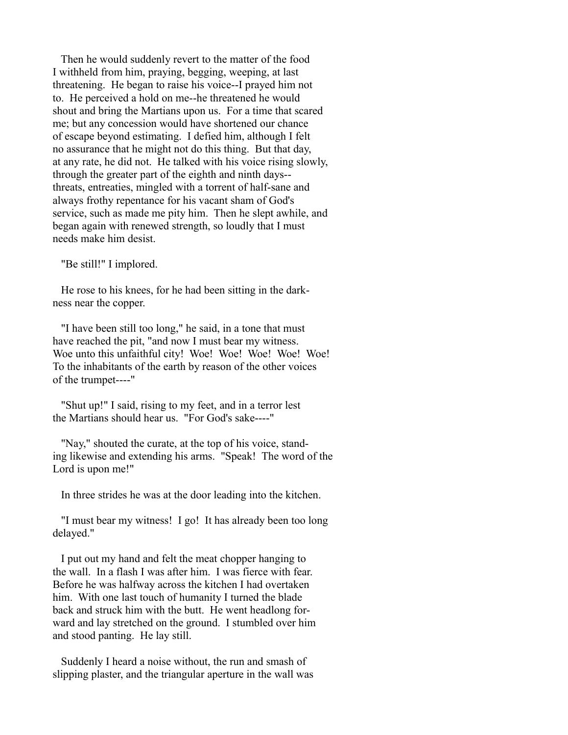Then he would suddenly revert to the matter of the food I withheld from him, praying, begging, weeping, at last threatening. He began to raise his voice--I prayed him not to. He perceived a hold on me--he threatened he would shout and bring the Martians upon us. For a time that scared me; but any concession would have shortened our chance of escape beyond estimating. I defied him, although I felt no assurance that he might not do this thing. But that day, at any rate, he did not. He talked with his voice rising slowly, through the greater part of the eighth and ninth days- threats, entreaties, mingled with a torrent of half-sane and always frothy repentance for his vacant sham of God's service, such as made me pity him. Then he slept awhile, and began again with renewed strength, so loudly that I must needs make him desist.

"Be still!" I implored.

 He rose to his knees, for he had been sitting in the darkness near the copper.

 "I have been still too long," he said, in a tone that must have reached the pit, "and now I must bear my witness. Woe unto this unfaithful city! Woe! Woe! Woe! Woe! Woe! To the inhabitants of the earth by reason of the other voices of the trumpet----"

 "Shut up!" I said, rising to my feet, and in a terror lest the Martians should hear us. "For God's sake----"

 "Nay," shouted the curate, at the top of his voice, standing likewise and extending his arms. "Speak! The word of the Lord is upon me!"

In three strides he was at the door leading into the kitchen.

 "I must bear my witness! I go! It has already been too long delayed."

 I put out my hand and felt the meat chopper hanging to the wall. In a flash I was after him. I was fierce with fear. Before he was halfway across the kitchen I had overtaken him. With one last touch of humanity I turned the blade back and struck him with the butt. He went headlong forward and lay stretched on the ground. I stumbled over him and stood panting. He lay still.

 Suddenly I heard a noise without, the run and smash of slipping plaster, and the triangular aperture in the wall was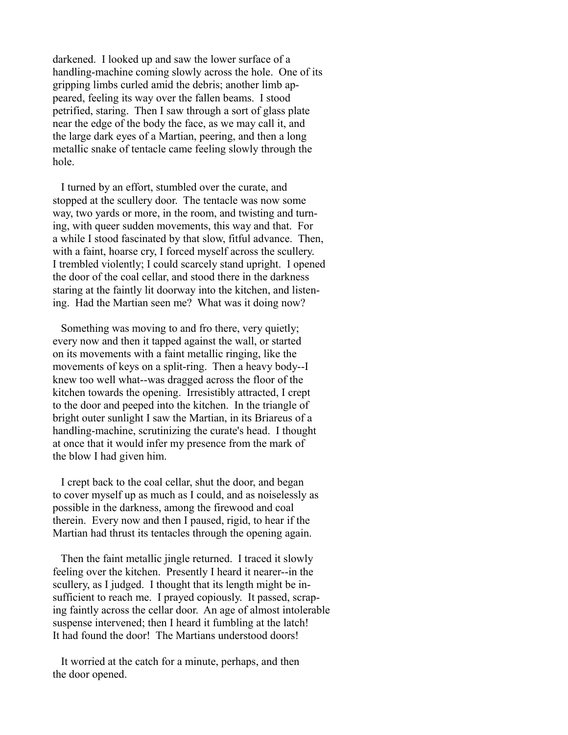darkened. I looked up and saw the lower surface of a handling-machine coming slowly across the hole. One of its gripping limbs curled amid the debris; another limb appeared, feeling its way over the fallen beams. I stood petrified, staring. Then I saw through a sort of glass plate near the edge of the body the face, as we may call it, and the large dark eyes of a Martian, peering, and then a long metallic snake of tentacle came feeling slowly through the hole.

 I turned by an effort, stumbled over the curate, and stopped at the scullery door. The tentacle was now some way, two yards or more, in the room, and twisting and turning, with queer sudden movements, this way and that. For a while I stood fascinated by that slow, fitful advance. Then, with a faint, hoarse cry, I forced myself across the scullery. I trembled violently; I could scarcely stand upright. I opened the door of the coal cellar, and stood there in the darkness staring at the faintly lit doorway into the kitchen, and listening. Had the Martian seen me? What was it doing now?

Something was moving to and fro there, very quietly; every now and then it tapped against the wall, or started on its movements with a faint metallic ringing, like the movements of keys on a split-ring. Then a heavy body--I knew too well what--was dragged across the floor of the kitchen towards the opening. Irresistibly attracted, I crept to the door and peeped into the kitchen. In the triangle of bright outer sunlight I saw the Martian, in its Briareus of a handling-machine, scrutinizing the curate's head. I thought at once that it would infer my presence from the mark of the blow I had given him.

 I crept back to the coal cellar, shut the door, and began to cover myself up as much as I could, and as noiselessly as possible in the darkness, among the firewood and coal therein. Every now and then I paused, rigid, to hear if the Martian had thrust its tentacles through the opening again.

 Then the faint metallic jingle returned. I traced it slowly feeling over the kitchen. Presently I heard it nearer--in the scullery, as I judged. I thought that its length might be insufficient to reach me. I prayed copiously. It passed, scraping faintly across the cellar door. An age of almost intolerable suspense intervened; then I heard it fumbling at the latch! It had found the door! The Martians understood doors!

 It worried at the catch for a minute, perhaps, and then the door opened.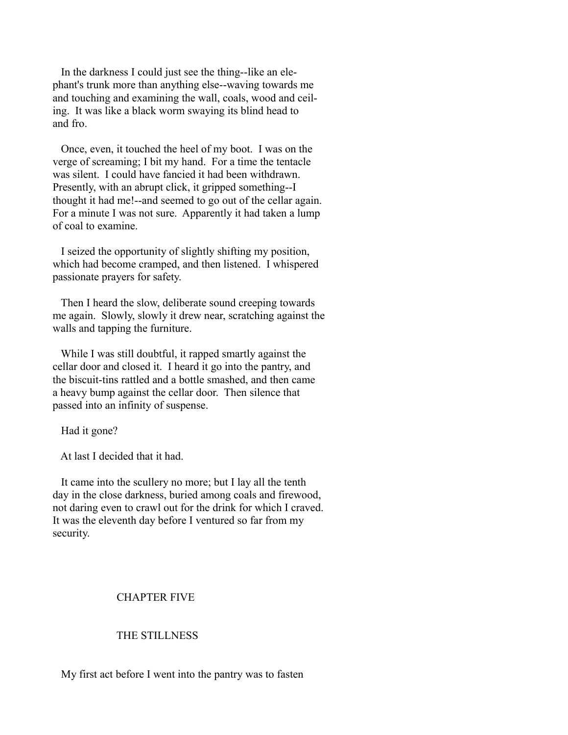In the darkness I could just see the thing--like an elephant's trunk more than anything else--waving towards me and touching and examining the wall, coals, wood and ceiling. It was like a black worm swaying its blind head to and fro.

 Once, even, it touched the heel of my boot. I was on the verge of screaming; I bit my hand. For a time the tentacle was silent. I could have fancied it had been withdrawn. Presently, with an abrupt click, it gripped something--I thought it had me!--and seemed to go out of the cellar again. For a minute I was not sure. Apparently it had taken a lump of coal to examine.

 I seized the opportunity of slightly shifting my position, which had become cramped, and then listened. I whispered passionate prayers for safety.

 Then I heard the slow, deliberate sound creeping towards me again. Slowly, slowly it drew near, scratching against the walls and tapping the furniture.

 While I was still doubtful, it rapped smartly against the cellar door and closed it. I heard it go into the pantry, and the biscuit-tins rattled and a bottle smashed, and then came a heavy bump against the cellar door. Then silence that passed into an infinity of suspense.

Had it gone?

At last I decided that it had.

 It came into the scullery no more; but I lay all the tenth day in the close darkness, buried among coals and firewood, not daring even to crawl out for the drink for which I craved. It was the eleventh day before I ventured so far from my security.

# CHAPTER FIVE

### THE STILLNESS

My first act before I went into the pantry was to fasten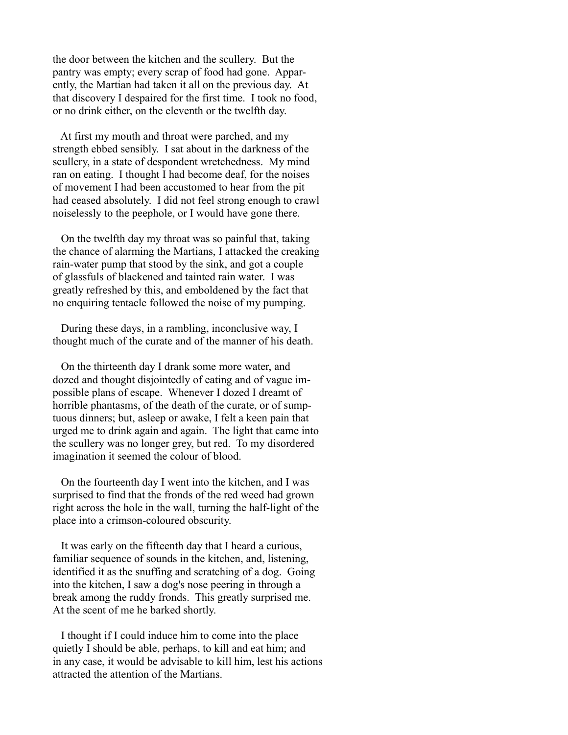the door between the kitchen and the scullery. But the pantry was empty; every scrap of food had gone. Apparently, the Martian had taken it all on the previous day. At that discovery I despaired for the first time. I took no food, or no drink either, on the eleventh or the twelfth day.

 At first my mouth and throat were parched, and my strength ebbed sensibly. I sat about in the darkness of the scullery, in a state of despondent wretchedness. My mind ran on eating. I thought I had become deaf, for the noises of movement I had been accustomed to hear from the pit had ceased absolutely. I did not feel strong enough to crawl noiselessly to the peephole, or I would have gone there.

 On the twelfth day my throat was so painful that, taking the chance of alarming the Martians, I attacked the creaking rain-water pump that stood by the sink, and got a couple of glassfuls of blackened and tainted rain water. I was greatly refreshed by this, and emboldened by the fact that no enquiring tentacle followed the noise of my pumping.

 During these days, in a rambling, inconclusive way, I thought much of the curate and of the manner of his death.

 On the thirteenth day I drank some more water, and dozed and thought disjointedly of eating and of vague impossible plans of escape. Whenever I dozed I dreamt of horrible phantasms, of the death of the curate, or of sumptuous dinners; but, asleep or awake, I felt a keen pain that urged me to drink again and again. The light that came into the scullery was no longer grey, but red. To my disordered imagination it seemed the colour of blood.

 On the fourteenth day I went into the kitchen, and I was surprised to find that the fronds of the red weed had grown right across the hole in the wall, turning the half-light of the place into a crimson-coloured obscurity.

 It was early on the fifteenth day that I heard a curious, familiar sequence of sounds in the kitchen, and, listening, identified it as the snuffing and scratching of a dog. Going into the kitchen, I saw a dog's nose peering in through a break among the ruddy fronds. This greatly surprised me. At the scent of me he barked shortly.

 I thought if I could induce him to come into the place quietly I should be able, perhaps, to kill and eat him; and in any case, it would be advisable to kill him, lest his actions attracted the attention of the Martians.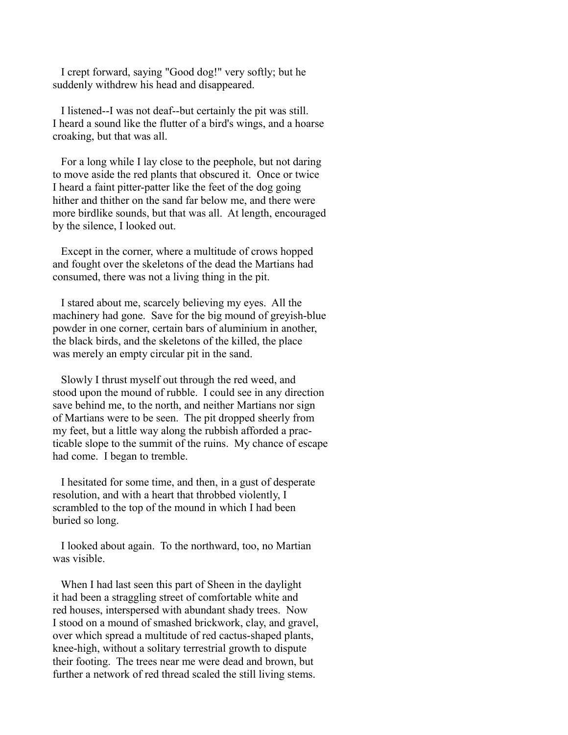I crept forward, saying "Good dog!" very softly; but he suddenly withdrew his head and disappeared.

 I listened--I was not deaf--but certainly the pit was still. I heard a sound like the flutter of a bird's wings, and a hoarse croaking, but that was all.

 For a long while I lay close to the peephole, but not daring to move aside the red plants that obscured it. Once or twice I heard a faint pitter-patter like the feet of the dog going hither and thither on the sand far below me, and there were more birdlike sounds, but that was all. At length, encouraged by the silence, I looked out.

 Except in the corner, where a multitude of crows hopped and fought over the skeletons of the dead the Martians had consumed, there was not a living thing in the pit.

 I stared about me, scarcely believing my eyes. All the machinery had gone. Save for the big mound of greyish-blue powder in one corner, certain bars of aluminium in another, the black birds, and the skeletons of the killed, the place was merely an empty circular pit in the sand.

 Slowly I thrust myself out through the red weed, and stood upon the mound of rubble. I could see in any direction save behind me, to the north, and neither Martians nor sign of Martians were to be seen. The pit dropped sheerly from my feet, but a little way along the rubbish afforded a practicable slope to the summit of the ruins. My chance of escape had come. I began to tremble.

 I hesitated for some time, and then, in a gust of desperate resolution, and with a heart that throbbed violently, I scrambled to the top of the mound in which I had been buried so long.

 I looked about again. To the northward, too, no Martian was visible.

 When I had last seen this part of Sheen in the daylight it had been a straggling street of comfortable white and red houses, interspersed with abundant shady trees. Now I stood on a mound of smashed brickwork, clay, and gravel, over which spread a multitude of red cactus-shaped plants, knee-high, without a solitary terrestrial growth to dispute their footing. The trees near me were dead and brown, but further a network of red thread scaled the still living stems.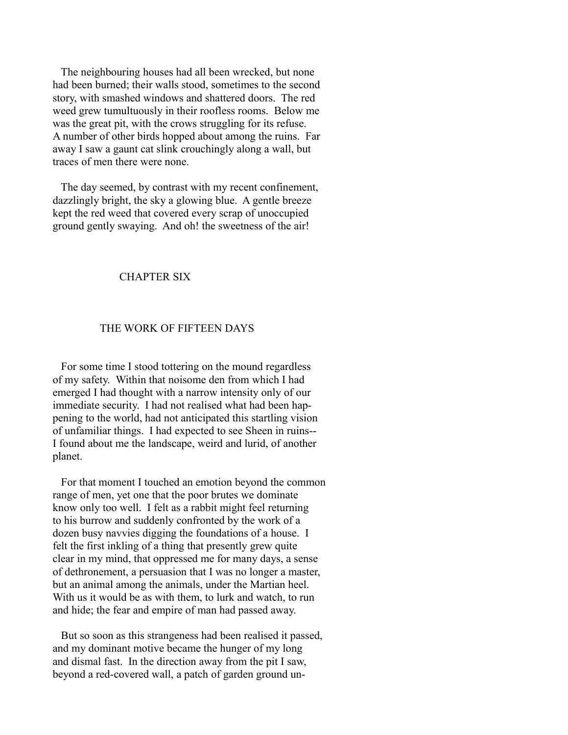The neighbouring houses had all been wrecked, but none had been burned; their walls stood, sometimes to the second story, with smashed windows and shattered doors. The red weed grew tumultuously in their roofless rooms. Below me was the great pit, with the crows struggling for its refuse. A number of other birds hopped about among the ruins. Far away I saw a gaunt cat slink crouchingly along a wall, but traces of men there were none.

 The day seemed, by contrast with my recent confinement, dazzlingly bright, the sky a glowing blue. A gentle breeze kept the red weed that covered every scrap of unoccupied ground gently swaying. And oh! the sweetness of the air!

### CHAPTER SIX

### THE WORK OF FIFTEEN DAYS

 For some time I stood tottering on the mound regardless of my safety. Within that noisome den from which I had emerged I had thought with a narrow intensity only of our immediate security. I had not realised what had been happening to the world, had not anticipated this startling vision of unfamiliar things. I had expected to see Sheen in ruins-- I found about me the landscape, weird and lurid, of another planet.

 For that moment I touched an emotion beyond the common range of men, yet one that the poor brutes we dominate know only too well. I felt as a rabbit might feel returning to his burrow and suddenly confronted by the work of a dozen busy navvies digging the foundations of a house. I felt the first inkling of a thing that presently grew quite clear in my mind, that oppressed me for many days, a sense of dethronement, a persuasion that I was no longer a master, but an animal among the animals, under the Martian heel. With us it would be as with them, to lurk and watch, to run and hide; the fear and empire of man had passed away.

 But so soon as this strangeness had been realised it passed, and my dominant motive became the hunger of my long and dismal fast. In the direction away from the pit I saw, beyond a red-covered wall, a patch of garden ground un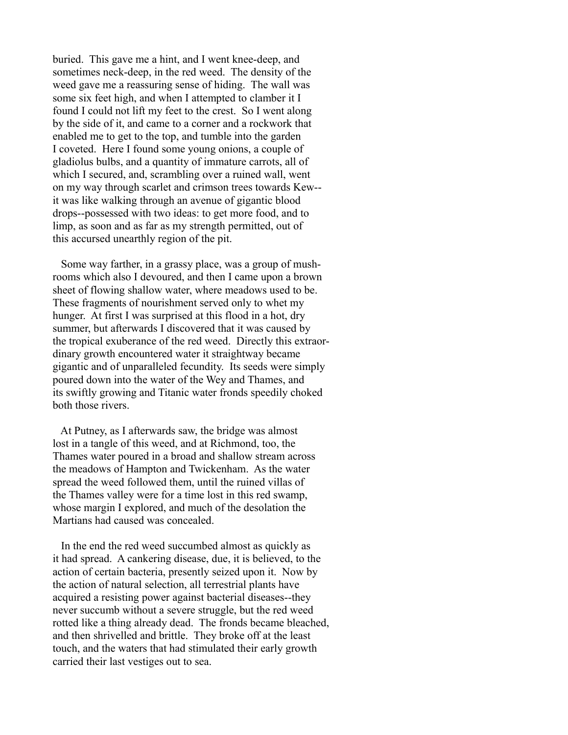buried. This gave me a hint, and I went knee-deep, and sometimes neck-deep, in the red weed. The density of the weed gave me a reassuring sense of hiding. The wall was some six feet high, and when I attempted to clamber it I found I could not lift my feet to the crest. So I went along by the side of it, and came to a corner and a rockwork that enabled me to get to the top, and tumble into the garden I coveted. Here I found some young onions, a couple of gladiolus bulbs, and a quantity of immature carrots, all of which I secured, and, scrambling over a ruined wall, went on my way through scarlet and crimson trees towards Kew- it was like walking through an avenue of gigantic blood drops--possessed with two ideas: to get more food, and to limp, as soon and as far as my strength permitted, out of this accursed unearthly region of the pit.

 Some way farther, in a grassy place, was a group of mushrooms which also I devoured, and then I came upon a brown sheet of flowing shallow water, where meadows used to be. These fragments of nourishment served only to whet my hunger. At first I was surprised at this flood in a hot, dry summer, but afterwards I discovered that it was caused by the tropical exuberance of the red weed. Directly this extraordinary growth encountered water it straightway became gigantic and of unparalleled fecundity. Its seeds were simply poured down into the water of the Wey and Thames, and its swiftly growing and Titanic water fronds speedily choked both those rivers.

 At Putney, as I afterwards saw, the bridge was almost lost in a tangle of this weed, and at Richmond, too, the Thames water poured in a broad and shallow stream across the meadows of Hampton and Twickenham. As the water spread the weed followed them, until the ruined villas of the Thames valley were for a time lost in this red swamp, whose margin I explored, and much of the desolation the Martians had caused was concealed.

 In the end the red weed succumbed almost as quickly as it had spread. A cankering disease, due, it is believed, to the action of certain bacteria, presently seized upon it. Now by the action of natural selection, all terrestrial plants have acquired a resisting power against bacterial diseases--they never succumb without a severe struggle, but the red weed rotted like a thing already dead. The fronds became bleached, and then shrivelled and brittle. They broke off at the least touch, and the waters that had stimulated their early growth carried their last vestiges out to sea.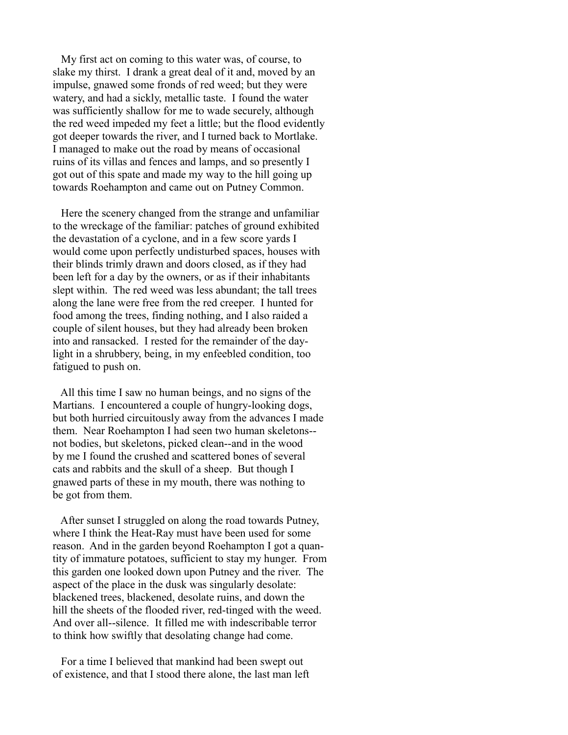My first act on coming to this water was, of course, to slake my thirst. I drank a great deal of it and, moved by an impulse, gnawed some fronds of red weed; but they were watery, and had a sickly, metallic taste. I found the water was sufficiently shallow for me to wade securely, although the red weed impeded my feet a little; but the flood evidently got deeper towards the river, and I turned back to Mortlake. I managed to make out the road by means of occasional ruins of its villas and fences and lamps, and so presently I got out of this spate and made my way to the hill going up towards Roehampton and came out on Putney Common.

 Here the scenery changed from the strange and unfamiliar to the wreckage of the familiar: patches of ground exhibited the devastation of a cyclone, and in a few score yards I would come upon perfectly undisturbed spaces, houses with their blinds trimly drawn and doors closed, as if they had been left for a day by the owners, or as if their inhabitants slept within. The red weed was less abundant; the tall trees along the lane were free from the red creeper. I hunted for food among the trees, finding nothing, and I also raided a couple of silent houses, but they had already been broken into and ransacked. I rested for the remainder of the daylight in a shrubbery, being, in my enfeebled condition, too fatigued to push on.

 All this time I saw no human beings, and no signs of the Martians. I encountered a couple of hungry-looking dogs, but both hurried circuitously away from the advances I made them. Near Roehampton I had seen two human skeletons- not bodies, but skeletons, picked clean--and in the wood by me I found the crushed and scattered bones of several cats and rabbits and the skull of a sheep. But though I gnawed parts of these in my mouth, there was nothing to be got from them.

 After sunset I struggled on along the road towards Putney, where I think the Heat-Ray must have been used for some reason. And in the garden beyond Roehampton I got a quantity of immature potatoes, sufficient to stay my hunger. From this garden one looked down upon Putney and the river. The aspect of the place in the dusk was singularly desolate: blackened trees, blackened, desolate ruins, and down the hill the sheets of the flooded river, red-tinged with the weed. And over all--silence. It filled me with indescribable terror to think how swiftly that desolating change had come.

 For a time I believed that mankind had been swept out of existence, and that I stood there alone, the last man left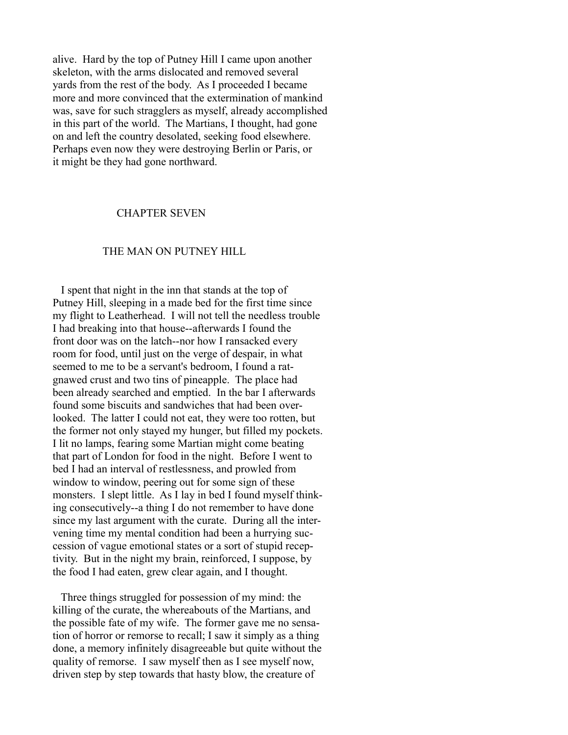alive. Hard by the top of Putney Hill I came upon another skeleton, with the arms dislocated and removed several yards from the rest of the body. As I proceeded I became more and more convinced that the extermination of mankind was, save for such stragglers as myself, already accomplished in this part of the world. The Martians, I thought, had gone on and left the country desolated, seeking food elsewhere. Perhaps even now they were destroying Berlin or Paris, or it might be they had gone northward.

#### CHAPTER SEVEN

### THE MAN ON PUTNEY HILL

 I spent that night in the inn that stands at the top of Putney Hill, sleeping in a made bed for the first time since my flight to Leatherhead. I will not tell the needless trouble I had breaking into that house--afterwards I found the front door was on the latch--nor how I ransacked every room for food, until just on the verge of despair, in what seemed to me to be a servant's bedroom, I found a ratgnawed crust and two tins of pineapple. The place had been already searched and emptied. In the bar I afterwards found some biscuits and sandwiches that had been overlooked. The latter I could not eat, they were too rotten, but the former not only stayed my hunger, but filled my pockets. I lit no lamps, fearing some Martian might come beating that part of London for food in the night. Before I went to bed I had an interval of restlessness, and prowled from window to window, peering out for some sign of these monsters. I slept little. As I lay in bed I found myself thinking consecutively--a thing I do not remember to have done since my last argument with the curate. During all the intervening time my mental condition had been a hurrying succession of vague emotional states or a sort of stupid receptivity. But in the night my brain, reinforced, I suppose, by the food I had eaten, grew clear again, and I thought.

 Three things struggled for possession of my mind: the killing of the curate, the whereabouts of the Martians, and the possible fate of my wife. The former gave me no sensation of horror or remorse to recall; I saw it simply as a thing done, a memory infinitely disagreeable but quite without the quality of remorse. I saw myself then as I see myself now, driven step by step towards that hasty blow, the creature of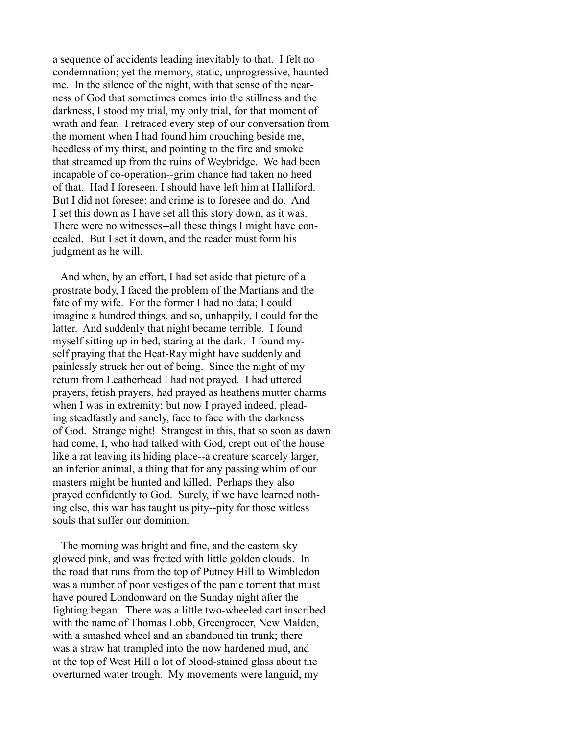a sequence of accidents leading inevitably to that. I felt no condemnation; yet the memory, static, unprogressive, haunted me. In the silence of the night, with that sense of the nearness of God that sometimes comes into the stillness and the darkness, I stood my trial, my only trial, for that moment of wrath and fear. I retraced every step of our conversation from the moment when I had found him crouching beside me, heedless of my thirst, and pointing to the fire and smoke that streamed up from the ruins of Weybridge. We had been incapable of co-operation--grim chance had taken no heed of that. Had I foreseen, I should have left him at Halliford. But I did not foresee; and crime is to foresee and do. And I set this down as I have set all this story down, as it was. There were no witnesses--all these things I might have concealed. But I set it down, and the reader must form his judgment as he will.

 And when, by an effort, I had set aside that picture of a prostrate body, I faced the problem of the Martians and the fate of my wife. For the former I had no data; I could imagine a hundred things, and so, unhappily, I could for the latter. And suddenly that night became terrible. I found myself sitting up in bed, staring at the dark. I found myself praying that the Heat-Ray might have suddenly and painlessly struck her out of being. Since the night of my return from Leatherhead I had not prayed. I had uttered prayers, fetish prayers, had prayed as heathens mutter charms when I was in extremity; but now I prayed indeed, pleading steadfastly and sanely, face to face with the darkness of God. Strange night! Strangest in this, that so soon as dawn had come, I, who had talked with God, crept out of the house like a rat leaving its hiding place--a creature scarcely larger, an inferior animal, a thing that for any passing whim of our masters might be hunted and killed. Perhaps they also prayed confidently to God. Surely, if we have learned nothing else, this war has taught us pity--pity for those witless souls that suffer our dominion.

 The morning was bright and fine, and the eastern sky glowed pink, and was fretted with little golden clouds. In the road that runs from the top of Putney Hill to Wimbledon was a number of poor vestiges of the panic torrent that must have poured Londonward on the Sunday night after the fighting began. There was a little two-wheeled cart inscribed with the name of Thomas Lobb, Greengrocer, New Malden, with a smashed wheel and an abandoned tin trunk; there was a straw hat trampled into the now hardened mud, and at the top of West Hill a lot of blood-stained glass about the overturned water trough. My movements were languid, my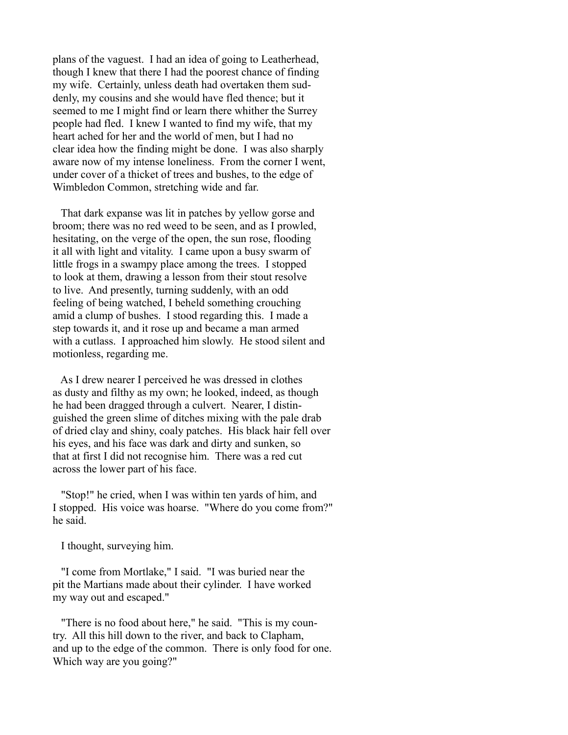plans of the vaguest. I had an idea of going to Leatherhead, though I knew that there I had the poorest chance of finding my wife. Certainly, unless death had overtaken them suddenly, my cousins and she would have fled thence; but it seemed to me I might find or learn there whither the Surrey people had fled. I knew I wanted to find my wife, that my heart ached for her and the world of men, but I had no clear idea how the finding might be done. I was also sharply aware now of my intense loneliness. From the corner I went, under cover of a thicket of trees and bushes, to the edge of Wimbledon Common, stretching wide and far.

 That dark expanse was lit in patches by yellow gorse and broom; there was no red weed to be seen, and as I prowled, hesitating, on the verge of the open, the sun rose, flooding it all with light and vitality. I came upon a busy swarm of little frogs in a swampy place among the trees. I stopped to look at them, drawing a lesson from their stout resolve to live. And presently, turning suddenly, with an odd feeling of being watched, I beheld something crouching amid a clump of bushes. I stood regarding this. I made a step towards it, and it rose up and became a man armed with a cutlass. I approached him slowly. He stood silent and motionless, regarding me.

 As I drew nearer I perceived he was dressed in clothes as dusty and filthy as my own; he looked, indeed, as though he had been dragged through a culvert. Nearer, I distinguished the green slime of ditches mixing with the pale drab of dried clay and shiny, coaly patches. His black hair fell over his eyes, and his face was dark and dirty and sunken, so that at first I did not recognise him. There was a red cut across the lower part of his face.

 "Stop!" he cried, when I was within ten yards of him, and I stopped. His voice was hoarse. "Where do you come from?" he said.

I thought, surveying him.

 "I come from Mortlake," I said. "I was buried near the pit the Martians made about their cylinder. I have worked my way out and escaped."

 "There is no food about here," he said. "This is my country. All this hill down to the river, and back to Clapham, and up to the edge of the common. There is only food for one. Which way are you going?"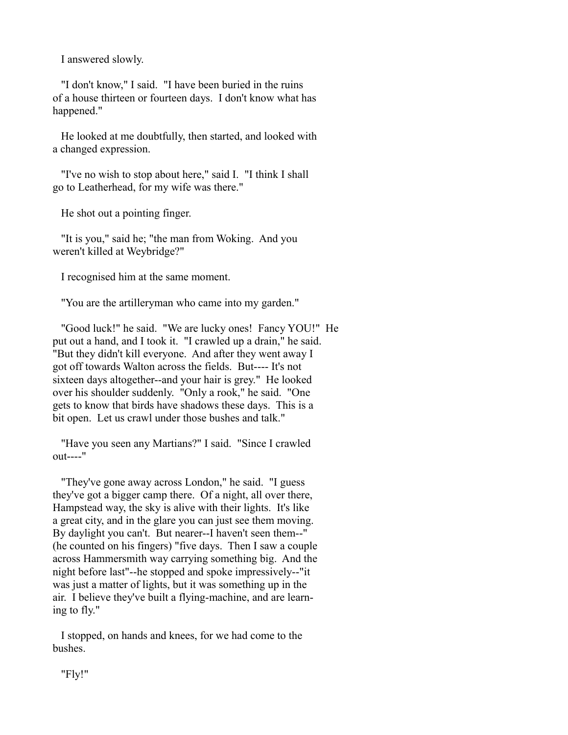I answered slowly.

 "I don't know," I said. "I have been buried in the ruins of a house thirteen or fourteen days. I don't know what has happened."

 He looked at me doubtfully, then started, and looked with a changed expression.

 "I've no wish to stop about here," said I. "I think I shall go to Leatherhead, for my wife was there."

He shot out a pointing finger.

 "It is you," said he; "the man from Woking. And you weren't killed at Weybridge?"

I recognised him at the same moment.

"You are the artilleryman who came into my garden."

 "Good luck!" he said. "We are lucky ones! Fancy YOU!" He put out a hand, and I took it. "I crawled up a drain," he said. "But they didn't kill everyone. And after they went away I got off towards Walton across the fields. But---- It's not sixteen days altogether--and your hair is grey." He looked over his shoulder suddenly. "Only a rook," he said. "One gets to know that birds have shadows these days. This is a bit open. Let us crawl under those bushes and talk."

 "Have you seen any Martians?" I said. "Since I crawled out----"

 "They've gone away across London," he said. "I guess they've got a bigger camp there. Of a night, all over there, Hampstead way, the sky is alive with their lights. It's like a great city, and in the glare you can just see them moving. By daylight you can't. But nearer--I haven't seen them--" (he counted on his fingers) "five days. Then I saw a couple across Hammersmith way carrying something big. And the night before last"--he stopped and spoke impressively--"it was just a matter of lights, but it was something up in the air. I believe they've built a flying-machine, and are learning to fly."

 I stopped, on hands and knees, for we had come to the bushes.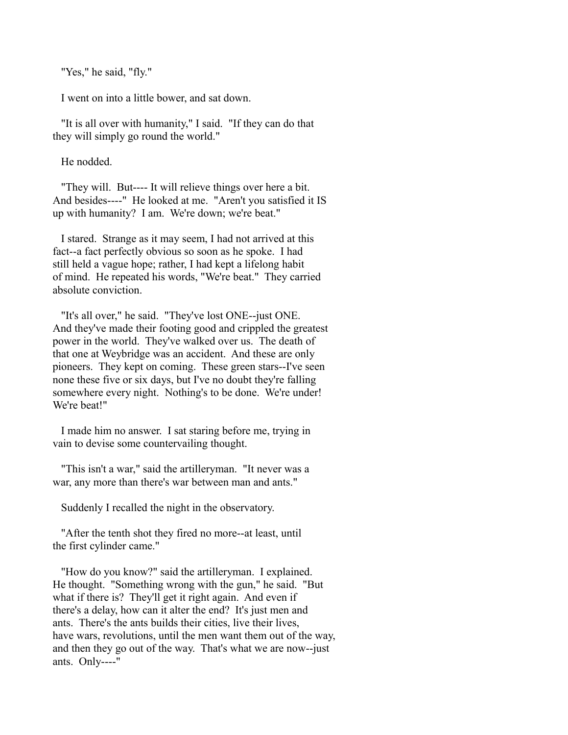"Yes," he said, "fly."

I went on into a little bower, and sat down.

 "It is all over with humanity," I said. "If they can do that they will simply go round the world."

He nodded.

 "They will. But---- It will relieve things over here a bit. And besides----" He looked at me. "Aren't you satisfied it IS up with humanity? I am. We're down; we're beat."

 I stared. Strange as it may seem, I had not arrived at this fact--a fact perfectly obvious so soon as he spoke. I had still held a vague hope; rather, I had kept a lifelong habit of mind. He repeated his words, "We're beat." They carried absolute conviction.

 "It's all over," he said. "They've lost ONE--just ONE. And they've made their footing good and crippled the greatest power in the world. They've walked over us. The death of that one at Weybridge was an accident. And these are only pioneers. They kept on coming. These green stars--I've seen none these five or six days, but I've no doubt they're falling somewhere every night. Nothing's to be done. We're under! We're beat!"

 I made him no answer. I sat staring before me, trying in vain to devise some countervailing thought.

 "This isn't a war," said the artilleryman. "It never was a war, any more than there's war between man and ants."

Suddenly I recalled the night in the observatory.

 "After the tenth shot they fired no more--at least, until the first cylinder came."

 "How do you know?" said the artilleryman. I explained. He thought. "Something wrong with the gun," he said. "But what if there is? They'll get it right again. And even if there's a delay, how can it alter the end? It's just men and ants. There's the ants builds their cities, live their lives, have wars, revolutions, until the men want them out of the way, and then they go out of the way. That's what we are now--just ants. Only----"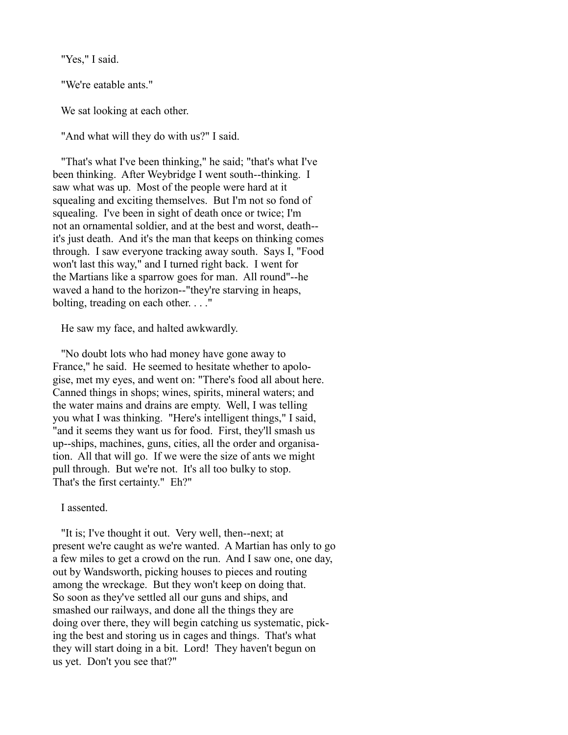"Yes," I said.

"We're eatable ants."

We sat looking at each other.

"And what will they do with us?" I said.

 "That's what I've been thinking," he said; "that's what I've been thinking. After Weybridge I went south--thinking. I saw what was up. Most of the people were hard at it squealing and exciting themselves. But I'm not so fond of squealing. I've been in sight of death once or twice; I'm not an ornamental soldier, and at the best and worst, death- it's just death. And it's the man that keeps on thinking comes through. I saw everyone tracking away south. Says I, "Food won't last this way," and I turned right back. I went for the Martians like a sparrow goes for man. All round"--he waved a hand to the horizon--"they're starving in heaps, bolting, treading on each other. . . ."

He saw my face, and halted awkwardly.

 "No doubt lots who had money have gone away to France," he said. He seemed to hesitate whether to apologise, met my eyes, and went on: "There's food all about here. Canned things in shops; wines, spirits, mineral waters; and the water mains and drains are empty. Well, I was telling you what I was thinking. "Here's intelligent things," I said, "and it seems they want us for food. First, they'll smash us up--ships, machines, guns, cities, all the order and organisation. All that will go. If we were the size of ants we might pull through. But we're not. It's all too bulky to stop. That's the first certainty." Eh?"

I assented.

 "It is; I've thought it out. Very well, then--next; at present we're caught as we're wanted. A Martian has only to go a few miles to get a crowd on the run. And I saw one, one day, out by Wandsworth, picking houses to pieces and routing among the wreckage. But they won't keep on doing that. So soon as they've settled all our guns and ships, and smashed our railways, and done all the things they are doing over there, they will begin catching us systematic, picking the best and storing us in cages and things. That's what they will start doing in a bit. Lord! They haven't begun on us yet. Don't you see that?"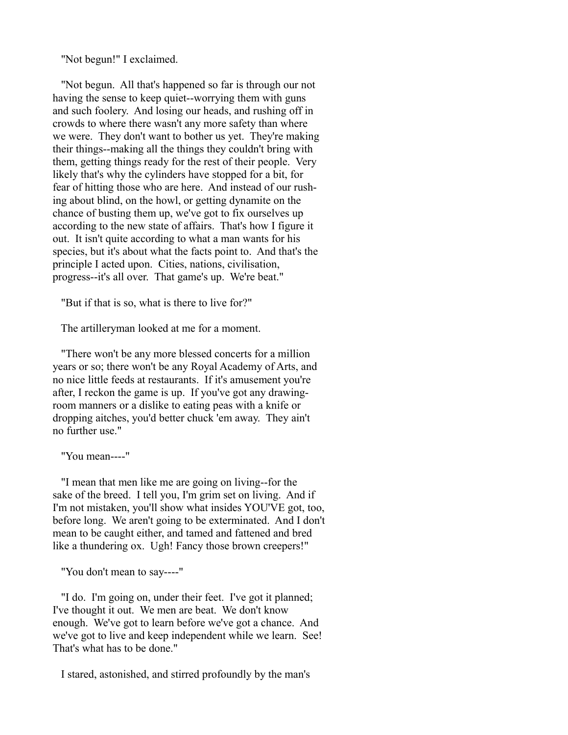"Not begun!" I exclaimed.

 "Not begun. All that's happened so far is through our not having the sense to keep quiet--worrying them with guns and such foolery. And losing our heads, and rushing off in crowds to where there wasn't any more safety than where we were. They don't want to bother us yet. They're making their things--making all the things they couldn't bring with them, getting things ready for the rest of their people. Very likely that's why the cylinders have stopped for a bit, for fear of hitting those who are here. And instead of our rushing about blind, on the howl, or getting dynamite on the chance of busting them up, we've got to fix ourselves up according to the new state of affairs. That's how I figure it out. It isn't quite according to what a man wants for his species, but it's about what the facts point to. And that's the principle I acted upon. Cities, nations, civilisation, progress--it's all over. That game's up. We're beat."

"But if that is so, what is there to live for?"

The artilleryman looked at me for a moment.

 "There won't be any more blessed concerts for a million years or so; there won't be any Royal Academy of Arts, and no nice little feeds at restaurants. If it's amusement you're after, I reckon the game is up. If you've got any drawingroom manners or a dislike to eating peas with a knife or dropping aitches, you'd better chuck 'em away. They ain't no further use."

"You mean----"

 "I mean that men like me are going on living--for the sake of the breed. I tell you, I'm grim set on living. And if I'm not mistaken, you'll show what insides YOU'VE got, too, before long. We aren't going to be exterminated. And I don't mean to be caught either, and tamed and fattened and bred like a thundering ox. Ugh! Fancy those brown creepers!"

"You don't mean to say----"

 "I do. I'm going on, under their feet. I've got it planned; I've thought it out. We men are beat. We don't know enough. We've got to learn before we've got a chance. And we've got to live and keep independent while we learn. See! That's what has to be done."

I stared, astonished, and stirred profoundly by the man's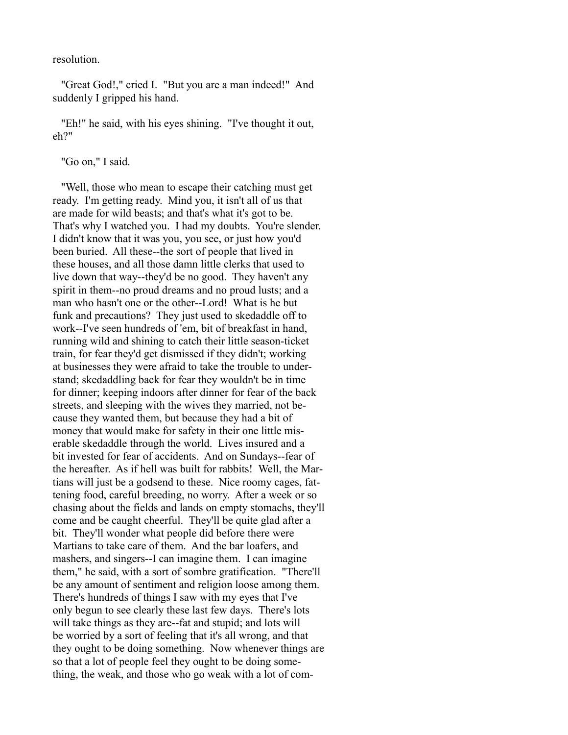resolution.

 "Great God!," cried I. "But you are a man indeed!" And suddenly I gripped his hand.

 "Eh!" he said, with his eyes shining. "I've thought it out, eh?"

"Go on," I said.

 "Well, those who mean to escape their catching must get ready. I'm getting ready. Mind you, it isn't all of us that are made for wild beasts; and that's what it's got to be. That's why I watched you. I had my doubts. You're slender. I didn't know that it was you, you see, or just how you'd been buried. All these--the sort of people that lived in these houses, and all those damn little clerks that used to live down that way--they'd be no good. They haven't any spirit in them--no proud dreams and no proud lusts; and a man who hasn't one or the other--Lord! What is he but funk and precautions? They just used to skedaddle off to work--I've seen hundreds of 'em, bit of breakfast in hand, running wild and shining to catch their little season-ticket train, for fear they'd get dismissed if they didn't; working at businesses they were afraid to take the trouble to understand; skedaddling back for fear they wouldn't be in time for dinner; keeping indoors after dinner for fear of the back streets, and sleeping with the wives they married, not because they wanted them, but because they had a bit of money that would make for safety in their one little miserable skedaddle through the world. Lives insured and a bit invested for fear of accidents. And on Sundays--fear of the hereafter. As if hell was built for rabbits! Well, the Martians will just be a godsend to these. Nice roomy cages, fattening food, careful breeding, no worry. After a week or so chasing about the fields and lands on empty stomachs, they'll come and be caught cheerful. They'll be quite glad after a bit. They'll wonder what people did before there were Martians to take care of them. And the bar loafers, and mashers, and singers--I can imagine them. I can imagine them," he said, with a sort of sombre gratification. "There'll be any amount of sentiment and religion loose among them. There's hundreds of things I saw with my eyes that I've only begun to see clearly these last few days. There's lots will take things as they are--fat and stupid; and lots will be worried by a sort of feeling that it's all wrong, and that they ought to be doing something. Now whenever things are so that a lot of people feel they ought to be doing something, the weak, and those who go weak with a lot of com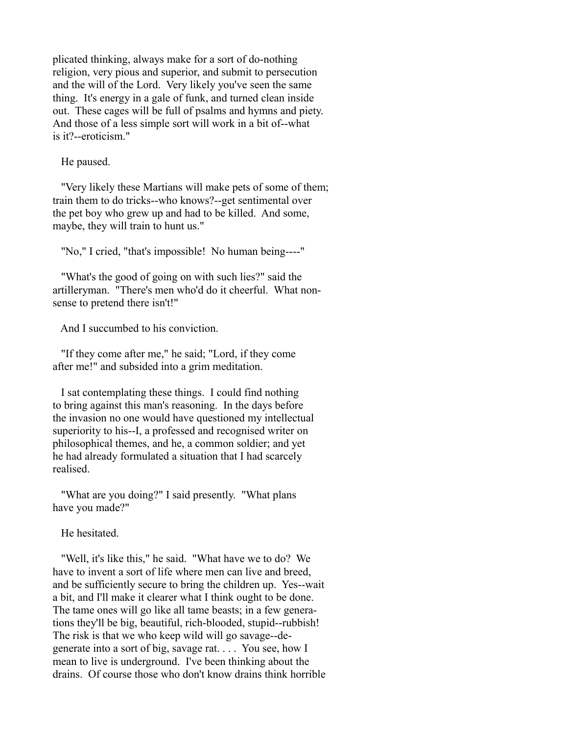plicated thinking, always make for a sort of do-nothing religion, very pious and superior, and submit to persecution and the will of the Lord. Very likely you've seen the same thing. It's energy in a gale of funk, and turned clean inside out. These cages will be full of psalms and hymns and piety. And those of a less simple sort will work in a bit of--what is it?--eroticism."

He paused.

 "Very likely these Martians will make pets of some of them; train them to do tricks--who knows?--get sentimental over the pet boy who grew up and had to be killed. And some, maybe, they will train to hunt us."

"No," I cried, "that's impossible! No human being----"

 "What's the good of going on with such lies?" said the artilleryman. "There's men who'd do it cheerful. What nonsense to pretend there isn't!"

And I succumbed to his conviction.

 "If they come after me," he said; "Lord, if they come after me!" and subsided into a grim meditation.

 I sat contemplating these things. I could find nothing to bring against this man's reasoning. In the days before the invasion no one would have questioned my intellectual superiority to his--I, a professed and recognised writer on philosophical themes, and he, a common soldier; and yet he had already formulated a situation that I had scarcely realised.

 "What are you doing?" I said presently. "What plans have you made?"

He hesitated.

 "Well, it's like this," he said. "What have we to do? We have to invent a sort of life where men can live and breed, and be sufficiently secure to bring the children up. Yes--wait a bit, and I'll make it clearer what I think ought to be done. The tame ones will go like all tame beasts; in a few generations they'll be big, beautiful, rich-blooded, stupid--rubbish! The risk is that we who keep wild will go savage--degenerate into a sort of big, savage rat. . . . You see, how I mean to live is underground. I've been thinking about the drains. Of course those who don't know drains think horrible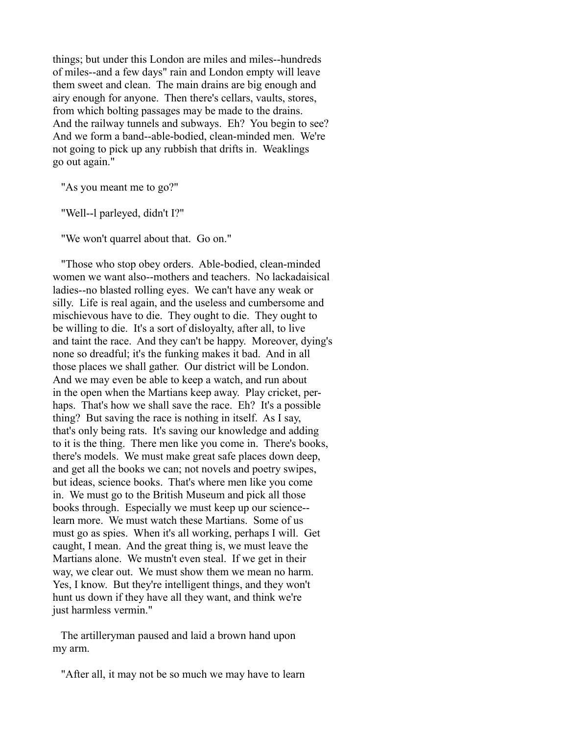things; but under this London are miles and miles--hundreds of miles--and a few days" rain and London empty will leave them sweet and clean. The main drains are big enough and airy enough for anyone. Then there's cellars, vaults, stores, from which bolting passages may be made to the drains. And the railway tunnels and subways. Eh? You begin to see? And we form a band--able-bodied, clean-minded men. We're not going to pick up any rubbish that drifts in. Weaklings go out again."

"As you meant me to go?"

"Well--l parleyed, didn't I?"

"We won't quarrel about that. Go on."

 "Those who stop obey orders. Able-bodied, clean-minded women we want also--mothers and teachers. No lackadaisical ladies--no blasted rolling eyes. We can't have any weak or silly. Life is real again, and the useless and cumbersome and mischievous have to die. They ought to die. They ought to be willing to die. It's a sort of disloyalty, after all, to live and taint the race. And they can't be happy. Moreover, dying's none so dreadful; it's the funking makes it bad. And in all those places we shall gather. Our district will be London. And we may even be able to keep a watch, and run about in the open when the Martians keep away. Play cricket, perhaps. That's how we shall save the race. Eh? It's a possible thing? But saving the race is nothing in itself. As I say, that's only being rats. It's saving our knowledge and adding to it is the thing. There men like you come in. There's books, there's models. We must make great safe places down deep, and get all the books we can; not novels and poetry swipes, but ideas, science books. That's where men like you come in. We must go to the British Museum and pick all those books through. Especially we must keep up our science- learn more. We must watch these Martians. Some of us must go as spies. When it's all working, perhaps I will. Get caught, I mean. And the great thing is, we must leave the Martians alone. We mustn't even steal. If we get in their way, we clear out. We must show them we mean no harm. Yes, I know. But they're intelligent things, and they won't hunt us down if they have all they want, and think we're just harmless vermin."

 The artilleryman paused and laid a brown hand upon my arm.

"After all, it may not be so much we may have to learn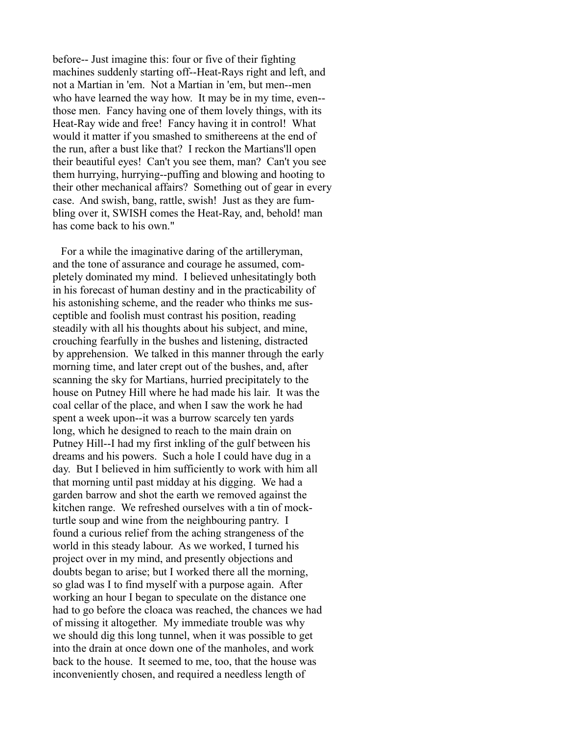before-- Just imagine this: four or five of their fighting machines suddenly starting off--Heat-Rays right and left, and not a Martian in 'em. Not a Martian in 'em, but men--men who have learned the way how. It may be in my time, even- those men. Fancy having one of them lovely things, with its Heat-Ray wide and free! Fancy having it in control! What would it matter if you smashed to smithereens at the end of the run, after a bust like that? I reckon the Martians'll open their beautiful eyes! Can't you see them, man? Can't you see them hurrying, hurrying--puffing and blowing and hooting to their other mechanical affairs? Something out of gear in every case. And swish, bang, rattle, swish! Just as they are fumbling over it, SWISH comes the Heat-Ray, and, behold! man has come back to his own."

 For a while the imaginative daring of the artilleryman, and the tone of assurance and courage he assumed, completely dominated my mind. I believed unhesitatingly both in his forecast of human destiny and in the practicability of his astonishing scheme, and the reader who thinks me susceptible and foolish must contrast his position, reading steadily with all his thoughts about his subject, and mine, crouching fearfully in the bushes and listening, distracted by apprehension. We talked in this manner through the early morning time, and later crept out of the bushes, and, after scanning the sky for Martians, hurried precipitately to the house on Putney Hill where he had made his lair. It was the coal cellar of the place, and when I saw the work he had spent a week upon--it was a burrow scarcely ten yards long, which he designed to reach to the main drain on Putney Hill--I had my first inkling of the gulf between his dreams and his powers. Such a hole I could have dug in a day. But I believed in him sufficiently to work with him all that morning until past midday at his digging. We had a garden barrow and shot the earth we removed against the kitchen range. We refreshed ourselves with a tin of mockturtle soup and wine from the neighbouring pantry. I found a curious relief from the aching strangeness of the world in this steady labour. As we worked, I turned his project over in my mind, and presently objections and doubts began to arise; but I worked there all the morning, so glad was I to find myself with a purpose again. After working an hour I began to speculate on the distance one had to go before the cloaca was reached, the chances we had of missing it altogether. My immediate trouble was why we should dig this long tunnel, when it was possible to get into the drain at once down one of the manholes, and work back to the house. It seemed to me, too, that the house was inconveniently chosen, and required a needless length of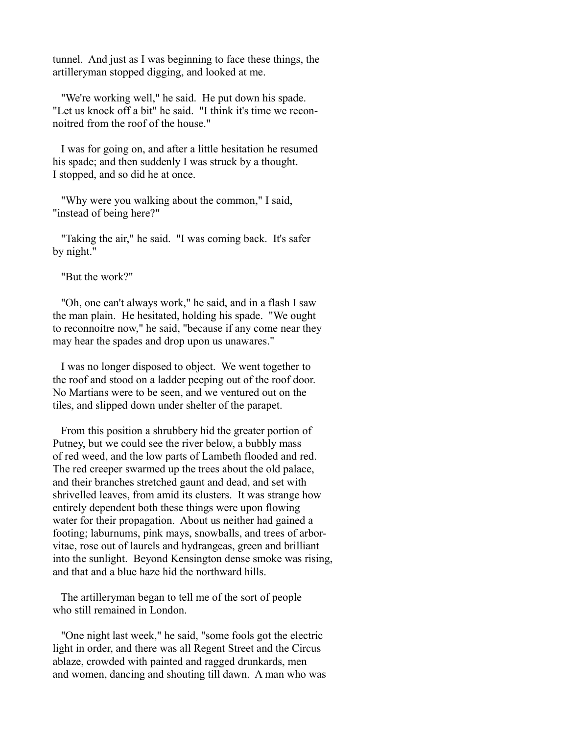tunnel. And just as I was beginning to face these things, the artilleryman stopped digging, and looked at me.

 "We're working well," he said. He put down his spade. "Let us knock off a bit" he said. "I think it's time we reconnoitred from the roof of the house."

 I was for going on, and after a little hesitation he resumed his spade; and then suddenly I was struck by a thought. I stopped, and so did he at once.

 "Why were you walking about the common," I said, "instead of being here?"

 "Taking the air," he said. "I was coming back. It's safer by night."

"But the work?"

 "Oh, one can't always work," he said, and in a flash I saw the man plain. He hesitated, holding his spade. "We ought to reconnoitre now," he said, "because if any come near they may hear the spades and drop upon us unawares."

 I was no longer disposed to object. We went together to the roof and stood on a ladder peeping out of the roof door. No Martians were to be seen, and we ventured out on the tiles, and slipped down under shelter of the parapet.

 From this position a shrubbery hid the greater portion of Putney, but we could see the river below, a bubbly mass of red weed, and the low parts of Lambeth flooded and red. The red creeper swarmed up the trees about the old palace, and their branches stretched gaunt and dead, and set with shrivelled leaves, from amid its clusters. It was strange how entirely dependent both these things were upon flowing water for their propagation. About us neither had gained a footing; laburnums, pink mays, snowballs, and trees of arborvitae, rose out of laurels and hydrangeas, green and brilliant into the sunlight. Beyond Kensington dense smoke was rising, and that and a blue haze hid the northward hills.

 The artilleryman began to tell me of the sort of people who still remained in London.

 "One night last week," he said, "some fools got the electric light in order, and there was all Regent Street and the Circus ablaze, crowded with painted and ragged drunkards, men and women, dancing and shouting till dawn. A man who was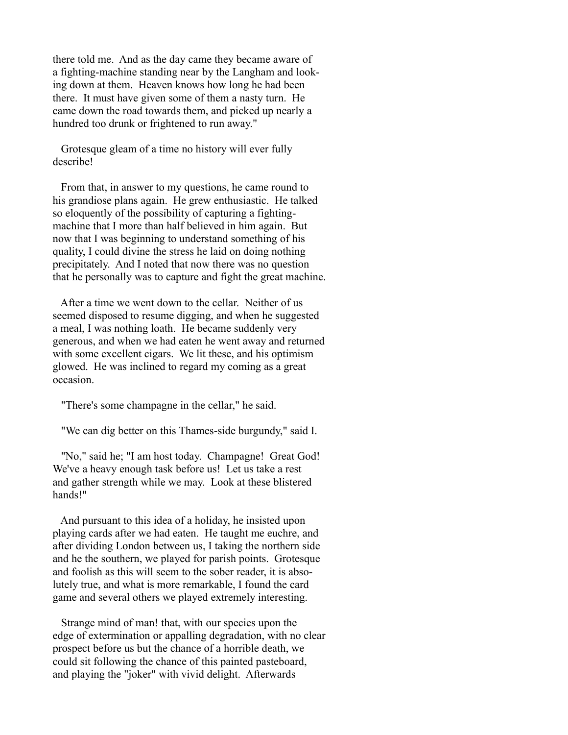there told me. And as the day came they became aware of a fighting-machine standing near by the Langham and looking down at them. Heaven knows how long he had been there. It must have given some of them a nasty turn. He came down the road towards them, and picked up nearly a hundred too drunk or frightened to run away."

 Grotesque gleam of a time no history will ever fully describe!

 From that, in answer to my questions, he came round to his grandiose plans again. He grew enthusiastic. He talked so eloquently of the possibility of capturing a fightingmachine that I more than half believed in him again. But now that I was beginning to understand something of his quality, I could divine the stress he laid on doing nothing precipitately. And I noted that now there was no question that he personally was to capture and fight the great machine.

 After a time we went down to the cellar. Neither of us seemed disposed to resume digging, and when he suggested a meal, I was nothing loath. He became suddenly very generous, and when we had eaten he went away and returned with some excellent cigars. We lit these, and his optimism glowed. He was inclined to regard my coming as a great occasion.

"There's some champagne in the cellar," he said.

"We can dig better on this Thames-side burgundy," said I.

 "No," said he; "I am host today. Champagne! Great God! We've a heavy enough task before us! Let us take a rest and gather strength while we may. Look at these blistered hands!"

 And pursuant to this idea of a holiday, he insisted upon playing cards after we had eaten. He taught me euchre, and after dividing London between us, I taking the northern side and he the southern, we played for parish points. Grotesque and foolish as this will seem to the sober reader, it is absolutely true, and what is more remarkable, I found the card game and several others we played extremely interesting.

 Strange mind of man! that, with our species upon the edge of extermination or appalling degradation, with no clear prospect before us but the chance of a horrible death, we could sit following the chance of this painted pasteboard, and playing the "joker" with vivid delight. Afterwards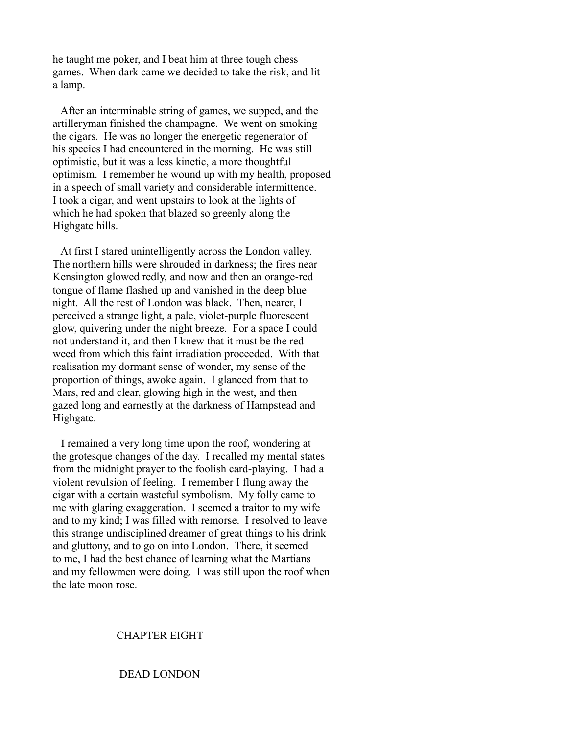he taught me poker, and I beat him at three tough chess games. When dark came we decided to take the risk, and lit a lamp.

 After an interminable string of games, we supped, and the artilleryman finished the champagne. We went on smoking the cigars. He was no longer the energetic regenerator of his species I had encountered in the morning. He was still optimistic, but it was a less kinetic, a more thoughtful optimism. I remember he wound up with my health, proposed in a speech of small variety and considerable intermittence. I took a cigar, and went upstairs to look at the lights of which he had spoken that blazed so greenly along the Highgate hills.

 At first I stared unintelligently across the London valley. The northern hills were shrouded in darkness; the fires near Kensington glowed redly, and now and then an orange-red tongue of flame flashed up and vanished in the deep blue night. All the rest of London was black. Then, nearer, I perceived a strange light, a pale, violet-purple fluorescent glow, quivering under the night breeze. For a space I could not understand it, and then I knew that it must be the red weed from which this faint irradiation proceeded. With that realisation my dormant sense of wonder, my sense of the proportion of things, awoke again. I glanced from that to Mars, red and clear, glowing high in the west, and then gazed long and earnestly at the darkness of Hampstead and Highgate.

 I remained a very long time upon the roof, wondering at the grotesque changes of the day. I recalled my mental states from the midnight prayer to the foolish card-playing. I had a violent revulsion of feeling. I remember I flung away the cigar with a certain wasteful symbolism. My folly came to me with glaring exaggeration. I seemed a traitor to my wife and to my kind; I was filled with remorse. I resolved to leave this strange undisciplined dreamer of great things to his drink and gluttony, and to go on into London. There, it seemed to me, I had the best chance of learning what the Martians and my fellowmen were doing. I was still upon the roof when the late moon rose.

### CHAPTER EIGHT

### DEAD LONDON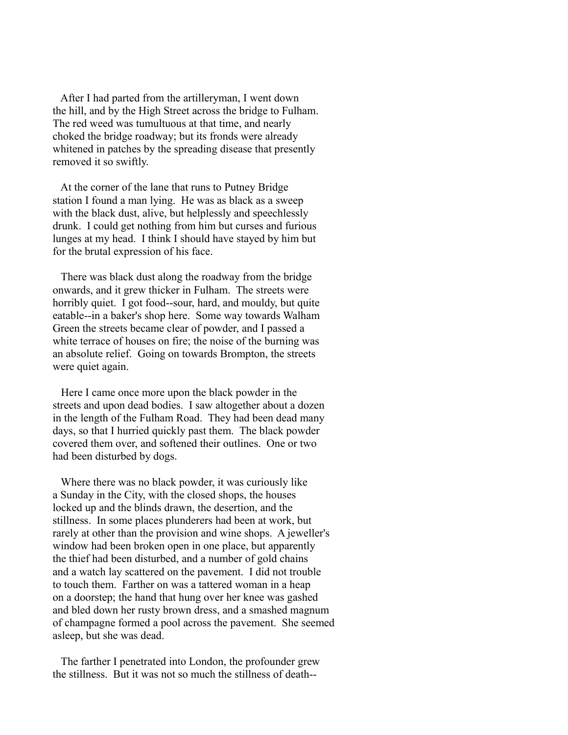After I had parted from the artilleryman, I went down the hill, and by the High Street across the bridge to Fulham. The red weed was tumultuous at that time, and nearly choked the bridge roadway; but its fronds were already whitened in patches by the spreading disease that presently removed it so swiftly.

 At the corner of the lane that runs to Putney Bridge station I found a man lying. He was as black as a sweep with the black dust, alive, but helplessly and speechlessly drunk. I could get nothing from him but curses and furious lunges at my head. I think I should have stayed by him but for the brutal expression of his face.

 There was black dust along the roadway from the bridge onwards, and it grew thicker in Fulham. The streets were horribly quiet. I got food--sour, hard, and mouldy, but quite eatable--in a baker's shop here. Some way towards Walham Green the streets became clear of powder, and I passed a white terrace of houses on fire; the noise of the burning was an absolute relief. Going on towards Brompton, the streets were quiet again.

 Here I came once more upon the black powder in the streets and upon dead bodies. I saw altogether about a dozen in the length of the Fulham Road. They had been dead many days, so that I hurried quickly past them. The black powder covered them over, and softened their outlines. One or two had been disturbed by dogs.

 Where there was no black powder, it was curiously like a Sunday in the City, with the closed shops, the houses locked up and the blinds drawn, the desertion, and the stillness. In some places plunderers had been at work, but rarely at other than the provision and wine shops. A jeweller's window had been broken open in one place, but apparently the thief had been disturbed, and a number of gold chains and a watch lay scattered on the pavement. I did not trouble to touch them. Farther on was a tattered woman in a heap on a doorstep; the hand that hung over her knee was gashed and bled down her rusty brown dress, and a smashed magnum of champagne formed a pool across the pavement. She seemed asleep, but she was dead.

 The farther I penetrated into London, the profounder grew the stillness. But it was not so much the stillness of death--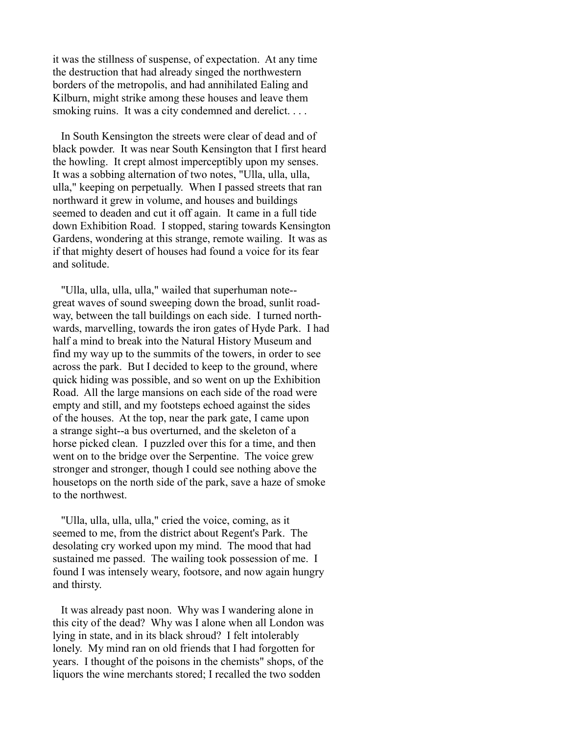it was the stillness of suspense, of expectation. At any time the destruction that had already singed the northwestern borders of the metropolis, and had annihilated Ealing and Kilburn, might strike among these houses and leave them smoking ruins. It was a city condemned and derelict....

 In South Kensington the streets were clear of dead and of black powder. It was near South Kensington that I first heard the howling. It crept almost imperceptibly upon my senses. It was a sobbing alternation of two notes, "Ulla, ulla, ulla, ulla," keeping on perpetually. When I passed streets that ran northward it grew in volume, and houses and buildings seemed to deaden and cut it off again. It came in a full tide down Exhibition Road. I stopped, staring towards Kensington Gardens, wondering at this strange, remote wailing. It was as if that mighty desert of houses had found a voice for its fear and solitude.

 "Ulla, ulla, ulla, ulla," wailed that superhuman note- great waves of sound sweeping down the broad, sunlit roadway, between the tall buildings on each side. I turned northwards, marvelling, towards the iron gates of Hyde Park. I had half a mind to break into the Natural History Museum and find my way up to the summits of the towers, in order to see across the park. But I decided to keep to the ground, where quick hiding was possible, and so went on up the Exhibition Road. All the large mansions on each side of the road were empty and still, and my footsteps echoed against the sides of the houses. At the top, near the park gate, I came upon a strange sight--a bus overturned, and the skeleton of a horse picked clean. I puzzled over this for a time, and then went on to the bridge over the Serpentine. The voice grew stronger and stronger, though I could see nothing above the housetops on the north side of the park, save a haze of smoke to the northwest.

 "Ulla, ulla, ulla, ulla," cried the voice, coming, as it seemed to me, from the district about Regent's Park. The desolating cry worked upon my mind. The mood that had sustained me passed. The wailing took possession of me. I found I was intensely weary, footsore, and now again hungry and thirsty.

 It was already past noon. Why was I wandering alone in this city of the dead? Why was I alone when all London was lying in state, and in its black shroud? I felt intolerably lonely. My mind ran on old friends that I had forgotten for years. I thought of the poisons in the chemists" shops, of the liquors the wine merchants stored; I recalled the two sodden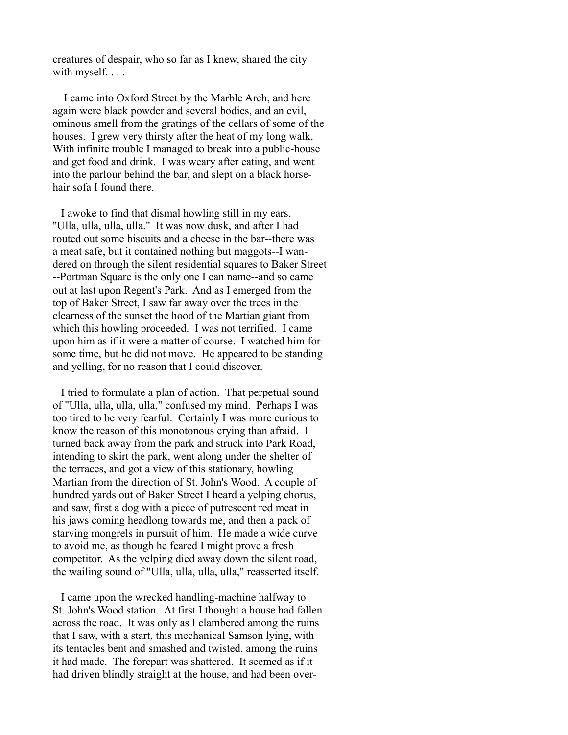creatures of despair, who so far as I knew, shared the city with myself....

 I came into Oxford Street by the Marble Arch, and here again were black powder and several bodies, and an evil, ominous smell from the gratings of the cellars of some of the houses. I grew very thirsty after the heat of my long walk. With infinite trouble I managed to break into a public-house and get food and drink. I was weary after eating, and went into the parlour behind the bar, and slept on a black horsehair sofa I found there.

 I awoke to find that dismal howling still in my ears, "Ulla, ulla, ulla, ulla." It was now dusk, and after I had routed out some biscuits and a cheese in the bar--there was a meat safe, but it contained nothing but maggots--I wandered on through the silent residential squares to Baker Street --Portman Square is the only one I can name--and so came out at last upon Regent's Park. And as I emerged from the top of Baker Street, I saw far away over the trees in the clearness of the sunset the hood of the Martian giant from which this howling proceeded. I was not terrified. I came upon him as if it were a matter of course. I watched him for some time, but he did not move. He appeared to be standing and yelling, for no reason that I could discover.

 I tried to formulate a plan of action. That perpetual sound of "Ulla, ulla, ulla, ulla," confused my mind. Perhaps I was too tired to be very fearful. Certainly I was more curious to know the reason of this monotonous crying than afraid. I turned back away from the park and struck into Park Road, intending to skirt the park, went along under the shelter of the terraces, and got a view of this stationary, howling Martian from the direction of St. John's Wood. A couple of hundred yards out of Baker Street I heard a yelping chorus, and saw, first a dog with a piece of putrescent red meat in his jaws coming headlong towards me, and then a pack of starving mongrels in pursuit of him. He made a wide curve to avoid me, as though he feared I might prove a fresh competitor. As the yelping died away down the silent road, the wailing sound of "Ulla, ulla, ulla, ulla," reasserted itself.

 I came upon the wrecked handling-machine halfway to St. John's Wood station. At first I thought a house had fallen across the road. It was only as I clambered among the ruins that I saw, with a start, this mechanical Samson lying, with its tentacles bent and smashed and twisted, among the ruins it had made. The forepart was shattered. It seemed as if it had driven blindly straight at the house, and had been over-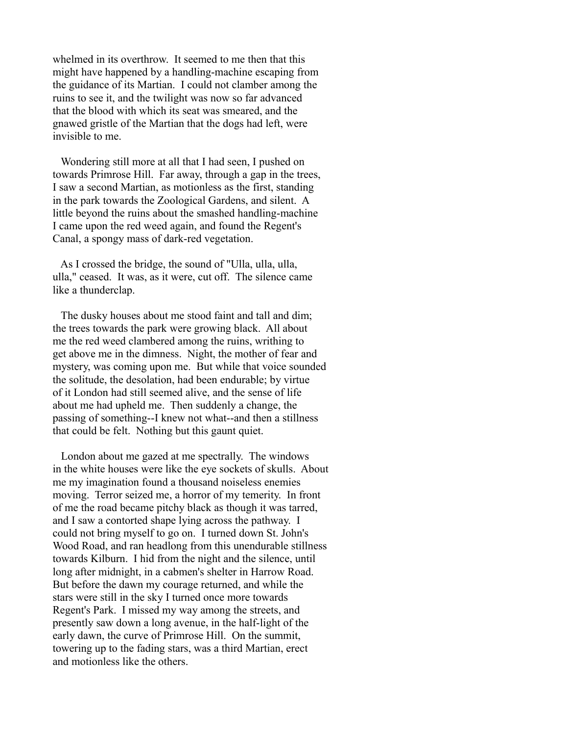whelmed in its overthrow. It seemed to me then that this might have happened by a handling-machine escaping from the guidance of its Martian. I could not clamber among the ruins to see it, and the twilight was now so far advanced that the blood with which its seat was smeared, and the gnawed gristle of the Martian that the dogs had left, were invisible to me.

 Wondering still more at all that I had seen, I pushed on towards Primrose Hill. Far away, through a gap in the trees, I saw a second Martian, as motionless as the first, standing in the park towards the Zoological Gardens, and silent. A little beyond the ruins about the smashed handling-machine I came upon the red weed again, and found the Regent's Canal, a spongy mass of dark-red vegetation.

 As I crossed the bridge, the sound of "Ulla, ulla, ulla, ulla," ceased. It was, as it were, cut off. The silence came like a thunderclap.

 The dusky houses about me stood faint and tall and dim; the trees towards the park were growing black. All about me the red weed clambered among the ruins, writhing to get above me in the dimness. Night, the mother of fear and mystery, was coming upon me. But while that voice sounded the solitude, the desolation, had been endurable; by virtue of it London had still seemed alive, and the sense of life about me had upheld me. Then suddenly a change, the passing of something--I knew not what--and then a stillness that could be felt. Nothing but this gaunt quiet.

 London about me gazed at me spectrally. The windows in the white houses were like the eye sockets of skulls. About me my imagination found a thousand noiseless enemies moving. Terror seized me, a horror of my temerity. In front of me the road became pitchy black as though it was tarred, and I saw a contorted shape lying across the pathway. I could not bring myself to go on. I turned down St. John's Wood Road, and ran headlong from this unendurable stillness towards Kilburn. I hid from the night and the silence, until long after midnight, in a cabmen's shelter in Harrow Road. But before the dawn my courage returned, and while the stars were still in the sky I turned once more towards Regent's Park. I missed my way among the streets, and presently saw down a long avenue, in the half-light of the early dawn, the curve of Primrose Hill. On the summit, towering up to the fading stars, was a third Martian, erect and motionless like the others.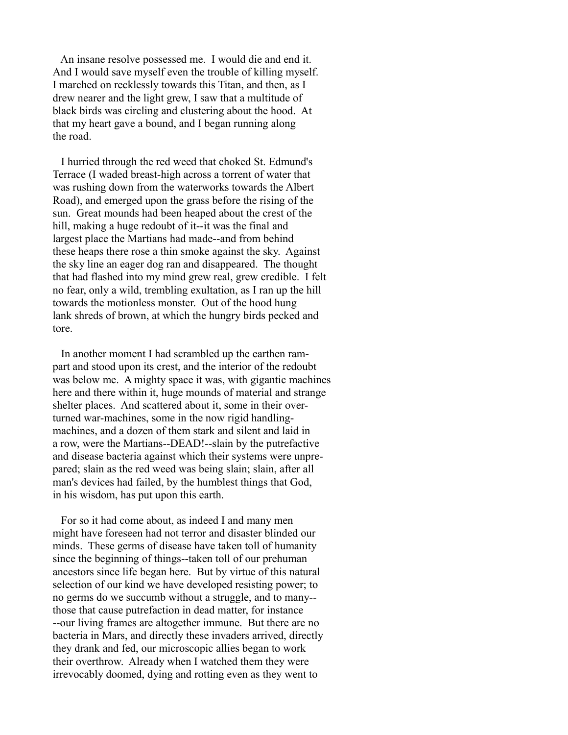An insane resolve possessed me. I would die and end it. And I would save myself even the trouble of killing myself. I marched on recklessly towards this Titan, and then, as I drew nearer and the light grew, I saw that a multitude of black birds was circling and clustering about the hood. At that my heart gave a bound, and I began running along the road.

 I hurried through the red weed that choked St. Edmund's Terrace (I waded breast-high across a torrent of water that was rushing down from the waterworks towards the Albert Road), and emerged upon the grass before the rising of the sun. Great mounds had been heaped about the crest of the hill, making a huge redoubt of it--it was the final and largest place the Martians had made--and from behind these heaps there rose a thin smoke against the sky. Against the sky line an eager dog ran and disappeared. The thought that had flashed into my mind grew real, grew credible. I felt no fear, only a wild, trembling exultation, as I ran up the hill towards the motionless monster. Out of the hood hung lank shreds of brown, at which the hungry birds pecked and tore.

 In another moment I had scrambled up the earthen rampart and stood upon its crest, and the interior of the redoubt was below me. A mighty space it was, with gigantic machines here and there within it, huge mounds of material and strange shelter places. And scattered about it, some in their overturned war-machines, some in the now rigid handlingmachines, and a dozen of them stark and silent and laid in a row, were the Martians--DEAD!--slain by the putrefactive and disease bacteria against which their systems were unprepared; slain as the red weed was being slain; slain, after all man's devices had failed, by the humblest things that God, in his wisdom, has put upon this earth.

 For so it had come about, as indeed I and many men might have foreseen had not terror and disaster blinded our minds. These germs of disease have taken toll of humanity since the beginning of things--taken toll of our prehuman ancestors since life began here. But by virtue of this natural selection of our kind we have developed resisting power; to no germs do we succumb without a struggle, and to many- those that cause putrefaction in dead matter, for instance --our living frames are altogether immune. But there are no bacteria in Mars, and directly these invaders arrived, directly they drank and fed, our microscopic allies began to work their overthrow. Already when I watched them they were irrevocably doomed, dying and rotting even as they went to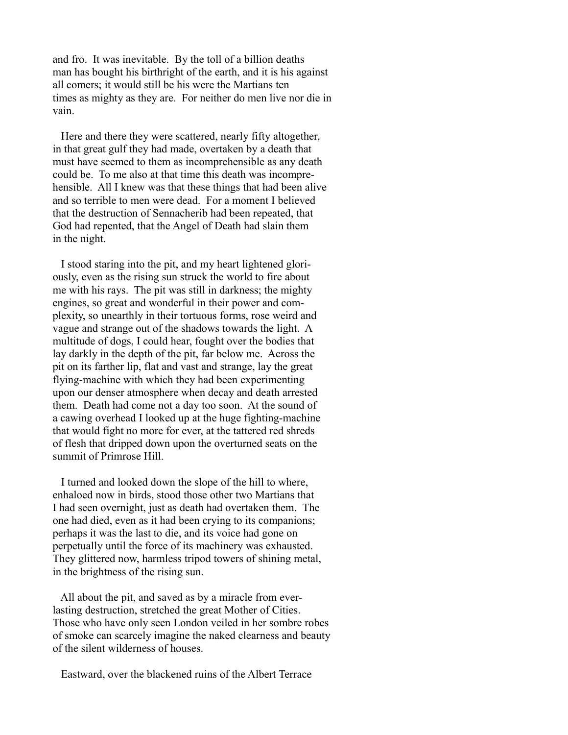and fro. It was inevitable. By the toll of a billion deaths man has bought his birthright of the earth, and it is his against all comers; it would still be his were the Martians ten times as mighty as they are. For neither do men live nor die in vain.

 Here and there they were scattered, nearly fifty altogether, in that great gulf they had made, overtaken by a death that must have seemed to them as incomprehensible as any death could be. To me also at that time this death was incomprehensible. All I knew was that these things that had been alive and so terrible to men were dead. For a moment I believed that the destruction of Sennacherib had been repeated, that God had repented, that the Angel of Death had slain them in the night.

 I stood staring into the pit, and my heart lightened gloriously, even as the rising sun struck the world to fire about me with his rays. The pit was still in darkness; the mighty engines, so great and wonderful in their power and complexity, so unearthly in their tortuous forms, rose weird and vague and strange out of the shadows towards the light. A multitude of dogs, I could hear, fought over the bodies that lay darkly in the depth of the pit, far below me. Across the pit on its farther lip, flat and vast and strange, lay the great flying-machine with which they had been experimenting upon our denser atmosphere when decay and death arrested them. Death had come not a day too soon. At the sound of a cawing overhead I looked up at the huge fighting-machine that would fight no more for ever, at the tattered red shreds of flesh that dripped down upon the overturned seats on the summit of Primrose Hill.

 I turned and looked down the slope of the hill to where, enhaloed now in birds, stood those other two Martians that I had seen overnight, just as death had overtaken them. The one had died, even as it had been crying to its companions; perhaps it was the last to die, and its voice had gone on perpetually until the force of its machinery was exhausted. They glittered now, harmless tripod towers of shining metal, in the brightness of the rising sun.

 All about the pit, and saved as by a miracle from everlasting destruction, stretched the great Mother of Cities. Those who have only seen London veiled in her sombre robes of smoke can scarcely imagine the naked clearness and beauty of the silent wilderness of houses.

Eastward, over the blackened ruins of the Albert Terrace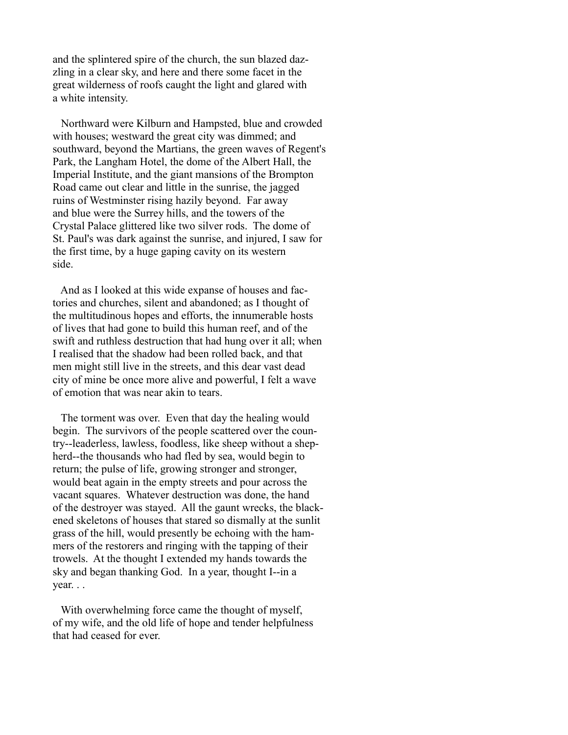and the splintered spire of the church, the sun blazed dazzling in a clear sky, and here and there some facet in the great wilderness of roofs caught the light and glared with a white intensity.

 Northward were Kilburn and Hampsted, blue and crowded with houses; westward the great city was dimmed; and southward, beyond the Martians, the green waves of Regent's Park, the Langham Hotel, the dome of the Albert Hall, the Imperial Institute, and the giant mansions of the Brompton Road came out clear and little in the sunrise, the jagged ruins of Westminster rising hazily beyond. Far away and blue were the Surrey hills, and the towers of the Crystal Palace glittered like two silver rods. The dome of St. Paul's was dark against the sunrise, and injured, I saw for the first time, by a huge gaping cavity on its western side.

 And as I looked at this wide expanse of houses and factories and churches, silent and abandoned; as I thought of the multitudinous hopes and efforts, the innumerable hosts of lives that had gone to build this human reef, and of the swift and ruthless destruction that had hung over it all; when I realised that the shadow had been rolled back, and that men might still live in the streets, and this dear vast dead city of mine be once more alive and powerful, I felt a wave of emotion that was near akin to tears.

 The torment was over. Even that day the healing would begin. The survivors of the people scattered over the country--leaderless, lawless, foodless, like sheep without a shepherd--the thousands who had fled by sea, would begin to return; the pulse of life, growing stronger and stronger, would beat again in the empty streets and pour across the vacant squares. Whatever destruction was done, the hand of the destroyer was stayed. All the gaunt wrecks, the blackened skeletons of houses that stared so dismally at the sunlit grass of the hill, would presently be echoing with the hammers of the restorers and ringing with the tapping of their trowels. At the thought I extended my hands towards the sky and began thanking God. In a year, thought I--in a year. . .

 With overwhelming force came the thought of myself, of my wife, and the old life of hope and tender helpfulness that had ceased for ever.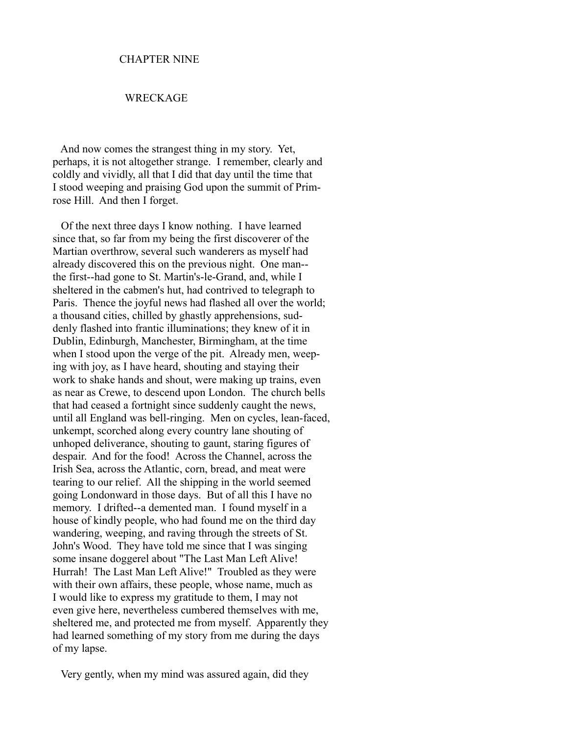#### CHAPTER NINE

## WRECKAGE

 And now comes the strangest thing in my story. Yet, perhaps, it is not altogether strange. I remember, clearly and coldly and vividly, all that I did that day until the time that I stood weeping and praising God upon the summit of Primrose Hill. And then I forget.

 Of the next three days I know nothing. I have learned since that, so far from my being the first discoverer of the Martian overthrow, several such wanderers as myself had already discovered this on the previous night. One man- the first--had gone to St. Martin's-le-Grand, and, while I sheltered in the cabmen's hut, had contrived to telegraph to Paris. Thence the joyful news had flashed all over the world; a thousand cities, chilled by ghastly apprehensions, suddenly flashed into frantic illuminations; they knew of it in Dublin, Edinburgh, Manchester, Birmingham, at the time when I stood upon the verge of the pit. Already men, weeping with joy, as I have heard, shouting and staying their work to shake hands and shout, were making up trains, even as near as Crewe, to descend upon London. The church bells that had ceased a fortnight since suddenly caught the news, until all England was bell-ringing. Men on cycles, lean-faced, unkempt, scorched along every country lane shouting of unhoped deliverance, shouting to gaunt, staring figures of despair. And for the food! Across the Channel, across the Irish Sea, across the Atlantic, corn, bread, and meat were tearing to our relief. All the shipping in the world seemed going Londonward in those days. But of all this I have no memory. I drifted--a demented man. I found myself in a house of kindly people, who had found me on the third day wandering, weeping, and raving through the streets of St. John's Wood. They have told me since that I was singing some insane doggerel about "The Last Man Left Alive! Hurrah! The Last Man Left Alive!" Troubled as they were with their own affairs, these people, whose name, much as I would like to express my gratitude to them, I may not even give here, nevertheless cumbered themselves with me, sheltered me, and protected me from myself. Apparently they had learned something of my story from me during the days of my lapse.

Very gently, when my mind was assured again, did they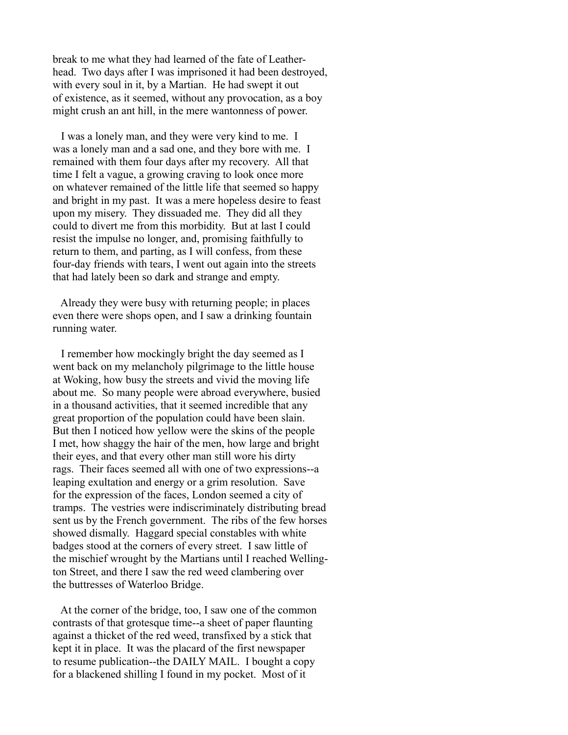break to me what they had learned of the fate of Leatherhead. Two days after I was imprisoned it had been destroyed, with every soul in it, by a Martian. He had swept it out of existence, as it seemed, without any provocation, as a boy might crush an ant hill, in the mere wantonness of power.

 I was a lonely man, and they were very kind to me. I was a lonely man and a sad one, and they bore with me. I remained with them four days after my recovery. All that time I felt a vague, a growing craving to look once more on whatever remained of the little life that seemed so happy and bright in my past. It was a mere hopeless desire to feast upon my misery. They dissuaded me. They did all they could to divert me from this morbidity. But at last I could resist the impulse no longer, and, promising faithfully to return to them, and parting, as I will confess, from these four-day friends with tears, I went out again into the streets that had lately been so dark and strange and empty.

 Already they were busy with returning people; in places even there were shops open, and I saw a drinking fountain running water.

 I remember how mockingly bright the day seemed as I went back on my melancholy pilgrimage to the little house at Woking, how busy the streets and vivid the moving life about me. So many people were abroad everywhere, busied in a thousand activities, that it seemed incredible that any great proportion of the population could have been slain. But then I noticed how yellow were the skins of the people I met, how shaggy the hair of the men, how large and bright their eyes, and that every other man still wore his dirty rags. Their faces seemed all with one of two expressions--a leaping exultation and energy or a grim resolution. Save for the expression of the faces, London seemed a city of tramps. The vestries were indiscriminately distributing bread sent us by the French government. The ribs of the few horses showed dismally. Haggard special constables with white badges stood at the corners of every street. I saw little of the mischief wrought by the Martians until I reached Wellington Street, and there I saw the red weed clambering over the buttresses of Waterloo Bridge.

 At the corner of the bridge, too, I saw one of the common contrasts of that grotesque time--a sheet of paper flaunting against a thicket of the red weed, transfixed by a stick that kept it in place. It was the placard of the first newspaper to resume publication--the DAILY MAIL. I bought a copy for a blackened shilling I found in my pocket. Most of it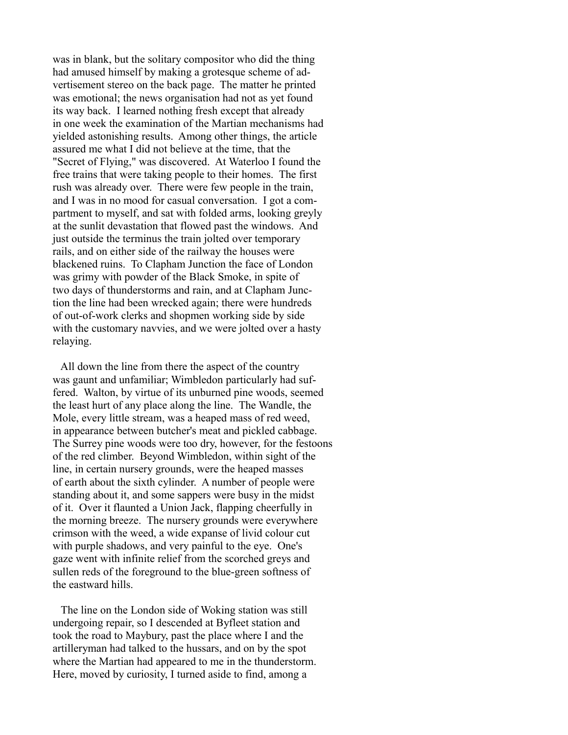was in blank, but the solitary compositor who did the thing had amused himself by making a grotesque scheme of advertisement stereo on the back page. The matter he printed was emotional; the news organisation had not as yet found its way back. I learned nothing fresh except that already in one week the examination of the Martian mechanisms had yielded astonishing results. Among other things, the article assured me what I did not believe at the time, that the "Secret of Flying," was discovered. At Waterloo I found the free trains that were taking people to their homes. The first rush was already over. There were few people in the train, and I was in no mood for casual conversation. I got a compartment to myself, and sat with folded arms, looking greyly at the sunlit devastation that flowed past the windows. And just outside the terminus the train jolted over temporary rails, and on either side of the railway the houses were blackened ruins. To Clapham Junction the face of London was grimy with powder of the Black Smoke, in spite of two days of thunderstorms and rain, and at Clapham Junction the line had been wrecked again; there were hundreds of out-of-work clerks and shopmen working side by side with the customary navvies, and we were jolted over a hasty relaying.

 All down the line from there the aspect of the country was gaunt and unfamiliar; Wimbledon particularly had suffered. Walton, by virtue of its unburned pine woods, seemed the least hurt of any place along the line. The Wandle, the Mole, every little stream, was a heaped mass of red weed, in appearance between butcher's meat and pickled cabbage. The Surrey pine woods were too dry, however, for the festoons of the red climber. Beyond Wimbledon, within sight of the line, in certain nursery grounds, were the heaped masses of earth about the sixth cylinder. A number of people were standing about it, and some sappers were busy in the midst of it. Over it flaunted a Union Jack, flapping cheerfully in the morning breeze. The nursery grounds were everywhere crimson with the weed, a wide expanse of livid colour cut with purple shadows, and very painful to the eye. One's gaze went with infinite relief from the scorched greys and sullen reds of the foreground to the blue-green softness of the eastward hills.

 The line on the London side of Woking station was still undergoing repair, so I descended at Byfleet station and took the road to Maybury, past the place where I and the artilleryman had talked to the hussars, and on by the spot where the Martian had appeared to me in the thunderstorm. Here, moved by curiosity, I turned aside to find, among a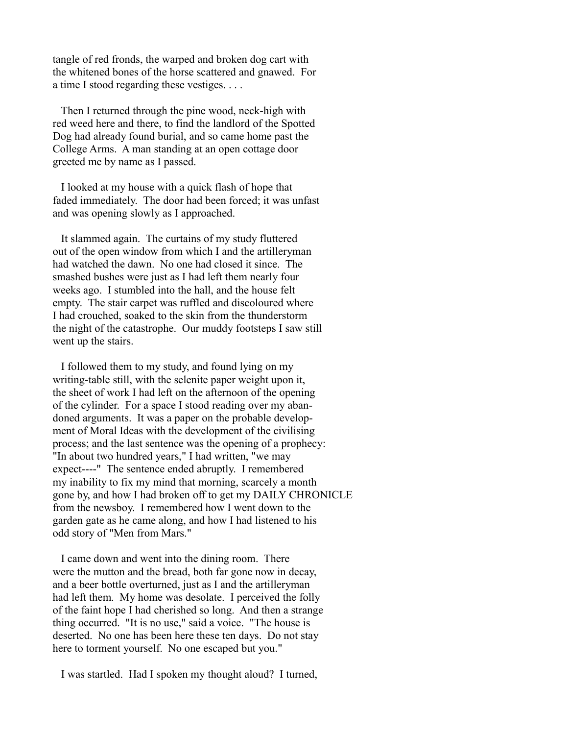tangle of red fronds, the warped and broken dog cart with the whitened bones of the horse scattered and gnawed. For a time I stood regarding these vestiges. . . .

 Then I returned through the pine wood, neck-high with red weed here and there, to find the landlord of the Spotted Dog had already found burial, and so came home past the College Arms. A man standing at an open cottage door greeted me by name as I passed.

 I looked at my house with a quick flash of hope that faded immediately. The door had been forced; it was unfast and was opening slowly as I approached.

 It slammed again. The curtains of my study fluttered out of the open window from which I and the artilleryman had watched the dawn. No one had closed it since. The smashed bushes were just as I had left them nearly four weeks ago. I stumbled into the hall, and the house felt empty. The stair carpet was ruffled and discoloured where I had crouched, soaked to the skin from the thunderstorm the night of the catastrophe. Our muddy footsteps I saw still went up the stairs.

 I followed them to my study, and found lying on my writing-table still, with the selenite paper weight upon it, the sheet of work I had left on the afternoon of the opening of the cylinder. For a space I stood reading over my abandoned arguments. It was a paper on the probable development of Moral Ideas with the development of the civilising process; and the last sentence was the opening of a prophecy: "In about two hundred years," I had written, "we may expect----" The sentence ended abruptly. I remembered my inability to fix my mind that morning, scarcely a month gone by, and how I had broken off to get my DAILY CHRONICLE from the newsboy. I remembered how I went down to the garden gate as he came along, and how I had listened to his odd story of "Men from Mars."

 I came down and went into the dining room. There were the mutton and the bread, both far gone now in decay, and a beer bottle overturned, just as I and the artilleryman had left them. My home was desolate. I perceived the folly of the faint hope I had cherished so long. And then a strange thing occurred. "It is no use," said a voice. "The house is deserted. No one has been here these ten days. Do not stay here to torment yourself. No one escaped but you."

I was startled. Had I spoken my thought aloud? I turned,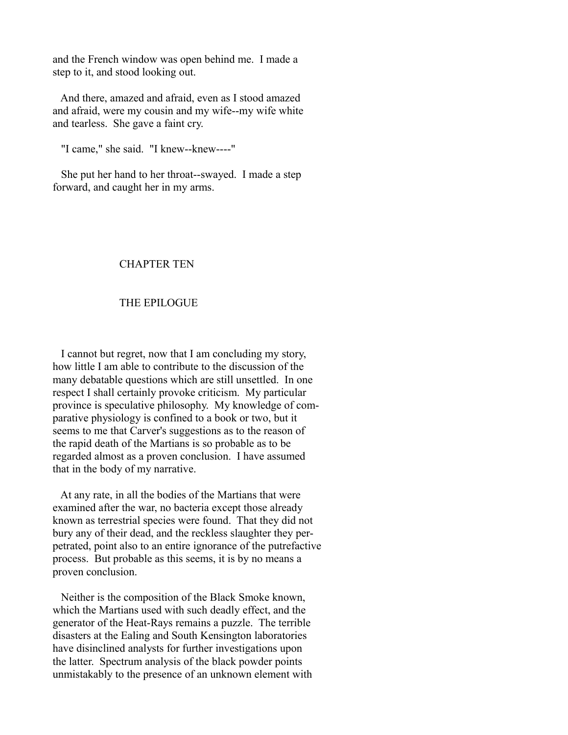and the French window was open behind me. I made a step to it, and stood looking out.

 And there, amazed and afraid, even as I stood amazed and afraid, were my cousin and my wife--my wife white and tearless. She gave a faint cry.

"I came," she said. "I knew--knew----"

 She put her hand to her throat--swayed. I made a step forward, and caught her in my arms.

## CHAPTER TEN

## THE EPILOGUE

 I cannot but regret, now that I am concluding my story, how little I am able to contribute to the discussion of the many debatable questions which are still unsettled. In one respect I shall certainly provoke criticism. My particular province is speculative philosophy. My knowledge of comparative physiology is confined to a book or two, but it seems to me that Carver's suggestions as to the reason of the rapid death of the Martians is so probable as to be regarded almost as a proven conclusion. I have assumed that in the body of my narrative.

 At any rate, in all the bodies of the Martians that were examined after the war, no bacteria except those already known as terrestrial species were found. That they did not bury any of their dead, and the reckless slaughter they perpetrated, point also to an entire ignorance of the putrefactive process. But probable as this seems, it is by no means a proven conclusion.

 Neither is the composition of the Black Smoke known, which the Martians used with such deadly effect, and the generator of the Heat-Rays remains a puzzle. The terrible disasters at the Ealing and South Kensington laboratories have disinclined analysts for further investigations upon the latter. Spectrum analysis of the black powder points unmistakably to the presence of an unknown element with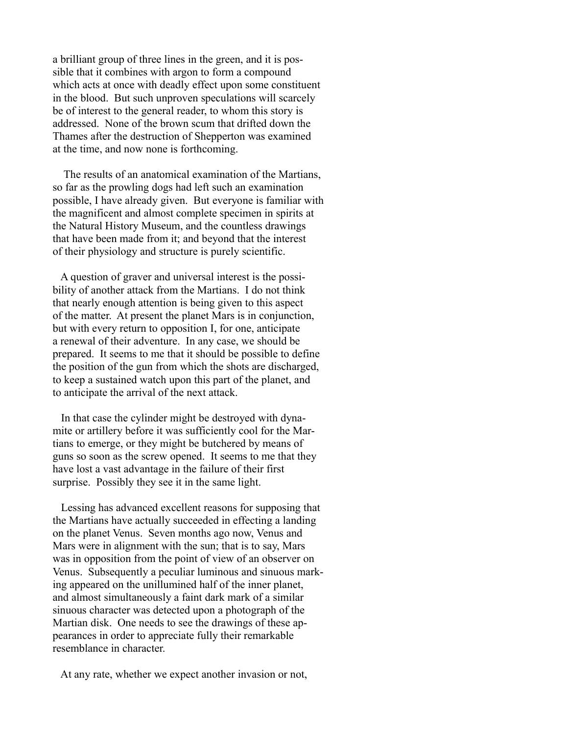a brilliant group of three lines in the green, and it is possible that it combines with argon to form a compound which acts at once with deadly effect upon some constituent in the blood. But such unproven speculations will scarcely be of interest to the general reader, to whom this story is addressed. None of the brown scum that drifted down the Thames after the destruction of Shepperton was examined at the time, and now none is forthcoming.

 The results of an anatomical examination of the Martians, so far as the prowling dogs had left such an examination possible, I have already given. But everyone is familiar with the magnificent and almost complete specimen in spirits at the Natural History Museum, and the countless drawings that have been made from it; and beyond that the interest of their physiology and structure is purely scientific.

 A question of graver and universal interest is the possibility of another attack from the Martians. I do not think that nearly enough attention is being given to this aspect of the matter. At present the planet Mars is in conjunction, but with every return to opposition I, for one, anticipate a renewal of their adventure. In any case, we should be prepared. It seems to me that it should be possible to define the position of the gun from which the shots are discharged, to keep a sustained watch upon this part of the planet, and to anticipate the arrival of the next attack.

 In that case the cylinder might be destroyed with dynamite or artillery before it was sufficiently cool for the Martians to emerge, or they might be butchered by means of guns so soon as the screw opened. It seems to me that they have lost a vast advantage in the failure of their first surprise. Possibly they see it in the same light.

 Lessing has advanced excellent reasons for supposing that the Martians have actually succeeded in effecting a landing on the planet Venus. Seven months ago now, Venus and Mars were in alignment with the sun; that is to say, Mars was in opposition from the point of view of an observer on Venus. Subsequently a peculiar luminous and sinuous marking appeared on the unillumined half of the inner planet, and almost simultaneously a faint dark mark of a similar sinuous character was detected upon a photograph of the Martian disk. One needs to see the drawings of these appearances in order to appreciate fully their remarkable resemblance in character.

At any rate, whether we expect another invasion or not,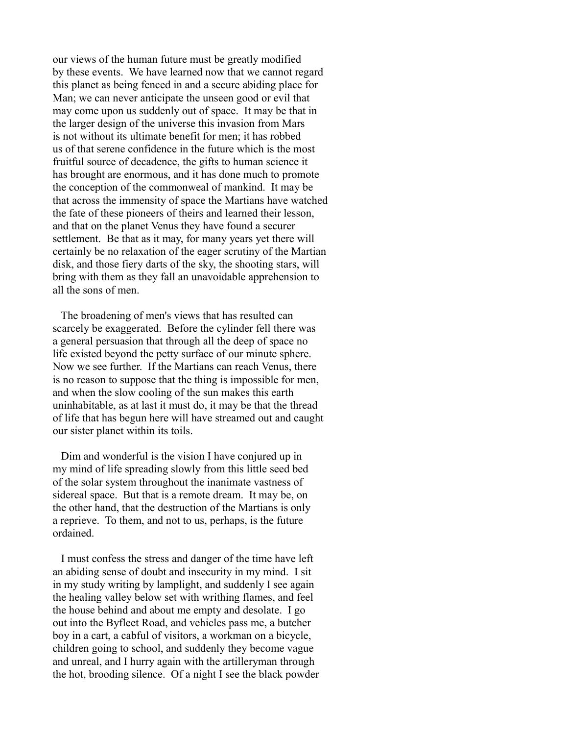our views of the human future must be greatly modified by these events. We have learned now that we cannot regard this planet as being fenced in and a secure abiding place for Man; we can never anticipate the unseen good or evil that may come upon us suddenly out of space. It may be that in the larger design of the universe this invasion from Mars is not without its ultimate benefit for men; it has robbed us of that serene confidence in the future which is the most fruitful source of decadence, the gifts to human science it has brought are enormous, and it has done much to promote the conception of the commonweal of mankind. It may be that across the immensity of space the Martians have watched the fate of these pioneers of theirs and learned their lesson, and that on the planet Venus they have found a securer settlement. Be that as it may, for many years yet there will certainly be no relaxation of the eager scrutiny of the Martian disk, and those fiery darts of the sky, the shooting stars, will bring with them as they fall an unavoidable apprehension to all the sons of men.

 The broadening of men's views that has resulted can scarcely be exaggerated. Before the cylinder fell there was a general persuasion that through all the deep of space no life existed beyond the petty surface of our minute sphere. Now we see further. If the Martians can reach Venus, there is no reason to suppose that the thing is impossible for men, and when the slow cooling of the sun makes this earth uninhabitable, as at last it must do, it may be that the thread of life that has begun here will have streamed out and caught our sister planet within its toils.

 Dim and wonderful is the vision I have conjured up in my mind of life spreading slowly from this little seed bed of the solar system throughout the inanimate vastness of sidereal space. But that is a remote dream. It may be, on the other hand, that the destruction of the Martians is only a reprieve. To them, and not to us, perhaps, is the future ordained.

 I must confess the stress and danger of the time have left an abiding sense of doubt and insecurity in my mind. I sit in my study writing by lamplight, and suddenly I see again the healing valley below set with writhing flames, and feel the house behind and about me empty and desolate. I go out into the Byfleet Road, and vehicles pass me, a butcher boy in a cart, a cabful of visitors, a workman on a bicycle, children going to school, and suddenly they become vague and unreal, and I hurry again with the artilleryman through the hot, brooding silence. Of a night I see the black powder